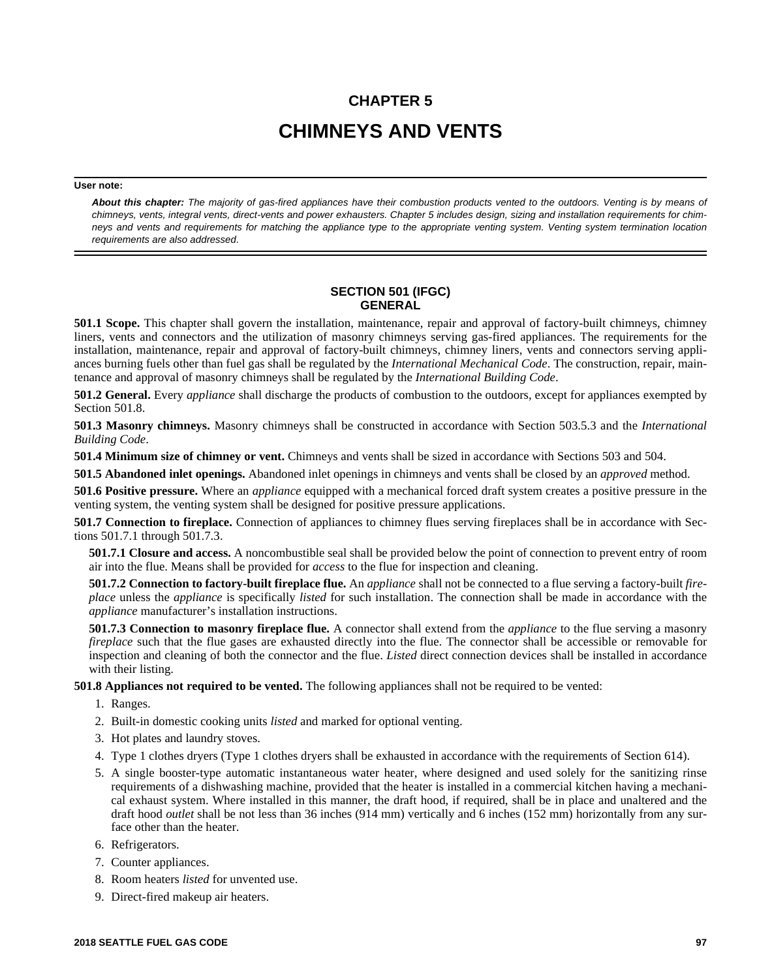# **CHAPTER 5 CHIMNEYS AND VENTS**

#### **User note:**

*About this chapter: The majority of gas-fired appliances have their combustion products vented to the outdoors. Venting is by means of chimneys, vents, integral vents, direct-vents and power exhausters. Chapter 5 includes design, sizing and installation requirements for chimneys and vents and requirements for matching the appliance type to the appropriate venting system. Venting system termination location requirements are also addressed.* 

#### **SECTION 501 (IFGC) GENERAL**

**501.1 Scope.** This chapter shall govern the installation, maintenance, repair and approval of factory-built chimneys, chimney liners, vents and connectors and the utilization of masonry chimneys serving gas-fired appliances. The requirements for the installation, maintenance, repair and approval of factory-built chimneys, chimney liners, vents and connectors serving appliances burning fuels other than fuel gas shall be regulated by the *International Mechanical Code*. The construction, repair, maintenance and approval of masonry chimneys shall be regulated by the *International Building Code*.

**501.2 General.** Every *appliance* shall discharge the products of combustion to the outdoors, except for appliances exempted by Section 501.8.

**501.3 Masonry chimneys.** Masonry chimneys shall be constructed in accordance with Section 503.5.3 and the *International Building Code*.

**501.4 Minimum size of chimney or vent.** Chimneys and vents shall be sized in accordance with Sections 503 and 504.

**501.5 Abandoned inlet openings.** Abandoned inlet openings in chimneys and vents shall be closed by an *approved* method.

**501.6 Positive pressure.** Where an *appliance* equipped with a mechanical forced draft system creates a positive pressure in the venting system, the venting system shall be designed for positive pressure applications.

**501.7 Connection to fireplace.** Connection of appliances to chimney flues serving fireplaces shall be in accordance with Sections 501.7.1 through 501.7.3.

**501.7.1 Closure and access.** A noncombustible seal shall be provided below the point of connection to prevent entry of room air into the flue. Means shall be provided for *access* to the flue for inspection and cleaning.

**501.7.2 Connection to factory-built fireplace flue.** An *appliance* shall not be connected to a flue serving a factory-built *fireplace* unless the *appliance* is specifically *listed* for such installation. The connection shall be made in accordance with the *appliance* manufacturer's installation instructions.

**501.7.3 Connection to masonry fireplace flue.** A connector shall extend from the *appliance* to the flue serving a masonry *fireplace* such that the flue gases are exhausted directly into the flue. The connector shall be accessible or removable for inspection and cleaning of both the connector and the flue. *Listed* direct connection devices shall be installed in accordance with their listing.

**501.8 Appliances not required to be vented.** The following appliances shall not be required to be vented:

- 1. Ranges.
- 2. Built-in domestic cooking units *listed* and marked for optional venting.
- 3. Hot plates and laundry stoves.
- 4. Type 1 clothes dryers (Type 1 clothes dryers shall be exhausted in accordance with the requirements of Section 614).
- 5. A single booster-type automatic instantaneous water heater, where designed and used solely for the sanitizing rinse requirements of a dishwashing machine, provided that the heater is installed in a commercial kitchen having a mechanical exhaust system. Where installed in this manner, the draft hood, if required, shall be in place and unaltered and the draft hood *outlet* shall be not less than 36 inches (914 mm) vertically and 6 inches (152 mm) horizontally from any surface other than the heater.
- 6. Refrigerators.
- 7. Counter appliances.
- 8. Room heaters *listed* for unvented use.
- 9. Direct-fired makeup air heaters.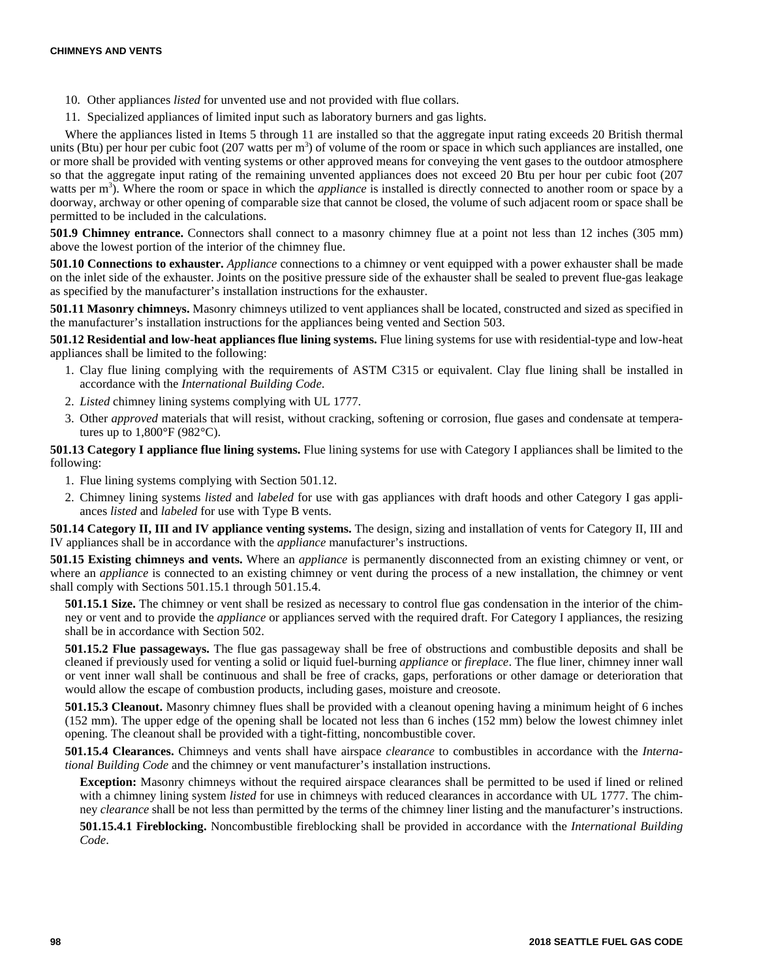- 10. Other appliances *listed* for unvented use and not provided with flue collars.
- 11. Specialized appliances of limited input such as laboratory burners and gas lights.

Where the appliances listed in Items 5 through 11 are installed so that the aggregate input rating exceeds 20 British thermal units (Btu) per hour per cubic foot (207 watts per  $m^3$ ) of volume of the room or space in which such appliances are installed, one or more shall be provided with venting systems or other approved means for conveying the vent gases to the outdoor atmosphere so that the aggregate input rating of the remaining unvented appliances does not exceed 20 Btu per hour per cubic foot (207 watts per m<sup>3</sup>). Where the room or space in which the *appliance* is installed is directly connected to another room or space by a doorway, archway or other opening of comparable size that cannot be closed, the volume of such adjacent room or space shall be permitted to be included in the calculations.

**501.9 Chimney entrance.** Connectors shall connect to a masonry chimney flue at a point not less than 12 inches (305 mm) above the lowest portion of the interior of the chimney flue.

**501.10 Connections to exhauster.** *Appliance* connections to a chimney or vent equipped with a power exhauster shall be made on the inlet side of the exhauster. Joints on the positive pressure side of the exhauster shall be sealed to prevent flue-gas leakage as specified by the manufacturer's installation instructions for the exhauster.

**501.11 Masonry chimneys.** Masonry chimneys utilized to vent appliances shall be located, constructed and sized as specified in the manufacturer's installation instructions for the appliances being vented and Section 503.

**501.12 Residential and low-heat appliances flue lining systems.** Flue lining systems for use with residential-type and low-heat appliances shall be limited to the following:

- 1. Clay flue lining complying with the requirements of ASTM C315 or equivalent. Clay flue lining shall be installed in accordance with the *International Building Code*.
- 2. *Listed* chimney lining systems complying with UL 1777.
- 3. Other *approved* materials that will resist, without cracking, softening or corrosion, flue gases and condensate at temperatures up to  $1,800^{\circ}$ F (982 $^{\circ}$ C).

**501.13 Category I appliance flue lining systems.** Flue lining systems for use with Category I appliances shall be limited to the following:

- 1. Flue lining systems complying with Section 501.12.
- 2. Chimney lining systems *listed* and *labeled* for use with gas appliances with draft hoods and other Category I gas appliances *listed* and *labeled* for use with Type B vents.

**501.14 Category II, III and IV appliance venting systems.** The design, sizing and installation of vents for Category II, III and IV appliances shall be in accordance with the *appliance* manufacturer's instructions.

**501.15 Existing chimneys and vents.** Where an *appliance* is permanently disconnected from an existing chimney or vent, or where an *appliance* is connected to an existing chimney or vent during the process of a new installation, the chimney or vent shall comply with Sections 501.15.1 through 501.15.4.

**501.15.1 Size.** The chimney or vent shall be resized as necessary to control flue gas condensation in the interior of the chimney or vent and to provide the *appliance* or appliances served with the required draft. For Category I appliances, the resizing shall be in accordance with Section 502.

**501.15.2 Flue passageways.** The flue gas passageway shall be free of obstructions and combustible deposits and shall be cleaned if previously used for venting a solid or liquid fuel-burning *appliance* or *fireplace*. The flue liner, chimney inner wall or vent inner wall shall be continuous and shall be free of cracks, gaps, perforations or other damage or deterioration that would allow the escape of combustion products, including gases, moisture and creosote.

**501.15.3 Cleanout.** Masonry chimney flues shall be provided with a cleanout opening having a minimum height of 6 inches (152 mm). The upper edge of the opening shall be located not less than 6 inches (152 mm) below the lowest chimney inlet opening. The cleanout shall be provided with a tight-fitting, noncombustible cover.

**501.15.4 Clearances.** Chimneys and vents shall have airspace *clearance* to combustibles in accordance with the *International Building Code* and the chimney or vent manufacturer's installation instructions.

**Exception:** Masonry chimneys without the required airspace clearances shall be permitted to be used if lined or relined with a chimney lining system *listed* for use in chimneys with reduced clearances in accordance with UL 1777. The chimney *clearance* shall be not less than permitted by the terms of the chimney liner listing and the manufacturer's instructions.

**501.15.4.1 Fireblocking.** Noncombustible fireblocking shall be provided in accordance with the *International Building Code*.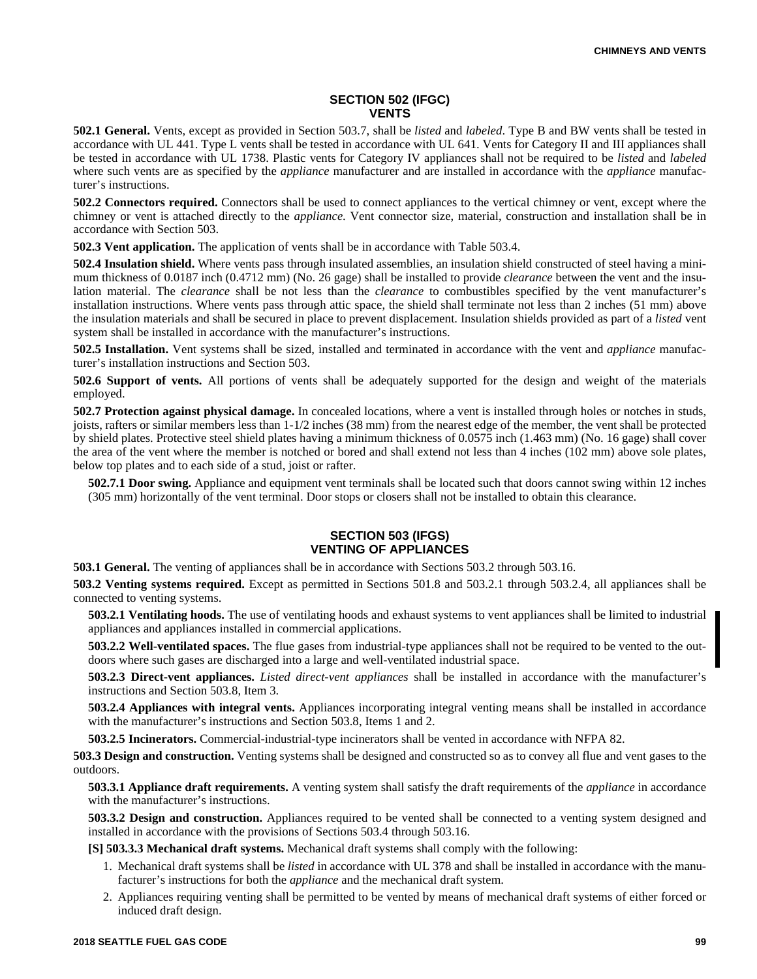#### **SECTION 502 (IFGC) VENTS**

**502.1 General.** Vents, except as provided in Section 503.7, shall be *listed* and *labeled*. Type B and BW vents shall be tested in accordance with UL 441. Type L vents shall be tested in accordance with UL 641. Vents for Category II and III appliances shall be tested in accordance with UL 1738. Plastic vents for Category IV appliances shall not be required to be *listed* and *labeled* where such vents are as specified by the *appliance* manufacturer and are installed in accordance with the *appliance* manufacturer's instructions.

**502.2 Connectors required.** Connectors shall be used to connect appliances to the vertical chimney or vent, except where the chimney or vent is attached directly to the *appliance*. Vent connector size, material, construction and installation shall be in accordance with Section 503.

**502.3 Vent application.** The application of vents shall be in accordance with Table 503.4.

**502.4 Insulation shield.** Where vents pass through insulated assemblies, an insulation shield constructed of steel having a minimum thickness of 0.0187 inch (0.4712 mm) (No. 26 gage) shall be installed to provide *clearance* between the vent and the insulation material. The *clearance* shall be not less than the *clearance* to combustibles specified by the vent manufacturer's installation instructions. Where vents pass through attic space, the shield shall terminate not less than 2 inches (51 mm) above the insulation materials and shall be secured in place to prevent displacement. Insulation shields provided as part of a *listed* vent system shall be installed in accordance with the manufacturer's instructions.

**502.5 Installation.** Vent systems shall be sized, installed and terminated in accordance with the vent and *appliance* manufacturer's installation instructions and Section 503.

**502.6 Support of vents.** All portions of vents shall be adequately supported for the design and weight of the materials employed.

**502.7 Protection against physical damage.** In concealed locations, where a vent is installed through holes or notches in studs, joists, rafters or similar members less than 1-1/2 inches (38 mm) from the nearest edge of the member, the vent shall be protected by shield plates. Protective steel shield plates having a minimum thickness of 0.0575 inch (1.463 mm) (No. 16 gage) shall cover the area of the vent where the member is notched or bored and shall extend not less than 4 inches (102 mm) above sole plates, below top plates and to each side of a stud, joist or rafter.

**502.7.1 Door swing.** Appliance and equipment vent terminals shall be located such that doors cannot swing within 12 inches (305 mm) horizontally of the vent terminal. Door stops or closers shall not be installed to obtain this clearance.

#### **SECTION 503 (IFGS) VENTING OF APPLIANCES**

**503.1 General.** The venting of appliances shall be in accordance with Sections 503.2 through 503.16.

**503.2 Venting systems required.** Except as permitted in Sections 501.8 and 503.2.1 through 503.2.4, all appliances shall be connected to venting systems.

**503.2.1 Ventilating hoods.** The use of ventilating hoods and exhaust systems to vent appliances shall be limited to industrial appliances and appliances installed in commercial applications.

**503.2.2 Well-ventilated spaces.** The flue gases from industrial-type appliances shall not be required to be vented to the outdoors where such gases are discharged into a large and well-ventilated industrial space.

**503.2.3 Direct-vent appliances.** *Listed direct-vent appliances* shall be installed in accordance with the manufacturer's instructions and Section 503.8, Item 3.

**503.2.4 Appliances with integral vents.** Appliances incorporating integral venting means shall be installed in accordance with the manufacturer's instructions and Section 503.8, Items 1 and 2.

**503.2.5 Incinerators.** Commercial-industrial-type incinerators shall be vented in accordance with NFPA 82.

**503.3 Design and construction.** Venting systems shall be designed and constructed so as to convey all flue and vent gases to the outdoors.

**503.3.1 Appliance draft requirements.** A venting system shall satisfy the draft requirements of the *appliance* in accordance with the manufacturer's instructions.

**503.3.2 Design and construction.** Appliances required to be vented shall be connected to a venting system designed and installed in accordance with the provisions of Sections 503.4 through 503.16.

**[S] 503.3.3 Mechanical draft systems.** Mechanical draft systems shall comply with the following:

- 1. Mechanical draft systems shall be *listed* in accordance with UL 378 and shall be installed in accordance with the manufacturer's instructions for both the *appliance* and the mechanical draft system.
- 2. Appliances requiring venting shall be permitted to be vented by means of mechanical draft systems of either forced or induced draft design.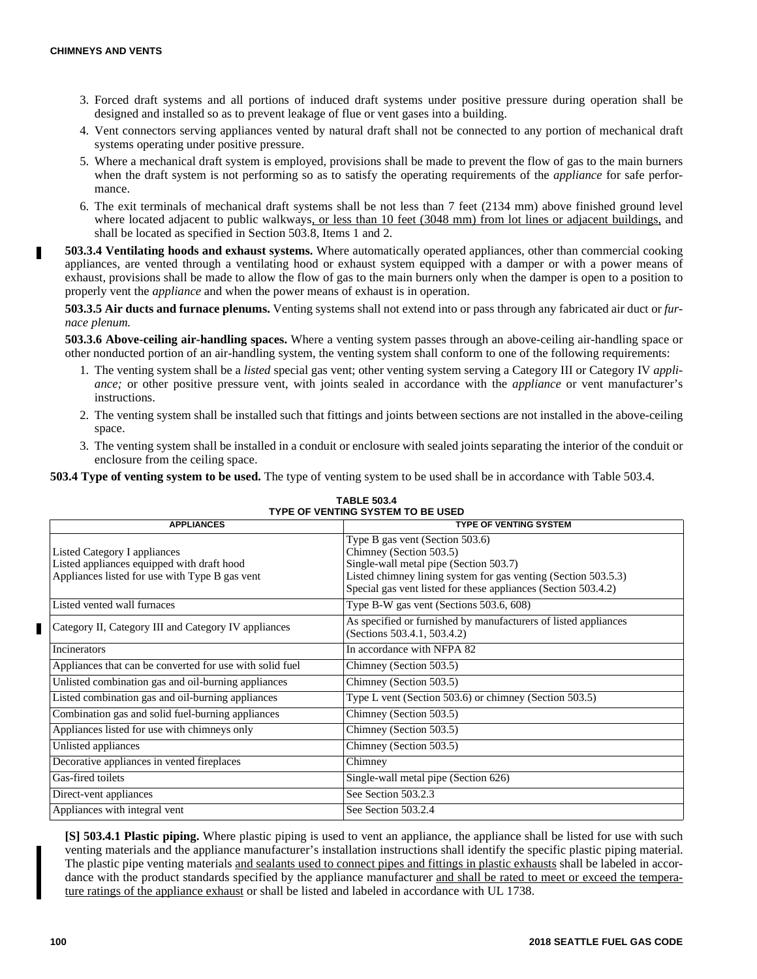- 3. Forced draft systems and all portions of induced draft systems under positive pressure during operation shall be designed and installed so as to prevent leakage of flue or vent gases into a building.
- 4. Vent connectors serving appliances vented by natural draft shall not be connected to any portion of mechanical draft systems operating under positive pressure.
- 5. Where a mechanical draft system is employed, provisions shall be made to prevent the flow of gas to the main burners when the draft system is not performing so as to satisfy the operating requirements of the *appliance* for safe performance.
- 6. The exit terminals of mechanical draft systems shall be not less than 7 feet (2134 mm) above finished ground level where located adjacent to public walkways, or less than 10 feet (3048 mm) from lot lines or adjacent buildings, and shall be located as specified in Section 503.8, Items 1 and 2.

**503.3.4 Ventilating hoods and exhaust systems.** Where automatically operated appliances, other than commercial cooking appliances, are vented through a ventilating hood or exhaust system equipped with a damper or with a power means of exhaust, provisions shall be made to allow the flow of gas to the main burners only when the damper is open to a position to properly vent the *appliance* and when the power means of exhaust is in operation.

**503.3.5 Air ducts and furnace plenums.** Venting systems shall not extend into or pass through any fabricated air duct or *furnace plenum.*

**503.3.6 Above-ceiling air-handling spaces.** Where a venting system passes through an above-ceiling air-handling space or other nonducted portion of an air-handling system, the venting system shall conform to one of the following requirements:

- 1. The venting system shall be a *listed* special gas vent; other venting system serving a Category III or Category IV *appliance;* or other positive pressure vent, with joints sealed in accordance with the *appliance* or vent manufacturer's instructions.
- 2. The venting system shall be installed such that fittings and joints between sections are not installed in the above-ceiling space.
- 3. The venting system shall be installed in a conduit or enclosure with sealed joints separating the interior of the conduit or enclosure from the ceiling space.

**503.4 Type of venting system to be used.** The type of venting system to be used shall be in accordance with Table 503.4.

| <b>APPLIANCES</b>                                                                                                            | <b>TYPE OF VENTING SYSTEM</b>                                                                                                                                                                                                            |
|------------------------------------------------------------------------------------------------------------------------------|------------------------------------------------------------------------------------------------------------------------------------------------------------------------------------------------------------------------------------------|
| Listed Category I appliances<br>Listed appliances equipped with draft hood<br>Appliances listed for use with Type B gas vent | Type B gas vent (Section 503.6)<br>Chimney (Section 503.5)<br>Single-wall metal pipe (Section 503.7)<br>Listed chimney lining system for gas venting (Section 503.5.3)<br>Special gas vent listed for these appliances (Section 503.4.2) |
| Listed vented wall furnaces                                                                                                  | Type B-W gas vent (Sections 503.6, 608)                                                                                                                                                                                                  |
| Category II, Category III and Category IV appliances                                                                         | As specified or furnished by manufacturers of listed appliances<br>(Sections 503.4.1, 503.4.2)                                                                                                                                           |
| Incinerators                                                                                                                 | In accordance with NFPA 82                                                                                                                                                                                                               |
| Appliances that can be converted for use with solid fuel                                                                     | Chimney (Section 503.5)                                                                                                                                                                                                                  |
| Unlisted combination gas and oil-burning appliances                                                                          | Chimney (Section 503.5)                                                                                                                                                                                                                  |
| Listed combination gas and oil-burning appliances                                                                            | Type L vent (Section 503.6) or chimney (Section 503.5)                                                                                                                                                                                   |
| Combination gas and solid fuel-burning appliances                                                                            | Chimney (Section 503.5)                                                                                                                                                                                                                  |
| Appliances listed for use with chimneys only                                                                                 | Chimney (Section 503.5)                                                                                                                                                                                                                  |
| Unlisted appliances                                                                                                          | Chimney (Section 503.5)                                                                                                                                                                                                                  |
| Decorative appliances in vented fireplaces                                                                                   | Chimney                                                                                                                                                                                                                                  |
| Gas-fired toilets                                                                                                            | Single-wall metal pipe (Section 626)                                                                                                                                                                                                     |
| Direct-vent appliances                                                                                                       | See Section 503.2.3                                                                                                                                                                                                                      |
| Appliances with integral vent                                                                                                | See Section 503.2.4                                                                                                                                                                                                                      |

**TABLE 503.4 TYPE OF VENTING SYSTEM TO BE USED**

**[S] 503.4.1 Plastic piping.** Where plastic piping is used to vent an appliance, the appliance shall be listed for use with such venting materials and the appliance manufacturer's installation instructions shall identify the specific plastic piping material. The plastic pipe venting materials and sealants used to connect pipes and fittings in plastic exhausts shall be labeled in accordance with the product standards specified by the appliance manufacturer and shall be rated to meet or exceed the temperature ratings of the appliance exhaust or shall be listed and labeled in accordance with UL 1738.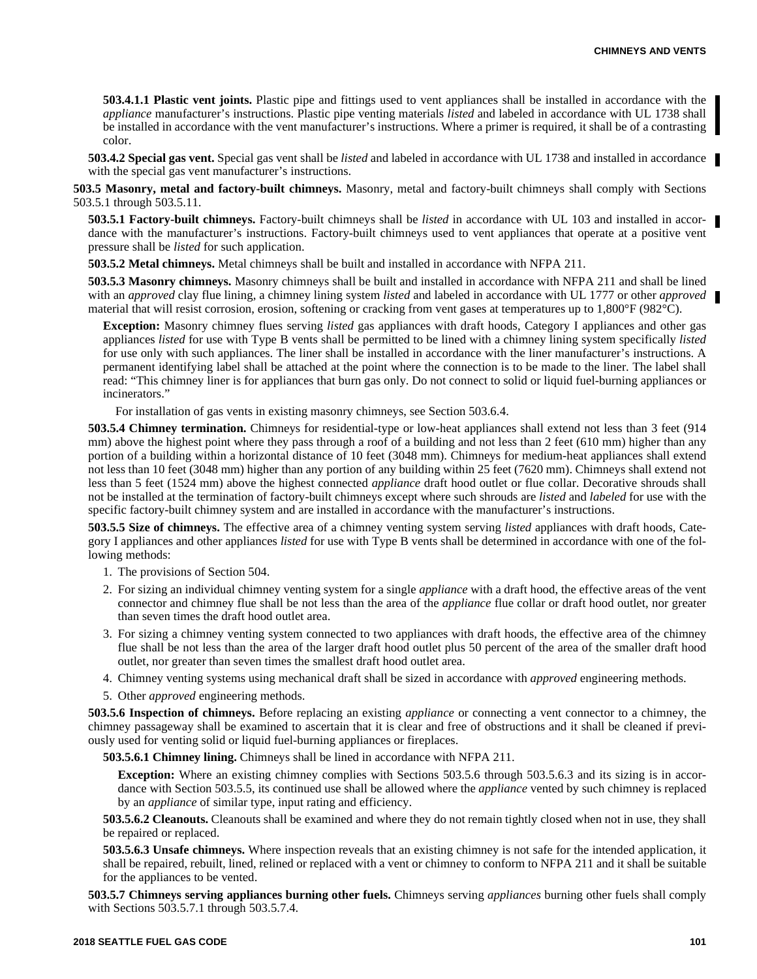**503.4.1.1 Plastic vent joints.** Plastic pipe and fittings used to vent appliances shall be installed in accordance with the *appliance* manufacturer's instructions. Plastic pipe venting materials *listed* and labeled in accordance with UL 1738 shall be installed in accordance with the vent manufacturer's instructions. Where a primer is required, it shall be of a contrasting color.

**503.4.2 Special gas vent.** Special gas vent shall be *listed* and labeled in accordance with UL 1738 and installed in accordance with the special gas vent manufacturer's instructions.

**503.5 Masonry, metal and factory-built chimneys.** Masonry, metal and factory-built chimneys shall comply with Sections 503.5.1 through 503.5.11.

**503.5.1 Factory-built chimneys.** Factory-built chimneys shall be *listed* in accordance with UL 103 and installed in accordance with the manufacturer's instructions. Factory-built chimneys used to vent appliances that operate at a positive vent pressure shall be *listed* for such application.

**503.5.2 Metal chimneys.** Metal chimneys shall be built and installed in accordance with NFPA 211.

**503.5.3 Masonry chimneys.** Masonry chimneys shall be built and installed in accordance with NFPA 211 and shall be lined with an *approved* clay flue lining, a chimney lining system *listed* and labeled in accordance with UL 1777 or other *approved* material that will resist corrosion, erosion, softening or cracking from vent gases at temperatures up to 1,800°F (982°C).

**Exception:** Masonry chimney flues serving *listed* gas appliances with draft hoods, Category I appliances and other gas appliances *listed* for use with Type B vents shall be permitted to be lined with a chimney lining system specifically *listed* for use only with such appliances. The liner shall be installed in accordance with the liner manufacturer's instructions. A permanent identifying label shall be attached at the point where the connection is to be made to the liner. The label shall read: "This chimney liner is for appliances that burn gas only. Do not connect to solid or liquid fuel-burning appliances or incinerators."

For installation of gas vents in existing masonry chimneys, see Section 503.6.4.

**503.5.4 Chimney termination.** Chimneys for residential-type or low-heat appliances shall extend not less than 3 feet (914 mm) above the highest point where they pass through a roof of a building and not less than 2 feet (610 mm) higher than any portion of a building within a horizontal distance of 10 feet (3048 mm). Chimneys for medium-heat appliances shall extend not less than 10 feet (3048 mm) higher than any portion of any building within 25 feet (7620 mm). Chimneys shall extend not less than 5 feet (1524 mm) above the highest connected *appliance* draft hood outlet or flue collar. Decorative shrouds shall not be installed at the termination of factory-built chimneys except where such shrouds are *listed* and *labeled* for use with the specific factory-built chimney system and are installed in accordance with the manufacturer's instructions.

**503.5.5 Size of chimneys.** The effective area of a chimney venting system serving *listed* appliances with draft hoods, Category I appliances and other appliances *listed* for use with Type B vents shall be determined in accordance with one of the following methods:

- 1. The provisions of Section 504.
- 2. For sizing an individual chimney venting system for a single *appliance* with a draft hood, the effective areas of the vent connector and chimney flue shall be not less than the area of the *appliance* flue collar or draft hood outlet, nor greater than seven times the draft hood outlet area.
- 3. For sizing a chimney venting system connected to two appliances with draft hoods, the effective area of the chimney flue shall be not less than the area of the larger draft hood outlet plus 50 percent of the area of the smaller draft hood outlet, nor greater than seven times the smallest draft hood outlet area.
- 4. Chimney venting systems using mechanical draft shall be sized in accordance with *approved* engineering methods.
- 5. Other *approved* engineering methods.

**503.5.6 Inspection of chimneys.** Before replacing an existing *appliance* or connecting a vent connector to a chimney, the chimney passageway shall be examined to ascertain that it is clear and free of obstructions and it shall be cleaned if previously used for venting solid or liquid fuel-burning appliances or fireplaces.

**503.5.6.1 Chimney lining.** Chimneys shall be lined in accordance with NFPA 211.

**Exception:** Where an existing chimney complies with Sections 503.5.6 through 503.5.6.3 and its sizing is in accordance with Section 503.5.5, its continued use shall be allowed where the *appliance* vented by such chimney is replaced by an *appliance* of similar type, input rating and efficiency.

**503.5.6.2 Cleanouts.** Cleanouts shall be examined and where they do not remain tightly closed when not in use, they shall be repaired or replaced.

**503.5.6.3 Unsafe chimneys.** Where inspection reveals that an existing chimney is not safe for the intended application, it shall be repaired, rebuilt, lined, relined or replaced with a vent or chimney to conform to NFPA 211 and it shall be suitable for the appliances to be vented.

**503.5.7 Chimneys serving appliances burning other fuels.** Chimneys serving *appliances* burning other fuels shall comply with Sections 503.5.7.1 through 503.5.7.4.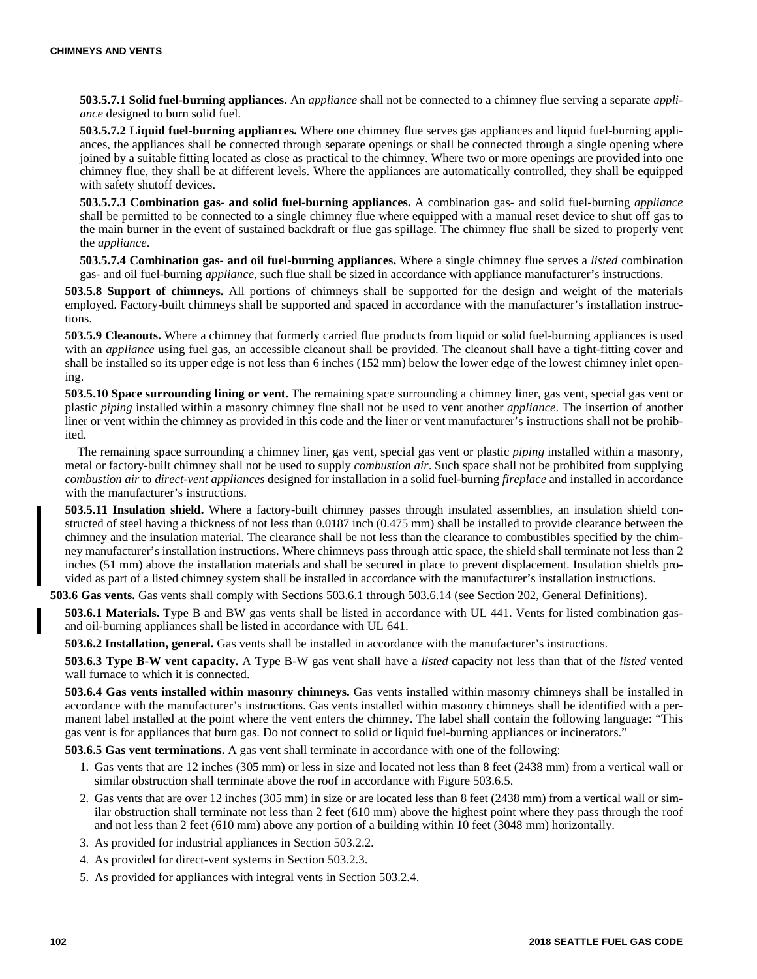**503.5.7.1 Solid fuel-burning appliances.** An *appliance* shall not be connected to a chimney flue serving a separate *appliance* designed to burn solid fuel.

**503.5.7.2 Liquid fuel-burning appliances.** Where one chimney flue serves gas appliances and liquid fuel-burning appliances, the appliances shall be connected through separate openings or shall be connected through a single opening where joined by a suitable fitting located as close as practical to the chimney. Where two or more openings are provided into one chimney flue, they shall be at different levels. Where the appliances are automatically controlled, they shall be equipped with safety shutoff devices.

**503.5.7.3 Combination gas- and solid fuel-burning appliances.** A combination gas- and solid fuel-burning *appliance* shall be permitted to be connected to a single chimney flue where equipped with a manual reset device to shut off gas to the main burner in the event of sustained backdraft or flue gas spillage. The chimney flue shall be sized to properly vent the *appliance*.

**503.5.7.4 Combination gas- and oil fuel-burning appliances.** Where a single chimney flue serves a *listed* combination gas- and oil fuel-burning *appliance,* such flue shall be sized in accordance with appliance manufacturer's instructions.

**503.5.8 Support of chimneys.** All portions of chimneys shall be supported for the design and weight of the materials employed. Factory-built chimneys shall be supported and spaced in accordance with the manufacturer's installation instructions.

**503.5.9 Cleanouts.** Where a chimney that formerly carried flue products from liquid or solid fuel-burning appliances is used with an *appliance* using fuel gas, an accessible cleanout shall be provided. The cleanout shall have a tight-fitting cover and shall be installed so its upper edge is not less than 6 inches (152 mm) below the lower edge of the lowest chimney inlet opening.

**503.5.10 Space surrounding lining or vent.** The remaining space surrounding a chimney liner, gas vent, special gas vent or plastic *piping* installed within a masonry chimney flue shall not be used to vent another *appliance*. The insertion of another liner or vent within the chimney as provided in this code and the liner or vent manufacturer's instructions shall not be prohibited.

The remaining space surrounding a chimney liner, gas vent, special gas vent or plastic *piping* installed within a masonry, metal or factory-built chimney shall not be used to supply *combustion air*. Such space shall not be prohibited from supplying *combustion air* to *direct-vent appliances* designed for installation in a solid fuel-burning *fireplace* and installed in accordance with the manufacturer's instructions.

**503.5.11 Insulation shield.** Where a factory-built chimney passes through insulated assemblies, an insulation shield constructed of steel having a thickness of not less than 0.0187 inch (0.475 mm) shall be installed to provide clearance between the chimney and the insulation material. The clearance shall be not less than the clearance to combustibles specified by the chimney manufacturer's installation instructions. Where chimneys pass through attic space, the shield shall terminate not less than 2 inches (51 mm) above the installation materials and shall be secured in place to prevent displacement. Insulation shields provided as part of a listed chimney system shall be installed in accordance with the manufacturer's installation instructions.

**503.6 Gas vents.** Gas vents shall comply with Sections 503.6.1 through 503.6.14 (see Section 202, General Definitions).

**503.6.1 Materials.** Type B and BW gas vents shall be listed in accordance with UL 441. Vents for listed combination gasand oil-burning appliances shall be listed in accordance with UL 641.

**503.6.2 Installation, general.** Gas vents shall be installed in accordance with the manufacturer's instructions.

**503.6.3 Type B-W vent capacity.** A Type B-W gas vent shall have a *listed* capacity not less than that of the *listed* vented wall furnace to which it is connected.

**503.6.4 Gas vents installed within masonry chimneys.** Gas vents installed within masonry chimneys shall be installed in accordance with the manufacturer's instructions. Gas vents installed within masonry chimneys shall be identified with a permanent label installed at the point where the vent enters the chimney. The label shall contain the following language: "This gas vent is for appliances that burn gas. Do not connect to solid or liquid fuel-burning appliances or incinerators."

**503.6.5 Gas vent terminations.** A gas vent shall terminate in accordance with one of the following:

- 1. Gas vents that are 12 inches (305 mm) or less in size and located not less than 8 feet (2438 mm) from a vertical wall or similar obstruction shall terminate above the roof in accordance with Figure 503.6.5.
- 2. Gas vents that are over 12 inches (305 mm) in size or are located less than 8 feet (2438 mm) from a vertical wall or similar obstruction shall terminate not less than 2 feet (610 mm) above the highest point where they pass through the roof and not less than 2 feet (610 mm) above any portion of a building within 10 feet (3048 mm) horizontally.
- 3. As provided for industrial appliances in Section 503.2.2.
- 4. As provided for direct-vent systems in Section 503.2.3.
- 5. As provided for appliances with integral vents in Section 503.2.4.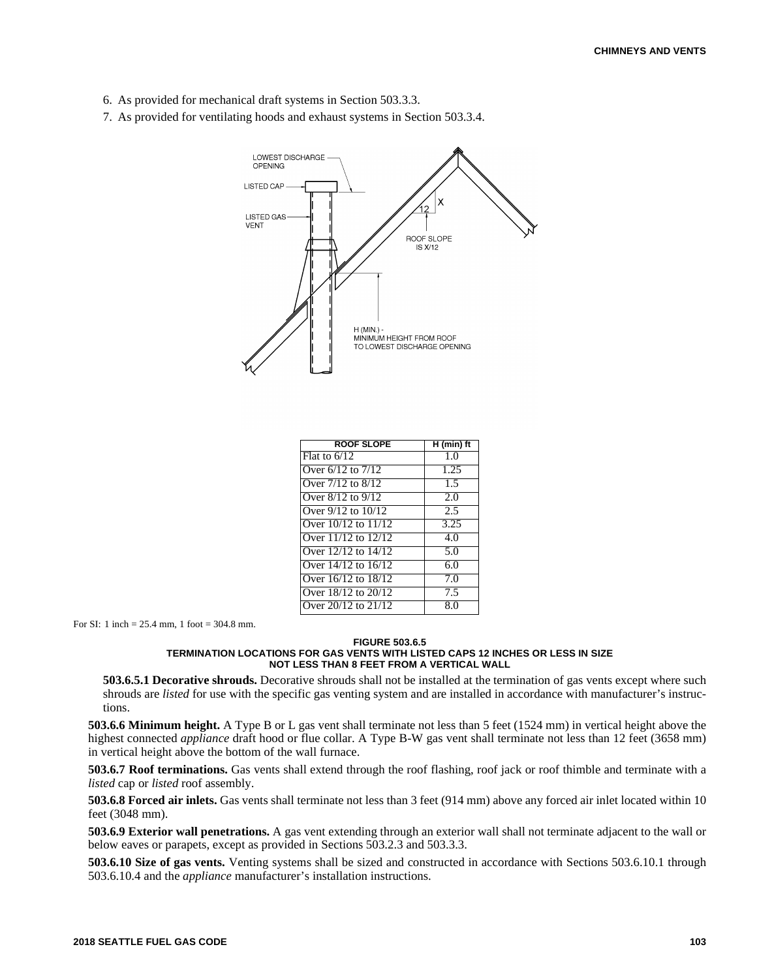- 6. As provided for mechanical draft systems in Section 503.3.3.
- 7. As provided for ventilating hoods and exhaust systems in Section 503.3.4.



| <b>ROOF SLOPE</b>                | H (min) ft |
|----------------------------------|------------|
| Flat to $6/12$                   | 1.0        |
| Over $6/12$ to $7/12$            | 1.25       |
| Over 7/12 to 8/12                | 1.5        |
| Over $8/12$ to $9/12$            | 2.0        |
| Over $9/12$ to $10/12$           | 2.5        |
| Over $10/12$ to $11/12$          | 3.25       |
| Over $11/12$ to $12/12$          | 4.0        |
| Over $12/12$ to $14/12$          | 5.0        |
| Over 14/12 to 16/12              | 6.0        |
| Over 16/12 to 18/12              | 7.0        |
| Over 18/12 to 20/12              | 7.5        |
| $\overline{Over}$ 20/12 to 21/12 | 81         |

For SI: 1 inch = 25.4 mm, 1 foot = 304.8 mm.

#### **FIGURE 503.6.5 TERMINATION LOCATIONS FOR GAS VENTS WITH LISTED CAPS 12 INCHES OR LESS IN SIZE NOT LESS THAN 8 FEET FROM A VERTICAL WALL**

**503.6.5.1 Decorative shrouds.** Decorative shrouds shall not be installed at the termination of gas vents except where such shrouds are *listed* for use with the specific gas venting system and are installed in accordance with manufacturer's instructions.

**503.6.6 Minimum height.** A Type B or L gas vent shall terminate not less than 5 feet (1524 mm) in vertical height above the highest connected *appliance* draft hood or flue collar. A Type B-W gas vent shall terminate not less than 12 feet (3658 mm) in vertical height above the bottom of the wall furnace.

**503.6.7 Roof terminations.** Gas vents shall extend through the roof flashing, roof jack or roof thimble and terminate with a *listed* cap or *listed* roof assembly.

**503.6.8 Forced air inlets.** Gas vents shall terminate not less than 3 feet (914 mm) above any forced air inlet located within 10 feet (3048 mm).

**503.6.9 Exterior wall penetrations.** A gas vent extending through an exterior wall shall not terminate adjacent to the wall or below eaves or parapets, except as provided in Sections 503.2.3 and 503.3.3.

**503.6.10 Size of gas vents.** Venting systems shall be sized and constructed in accordance with Sections 503.6.10.1 through 503.6.10.4 and the *appliance* manufacturer's installation instructions.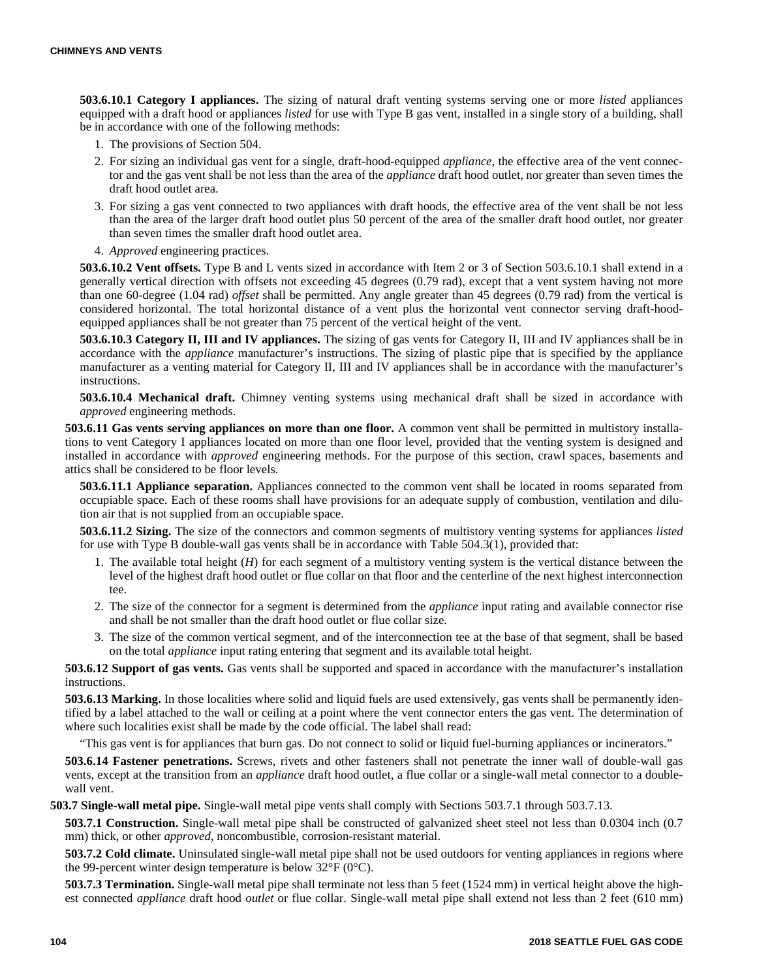**503.6.10.1 Category I appliances.** The sizing of natural draft venting systems serving one or more *listed* appliances equipped with a draft hood or appliances *listed* for use with Type B gas vent, installed in a single story of a building, shall be in accordance with one of the following methods:

- 1. The provisions of Section 504.
- 2. For sizing an individual gas vent for a single, draft-hood-equipped *appliance*, the effective area of the vent connector and the gas vent shall be not less than the area of the *appliance* draft hood outlet, nor greater than seven times the draft hood outlet area.
- 3. For sizing a gas vent connected to two appliances with draft hoods, the effective area of the vent shall be not less than the area of the larger draft hood outlet plus 50 percent of the area of the smaller draft hood outlet, nor greater than seven times the smaller draft hood outlet area.
- 4. *Approved* engineering practices.

**503.6.10.2 Vent offsets.** Type B and L vents sized in accordance with Item 2 or 3 of Section 503.6.10.1 shall extend in a generally vertical direction with offsets not exceeding 45 degrees (0.79 rad), except that a vent system having not more than one 60-degree (1.04 rad) *offset* shall be permitted. Any angle greater than 45 degrees (0.79 rad) from the vertical is considered horizontal. The total horizontal distance of a vent plus the horizontal vent connector serving draft-hoodequipped appliances shall be not greater than 75 percent of the vertical height of the vent.

**503.6.10.3 Category II, III and IV appliances.** The sizing of gas vents for Category II, III and IV appliances shall be in accordance with the *appliance* manufacturer's instructions. The sizing of plastic pipe that is specified by the appliance manufacturer as a venting material for Category II, III and IV appliances shall be in accordance with the manufacturer's instructions.

**503.6.10.4 Mechanical draft.** Chimney venting systems using mechanical draft shall be sized in accordance with *approved* engineering methods.

**503.6.11 Gas vents serving appliances on more than one floor.** A common vent shall be permitted in multistory installations to vent Category I appliances located on more than one floor level, provided that the venting system is designed and installed in accordance with *approved* engineering methods. For the purpose of this section, crawl spaces, basements and attics shall be considered to be floor levels.

**503.6.11.1 Appliance separation.** Appliances connected to the common vent shall be located in rooms separated from occupiable space. Each of these rooms shall have provisions for an adequate supply of combustion, ventilation and dilution air that is not supplied from an occupiable space.

**503.6.11.2 Sizing.** The size of the connectors and common segments of multistory venting systems for appliances *listed* for use with Type B double-wall gas vents shall be in accordance with Table 504.3(1), provided that:

- 1. The available total height (*H*) for each segment of a multistory venting system is the vertical distance between the level of the highest draft hood outlet or flue collar on that floor and the centerline of the next highest interconnection tee.
- 2. The size of the connector for a segment is determined from the *appliance* input rating and available connector rise and shall be not smaller than the draft hood outlet or flue collar size.
- 3. The size of the common vertical segment, and of the interconnection tee at the base of that segment, shall be based on the total *appliance* input rating entering that segment and its available total height.

**503.6.12 Support of gas vents.** Gas vents shall be supported and spaced in accordance with the manufacturer's installation instructions.

**503.6.13 Marking.** In those localities where solid and liquid fuels are used extensively, gas vents shall be permanently identified by a label attached to the wall or ceiling at a point where the vent connector enters the gas vent. The determination of where such localities exist shall be made by the code official. The label shall read:

"This gas vent is for appliances that burn gas. Do not connect to solid or liquid fuel-burning appliances or incinerators."

**503.6.14 Fastener penetrations.** Screws, rivets and other fasteners shall not penetrate the inner wall of double-wall gas vents, except at the transition from an *appliance* draft hood outlet, a flue collar or a single-wall metal connector to a doublewall vent.

**503.7 Single-wall metal pipe.** Single-wall metal pipe vents shall comply with Sections 503.7.1 through 503.7.13.

**503.7.1 Construction.** Single-wall metal pipe shall be constructed of galvanized sheet steel not less than 0.0304 inch (0.7 mm) thick, or other *approved,* noncombustible, corrosion-resistant material.

**503.7.2 Cold climate.** Uninsulated single-wall metal pipe shall not be used outdoors for venting appliances in regions where the 99-percent winter design temperature is below 32°F (0°C).

**503.7.3 Termination.** Single-wall metal pipe shall terminate not less than 5 feet (1524 mm) in vertical height above the highest connected *appliance* draft hood *outlet* or flue collar. Single-wall metal pipe shall extend not less than 2 feet (610 mm)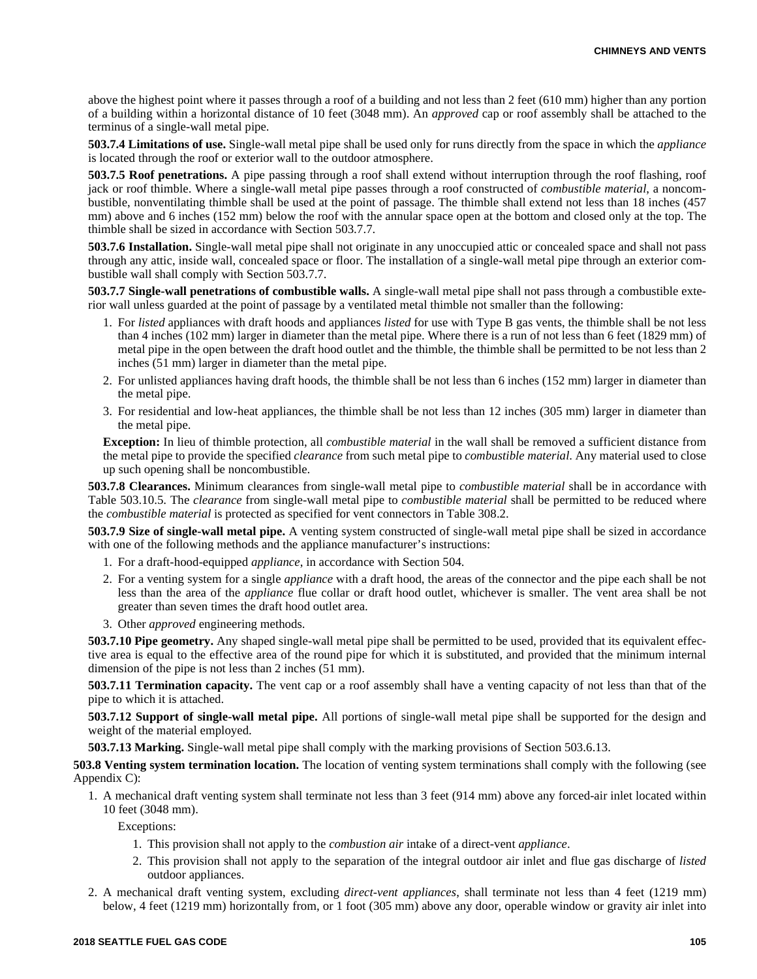above the highest point where it passes through a roof of a building and not less than 2 feet (610 mm) higher than any portion of a building within a horizontal distance of 10 feet (3048 mm). An *approved* cap or roof assembly shall be attached to the terminus of a single-wall metal pipe.

**503.7.4 Limitations of use.** Single-wall metal pipe shall be used only for runs directly from the space in which the *appliance* is located through the roof or exterior wall to the outdoor atmosphere.

**503.7.5 Roof penetrations.** A pipe passing through a roof shall extend without interruption through the roof flashing, roof jack or roof thimble. Where a single-wall metal pipe passes through a roof constructed of *combustible material*, a noncombustible, nonventilating thimble shall be used at the point of passage. The thimble shall extend not less than 18 inches (457 mm) above and 6 inches (152 mm) below the roof with the annular space open at the bottom and closed only at the top. The thimble shall be sized in accordance with Section 503.7.7.

**503.7.6 Installation.** Single-wall metal pipe shall not originate in any unoccupied attic or concealed space and shall not pass through any attic, inside wall, concealed space or floor. The installation of a single-wall metal pipe through an exterior combustible wall shall comply with Section 503.7.7.

**503.7.7 Single-wall penetrations of combustible walls.** A single-wall metal pipe shall not pass through a combustible exterior wall unless guarded at the point of passage by a ventilated metal thimble not smaller than the following:

- 1. For *listed* appliances with draft hoods and appliances *listed* for use with Type B gas vents, the thimble shall be not less than 4 inches (102 mm) larger in diameter than the metal pipe. Where there is a run of not less than 6 feet (1829 mm) of metal pipe in the open between the draft hood outlet and the thimble, the thimble shall be permitted to be not less than 2 inches (51 mm) larger in diameter than the metal pipe.
- 2. For unlisted appliances having draft hoods, the thimble shall be not less than 6 inches (152 mm) larger in diameter than the metal pipe.
- 3. For residential and low-heat appliances, the thimble shall be not less than 12 inches (305 mm) larger in diameter than the metal pipe.

**Exception:** In lieu of thimble protection, all *combustible material* in the wall shall be removed a sufficient distance from the metal pipe to provide the specified *clearance* from such metal pipe to *combustible material*. Any material used to close up such opening shall be noncombustible.

**503.7.8 Clearances.** Minimum clearances from single-wall metal pipe to *combustible material* shall be in accordance with Table 503.10.5. The *clearance* from single-wall metal pipe to *combustible material* shall be permitted to be reduced where the *combustible material* is protected as specified for vent connectors in Table 308.2.

**503.7.9 Size of single-wall metal pipe.** A venting system constructed of single-wall metal pipe shall be sized in accordance with one of the following methods and the appliance manufacturer's instructions:

- 1. For a draft-hood-equipped *appliance*, in accordance with Section 504.
- 2. For a venting system for a single *appliance* with a draft hood, the areas of the connector and the pipe each shall be not less than the area of the *appliance* flue collar or draft hood outlet, whichever is smaller. The vent area shall be not greater than seven times the draft hood outlet area.
- 3. Other *approved* engineering methods.

**503.7.10 Pipe geometry.** Any shaped single-wall metal pipe shall be permitted to be used, provided that its equivalent effective area is equal to the effective area of the round pipe for which it is substituted, and provided that the minimum internal dimension of the pipe is not less than 2 inches (51 mm).

**503.7.11 Termination capacity.** The vent cap or a roof assembly shall have a venting capacity of not less than that of the pipe to which it is attached.

**503.7.12 Support of single-wall metal pipe.** All portions of single-wall metal pipe shall be supported for the design and weight of the material employed.

**503.7.13 Marking.** Single-wall metal pipe shall comply with the marking provisions of Section 503.6.13.

**503.8 Venting system termination location.** The location of venting system terminations shall comply with the following (see Appendix C):

1. A mechanical draft venting system shall terminate not less than 3 feet (914 mm) above any forced-air inlet located within 10 feet (3048 mm).

Exceptions:

- 1. This provision shall not apply to the *combustion air* intake of a direct-vent *appliance*.
- 2. This provision shall not apply to the separation of the integral outdoor air inlet and flue gas discharge of *listed* outdoor appliances.
- 2. A mechanical draft venting system, excluding *direct-vent appliances*, shall terminate not less than 4 feet (1219 mm) below, 4 feet (1219 mm) horizontally from, or 1 foot (305 mm) above any door, operable window or gravity air inlet into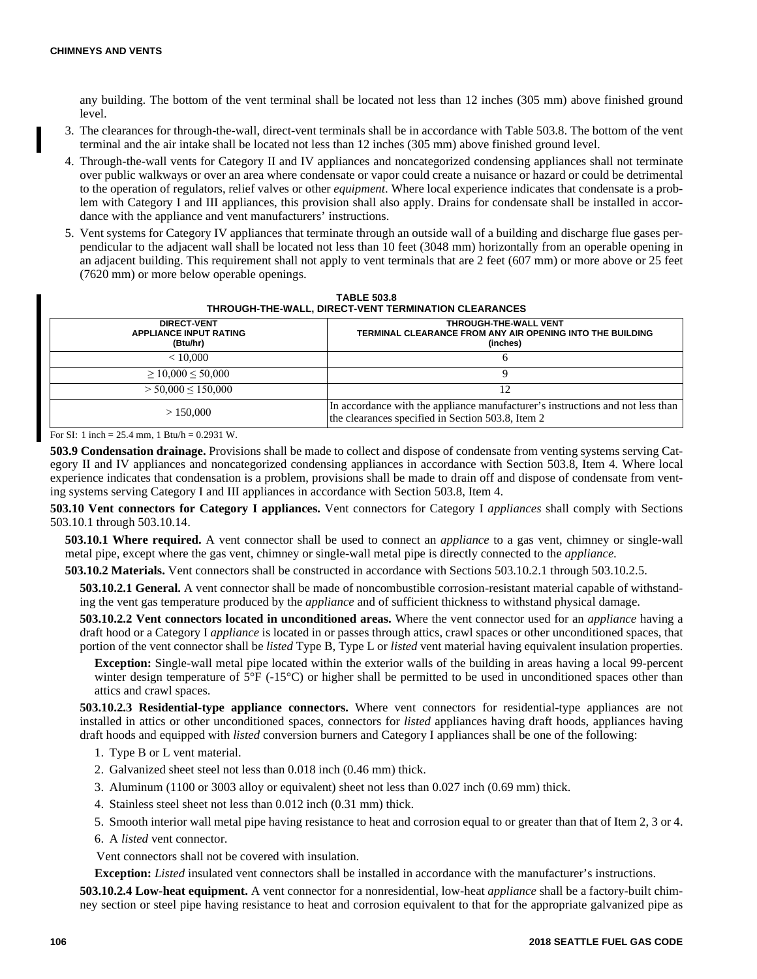any building. The bottom of the vent terminal shall be located not less than 12 inches (305 mm) above finished ground level.

- 3. The clearances for through-the-wall, direct-vent terminals shall be in accordance with Table 503.8. The bottom of the vent terminal and the air intake shall be located not less than 12 inches (305 mm) above finished ground level.
- 4. Through-the-wall vents for Category II and IV appliances and noncategorized condensing appliances shall not terminate over public walkways or over an area where condensate or vapor could create a nuisance or hazard or could be detrimental to the operation of regulators, relief valves or other *equipment*. Where local experience indicates that condensate is a problem with Category I and III appliances, this provision shall also apply. Drains for condensate shall be installed in accordance with the appliance and vent manufacturers' instructions.
- 5. Vent systems for Category IV appliances that terminate through an outside wall of a building and discharge flue gases perpendicular to the adjacent wall shall be located not less than 10 feet (3048 mm) horizontally from an operable opening in an adjacent building. This requirement shall not apply to vent terminals that are 2 feet (607 mm) or more above or 25 feet (7620 mm) or more below operable openings.

|                                                                 | <b>TABLE 503.8</b><br>THROUGH-THE-WALL, DIRECT-VENT TERMINATION CLEARANCES                                                          |
|-----------------------------------------------------------------|-------------------------------------------------------------------------------------------------------------------------------------|
| <b>DIRECT-VENT</b><br><b>APPLIANCE INPUT RATING</b><br>(Btu/hr) | THROUGH-THE-WALL VENT<br>TERMINAL CLEARANCE FROM ANY AIR OPENING INTO THE BUILDING<br>(inches)                                      |
| < 10,000                                                        |                                                                                                                                     |
| $\geq 10,000 \leq 50,000$                                       |                                                                                                                                     |
| $> 50,000 \le 150,000$                                          |                                                                                                                                     |
| >150,000                                                        | In accordance with the appliance manufacturer's instructions and not less than<br>the clearances specified in Section 503.8, Item 2 |

For SI: 1 inch = 25.4 mm, 1 Btu/h =  $0.2931$  W.

**503.9 Condensation drainage.** Provisions shall be made to collect and dispose of condensate from venting systems serving Category II and IV appliances and noncategorized condensing appliances in accordance with Section 503.8, Item 4. Where local experience indicates that condensation is a problem, provisions shall be made to drain off and dispose of condensate from venting systems serving Category I and III appliances in accordance with Section 503.8, Item 4.

**503.10 Vent connectors for Category I appliances.** Vent connectors for Category I *appliances* shall comply with Sections 503.10.1 through 503.10.14.

**503.10.1 Where required.** A vent connector shall be used to connect an *appliance* to a gas vent, chimney or single-wall metal pipe, except where the gas vent, chimney or single-wall metal pipe is directly connected to the *appliance*.

**503.10.2 Materials.** Vent connectors shall be constructed in accordance with Sections 503.10.2.1 through 503.10.2.5.

**503.10.2.1 General.** A vent connector shall be made of noncombustible corrosion-resistant material capable of withstanding the vent gas temperature produced by the *appliance* and of sufficient thickness to withstand physical damage.

**503.10.2.2 Vent connectors located in unconditioned areas.** Where the vent connector used for an *appliance* having a draft hood or a Category I *appliance* is located in or passes through attics, crawl spaces or other unconditioned spaces, that portion of the vent connector shall be *listed* Type B, Type L or *listed* vent material having equivalent insulation properties.

**Exception:** Single-wall metal pipe located within the exterior walls of the building in areas having a local 99-percent winter design temperature of 5°F (-15°C) or higher shall be permitted to be used in unconditioned spaces other than attics and crawl spaces.

**503.10.2.3 Residential-type appliance connectors.** Where vent connectors for residential-type appliances are not installed in attics or other unconditioned spaces, connectors for *listed* appliances having draft hoods, appliances having draft hoods and equipped with *listed* conversion burners and Category I appliances shall be one of the following:

- 1. Type B or L vent material.
- 2. Galvanized sheet steel not less than 0.018 inch (0.46 mm) thick.
- 3. Aluminum (1100 or 3003 alloy or equivalent) sheet not less than 0.027 inch (0.69 mm) thick.
- 4. Stainless steel sheet not less than 0.012 inch (0.31 mm) thick.
- 5. Smooth interior wall metal pipe having resistance to heat and corrosion equal to or greater than that of Item 2, 3 or 4.
- 6. A *listed* vent connector.

Vent connectors shall not be covered with insulation.

**Exception:** *Listed* insulated vent connectors shall be installed in accordance with the manufacturer's instructions.

**503.10.2.4 Low-heat equipment.** A vent connector for a nonresidential, low-heat *appliance* shall be a factory-built chimney section or steel pipe having resistance to heat and corrosion equivalent to that for the appropriate galvanized pipe as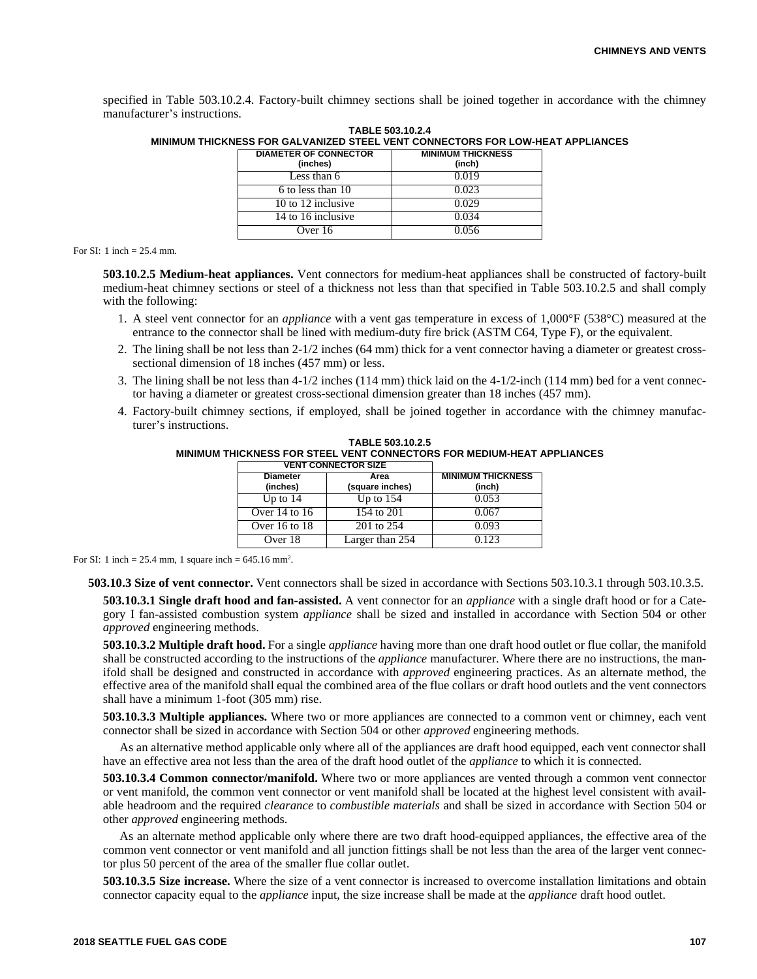specified in Table 503.10.2.4. Factory-built chimney sections shall be joined together in accordance with the chimney manufacturer's instructions.

| <b>DIAMETER OF CONNECTOR</b><br>(inches) | <b>MINIMUM THICKNESS</b><br>(inch) |
|------------------------------------------|------------------------------------|
| Less than 6                              | 0.019                              |
| 6 to less than 10                        | 0.023                              |
| 10 to 12 inclusive                       | 0.029                              |
| 14 to 16 inclusive                       | 0.034                              |
| Over 16                                  | 0.056                              |

**TABLE 503.10.2.4 MINIMUM THICKNESS FOR GALVANIZED STEEL VENT CONNECTORS FOR LOW-HEAT APPLIANCES** 

For SI: 1 inch = 25.4 mm.

**503.10.2.5 Medium-heat appliances.** Vent connectors for medium-heat appliances shall be constructed of factory-built medium-heat chimney sections or steel of a thickness not less than that specified in Table 503.10.2.5 and shall comply with the following:

- 1. A steel vent connector for an *appliance* with a vent gas temperature in excess of 1,000°F (538°C) measured at the entrance to the connector shall be lined with medium-duty fire brick (ASTM C64, Type F), or the equivalent.
- 2. The lining shall be not less than 2-1/2 inches (64 mm) thick for a vent connector having a diameter or greatest crosssectional dimension of 18 inches (457 mm) or less.
- 3. The lining shall be not less than 4-1/2 inches (114 mm) thick laid on the 4-1/2-inch (114 mm) bed for a vent connector having a diameter or greatest cross-sectional dimension greater than 18 inches (457 mm).
- 4. Factory-built chimney sections, if employed, shall be joined together in accordance with the chimney manufacturer's instructions.

| <b>TABLE 503.10.2.5</b>                                                |  |
|------------------------------------------------------------------------|--|
| MINIMUM THICKNESS FOR STEEL VENT CONNECTORS FOR MEDIUM-HEAT APPLIANCES |  |
| <b>VENT CONNECTOR SIZE</b>                                             |  |

| <b>Diameter</b><br>(inches) | Area<br>(square inches) | <b>MINIMUM THICKNESS</b><br>(inch) |
|-----------------------------|-------------------------|------------------------------------|
| Up to $14$                  | Up to $154$             | 0.053                              |
| Over $14$ to $16$           | 154 to 201              | 0.067                              |
| Over $16$ to $18$           | 201 to 254              | 0.093                              |
| Over 18                     | Larger than 254         | 0.123                              |

For SI: 1 inch = 25.4 mm, 1 square inch =  $645.16$  mm<sup>2</sup>.

**503.10.3 Size of vent connector.** Vent connectors shall be sized in accordance with Sections 503.10.3.1 through 503.10.3.5.

**503.10.3.1 Single draft hood and fan-assisted.** A vent connector for an *appliance* with a single draft hood or for a Category I fan-assisted combustion system *appliance* shall be sized and installed in accordance with Section 504 or other *approved* engineering methods.

**503.10.3.2 Multiple draft hood.** For a single *appliance* having more than one draft hood outlet or flue collar, the manifold shall be constructed according to the instructions of the *appliance* manufacturer. Where there are no instructions, the manifold shall be designed and constructed in accordance with *approved* engineering practices. As an alternate method, the effective area of the manifold shall equal the combined area of the flue collars or draft hood outlets and the vent connectors shall have a minimum 1-foot (305 mm) rise.

**503.10.3.3 Multiple appliances.** Where two or more appliances are connected to a common vent or chimney, each vent connector shall be sized in accordance with Section 504 or other *approved* engineering methods.

As an alternative method applicable only where all of the appliances are draft hood equipped, each vent connector shall have an effective area not less than the area of the draft hood outlet of the *appliance* to which it is connected.

**503.10.3.4 Common connector/manifold.** Where two or more appliances are vented through a common vent connector or vent manifold, the common vent connector or vent manifold shall be located at the highest level consistent with available headroom and the required *clearance* to *combustible materials* and shall be sized in accordance with Section 504 or other *approved* engineering methods.

As an alternate method applicable only where there are two draft hood-equipped appliances, the effective area of the common vent connector or vent manifold and all junction fittings shall be not less than the area of the larger vent connector plus 50 percent of the area of the smaller flue collar outlet.

**503.10.3.5 Size increase.** Where the size of a vent connector is increased to overcome installation limitations and obtain connector capacity equal to the *appliance* input, the size increase shall be made at the *appliance* draft hood outlet.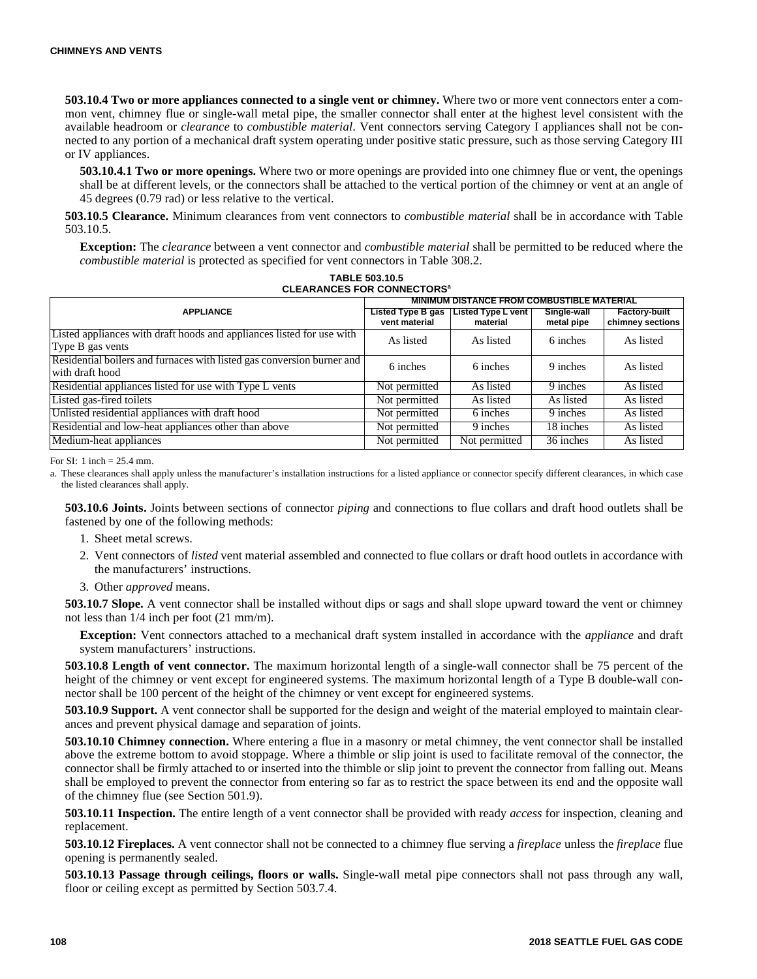**503.10.4 Two or more appliances connected to a single vent or chimney.** Where two or more vent connectors enter a common vent, chimney flue or single-wall metal pipe, the smaller connector shall enter at the highest level consistent with the available headroom or *clearance* to *combustible material*. Vent connectors serving Category I appliances shall not be connected to any portion of a mechanical draft system operating under positive static pressure, such as those serving Category III or IV appliances.

**503.10.4.1 Two or more openings.** Where two or more openings are provided into one chimney flue or vent, the openings shall be at different levels, or the connectors shall be attached to the vertical portion of the chimney or vent at an angle of 45 degrees (0.79 rad) or less relative to the vertical.

**503.10.5 Clearance.** Minimum clearances from vent connectors to *combustible material* shall be in accordance with Table 503.10.5.

**Exception:** The *clearance* between a vent connector and *combustible material* shall be permitted to be reduced where the *combustible material* is protected as specified for vent connectors in Table 308.2.

**TABLE 503.10.5**

| <b>CLEARANCES FOR CONNECTORS<sup>a</sup></b>                                              |                                           |                                                   |                           |                                          |
|-------------------------------------------------------------------------------------------|-------------------------------------------|---------------------------------------------------|---------------------------|------------------------------------------|
|                                                                                           |                                           | <b>MINIMUM DISTANCE FROM COMBUSTIBLE MATERIAL</b> |                           |                                          |
| <b>APPLIANCE</b>                                                                          | <b>Listed Type B gas</b><br>vent material | <b>Listed Type L vent</b><br>material             | Single-wall<br>metal pipe | <b>Factory-built</b><br>chimney sections |
| Listed appliances with draft hoods and appliances listed for use with<br>Type B gas vents | As listed                                 | As listed                                         | 6 inches                  | As listed                                |
| Residential boilers and furnaces with listed gas conversion burner and<br>with draft hood | 6 inches                                  | 6 inches                                          | 9 inches                  | As listed                                |
| Residential appliances listed for use with Type L vents                                   | Not permitted                             | As listed                                         | 9 inches                  | As listed                                |
| Listed gas-fired toilets                                                                  | Not permitted                             | As listed                                         | As listed                 | As listed                                |
| Unlisted residential appliances with draft hood                                           | Not permitted                             | $\overline{6}$ inches                             | 9 inches                  | As listed                                |
| Residential and low-heat appliances other than above                                      | Not permitted                             | 9 inches                                          | 18 inches                 | As listed                                |
| Medium-heat appliances                                                                    | Not permitted                             | Not permitted                                     | 36 inches                 | As listed                                |

For  $SI: 1$  inch = 25.4 mm.

a. These clearances shall apply unless the manufacturer's installation instructions for a listed appliance or connector specify different clearances, in which case the listed clearances shall apply.

**503.10.6 Joints.** Joints between sections of connector *piping* and connections to flue collars and draft hood outlets shall be fastened by one of the following methods:

- 1. Sheet metal screws.
- 2. Vent connectors of *listed* vent material assembled and connected to flue collars or draft hood outlets in accordance with the manufacturers' instructions.
- 3. Other *approved* means.

**503.10.7 Slope.** A vent connector shall be installed without dips or sags and shall slope upward toward the vent or chimney not less than 1/4 inch per foot (21 mm/m).

**Exception:** Vent connectors attached to a mechanical draft system installed in accordance with the *appliance* and draft system manufacturers' instructions.

**503.10.8 Length of vent connector.** The maximum horizontal length of a single-wall connector shall be 75 percent of the height of the chimney or vent except for engineered systems. The maximum horizontal length of a Type B double-wall connector shall be 100 percent of the height of the chimney or vent except for engineered systems.

**503.10.9 Support.** A vent connector shall be supported for the design and weight of the material employed to maintain clearances and prevent physical damage and separation of joints.

**503.10.10 Chimney connection.** Where entering a flue in a masonry or metal chimney, the vent connector shall be installed above the extreme bottom to avoid stoppage. Where a thimble or slip joint is used to facilitate removal of the connector, the connector shall be firmly attached to or inserted into the thimble or slip joint to prevent the connector from falling out. Means shall be employed to prevent the connector from entering so far as to restrict the space between its end and the opposite wall of the chimney flue (see Section 501.9).

**503.10.11 Inspection.** The entire length of a vent connector shall be provided with ready *access* for inspection, cleaning and replacement.

**503.10.12 Fireplaces.** A vent connector shall not be connected to a chimney flue serving a *fireplace* unless the *fireplace* flue opening is permanently sealed.

**503.10.13 Passage through ceilings, floors or walls.** Single-wall metal pipe connectors shall not pass through any wall, floor or ceiling except as permitted by Section 503.7.4.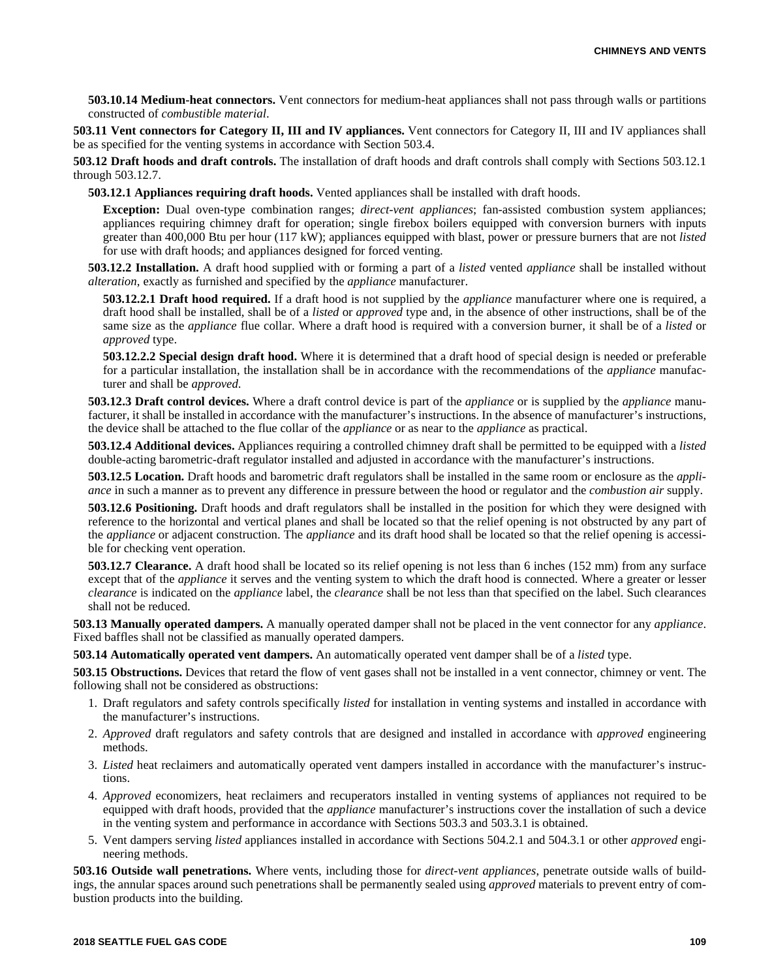**503.10.14 Medium-heat connectors.** Vent connectors for medium-heat appliances shall not pass through walls or partitions constructed of *combustible material*.

**503.11 Vent connectors for Category II, III and IV appliances.** Vent connectors for Category II, III and IV appliances shall be as specified for the venting systems in accordance with Section 503.4.

**503.12 Draft hoods and draft controls.** The installation of draft hoods and draft controls shall comply with Sections 503.12.1 through 503.12.7.

**503.12.1 Appliances requiring draft hoods.** Vented appliances shall be installed with draft hoods.

**Exception:** Dual oven-type combination ranges; *direct-vent appliances*; fan-assisted combustion system appliances; appliances requiring chimney draft for operation; single firebox boilers equipped with conversion burners with inputs greater than 400,000 Btu per hour (117 kW); appliances equipped with blast, power or pressure burners that are not *listed* for use with draft hoods; and appliances designed for forced venting.

**503.12.2 Installation.** A draft hood supplied with or forming a part of a *listed* vented *appliance* shall be installed without *alteration*, exactly as furnished and specified by the *appliance* manufacturer.

**503.12.2.1 Draft hood required.** If a draft hood is not supplied by the *appliance* manufacturer where one is required, a draft hood shall be installed, shall be of a *listed* or *approved* type and, in the absence of other instructions, shall be of the same size as the *appliance* flue collar. Where a draft hood is required with a conversion burner, it shall be of a *listed* or *approved* type.

**503.12.2.2 Special design draft hood.** Where it is determined that a draft hood of special design is needed or preferable for a particular installation, the installation shall be in accordance with the recommendations of the *appliance* manufacturer and shall be *approved*.

**503.12.3 Draft control devices.** Where a draft control device is part of the *appliance* or is supplied by the *appliance* manufacturer, it shall be installed in accordance with the manufacturer's instructions. In the absence of manufacturer's instructions, the device shall be attached to the flue collar of the *appliance* or as near to the *appliance* as practical.

**503.12.4 Additional devices.** Appliances requiring a controlled chimney draft shall be permitted to be equipped with a *listed* double-acting barometric-draft regulator installed and adjusted in accordance with the manufacturer's instructions.

**503.12.5 Location.** Draft hoods and barometric draft regulators shall be installed in the same room or enclosure as the *appliance* in such a manner as to prevent any difference in pressure between the hood or regulator and the *combustion air* supply.

**503.12.6 Positioning.** Draft hoods and draft regulators shall be installed in the position for which they were designed with reference to the horizontal and vertical planes and shall be located so that the relief opening is not obstructed by any part of the *appliance* or adjacent construction. The *appliance* and its draft hood shall be located so that the relief opening is accessible for checking vent operation.

**503.12.7 Clearance.** A draft hood shall be located so its relief opening is not less than 6 inches (152 mm) from any surface except that of the *appliance* it serves and the venting system to which the draft hood is connected. Where a greater or lesser *clearance* is indicated on the *appliance* label, the *clearance* shall be not less than that specified on the label. Such clearances shall not be reduced.

**503.13 Manually operated dampers.** A manually operated damper shall not be placed in the vent connector for any *appliance*. Fixed baffles shall not be classified as manually operated dampers.

**503.14 Automatically operated vent dampers.** An automatically operated vent damper shall be of a *listed* type.

**503.15 Obstructions.** Devices that retard the flow of vent gases shall not be installed in a vent connector, chimney or vent. The following shall not be considered as obstructions:

- 1. Draft regulators and safety controls specifically *listed* for installation in venting systems and installed in accordance with the manufacturer's instructions.
- 2. *Approved* draft regulators and safety controls that are designed and installed in accordance with *approved* engineering methods.
- 3. *Listed* heat reclaimers and automatically operated vent dampers installed in accordance with the manufacturer's instructions.
- 4. *Approved* economizers, heat reclaimers and recuperators installed in venting systems of appliances not required to be equipped with draft hoods, provided that the *appliance* manufacturer's instructions cover the installation of such a device in the venting system and performance in accordance with Sections 503.3 and 503.3.1 is obtained.
- 5. Vent dampers serving *listed* appliances installed in accordance with Sections 504.2.1 and 504.3.1 or other *approved* engineering methods.

**503.16 Outside wall penetrations.** Where vents, including those for *direct-vent appliances*, penetrate outside walls of buildings, the annular spaces around such penetrations shall be permanently sealed using *approved* materials to prevent entry of combustion products into the building.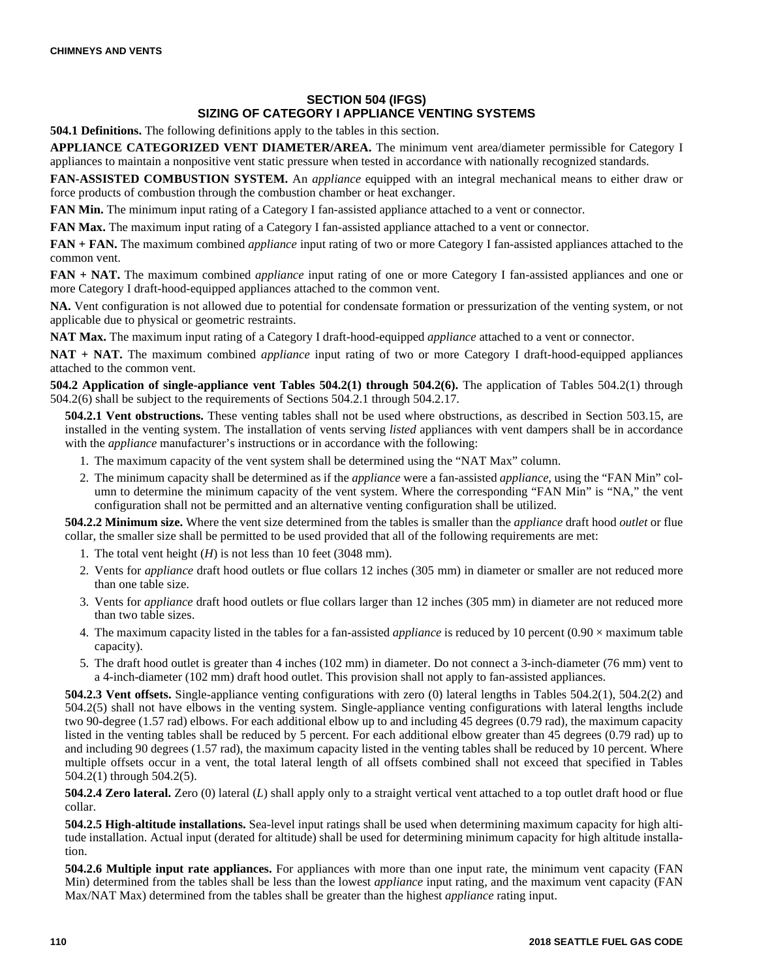### **SECTION 504 (IFGS) SIZING OF CATEGORY I APPLIANCE VENTING SYSTEMS**

**504.1 Definitions.** The following definitions apply to the tables in this section.

**APPLIANCE CATEGORIZED VENT DIAMETER/AREA.** The minimum vent area/diameter permissible for Category I appliances to maintain a nonpositive vent static pressure when tested in accordance with nationally recognized standards.

**FAN-ASSISTED COMBUSTION SYSTEM.** An *appliance* equipped with an integral mechanical means to either draw or force products of combustion through the combustion chamber or heat exchanger.

**FAN Min.** The minimum input rating of a Category I fan-assisted appliance attached to a vent or connector.

**FAN Max.** The maximum input rating of a Category I fan-assisted appliance attached to a vent or connector.

**FAN + FAN.** The maximum combined *appliance* input rating of two or more Category I fan-assisted appliances attached to the common vent.

**FAN + NAT.** The maximum combined *appliance* input rating of one or more Category I fan-assisted appliances and one or more Category I draft-hood-equipped appliances attached to the common vent.

**NA.** Vent configuration is not allowed due to potential for condensate formation or pressurization of the venting system, or not applicable due to physical or geometric restraints.

**NAT Max.** The maximum input rating of a Category I draft-hood-equipped *appliance* attached to a vent or connector.

**NAT + NAT.** The maximum combined *appliance* input rating of two or more Category I draft-hood-equipped appliances attached to the common vent.

**504.2 Application of single-appliance vent Tables 504.2(1) through 504.2(6).** The application of Tables 504.2(1) through 504.2(6) shall be subject to the requirements of Sections 504.2.1 through 504.2.17.

**504.2.1 Vent obstructions.** These venting tables shall not be used where obstructions, as described in Section 503.15, are installed in the venting system. The installation of vents serving *listed* appliances with vent dampers shall be in accordance with the *appliance* manufacturer's instructions or in accordance with the following:

- 1. The maximum capacity of the vent system shall be determined using the "NAT Max" column.
- 2. The minimum capacity shall be determined as if the *appliance* were a fan-assisted *appliance*, using the "FAN Min" column to determine the minimum capacity of the vent system. Where the corresponding "FAN Min" is "NA," the vent configuration shall not be permitted and an alternative venting configuration shall be utilized.

**504.2.2 Minimum size.** Where the vent size determined from the tables is smaller than the *appliance* draft hood *outlet* or flue collar, the smaller size shall be permitted to be used provided that all of the following requirements are met:

- 1. The total vent height (*H*) is not less than 10 feet (3048 mm).
- 2. Vents for *appliance* draft hood outlets or flue collars 12 inches (305 mm) in diameter or smaller are not reduced more than one table size.
- 3. Vents for *appliance* draft hood outlets or flue collars larger than 12 inches (305 mm) in diameter are not reduced more than two table sizes.
- 4. The maximum capacity listed in the tables for a fan-assisted *appliance* is reduced by 10 percent  $(0.90 \times$  maximum table capacity).
- 5. The draft hood outlet is greater than 4 inches (102 mm) in diameter. Do not connect a 3-inch-diameter (76 mm) vent to a 4-inch-diameter (102 mm) draft hood outlet. This provision shall not apply to fan-assisted appliances.

**504.2.3 Vent offsets.** Single-appliance venting configurations with zero (0) lateral lengths in Tables 504.2(1), 504.2(2) and 504.2(5) shall not have elbows in the venting system. Single-appliance venting configurations with lateral lengths include two 90-degree (1.57 rad) elbows. For each additional elbow up to and including 45 degrees (0.79 rad), the maximum capacity listed in the venting tables shall be reduced by 5 percent. For each additional elbow greater than 45 degrees (0.79 rad) up to and including 90 degrees (1.57 rad), the maximum capacity listed in the venting tables shall be reduced by 10 percent. Where multiple offsets occur in a vent, the total lateral length of all offsets combined shall not exceed that specified in Tables 504.2(1) through 504.2(5).

**504.2.4 Zero lateral.** Zero (0) lateral (*L*) shall apply only to a straight vertical vent attached to a top outlet draft hood or flue collar.

**504.2.5 High-altitude installations.** Sea-level input ratings shall be used when determining maximum capacity for high altitude installation. Actual input (derated for altitude) shall be used for determining minimum capacity for high altitude installation.

**504.2.6 Multiple input rate appliances.** For appliances with more than one input rate, the minimum vent capacity (FAN Min) determined from the tables shall be less than the lowest *appliance* input rating, and the maximum vent capacity (FAN Max/NAT Max) determined from the tables shall be greater than the highest *appliance* rating input.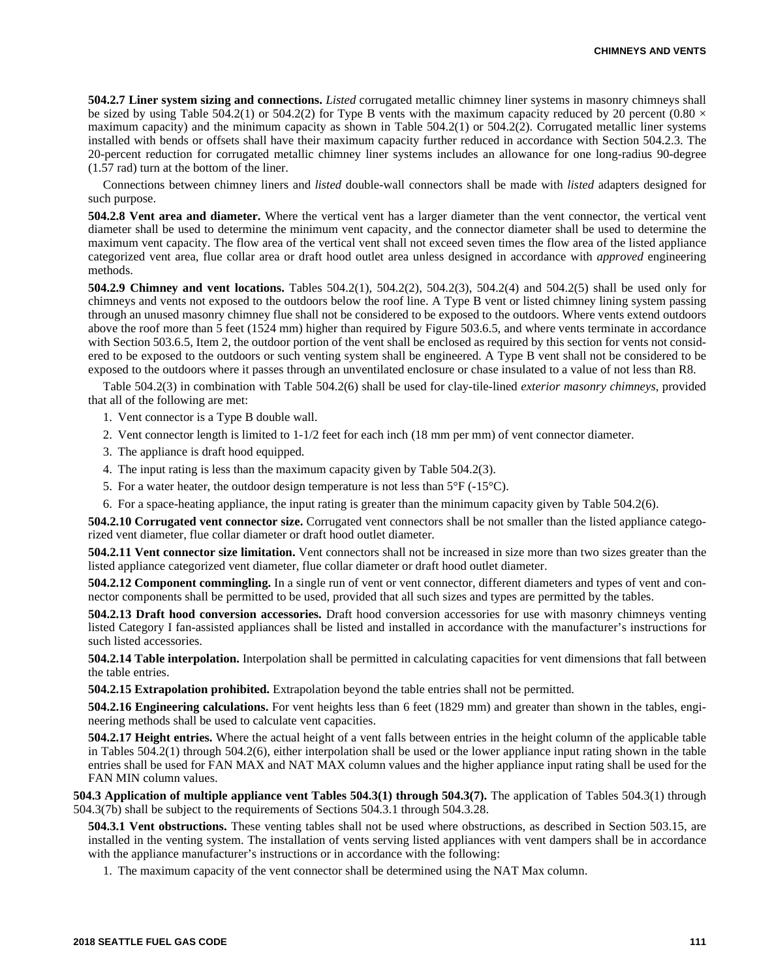**504.2.7 Liner system sizing and connections.** *Listed* corrugated metallic chimney liner systems in masonry chimneys shall be sized by using Table 504.2(1) or 504.2(2) for Type B vents with the maximum capacity reduced by 20 percent (0.80  $\times$ maximum capacity) and the minimum capacity as shown in Table 504.2(1) or 504.2(2). Corrugated metallic liner systems installed with bends or offsets shall have their maximum capacity further reduced in accordance with Section 504.2.3. The 20-percent reduction for corrugated metallic chimney liner systems includes an allowance for one long-radius 90-degree (1.57 rad) turn at the bottom of the liner.

Connections between chimney liners and *listed* double-wall connectors shall be made with *listed* adapters designed for such purpose.

**504.2.8 Vent area and diameter.** Where the vertical vent has a larger diameter than the vent connector, the vertical vent diameter shall be used to determine the minimum vent capacity, and the connector diameter shall be used to determine the maximum vent capacity. The flow area of the vertical vent shall not exceed seven times the flow area of the listed appliance categorized vent area, flue collar area or draft hood outlet area unless designed in accordance with *approved* engineering methods.

**504.2.9 Chimney and vent locations.** Tables 504.2(1), 504.2(2), 504.2(3), 504.2(4) and 504.2(5) shall be used only for chimneys and vents not exposed to the outdoors below the roof line. A Type B vent or listed chimney lining system passing through an unused masonry chimney flue shall not be considered to be exposed to the outdoors. Where vents extend outdoors above the roof more than 5 feet (1524 mm) higher than required by Figure 503.6.5, and where vents terminate in accordance with Section 503.6.5, Item 2, the outdoor portion of the vent shall be enclosed as required by this section for vents not considered to be exposed to the outdoors or such venting system shall be engineered. A Type B vent shall not be considered to be exposed to the outdoors where it passes through an unventilated enclosure or chase insulated to a value of not less than R8.

Table 504.2(3) in combination with Table 504.2(6) shall be used for clay-tile-lined *exterior masonry chimneys*, provided that all of the following are met:

- 1. Vent connector is a Type B double wall.
- 2. Vent connector length is limited to 1-1/2 feet for each inch (18 mm per mm) of vent connector diameter.
- 3. The appliance is draft hood equipped.
- 4. The input rating is less than the maximum capacity given by Table 504.2(3).
- 5. For a water heater, the outdoor design temperature is not less than  $5^{\circ}F$  (-15 $^{\circ}C$ ).
- 6. For a space-heating appliance, the input rating is greater than the minimum capacity given by Table 504.2(6).

**504.2.10 Corrugated vent connector size.** Corrugated vent connectors shall be not smaller than the listed appliance categorized vent diameter, flue collar diameter or draft hood outlet diameter.

**504.2.11 Vent connector size limitation.** Vent connectors shall not be increased in size more than two sizes greater than the listed appliance categorized vent diameter, flue collar diameter or draft hood outlet diameter.

**504.2.12 Component commingling.** In a single run of vent or vent connector, different diameters and types of vent and connector components shall be permitted to be used, provided that all such sizes and types are permitted by the tables.

**504.2.13 Draft hood conversion accessories.** Draft hood conversion accessories for use with masonry chimneys venting listed Category I fan-assisted appliances shall be listed and installed in accordance with the manufacturer's instructions for such listed accessories.

**504.2.14 Table interpolation.** Interpolation shall be permitted in calculating capacities for vent dimensions that fall between the table entries.

**504.2.15 Extrapolation prohibited.** Extrapolation beyond the table entries shall not be permitted.

**504.2.16 Engineering calculations.** For vent heights less than 6 feet (1829 mm) and greater than shown in the tables, engineering methods shall be used to calculate vent capacities.

**504.2.17 Height entries.** Where the actual height of a vent falls between entries in the height column of the applicable table in Tables 504.2(1) through 504.2(6), either interpolation shall be used or the lower appliance input rating shown in the table entries shall be used for FAN MAX and NAT MAX column values and the higher appliance input rating shall be used for the FAN MIN column values.

**504.3 Application of multiple appliance vent Tables 504.3(1) through 504.3(7).** The application of Tables 504.3(1) through 504.3(7b) shall be subject to the requirements of Sections 504.3.1 through 504.3.28.

**504.3.1 Vent obstructions.** These venting tables shall not be used where obstructions, as described in Section 503.15, are installed in the venting system. The installation of vents serving listed appliances with vent dampers shall be in accordance with the appliance manufacturer's instructions or in accordance with the following:

1. The maximum capacity of the vent connector shall be determined using the NAT Max column.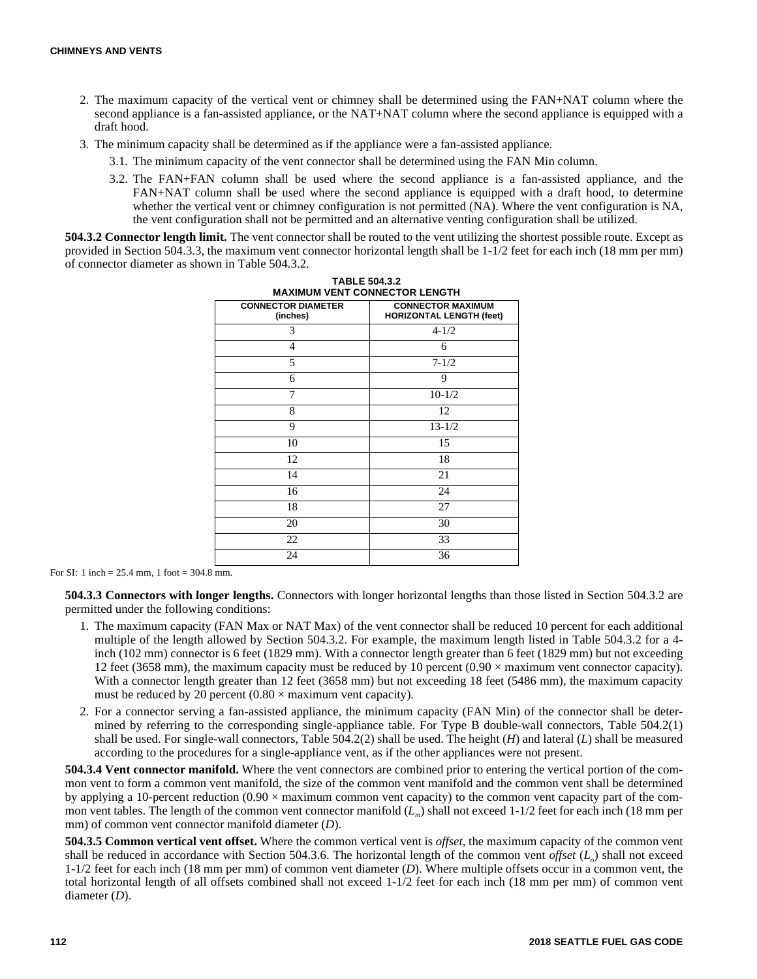- 2. The maximum capacity of the vertical vent or chimney shall be determined using the FAN+NAT column where the second appliance is a fan-assisted appliance, or the NAT+NAT column where the second appliance is equipped with a draft hood.
- 3. The minimum capacity shall be determined as if the appliance were a fan-assisted appliance.
	- 3.1. The minimum capacity of the vent connector shall be determined using the FAN Min column.
	- 3.2. The FAN+FAN column shall be used where the second appliance is a fan-assisted appliance, and the FAN+NAT column shall be used where the second appliance is equipped with a draft hood, to determine whether the vertical vent or chimney configuration is not permitted (NA). Where the vent configuration is NA, the vent configuration shall not be permitted and an alternative venting configuration shall be utilized.

**504.3.2 Connector length limit.** The vent connector shall be routed to the vent utilizing the shortest possible route. Except as provided in Section 504.3.3, the maximum vent connector horizontal length shall be 1-1/2 feet for each inch (18 mm per mm) of connector diameter as shown in Table 504.3.2.

| <b>MAXIMUM VENT CONNECTOR LENGTH</b>  |                                                             |
|---------------------------------------|-------------------------------------------------------------|
| <b>CONNECTOR DIAMETER</b><br>(inches) | <b>CONNECTOR MAXIMUM</b><br><b>HORIZONTAL LENGTH (feet)</b> |
| 3                                     | $4 - 1/2$                                                   |
| $\overline{4}$                        | 6                                                           |
| 5                                     | $7 - 1/2$                                                   |
| 6                                     | 9                                                           |
| 7                                     | $10-1/2$                                                    |
| 8                                     | 12                                                          |
| 9                                     | $13 - 1/2$                                                  |
| 10                                    | 15                                                          |
| 12                                    | 18                                                          |
| 14                                    | 21                                                          |
| 16                                    | 24                                                          |
| 18                                    | 27                                                          |
| 20                                    | 30                                                          |
| 22                                    | 33                                                          |
| 24                                    | 36                                                          |

| <b>TABLE 504.3.2</b>                 |  |
|--------------------------------------|--|
| <b>MAXIMUM VENT CONNECTOR LENGTH</b> |  |

For SI: 1 inch =  $25.4$  mm, 1 foot =  $304.8$  mm.

**504.3.3 Connectors with longer lengths.** Connectors with longer horizontal lengths than those listed in Section 504.3.2 are permitted under the following conditions:

- 1. The maximum capacity (FAN Max or NAT Max) of the vent connector shall be reduced 10 percent for each additional multiple of the length allowed by Section 504.3.2. For example, the maximum length listed in Table 504.3.2 for a 4 inch (102 mm) connector is 6 feet (1829 mm). With a connector length greater than 6 feet (1829 mm) but not exceeding 12 feet (3658 mm), the maximum capacity must be reduced by 10 percent (0.90  $\times$  maximum vent connector capacity). With a connector length greater than 12 feet (3658 mm) but not exceeding 18 feet (5486 mm), the maximum capacity must be reduced by 20 percent  $(0.80 \times \text{maximum vent capacity})$ .
- 2. For a connector serving a fan-assisted appliance, the minimum capacity (FAN Min) of the connector shall be determined by referring to the corresponding single-appliance table. For Type B double-wall connectors, Table 504.2(1) shall be used. For single-wall connectors, Table 504.2(2) shall be used. The height (*H*) and lateral (*L*) shall be measured according to the procedures for a single-appliance vent, as if the other appliances were not present.

**504.3.4 Vent connector manifold.** Where the vent connectors are combined prior to entering the vertical portion of the common vent to form a common vent manifold, the size of the common vent manifold and the common vent shall be determined by applying a 10-percent reduction  $(0.90 \times \text{maximum common vent capacity})$  to the common vent capacity part of the common vent tables. The length of the common vent connector manifold (*L<sup>m</sup>* ) shall not exceed 1-1/2 feet for each inch (18 mm per mm) of common vent connector manifold diameter (*D*).

**504.3.5 Common vertical vent offset.** Where the common vertical vent is *offset*, the maximum capacity of the common vent shall be reduced in accordance with Section 504.3.6. The horizontal length of the common vent *offset* (*L<sup>o</sup>* ) shall not exceed 1-1/2 feet for each inch (18 mm per mm) of common vent diameter (*D*). Where multiple offsets occur in a common vent, the total horizontal length of all offsets combined shall not exceed 1-1/2 feet for each inch (18 mm per mm) of common vent diameter (*D*).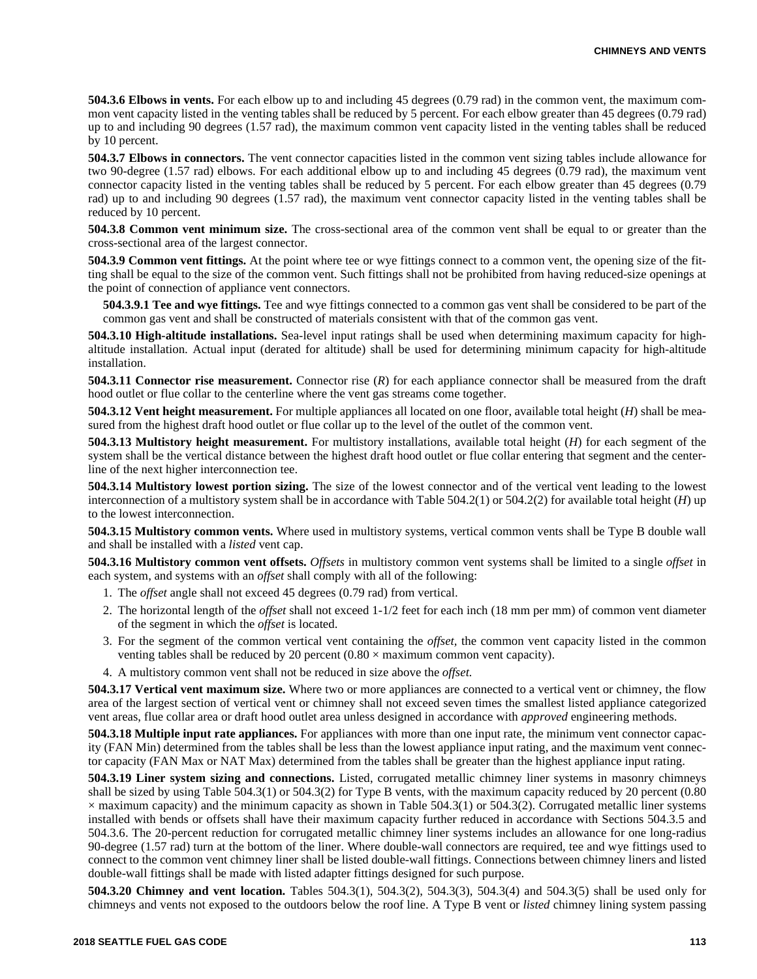**504.3.6 Elbows in vents.** For each elbow up to and including 45 degrees (0.79 rad) in the common vent, the maximum common vent capacity listed in the venting tables shall be reduced by 5 percent. For each elbow greater than 45 degrees (0.79 rad) up to and including 90 degrees (1.57 rad), the maximum common vent capacity listed in the venting tables shall be reduced by 10 percent.

**504.3.7 Elbows in connectors.** The vent connector capacities listed in the common vent sizing tables include allowance for two 90-degree (1.57 rad) elbows. For each additional elbow up to and including 45 degrees (0.79 rad), the maximum vent connector capacity listed in the venting tables shall be reduced by 5 percent. For each elbow greater than 45 degrees (0.79 rad) up to and including 90 degrees (1.57 rad), the maximum vent connector capacity listed in the venting tables shall be reduced by 10 percent.

**504.3.8 Common vent minimum size.** The cross-sectional area of the common vent shall be equal to or greater than the cross-sectional area of the largest connector.

**504.3.9 Common vent fittings.** At the point where tee or wye fittings connect to a common vent, the opening size of the fitting shall be equal to the size of the common vent. Such fittings shall not be prohibited from having reduced-size openings at the point of connection of appliance vent connectors.

**504.3.9.1 Tee and wye fittings.** Tee and wye fittings connected to a common gas vent shall be considered to be part of the common gas vent and shall be constructed of materials consistent with that of the common gas vent.

**504.3.10 High-altitude installations.** Sea-level input ratings shall be used when determining maximum capacity for highaltitude installation. Actual input (derated for altitude) shall be used for determining minimum capacity for high-altitude installation.

**504.3.11 Connector rise measurement.** Connector rise (*R*) for each appliance connector shall be measured from the draft hood outlet or flue collar to the centerline where the vent gas streams come together.

**504.3.12 Vent height measurement.** For multiple appliances all located on one floor, available total height (*H*) shall be measured from the highest draft hood outlet or flue collar up to the level of the outlet of the common vent.

**504.3.13 Multistory height measurement.** For multistory installations, available total height (*H*) for each segment of the system shall be the vertical distance between the highest draft hood outlet or flue collar entering that segment and the centerline of the next higher interconnection tee.

**504.3.14 Multistory lowest portion sizing.** The size of the lowest connector and of the vertical vent leading to the lowest interconnection of a multistory system shall be in accordance with Table 504.2(1) or 504.2(2) for available total height (*H*) up to the lowest interconnection.

**504.3.15 Multistory common vents.** Where used in multistory systems, vertical common vents shall be Type B double wall and shall be installed with a *listed* vent cap.

**504.3.16 Multistory common vent offsets.** *Offsets* in multistory common vent systems shall be limited to a single *offset* in each system, and systems with an *offset* shall comply with all of the following:

- 1. The *offset* angle shall not exceed 45 degrees (0.79 rad) from vertical.
- 2. The horizontal length of the *offset* shall not exceed 1-1/2 feet for each inch (18 mm per mm) of common vent diameter of the segment in which the *offset* is located.
- 3. For the segment of the common vertical vent containing the *offset,* the common vent capacity listed in the common venting tables shall be reduced by 20 percent  $(0.80 \times \text{maximum common vent capacity})$ .
- 4. A multistory common vent shall not be reduced in size above the *offset.*

**504.3.17 Vertical vent maximum size.** Where two or more appliances are connected to a vertical vent or chimney, the flow area of the largest section of vertical vent or chimney shall not exceed seven times the smallest listed appliance categorized vent areas, flue collar area or draft hood outlet area unless designed in accordance with *approved* engineering methods.

**504.3.18 Multiple input rate appliances.** For appliances with more than one input rate, the minimum vent connector capacity (FAN Min) determined from the tables shall be less than the lowest appliance input rating, and the maximum vent connector capacity (FAN Max or NAT Max) determined from the tables shall be greater than the highest appliance input rating.

**504.3.19 Liner system sizing and connections.** Listed, corrugated metallic chimney liner systems in masonry chimneys shall be sized by using Table 504.3(1) or 504.3(2) for Type B vents, with the maximum capacity reduced by 20 percent (0.80  $\times$  maximum capacity) and the minimum capacity as shown in Table 504.3(1) or 504.3(2). Corrugated metallic liner systems installed with bends or offsets shall have their maximum capacity further reduced in accordance with Sections 504.3.5 and 504.3.6. The 20-percent reduction for corrugated metallic chimney liner systems includes an allowance for one long-radius 90-degree (1.57 rad) turn at the bottom of the liner. Where double-wall connectors are required, tee and wye fittings used to connect to the common vent chimney liner shall be listed double-wall fittings. Connections between chimney liners and listed double-wall fittings shall be made with listed adapter fittings designed for such purpose.

**504.3.20 Chimney and vent location.** Tables 504.3(1), 504.3(2), 504.3(3), 504.3(4) and 504.3(5) shall be used only for chimneys and vents not exposed to the outdoors below the roof line. A Type B vent or *listed* chimney lining system passing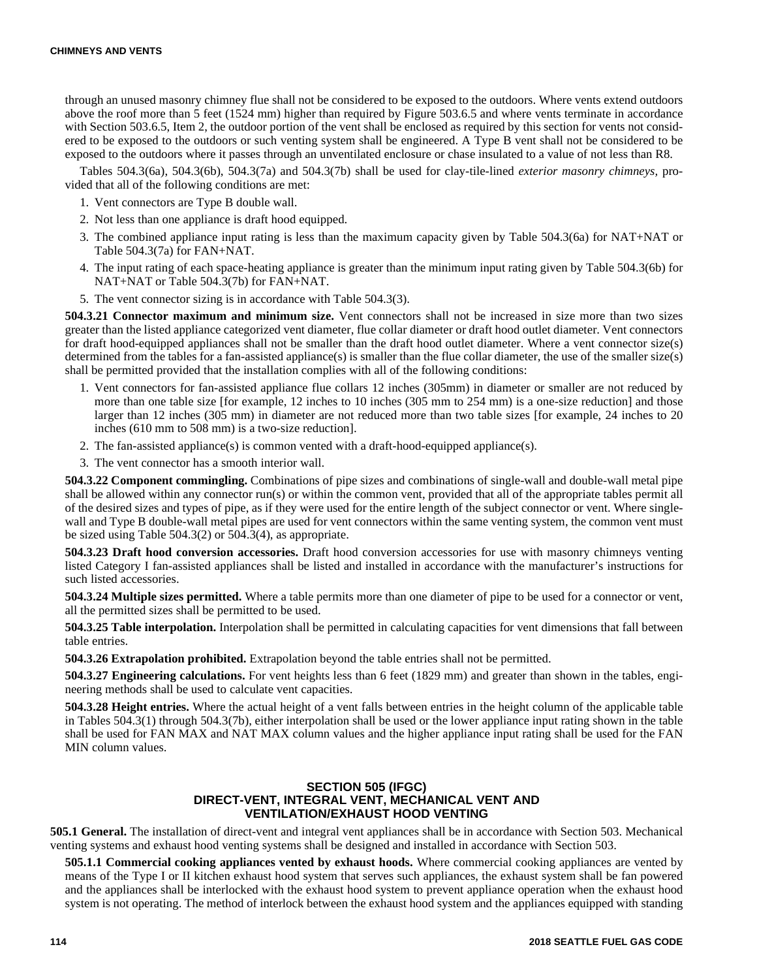through an unused masonry chimney flue shall not be considered to be exposed to the outdoors. Where vents extend outdoors above the roof more than 5 feet (1524 mm) higher than required by Figure 503.6.5 and where vents terminate in accordance with Section 503.6.5, Item 2, the outdoor portion of the vent shall be enclosed as required by this section for vents not considered to be exposed to the outdoors or such venting system shall be engineered. A Type B vent shall not be considered to be exposed to the outdoors where it passes through an unventilated enclosure or chase insulated to a value of not less than R8.

Tables 504.3(6a), 504.3(6b), 504.3(7a) and 504.3(7b) shall be used for clay-tile-lined *exterior masonry chimneys,* provided that all of the following conditions are met:

- 1. Vent connectors are Type B double wall.
- 2. Not less than one appliance is draft hood equipped.
- 3. The combined appliance input rating is less than the maximum capacity given by Table 504.3(6a) for NAT+NAT or Table 504.3(7a) for FAN+NAT.
- 4. The input rating of each space-heating appliance is greater than the minimum input rating given by Table 504.3(6b) for NAT+NAT or Table 504.3(7b) for FAN+NAT.
- 5. The vent connector sizing is in accordance with Table 504.3(3).

**504.3.21 Connector maximum and minimum size.** Vent connectors shall not be increased in size more than two sizes greater than the listed appliance categorized vent diameter, flue collar diameter or draft hood outlet diameter. Vent connectors for draft hood-equipped appliances shall not be smaller than the draft hood outlet diameter. Where a vent connector size(s) determined from the tables for a fan-assisted appliance(s) is smaller than the flue collar diameter, the use of the smaller size(s) shall be permitted provided that the installation complies with all of the following conditions:

- 1. Vent connectors for fan-assisted appliance flue collars 12 inches (305mm) in diameter or smaller are not reduced by more than one table size [for example, 12 inches to 10 inches (305 mm to 254 mm) is a one-size reduction] and those larger than 12 inches (305 mm) in diameter are not reduced more than two table sizes [for example, 24 inches to 20 inches (610 mm to 508 mm) is a two-size reduction].
- 2. The fan-assisted appliance(s) is common vented with a draft-hood-equipped appliance(s).
- 3. The vent connector has a smooth interior wall.

**504.3.22 Component commingling.** Combinations of pipe sizes and combinations of single-wall and double-wall metal pipe shall be allowed within any connector run(s) or within the common vent, provided that all of the appropriate tables permit all of the desired sizes and types of pipe, as if they were used for the entire length of the subject connector or vent. Where singlewall and Type B double-wall metal pipes are used for vent connectors within the same venting system, the common vent must be sized using Table 504.3(2) or 504.3(4), as appropriate.

**504.3.23 Draft hood conversion accessories.** Draft hood conversion accessories for use with masonry chimneys venting listed Category I fan-assisted appliances shall be listed and installed in accordance with the manufacturer's instructions for such listed accessories.

**504.3.24 Multiple sizes permitted.** Where a table permits more than one diameter of pipe to be used for a connector or vent, all the permitted sizes shall be permitted to be used.

**504.3.25 Table interpolation.** Interpolation shall be permitted in calculating capacities for vent dimensions that fall between table entries.

**504.3.26 Extrapolation prohibited.** Extrapolation beyond the table entries shall not be permitted.

**504.3.27 Engineering calculations.** For vent heights less than 6 feet (1829 mm) and greater than shown in the tables, engineering methods shall be used to calculate vent capacities.

**504.3.28 Height entries.** Where the actual height of a vent falls between entries in the height column of the applicable table in Tables 504.3(1) through 504.3(7b), either interpolation shall be used or the lower appliance input rating shown in the table shall be used for FAN MAX and NAT MAX column values and the higher appliance input rating shall be used for the FAN MIN column values.

### **SECTION 505 (IFGC) DIRECT-VENT, INTEGRAL VENT, MECHANICAL VENT AND VENTILATION/EXHAUST HOOD VENTING**

**505.1 General.** The installation of direct-vent and integral vent appliances shall be in accordance with Section 503. Mechanical venting systems and exhaust hood venting systems shall be designed and installed in accordance with Section 503.

**505.1.1 Commercial cooking appliances vented by exhaust hoods.** Where commercial cooking appliances are vented by means of the Type I or II kitchen exhaust hood system that serves such appliances, the exhaust system shall be fan powered and the appliances shall be interlocked with the exhaust hood system to prevent appliance operation when the exhaust hood system is not operating. The method of interlock between the exhaust hood system and the appliances equipped with standing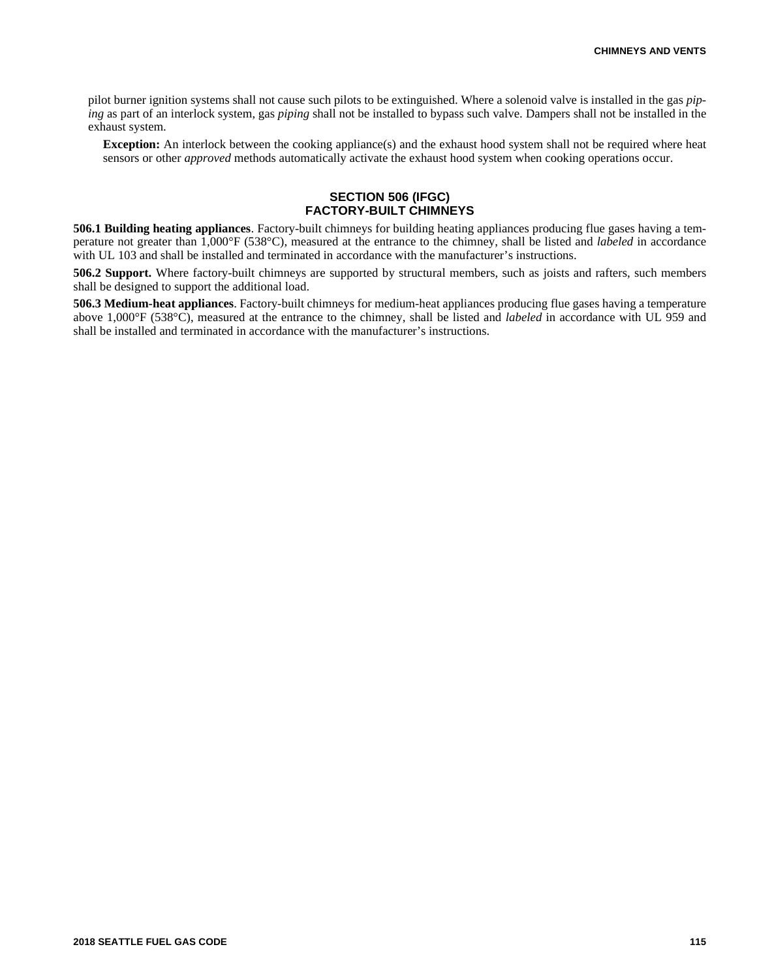pilot burner ignition systems shall not cause such pilots to be extinguished. Where a solenoid valve is installed in the gas *piping* as part of an interlock system, gas *piping* shall not be installed to bypass such valve. Dampers shall not be installed in the exhaust system.

**Exception:** An interlock between the cooking appliance(s) and the exhaust hood system shall not be required where heat sensors or other *approved* methods automatically activate the exhaust hood system when cooking operations occur.

### **SECTION 506 (IFGC) FACTORY-BUILT CHIMNEYS**

**506.1 Building heating appliances**. Factory-built chimneys for building heating appliances producing flue gases having a temperature not greater than 1,000°F (538°C), measured at the entrance to the chimney, shall be listed and *labeled* in accordance with UL 103 and shall be installed and terminated in accordance with the manufacturer's instructions.

**506.2 Support.** Where factory-built chimneys are supported by structural members, such as joists and rafters, such members shall be designed to support the additional load.

**506.3 Medium-heat appliances**. Factory-built chimneys for medium-heat appliances producing flue gases having a temperature above 1,000°F (538°C), measured at the entrance to the chimney, shall be listed and *labeled* in accordance with UL 959 and shall be installed and terminated in accordance with the manufacturer's instructions.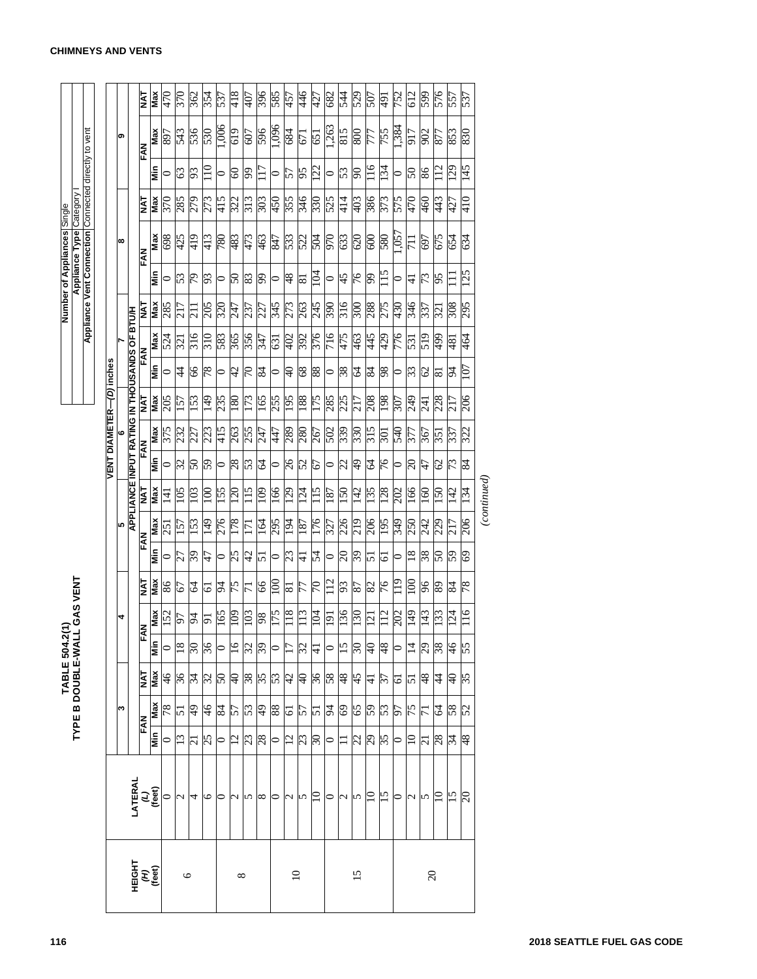# **T A BLE 504.2(1) TYPE B DOUBLE-W ALL G ASVEN T**

|--|

|                          |                 |               |                |                 |                |                 |                |                |                  |               | VENT DIAMETER—(D) inches          |                  |               |                 |     |                 |            |                 |                |          |     |
|--------------------------|-----------------|---------------|----------------|-----------------|----------------|-----------------|----------------|----------------|------------------|---------------|-----------------------------------|------------------|---------------|-----------------|-----|-----------------|------------|-----------------|----------------|----------|-----|
|                          |                 | w             |                |                 | Þ              |                 |                | ۱ю             |                  |               | ဖ                                 |                  |               |                 |     |                 | ∞          |                 |                | ၜ        |     |
| <b>ATERAL</b>            |                 |               |                |                 |                |                 |                |                | <b>APPLIANCE</b> |               | INPUT RATING IN THOUSANDS OF BTUH |                  |               |                 |     |                 |            |                 |                |          |     |
|                          | FAN             |               | Ę              | Æ               | z              | .<br>Ки         | NV-1           |                | ГMИ              | FAN           |                                   | ГAЛ              | FAN           |                 | ΣĀ  |                 | NV-1       | .<br>Ки         |                | NV-1     | LYN |
| E                        | ain             | Max           | хеи            | Nin             | Max            | Max             | iin<br>Š       | Max            | Max              | Nin           | Max                               | Max              | Min           | Max             | Max | έ               | Max        | Max             | Ś              | Max      | Max |
|                          |                 | 78            | 46             | っ               | 152            | 86              | ⊃              | 251            | $\overline{4}$   | っ             | 375                               | 205              | 0             | 524             | 285 | ⊃               | 698        | 370             | っ              | 897      | 470 |
| 2                        | 13              | 51            | 96             | 81              | 56             | 67              | 51             | 57             | $\overline{5}0$  | 32            | 232                               | $-57$            | 4             | 32.             | 217 | 53              | 425        | 285             | 63             | 543      | 370 |
| 4                        | $\overline{2}$  | 9             | 34             | $\Im$           | 24             | 2               | 39             | £51            | $^{103}$         | 50            | 227                               | 153              | 8             | 316             | ನ   | 57              | 419        | 579             | 56             | 536      | 362 |
| $\circ$                  | 25              | $\frac{4}{6}$ | 32             | 96              | 51             | 0               | 47             | 149            | 3                | 59            | 223                               | $\frac{49}{5}$   | 78            | $\frac{310}{5}$ | 205 | 33              | 413        | 273             |                | 530      | 354 |
| 0                        | $\circ$         | $^{18}$       | $\mathcal{S}$  | $\circ$         | 165            | 54              | 0              | 276            | 155              | 0             | 415                               | 235              | ≎             | 583             | 320 | 0               | 780        | 415             | っ              | 006      | 537 |
| $\overline{\mathcal{C}}$ | $\overline{C}$  | 57            | Э              | $\overline{6}$  | 109            | 57              | 25             | 178            | 120              | 28            | 263                               | $\overline{180}$ | 42            | 365             | 74. | 50              | 483        | 322             | 8              | 619      | 418 |
| S                        | 23              | 53            | 38             | 32              | 103            | Ξ               | 42             | Ë              | $\frac{5}{1}$    | 53            | 255                               | ELI              | 5             | 356             | 237 | 83              | £4         | 313             | 99             | 507      | 407 |
| 8                        | 82              | 67            | 35             | $\mathcal{E}$   | 98             | 8               | 'n             | ड              | ల్లి             | 2             | 747<br>24                         | 165              | 84            | 347             | 227 | 99              | 463        | 303             | È              | 596      | 396 |
| 0                        | $\circ$         | 88            | 53             | $\circ$         | I75            | 100             | 0              | 295            | $^{66}$          | っ             | 447                               | 255              | ∍             | 53              | 345 | 0               | 847        | 450             | ∍              | 1,096    | 585 |
| Z                        | $\overline{c}$  | 5             | 42             |                 | 118            | ∞               | 23             | $\overline{5}$ | 129              | 26            | 687                               | 195              | ទ្            | 402             | 273 | $\frac{8}{3}$   | 533        | 355             | 57             | 684      | 457 |
| S                        | 23              | 57            | $\Theta$       | $\Im 2$         | 113            | 77              | ₹              | 187            | 124              | 52            | 082                               | 881              | $\frac{8}{3}$ | <b>Z6£</b>      | 263 | ∞               | 522        | 346             | 56             | 57       | 446 |
| $\Xi$                    | $\Im$           | 51            | 96             | ₹               | 104            | 07              | 54             | 176            | $\frac{5}{1}$    | 67            | 267                               | 175              | 88            | 376             | 245 | R               | 504        | 330             | $\overline{c}$ | 651      | 427 |
| 0                        | $\circ$         | 24            | 8 <sup>°</sup> | $\circ$         | I6T            | $\Xi$           | ⊃              | <u>227</u>     | 87               | っ             | 502                               | <b>S82</b>       | ၁             | 716             | 390 | ⊃               | 970        | 525             | っ              | ,263     | 682 |
| $\overline{c}$           | $\Box$          | 69            | $\frac{8}{3}$  | $\overline{15}$ | 136            | 93              | $\Omega$       | 226            | $\overline{50}$  | 22            | 339                               | 225              | 38            | 475             | 316 | 45              | 633        | 414             | 53             | 815      | 544 |
| 5                        | 22              | 65            | SÞ             | $\Im$           | 130            | 87              | 39             | 219            | <u>다</u>         | $\frac{9}{4}$ | 330                               | 217              | Z             | 463             | 300 | 94              | 079        | 403             | R              | $_{800}$ | 529 |
| ≘                        | 29              | 65            | ₹              | ੩               | 121            | 82              | ່ຕ່            | 206            | I35              | 2             | 315                               | 208              | 84            | 445             | 288 | இ               | 8          | 386             | $\frac{8}{1}$  | F        | 507 |
| $\overline{15}$          | 35              | 53            | 57             | $^{8+}$         | 112            | 76              | 6              | 195            | 128              | 76            | 501                               | 198              | 86            | 429             | 275 | $\overline{15}$ | <b>S80</b> | 373             | 134            | 755      | 5   |
| $\circ$                  | ∍               | 56            | ಠ              | ∍               | 202            | $\ddot{\theta}$ | ⊃              | 349            | 202              | ∍             | 540                               | 307              | ∍             | 776             | 430 | ⊃               | $-50,1$    | 575             | ∍              | 1.384    | 752 |
| 2                        | $\Xi$           | 75            | 15             | $\overline{4}$  | $\frac{49}{5}$ | $\Xi$           | $\overline{8}$ | 250            | 166              | $\approx$     | 377                               | 249              | 33            | [£5             | 346 | 4               | Ξ          | 470             | ິຣ             | 517      | 612 |
| S                        | $\overline{12}$ |               | $^{48}$        | 67              | 143            | 96              | 85             | 242            | $\mathbb{S}$     | 47            | 367                               | त्र              | 2             | 519             | 337 | 73              | 697        | $\frac{460}{5}$ | 98             | 902      | 599 |
| 01                       | $\overline{8}$  | 2             | 4              | 38              | 133            | 89              | 50             | 672            | $\overline{5}0$  | $\mathcal{S}$ | 351                               | 228              | ∞             | 499             | 321 | 56              | 675        | 43              |                | 877      | 945 |
| $\overline{15}$          | 75              | 85            | ¥              | $\frac{4}{6}$   | $^{124}$       | 84              | 59             | 217            | $\frac{42}{3}$   | 73            | 337                               | 217              | 54            | $\frac{1}{8}$   | 308 |                 | 654        | 427             | $^{29}$        | \$58     | 557 |
| $\overline{c}$           | $\frac{8}{3}$   | 52            | 35             | 55              | $\frac{16}{1}$ | $\frac{8}{2}$   | 69             | 90Z            | 134              | 84            | 322                               | 90Z              | 107           | 464             | 295 | 25              | 634        | $\frac{1}{4}$   | 145            | 038      | 537 |

*(continued)*

### **CHIMNEYS AND VENTS**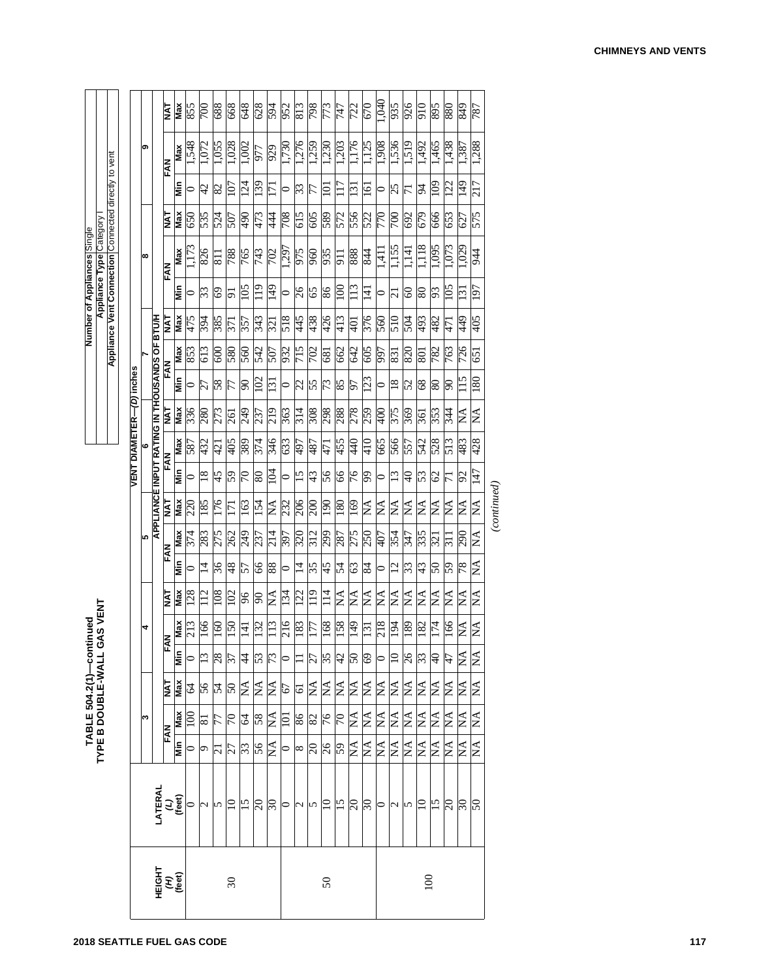| TABLE 504.2(1)-continued | <b>PE B DOUBLE-WALL GAS VENT</b> |  |
|--------------------------|----------------------------------|--|

| $\frac{1}{D}$<br>l<br><b>Del Del D</b><br>֚֚֚֬ |
|------------------------------------------------|
|------------------------------------------------|

| <b>Appliance Vent Connection C</b> ategory I<br><b>Appliance Vent Connection C</b> onnected directly to vent<br>519<br>556<br>666<br>Max<br>650<br>535<br>473<br>708<br>605<br>589<br>572<br>770<br>679<br>653<br>524<br>067<br>$\frac{44}{3}$<br>522<br>$\overline{700}$<br>692<br>ГĀ<br>507<br>1,118<br>1,155<br>1,095<br>1,073<br>1,173<br>1,141<br>826<br>788<br>.297<br>975<br>765<br>574<br>702<br>960<br>888<br>$11^{+1}$<br>Max<br>935<br>844<br><b>JII</b><br>$\overline{118}$<br>Ιœ<br>FAN<br>149<br>$\overline{100}$<br>105<br>611<br>501<br>13<br>kin<br>$\overline{52}$<br>65<br>IÞI<br>33<br>69<br>98<br>80<br>93<br>60<br>$\circ$<br>$\overline{c}$<br>$\overline{5}$<br>$\circ$<br>$\circ$<br>APPLIANCE INPUT RATING IN THOUSANDS OF BTU/H<br>815<br>376<br><u>LYN</u><br>Max<br>475<br>385<br>517<br>438<br>426<br>413<br>560<br>394<br>343<br>510<br>504<br>493<br>482<br>321<br>357<br>I.0<br>171<br>371<br>715<br>613<br>605<br>хем<br>853<br>600<br>580<br>560<br>932<br>702<br>662<br>820<br>782<br>763<br>542<br>507<br>642<br><b>EOS</b><br>681<br>997<br>831<br>FAN<br>VENT DIAMETER-(D) inches<br>İin<br>102<br>123<br>$\overline{131}$<br>85<br>$\infty$<br>55<br>73<br>85<br>$\frac{8}{18}$<br>89<br>08<br>$\infty$<br>22<br>52<br>$\circ$<br>27<br>77<br>$\circ$<br>57<br>$\circ$<br>336<br>115<br>308<br>288<br>Max<br>219<br>298<br>278<br>375<br>344<br>273<br>249<br>363<br>259<br>00+<br>369<br>353<br>₹<br>₹<br>280<br>361<br>261<br>237<br>346<br>455<br>542<br>528<br>432<br>405<br>389<br>374<br>410<br>599<br>557<br>513<br>Max<br>633<br>0#<br>497<br>487<br>587<br>121<br>171<br>FAN<br>iin<br>104<br>$\frac{99}{95}$<br>94<br>$\frac{8}{18}$<br>59<br>08<br>$\tilde{c}1$<br>64<br>97<br>43<br>$\mathcal{S}$<br>$\frac{2}{3}$<br>$\Theta$<br>53<br>62<br>$\circ$<br>11<br>$\circ$<br>0<br>176<br>206<br>180<br>Max<br>220<br>185<br>163<br>200<br>TAN<br>751<br>ŃМ<br>232<br>190<br>691<br>NА<br>ĂИ<br>NА<br><b>NA</b><br>ΑN<br>VМ<br>NА<br>$\overline{171}$<br>xeM<br>374<br>275<br>214<br>320<br>275<br>250<br>335<br>283<br>262<br>249<br>312<br>299<br>354<br>287<br>104<br>347<br>ΙIε<br>237<br>5<br>175<br>397<br><b>NV<sub>1</sub></b><br><b>Rii</b> n<br>96<br>$\frac{8}{4}$<br>99<br>88<br>$\overline{4}$<br>0S<br>59<br>$\overline{1}$<br>35<br>45<br>24<br>84<br>$\overline{12}$<br>33<br>43<br>63<br>$\circ$<br>57<br>$\circ$<br>$\circ$<br>108<br>Max<br>128<br>112<br>102<br>NА<br>134<br>122<br>$\frac{2}{11}$<br>114<br>ΚŃ<br>NА<br>ΝÁ<br><b>NA</b><br><b>NA</b><br>ĂИ<br>VМ<br>ΝĀ<br>NΑ<br>ТĂГ<br>96<br>$\infty$<br>166<br>113<br>216<br>158<br>812<br>166<br>Max<br>213<br>160<br>183<br>891<br>189<br>174<br>150<br>132<br>671<br>194<br>182<br>141<br>131<br>4<br>Ę<br>š<br>E<br>iin<br>$\overline{\mathbb{Q}}$<br>$\overline{26}$<br>$\overline{13}$<br>$rac{28}{37}$<br>73<br>35<br>42<br>53<br>$\overline{50}$<br>69<br>33<br>0 <sub>F</sub><br>$\overline{7}$<br>77<br>47<br>$\Xi$<br>$\circ$<br>$\circ$<br>$\circ$<br>Max<br>$\overline{\mathbf{N}}$<br>$\mathbb{A}$<br>ŃИ<br>ΧĀ<br>ŃИ<br>$X \nless 1$<br>ΧŃ<br>ΧŃ<br>ŃИ<br>ΧÃ<br>ĀИ<br>ŃΝ<br>ÁN<br>ГĀЛ<br>99<br>$\frac{24}{4}$<br>2<br>$\overline{19}$<br>67<br>Max<br>XÃ<br>ΣŃ<br>$\mathbb{A}^\mathsf{A}$<br><b>001</b><br>$\overline{\mathbf{N}}$<br>$\frac{\text{NA}}{\text{NA}}$<br>$\mathbb{A}$<br>ΝĀ<br>ΝA<br>$\frac{0}{9}$<br>98<br>$\sqrt{2}$<br>89<br>82<br>က<br>$\mathcal{Q}$<br>$\Xi$<br>77<br>$\overline{8}$<br><b>TAN</b><br><b>Rii</b> n<br>ΧÃ<br>ХÃ<br>ΝÃ<br>NА<br>ΑN<br><b>AN</b><br>ŃИ<br><b>NA</b><br>ΣÁ<br>99<br>$\overline{0}$<br>$rac{26}{59}$<br>33<br>$\infty$<br>$\circ$<br>27<br>12<br>G<br>$\circ$<br>LATERAL<br>(feet)<br>$\overline{c}$<br>8045<br>$\frac{5}{10}$<br>$\overline{0}$<br>588<br>$\overline{\mathbf{C}}$<br>$\overline{01}$<br>$\overline{15}$<br>$\overline{5}$<br>Э<br>$\circ$<br>$\sim$ 10<br>$\circ$<br>$\overline{\mathcal{C}}$<br>HEIGHT<br>$\begin{array}{c} \text{(H)} \ \text{(Heet)} \ \text{(Heet)} \end{array}$<br>100<br>$\mathfrak{S}0$<br>$50\,$ |                | TABLE 504.2(1)—continued<br>TYPE B DOUBLE-WALL GAS VENT |    |             |    |    |     |           |                |     |           |     |     |     |     |       |    |                 |           |       |
|-----------------------------------------------------------------------------------------------------------------------------------------------------------------------------------------------------------------------------------------------------------------------------------------------------------------------------------------------------------------------------------------------------------------------------------------------------------------------------------------------------------------------------------------------------------------------------------------------------------------------------------------------------------------------------------------------------------------------------------------------------------------------------------------------------------------------------------------------------------------------------------------------------------------------------------------------------------------------------------------------------------------------------------------------------------------------------------------------------------------------------------------------------------------------------------------------------------------------------------------------------------------------------------------------------------------------------------------------------------------------------------------------------------------------------------------------------------------------------------------------------------------------------------------------------------------------------------------------------------------------------------------------------------------------------------------------------------------------------------------------------------------------------------------------------------------------------------------------------------------------------------------------------------------------------------------------------------------------------------------------------------------------------------------------------------------------------------------------------------------------------------------------------------------------------------------------------------------------------------------------------------------------------------------------------------------------------------------------------------------------------------------------------------------------------------------------------------------------------------------------------------------------------------------------------------------------------------------------------------------------------------------------------------------------------------------------------------------------------------------------------------------------------------------------------------------------------------------------------------------------------------------------------------------------------------------------------------------------------------------------------------------------------------------------------------------------------------------------------------------------------------------------------------------------------------------------------------------------------------------------------------------------------------------------------------------------------------------------------------------------------------------------------------------------------------------------------------------------------------------------------------------------------------------------------------------------------------------------------------------------------------------------------------------------------------------------------------------------------------------------------------------------------------------------------------------------------------------------------------------------------------------------------------------------------------------------------------------------------------------------------------------------------|----------------|---------------------------------------------------------|----|-------------|----|----|-----|-----------|----------------|-----|-----------|-----|-----|-----|-----|-------|----|-----------------|-----------|-------|
|                                                                                                                                                                                                                                                                                                                                                                                                                                                                                                                                                                                                                                                                                                                                                                                                                                                                                                                                                                                                                                                                                                                                                                                                                                                                                                                                                                                                                                                                                                                                                                                                                                                                                                                                                                                                                                                                                                                                                                                                                                                                                                                                                                                                                                                                                                                                                                                                                                                                                                                                                                                                                                                                                                                                                                                                                                                                                                                                                                                                                                                                                                                                                                                                                                                                                                                                                                                                                                                                                                                                                                                                                                                                                                                                                                                                                                                                                                                                                                                                                             |                |                                                         |    |             |    |    |     |           |                |     |           |     |     |     |     |       |    |                 |           |       |
|                                                                                                                                                                                                                                                                                                                                                                                                                                                                                                                                                                                                                                                                                                                                                                                                                                                                                                                                                                                                                                                                                                                                                                                                                                                                                                                                                                                                                                                                                                                                                                                                                                                                                                                                                                                                                                                                                                                                                                                                                                                                                                                                                                                                                                                                                                                                                                                                                                                                                                                                                                                                                                                                                                                                                                                                                                                                                                                                                                                                                                                                                                                                                                                                                                                                                                                                                                                                                                                                                                                                                                                                                                                                                                                                                                                                                                                                                                                                                                                                                             |                |                                                         |    |             |    |    |     |           |                |     |           |     |     |     |     |       |    |                 |           |       |
|                                                                                                                                                                                                                                                                                                                                                                                                                                                                                                                                                                                                                                                                                                                                                                                                                                                                                                                                                                                                                                                                                                                                                                                                                                                                                                                                                                                                                                                                                                                                                                                                                                                                                                                                                                                                                                                                                                                                                                                                                                                                                                                                                                                                                                                                                                                                                                                                                                                                                                                                                                                                                                                                                                                                                                                                                                                                                                                                                                                                                                                                                                                                                                                                                                                                                                                                                                                                                                                                                                                                                                                                                                                                                                                                                                                                                                                                                                                                                                                                                             |                |                                                         |    |             |    |    |     |           |                |     |           |     |     |     |     |       |    |                 |           |       |
|                                                                                                                                                                                                                                                                                                                                                                                                                                                                                                                                                                                                                                                                                                                                                                                                                                                                                                                                                                                                                                                                                                                                                                                                                                                                                                                                                                                                                                                                                                                                                                                                                                                                                                                                                                                                                                                                                                                                                                                                                                                                                                                                                                                                                                                                                                                                                                                                                                                                                                                                                                                                                                                                                                                                                                                                                                                                                                                                                                                                                                                                                                                                                                                                                                                                                                                                                                                                                                                                                                                                                                                                                                                                                                                                                                                                                                                                                                                                                                                                                             |                |                                                         |    |             |    |    |     |           |                |     |           |     |     |     |     |       |    |                 | ക         |       |
|                                                                                                                                                                                                                                                                                                                                                                                                                                                                                                                                                                                                                                                                                                                                                                                                                                                                                                                                                                                                                                                                                                                                                                                                                                                                                                                                                                                                                                                                                                                                                                                                                                                                                                                                                                                                                                                                                                                                                                                                                                                                                                                                                                                                                                                                                                                                                                                                                                                                                                                                                                                                                                                                                                                                                                                                                                                                                                                                                                                                                                                                                                                                                                                                                                                                                                                                                                                                                                                                                                                                                                                                                                                                                                                                                                                                                                                                                                                                                                                                                             |                |                                                         |    |             |    |    |     |           |                |     |           |     |     |     |     |       |    |                 | <b>NV</b> | ΣN    |
|                                                                                                                                                                                                                                                                                                                                                                                                                                                                                                                                                                                                                                                                                                                                                                                                                                                                                                                                                                                                                                                                                                                                                                                                                                                                                                                                                                                                                                                                                                                                                                                                                                                                                                                                                                                                                                                                                                                                                                                                                                                                                                                                                                                                                                                                                                                                                                                                                                                                                                                                                                                                                                                                                                                                                                                                                                                                                                                                                                                                                                                                                                                                                                                                                                                                                                                                                                                                                                                                                                                                                                                                                                                                                                                                                                                                                                                                                                                                                                                                                             |                |                                                         |    |             |    |    |     |           |                |     |           |     |     |     |     |       |    | liin            | xeM       | Max   |
|                                                                                                                                                                                                                                                                                                                                                                                                                                                                                                                                                                                                                                                                                                                                                                                                                                                                                                                                                                                                                                                                                                                                                                                                                                                                                                                                                                                                                                                                                                                                                                                                                                                                                                                                                                                                                                                                                                                                                                                                                                                                                                                                                                                                                                                                                                                                                                                                                                                                                                                                                                                                                                                                                                                                                                                                                                                                                                                                                                                                                                                                                                                                                                                                                                                                                                                                                                                                                                                                                                                                                                                                                                                                                                                                                                                                                                                                                                                                                                                                                             |                |                                                         |    |             |    |    |     |           |                |     |           |     |     |     |     |       |    | $\circ$         | 1,548     | 855   |
|                                                                                                                                                                                                                                                                                                                                                                                                                                                                                                                                                                                                                                                                                                                                                                                                                                                                                                                                                                                                                                                                                                                                                                                                                                                                                                                                                                                                                                                                                                                                                                                                                                                                                                                                                                                                                                                                                                                                                                                                                                                                                                                                                                                                                                                                                                                                                                                                                                                                                                                                                                                                                                                                                                                                                                                                                                                                                                                                                                                                                                                                                                                                                                                                                                                                                                                                                                                                                                                                                                                                                                                                                                                                                                                                                                                                                                                                                                                                                                                                                             |                |                                                         |    |             |    |    |     |           |                |     |           |     |     |     |     |       |    | $\overline{c}$  | 1,072     | 700   |
|                                                                                                                                                                                                                                                                                                                                                                                                                                                                                                                                                                                                                                                                                                                                                                                                                                                                                                                                                                                                                                                                                                                                                                                                                                                                                                                                                                                                                                                                                                                                                                                                                                                                                                                                                                                                                                                                                                                                                                                                                                                                                                                                                                                                                                                                                                                                                                                                                                                                                                                                                                                                                                                                                                                                                                                                                                                                                                                                                                                                                                                                                                                                                                                                                                                                                                                                                                                                                                                                                                                                                                                                                                                                                                                                                                                                                                                                                                                                                                                                                             |                |                                                         |    |             |    |    |     |           |                |     |           |     |     |     |     |       |    | 28              | 1,055     | 889   |
|                                                                                                                                                                                                                                                                                                                                                                                                                                                                                                                                                                                                                                                                                                                                                                                                                                                                                                                                                                                                                                                                                                                                                                                                                                                                                                                                                                                                                                                                                                                                                                                                                                                                                                                                                                                                                                                                                                                                                                                                                                                                                                                                                                                                                                                                                                                                                                                                                                                                                                                                                                                                                                                                                                                                                                                                                                                                                                                                                                                                                                                                                                                                                                                                                                                                                                                                                                                                                                                                                                                                                                                                                                                                                                                                                                                                                                                                                                                                                                                                                             |                |                                                         |    |             |    |    |     |           |                |     |           |     |     |     |     |       |    | 107             | 1,028     | 668   |
|                                                                                                                                                                                                                                                                                                                                                                                                                                                                                                                                                                                                                                                                                                                                                                                                                                                                                                                                                                                                                                                                                                                                                                                                                                                                                                                                                                                                                                                                                                                                                                                                                                                                                                                                                                                                                                                                                                                                                                                                                                                                                                                                                                                                                                                                                                                                                                                                                                                                                                                                                                                                                                                                                                                                                                                                                                                                                                                                                                                                                                                                                                                                                                                                                                                                                                                                                                                                                                                                                                                                                                                                                                                                                                                                                                                                                                                                                                                                                                                                                             |                |                                                         |    |             |    |    |     |           |                |     |           |     |     |     |     |       |    | 124             | 1,002     | 8+9   |
|                                                                                                                                                                                                                                                                                                                                                                                                                                                                                                                                                                                                                                                                                                                                                                                                                                                                                                                                                                                                                                                                                                                                                                                                                                                                                                                                                                                                                                                                                                                                                                                                                                                                                                                                                                                                                                                                                                                                                                                                                                                                                                                                                                                                                                                                                                                                                                                                                                                                                                                                                                                                                                                                                                                                                                                                                                                                                                                                                                                                                                                                                                                                                                                                                                                                                                                                                                                                                                                                                                                                                                                                                                                                                                                                                                                                                                                                                                                                                                                                                             |                |                                                         |    |             |    |    |     |           |                |     |           |     |     |     |     |       |    | 139             | 977       | 628   |
|                                                                                                                                                                                                                                                                                                                                                                                                                                                                                                                                                                                                                                                                                                                                                                                                                                                                                                                                                                                                                                                                                                                                                                                                                                                                                                                                                                                                                                                                                                                                                                                                                                                                                                                                                                                                                                                                                                                                                                                                                                                                                                                                                                                                                                                                                                                                                                                                                                                                                                                                                                                                                                                                                                                                                                                                                                                                                                                                                                                                                                                                                                                                                                                                                                                                                                                                                                                                                                                                                                                                                                                                                                                                                                                                                                                                                                                                                                                                                                                                                             |                |                                                         |    |             |    |    |     |           |                |     |           |     |     |     |     |       |    | 171             | 929       | 594   |
|                                                                                                                                                                                                                                                                                                                                                                                                                                                                                                                                                                                                                                                                                                                                                                                                                                                                                                                                                                                                                                                                                                                                                                                                                                                                                                                                                                                                                                                                                                                                                                                                                                                                                                                                                                                                                                                                                                                                                                                                                                                                                                                                                                                                                                                                                                                                                                                                                                                                                                                                                                                                                                                                                                                                                                                                                                                                                                                                                                                                                                                                                                                                                                                                                                                                                                                                                                                                                                                                                                                                                                                                                                                                                                                                                                                                                                                                                                                                                                                                                             |                |                                                         |    |             |    |    |     |           |                |     |           |     |     |     |     |       |    | $\circ$         | 1,730     | 952   |
|                                                                                                                                                                                                                                                                                                                                                                                                                                                                                                                                                                                                                                                                                                                                                                                                                                                                                                                                                                                                                                                                                                                                                                                                                                                                                                                                                                                                                                                                                                                                                                                                                                                                                                                                                                                                                                                                                                                                                                                                                                                                                                                                                                                                                                                                                                                                                                                                                                                                                                                                                                                                                                                                                                                                                                                                                                                                                                                                                                                                                                                                                                                                                                                                                                                                                                                                                                                                                                                                                                                                                                                                                                                                                                                                                                                                                                                                                                                                                                                                                             |                |                                                         |    |             |    |    |     |           |                |     |           |     |     |     |     |       |    | 55              | 1,276     | 813   |
|                                                                                                                                                                                                                                                                                                                                                                                                                                                                                                                                                                                                                                                                                                                                                                                                                                                                                                                                                                                                                                                                                                                                                                                                                                                                                                                                                                                                                                                                                                                                                                                                                                                                                                                                                                                                                                                                                                                                                                                                                                                                                                                                                                                                                                                                                                                                                                                                                                                                                                                                                                                                                                                                                                                                                                                                                                                                                                                                                                                                                                                                                                                                                                                                                                                                                                                                                                                                                                                                                                                                                                                                                                                                                                                                                                                                                                                                                                                                                                                                                             |                |                                                         |    |             |    |    |     |           |                |     |           |     |     |     |     |       |    |                 | 1,259     | 864   |
|                                                                                                                                                                                                                                                                                                                                                                                                                                                                                                                                                                                                                                                                                                                                                                                                                                                                                                                                                                                                                                                                                                                                                                                                                                                                                                                                                                                                                                                                                                                                                                                                                                                                                                                                                                                                                                                                                                                                                                                                                                                                                                                                                                                                                                                                                                                                                                                                                                                                                                                                                                                                                                                                                                                                                                                                                                                                                                                                                                                                                                                                                                                                                                                                                                                                                                                                                                                                                                                                                                                                                                                                                                                                                                                                                                                                                                                                                                                                                                                                                             |                |                                                         |    |             |    |    |     |           |                |     |           |     |     |     |     |       |    | IОI             | 1,230     | 773   |
|                                                                                                                                                                                                                                                                                                                                                                                                                                                                                                                                                                                                                                                                                                                                                                                                                                                                                                                                                                                                                                                                                                                                                                                                                                                                                                                                                                                                                                                                                                                                                                                                                                                                                                                                                                                                                                                                                                                                                                                                                                                                                                                                                                                                                                                                                                                                                                                                                                                                                                                                                                                                                                                                                                                                                                                                                                                                                                                                                                                                                                                                                                                                                                                                                                                                                                                                                                                                                                                                                                                                                                                                                                                                                                                                                                                                                                                                                                                                                                                                                             |                |                                                         |    |             |    |    |     |           |                |     |           |     |     |     |     |       |    | $\Xi$           | 1,203     | 747   |
|                                                                                                                                                                                                                                                                                                                                                                                                                                                                                                                                                                                                                                                                                                                                                                                                                                                                                                                                                                                                                                                                                                                                                                                                                                                                                                                                                                                                                                                                                                                                                                                                                                                                                                                                                                                                                                                                                                                                                                                                                                                                                                                                                                                                                                                                                                                                                                                                                                                                                                                                                                                                                                                                                                                                                                                                                                                                                                                                                                                                                                                                                                                                                                                                                                                                                                                                                                                                                                                                                                                                                                                                                                                                                                                                                                                                                                                                                                                                                                                                                             |                |                                                         |    |             |    |    |     |           |                |     |           |     |     |     |     |       |    | 131             | 1.176     | 722   |
|                                                                                                                                                                                                                                                                                                                                                                                                                                                                                                                                                                                                                                                                                                                                                                                                                                                                                                                                                                                                                                                                                                                                                                                                                                                                                                                                                                                                                                                                                                                                                                                                                                                                                                                                                                                                                                                                                                                                                                                                                                                                                                                                                                                                                                                                                                                                                                                                                                                                                                                                                                                                                                                                                                                                                                                                                                                                                                                                                                                                                                                                                                                                                                                                                                                                                                                                                                                                                                                                                                                                                                                                                                                                                                                                                                                                                                                                                                                                                                                                                             |                |                                                         |    |             |    |    |     |           |                |     |           |     |     |     |     |       |    | $\overline{5}$  | 1,125     | 670   |
|                                                                                                                                                                                                                                                                                                                                                                                                                                                                                                                                                                                                                                                                                                                                                                                                                                                                                                                                                                                                                                                                                                                                                                                                                                                                                                                                                                                                                                                                                                                                                                                                                                                                                                                                                                                                                                                                                                                                                                                                                                                                                                                                                                                                                                                                                                                                                                                                                                                                                                                                                                                                                                                                                                                                                                                                                                                                                                                                                                                                                                                                                                                                                                                                                                                                                                                                                                                                                                                                                                                                                                                                                                                                                                                                                                                                                                                                                                                                                                                                                             |                |                                                         |    |             |    |    |     |           |                |     |           |     |     |     |     |       |    | $\circ$         | 806.1     | 0#0'1 |
|                                                                                                                                                                                                                                                                                                                                                                                                                                                                                                                                                                                                                                                                                                                                                                                                                                                                                                                                                                                                                                                                                                                                                                                                                                                                                                                                                                                                                                                                                                                                                                                                                                                                                                                                                                                                                                                                                                                                                                                                                                                                                                                                                                                                                                                                                                                                                                                                                                                                                                                                                                                                                                                                                                                                                                                                                                                                                                                                                                                                                                                                                                                                                                                                                                                                                                                                                                                                                                                                                                                                                                                                                                                                                                                                                                                                                                                                                                                                                                                                                             |                |                                                         |    |             |    |    |     |           |                |     |           |     |     |     |     |       |    | 25              | 1,536     | 935   |
|                                                                                                                                                                                                                                                                                                                                                                                                                                                                                                                                                                                                                                                                                                                                                                                                                                                                                                                                                                                                                                                                                                                                                                                                                                                                                                                                                                                                                                                                                                                                                                                                                                                                                                                                                                                                                                                                                                                                                                                                                                                                                                                                                                                                                                                                                                                                                                                                                                                                                                                                                                                                                                                                                                                                                                                                                                                                                                                                                                                                                                                                                                                                                                                                                                                                                                                                                                                                                                                                                                                                                                                                                                                                                                                                                                                                                                                                                                                                                                                                                             |                |                                                         |    |             |    |    |     |           |                |     |           |     |     |     |     |       |    | π               | 6151      | 926   |
|                                                                                                                                                                                                                                                                                                                                                                                                                                                                                                                                                                                                                                                                                                                                                                                                                                                                                                                                                                                                                                                                                                                                                                                                                                                                                                                                                                                                                                                                                                                                                                                                                                                                                                                                                                                                                                                                                                                                                                                                                                                                                                                                                                                                                                                                                                                                                                                                                                                                                                                                                                                                                                                                                                                                                                                                                                                                                                                                                                                                                                                                                                                                                                                                                                                                                                                                                                                                                                                                                                                                                                                                                                                                                                                                                                                                                                                                                                                                                                                                                             |                |                                                         |    |             |    |    |     |           |                |     |           |     |     |     |     |       |    | $\overline{56}$ | 1,492     | 910   |
|                                                                                                                                                                                                                                                                                                                                                                                                                                                                                                                                                                                                                                                                                                                                                                                                                                                                                                                                                                                                                                                                                                                                                                                                                                                                                                                                                                                                                                                                                                                                                                                                                                                                                                                                                                                                                                                                                                                                                                                                                                                                                                                                                                                                                                                                                                                                                                                                                                                                                                                                                                                                                                                                                                                                                                                                                                                                                                                                                                                                                                                                                                                                                                                                                                                                                                                                                                                                                                                                                                                                                                                                                                                                                                                                                                                                                                                                                                                                                                                                                             |                |                                                         |    |             |    |    |     |           |                |     |           |     |     |     |     |       |    | 601             | 1,465     | 895   |
|                                                                                                                                                                                                                                                                                                                                                                                                                                                                                                                                                                                                                                                                                                                                                                                                                                                                                                                                                                                                                                                                                                                                                                                                                                                                                                                                                                                                                                                                                                                                                                                                                                                                                                                                                                                                                                                                                                                                                                                                                                                                                                                                                                                                                                                                                                                                                                                                                                                                                                                                                                                                                                                                                                                                                                                                                                                                                                                                                                                                                                                                                                                                                                                                                                                                                                                                                                                                                                                                                                                                                                                                                                                                                                                                                                                                                                                                                                                                                                                                                             |                |                                                         |    |             |    |    |     |           |                |     |           |     |     |     |     |       |    | 122             | 897.1     | 880   |
| <b>Z</b><br><b>NA</b>                                                                                                                                                                                                                                                                                                                                                                                                                                                                                                                                                                                                                                                                                                                                                                                                                                                                                                                                                                                                                                                                                                                                                                                                                                                                                                                                                                                                                                                                                                                                                                                                                                                                                                                                                                                                                                                                                                                                                                                                                                                                                                                                                                                                                                                                                                                                                                                                                                                                                                                                                                                                                                                                                                                                                                                                                                                                                                                                                                                                                                                                                                                                                                                                                                                                                                                                                                                                                                                                                                                                                                                                                                                                                                                                                                                                                                                                                                                                                                                                       | $\frac{0}{25}$ | ΚŃ                                                      | ΣÁ | $\mathbb N$ | ΚŃ | 78 | 290 | <b>NA</b> | $\mathfrak{D}$ | 483 | <b>NA</b> | 115 | 726 | 449 | 131 | 1,029 | 62 | 149             | 1,387     | 849   |
| 575<br>944<br><u> 161</u><br>405<br>651<br>180<br><b>NA</b><br>428<br>LtI<br>ŃМ<br>ΚŃ<br>ΣÁ<br><b>NA</b><br>ΝÃ<br><b>NA</b><br>ΣÃ<br>$\overline{\mathbb{R}}$<br>$\stackrel{\Delta}{\geq}$                                                                                                                                                                                                                                                                                                                                                                                                                                                                                                                                                                                                                                                                                                                                                                                                                                                                                                                                                                                                                                                                                                                                                                                                                                                                                                                                                                                                                                                                                                                                                                                                                                                                                                                                                                                                                                                                                                                                                                                                                                                                                                                                                                                                                                                                                                                                                                                                                                                                                                                                                                                                                                                                                                                                                                                                                                                                                                                                                                                                                                                                                                                                                                                                                                                                                                                                                                                                                                                                                                                                                                                                                                                                                                                                                                                                                                   |                |                                                         |    |             |    |    |     |           |                |     |           |     |     |     |     |       |    | 217             | 1,288     | 787   |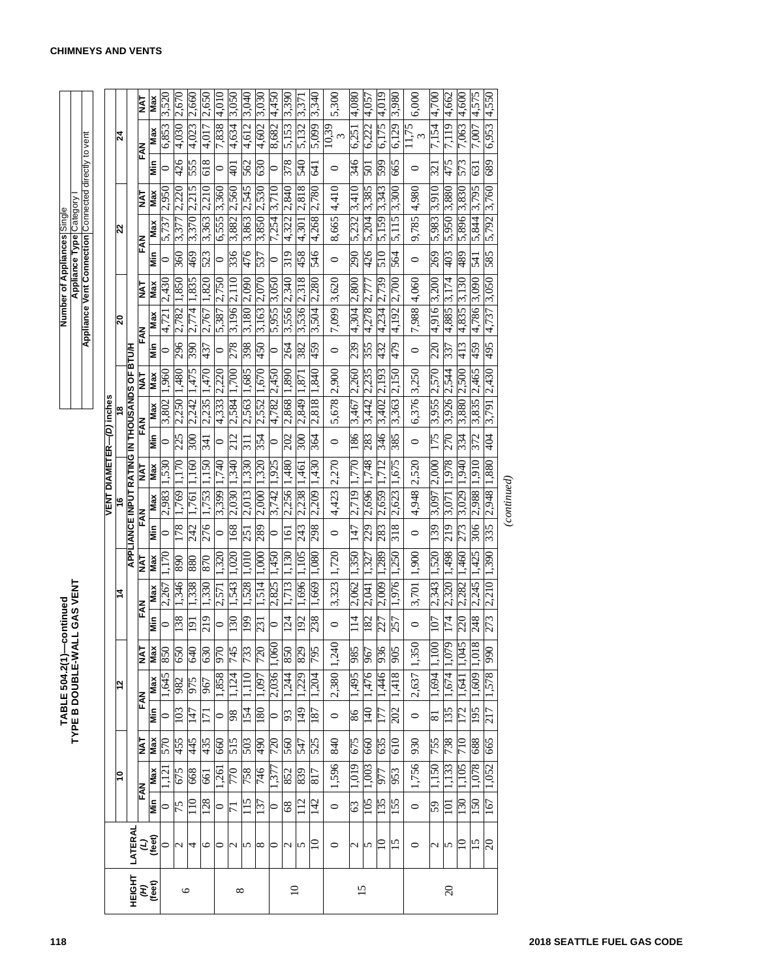|                                           |  | TYPE B DOUBLE-WAI |                   |              | <b>LL GAS VENT</b> |            |         |            |                          |            |                                              |                    |            |             |       |              | Appliance Type Category |        | Appliance Vent Connection Connected directly to vent |              |  |
|-------------------------------------------|--|-------------------|-------------------|--------------|--------------------|------------|---------|------------|--------------------------|------------|----------------------------------------------|--------------------|------------|-------------|-------|--------------|-------------------------|--------|------------------------------------------------------|--------------|--|
|                                           |  |                   |                   |              |                    |            |         |            |                          |            |                                              |                    |            |             |       |              |                         |        |                                                      |              |  |
|                                           |  |                   |                   |              |                    |            |         |            | VENT DIAMETER-(D) inches |            |                                              |                    |            |             |       |              |                         |        |                                                      |              |  |
| ę                                         |  |                   | 51                |              | 4                  |            |         |            |                          |            | ≌                                            |                    |            | ន           |       |              | 22                      |        | 24                                                   |              |  |
|                                           |  |                   |                   |              |                    |            |         |            |                          |            | APPLIANCE INPUT RATING IN THOUSANDS OF BTU/H |                    |            |             |       |              |                         |        |                                                      |              |  |
| <b>Z</b><br>FAN                           |  | FAN               | E                 |              | ₹<br>F∧            | ГAЛ        |         | <b>NVE</b> | ГAЛ                      | <b>NV∃</b> |                                              | ş                  | FAN        |             | ¥     | FAN          |                         | ₹      | FAN                                                  | ⅀            |  |
| <b>Min</b><br>Max<br>Max<br>Min<br>E      |  |                   | Max<br><b>Max</b> | Min          | Nax                | <b>XeW</b> | Min     | <b>Max</b> | Max                      | Min        | Max                                          | <b>XeW</b>         | iin        | <b>Max</b>  | Max   | <b>Rii</b> n | Max                     | Max    | Max<br>Min                                           | Max          |  |
| $\circ$<br>570<br>121<br>0                |  |                   | 058<br>579'1      | $\circ$      | 2,267              |            | 0       | 2,983      | 1.530                    | $\circ$    | 3,802                                        | .960               | $\circ$    | 4,721       | 2,430 | $\circ$      | 5,737                   | 2,950  | 6,853<br>0                                           | 3.520        |  |
| 103<br>455<br>675<br>75                   |  |                   | 059<br>982        | 8£1          | 1,346              | 890        | 178     | 1,769      | 1.170                    | <b>SZZ</b> | 2,250                                        | 08t'               | 296        | 2,782       | 1,850 | 360          | 3,377                   | 2,220  | 4,030<br>426                                         | 2,670        |  |
| 147<br>445<br>899<br>$\Xi$                |  |                   | 640<br>975        | <u>ٰ و</u>   | .338               | 880        | 242     | 1,761      | 1,160                    | 300        | 2.242                                        | 1.475              | 390        | 2,774       | 1,835 | 469          | 3,370                   | 2,215  | 4.023<br>555                                         | 2,660        |  |
| 11<br>435<br>661<br>128                   |  |                   | 630<br>967        | 219          | .330               | 870        | 276     | 1.753      | 051                      | 341        | 2,235                                        | $-470$             | 437        | 2,767       | 1,820 | 523          | 3,363                   | 2,210  | 4,017<br>618                                         | 2,650        |  |
| $\circ$<br>660<br>1,261<br>$\circ$        |  |                   | 970<br>1,858      | 0            | 2,571              | 1,320      | $\circ$ | 3,399      | 1,740                    | $\circ$    | 4,333                                        | 2,220              | $\circ$    | 5,387       | 2,750 | $\circ$      | 6,555                   | 3,360  | 7,838<br>っ                                           | 4,010        |  |
| 98<br>515<br><b>OLL</b><br>$\overline{7}$ |  |                   | St/L<br>1,124     | 130          | 1,543              | 1,020      | 168     | 2,030      | 1.340                    | 212        | 12,584                                       | 1,700              | 278        | 3,196       | 2,110 | 336          | 3,882                   | 2,560  | 4,634<br>10<br>4                                     | 3,050        |  |
| 154<br>503<br>758<br>511                  |  |                   | 733<br>110        | 661          | 528                | $010$ .    | ISZ     | 2,013      | 0.55                     | ΞE         | 2,563                                        | 589'               | 398        | 3,180       | 2,090 | 944          | 3,863                   | 2,545  | 4,612<br>S62                                         | 3,040        |  |
| 081<br>067<br>9746<br>$\overline{137}$    |  |                   | 072<br>1.097      | 23.          | 1.514              | 500        | 289     | 2,000      | 1,320                    | 354        | 2,552                                        | 1,670              | 450        | 3,163       | 2,070 | 537          | 3,850                   | 2,530  | 4,602<br>630                                         | 3,030        |  |
| $\circ$<br>072<br>- 377<br>$\circ$        |  |                   | 0.060<br>2,036    | $\circ$      | 2,825              | .450       | 0       | 3,742      | 1.925                    | $\circ$    | 4,782                                        | 2,450              | $\circ$    | 5.955       | 3.050 | 0            | 7,254                   | 3,710  | 8,682<br>0                                           | 4.450        |  |
| 93<br>09S<br>852<br>89                    |  |                   | 058<br>1,244      | 124          | 1,713              | 1,130      | $\Xi$   | 2,256      | 1,480                    | 202        | 2,868                                        | 068'1              | 264        | 3,556       | 2,340 | 319          | 4,322                   | 2,840  | 5,153<br>378                                         | 3,390        |  |
| 149<br>547<br>688<br>112                  |  |                   | 829<br>1,229      | 192          | 1,696              | 105        | 243     | 2,238      | 1,461                    | 300        | 2,849                                        | 1.871              | 382        | 3,536       | 2,318 | 458          | 4.301                   | 2,818  | 5.132<br>540                                         | 3.371        |  |
| L81<br>525<br>817<br>142                  |  |                   | 564<br>1,204      | 238          | 1,669              | 080.1      | 298     | 2,209      | 1,430                    | 364        | 818'7                                        | 0 <sub>18</sub> .1 | 459        | 3,504       | 2,280 | 546          | 4,268                   | 2,780  | 5,099<br>ट्रं                                        | 3,340        |  |
| $\circ$<br>840<br>1,596<br>$\circ$        |  |                   | 2,380 1,240       | $\circ$      | 3,323              | 1,720      | $\circ$ | 4,423      | 2,270                    | $\circ$    | 5,678                                        | 2,900              | $\circ$    | 7,099       | 3,620 | $\circ$      | 8,665                   | 4,410  | 10,39<br>3<br>$\circ$                                | 5,300        |  |
| 98<br>675<br>610.1<br>63                  |  |                   | 586<br>1,495      | $\vec{=}$    | 2,062              | , 350      | 47      | 2.719      | 1,770                    | 981        | 3,467                                        | 2,260              | <b>6EZ</b> | 4,304       | 2,800 | 290          | 5,232                   | 3,410  | 6,251<br>346                                         | 4,080        |  |
| 140<br>660<br>1,003<br>105                |  |                   | 967<br>1,476      | 182          | 2,041              | 1,327      | 229     | 12,696     | 1,748                    | 283        | 3,442                                        | 2,235              | <b>SSS</b> | 8.25        | 2,777 | 426          | 5,204                   | 3,385  | 6,222<br>501                                         | 4,057        |  |
| 177<br>635<br>977<br>591                  |  |                   | 936<br>1,446      | 227          | 2,009              | 1,289      | 283     | 2,659      | 1,712                    | 346        | 3,402                                        | 2,193              | 432        | 4,234       | 2,739 | 510          | 5,159                   | 3,343  | 6,175<br>599                                         | 4.019        |  |
| 202<br>610<br>953<br>155                  |  |                   | 905<br>1,418      | 257          | 916.1              | ,250       | 318     | 2,623      | 1,675                    | 385        | £9£65                                        | 2,150              | 64         | 4,192       | 2,700 | 564          | 5,115                   | 3,300  | 6,129<br>665                                         | 3,980        |  |
| $\circ$<br>930<br>1,756<br>$\circ$        |  |                   | 2,637 1,350       | $\circ$      | 3,701              | 1,900      | $\circ$ | 4,948      | 2,520                    | $\circ$    | 6,376                                        | 3,250              | $\circ$    | 7,988 4,060 |       | $\circ$      | 9,785                   | 4,980  | 3<br>0                                               | 6,000<br>C/7 |  |
| 18<br>557<br>1,150<br>65                  |  |                   | 00 L `<br>1,694   | <b>SOI</b>   | 2,343              | 07S        | 6£1     | 3.097      | 2,000                    | 541        | 3.955                                        | 0.25               | 072        | 4,916       | 3,200 | 269          | 5.983                   | 3,910  | 7,154<br>32.                                         | 4.700        |  |
| 135<br>738<br>1,133<br>Ξ                  |  |                   | 1,079<br>1,674    | 174          | 2,320              | 1,498      | 219     | 3,071      | 1,978                    | 270        | 3,926 2,544                                  |                    | 337        | 4,885       | 3.174 | 403          | 5.950                   | 3,880  | /,119<br>475                                         | 4,662        |  |
| 172<br>710<br>1.105<br>0£1                |  |                   | 1.045<br>1179'    | 072          | 2,282              | 1,460      | 273     | 3,029      | 0+6'I                    | 334        | 3,880                                        | 2,500              | 413        | 4,835       | 3,130 | 68+          | 5,896                   | 3,830  | 7,063<br>573                                         | 4.600        |  |
| 195<br>688<br>1,078<br>051                |  |                   | 1,609             | 248<br>1,018 | 2,245              | 1,425      | 306     | 2,988      | 016                      | 372        | SE8'E                                        | 2,465              | 459        | 4,786       | 3,090 | 541          | 5,844                   | 13,795 | 7.007<br>631                                         | 4,575        |  |
| 217<br>665<br>1,052<br>167                |  |                   | 990<br>1,578      | 273          | 2,210              | 1,390      | 335     |            | 2,948   1,880            | 404        | 3,791 2,430                                  |                    | 495        | 4,737       | 3,050 | 585          | 5,792 3,760             |        | 6,953<br>689                                         | 4,550        |  |

### **CHIMNEYS AND VENTS**

*(continued)*

**T A**

**BLE 504.2(1)—continued**

**Number of Appliances** Single **Appliance Type** Category I

Number of Appliances Single<br>Appliance Type Category I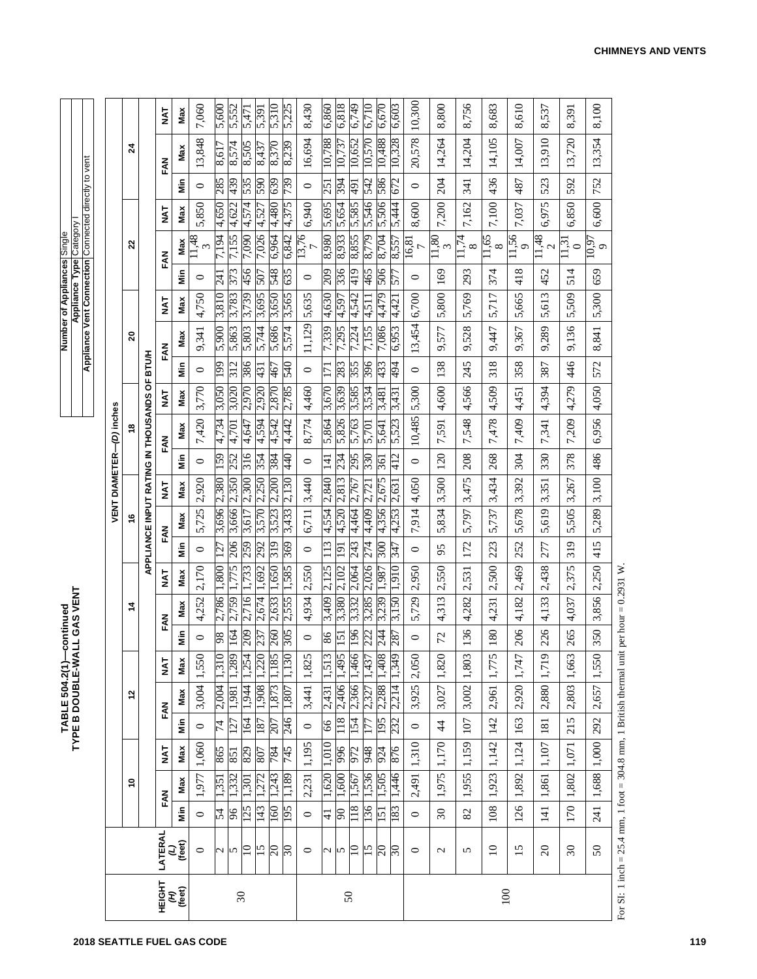|              | GAS VEN  |
|--------------|----------|
| ŗ<br>ξ<br>÷. | Š<br>DOO |
| <b>TABL</b>  | ⊥d∧      |

|             |   | ξ<br>nnected    |
|-------------|---|-----------------|
| į           | 9 | Vent Connection |
| Vumber of A | τ | Appliance \     |

|                  |                                                                       |                     |                  |                 |                |           |                   |            |                       |                |            |       | VENT DIAMETER-(D) inches                     |                  |               |            | Appliance  |                  |              |         | vent Connection   Constant on the version of the state of the state of the state of the state of the state of the state of the state of the state of the state of the state of the state of the state of the state of the stat |            |         |                               |               |
|------------------|-----------------------------------------------------------------------|---------------------|------------------|-----------------|----------------|-----------|-------------------|------------|-----------------------|----------------|------------|-------|----------------------------------------------|------------------|---------------|------------|------------|------------------|--------------|---------|--------------------------------------------------------------------------------------------------------------------------------------------------------------------------------------------------------------------------------|------------|---------|-------------------------------|---------------|
|                  |                                                                       |                     | ې                |                 |                | 5         |                   |            | 4                     |                |            | ؋     |                                              |                  | $\frac{8}{1}$ |            |            | $\boldsymbol{S}$ |              |         | 22                                                                                                                                                                                                                             |            |         | $\overline{24}$               |               |
|                  |                                                                       |                     |                  |                 |                |           |                   |            |                       |                |            |       | APPLIANCE INPUT RATING IN THOUSANDS OF BTU/H |                  |               |            |            |                  |              |         |                                                                                                                                                                                                                                |            |         |                               |               |
| HEIGHT<br>£      | LATERAL<br>Э                                                          |                     | FAN              | <b>TYN</b>      |                | <b>MA</b> | <b>TYN</b>        | <b>EAN</b> |                       | $\overline{M}$ | <b>EAN</b> |       | š                                            | FAN              |               | <b>TYN</b> | <b>EAN</b> |                  | <b>TYN</b>   | FAN     |                                                                                                                                                                                                                                | <b>TYN</b> |         | FAN                           | <b>T</b><br>N |
| (feet)           | (feet)                                                                | ain<br>Mi           | Max              | Max             | ain<br>Min     | Max       | Max               | iin        | Max                   | Max            | Nin        | Max   | Max                                          | ΜÍΩ              | Max           | Max        | ś          | Max              | Max          | ś       | Max                                                                                                                                                                                                                            | Max        | im      | Max                           | Max           |
|                  | $\circ$                                                               | $\circ$             | 1,977            | 1,060           | $\circ$        | 3,004     | 1,550             | $\circ$    | 4,252                 | 2,170          | $\circ$    | 5,725 | 2,920                                        | $\circ$          | 7,420         | 3,770      | $\circ$    | 9,341            | 4,750        | $\circ$ | $\frac{11,48}{3}$                                                                                                                                                                                                              | 5,850      | $\circ$ | 13,848                        | 7,060         |
|                  | $\mathbf{\sim}$                                                       | 55                  | 1.351            | S <sub>98</sub> | 74             | 2.004     | <u>015'I</u>      | 86         | 2,786                 | 1,800          | 127        | 3,696 | 2,380                                        | 159              | 4,734         | 3,050      | <b>991</b> | 5,900            | <b>9.810</b> | 172     | 7,194                                                                                                                                                                                                                          | 4,650      | 285     | .19'8                         | 5,600         |
| $\mathfrak{S}0$  | ln                                                                    | 96                  | 1,332            | 851             | LZ 1           | 1,981     | 1,289             | 164        | 2,759                 | 1,775          | 90Z        | 3,666 | 2,350                                        | 252              | 4,701         | 3,020      | 312        | 5,863            | 3,783        | 373     | 7,155                                                                                                                                                                                                                          | 4,622      | 637     | 8,574                         | 5,552         |
|                  | $\Xi$                                                                 | 25                  | (30)             | 829             | 19             | 1,944     | 1,254             | 209        | 2,716                 | 1,733          | 259        | 3,617 | 2,300                                        | 916              | 4,647         | 2,970      | 989        | 5,803            | 3,739        | 456     | 7,090                                                                                                                                                                                                                          | 4,574      | 535     | S <sub>0</sub> S <sub>8</sub> | 5,47          |
|                  | $\overline{c}1$                                                       | 143                 | ,272             | 807             | 481            | 806       | 022,              | 237        | 2,674                 | 1,692          | 292        | 3,570 | 2,250                                        | 354              | 4,594         | 2,920      | $43^\circ$ | 5,744            | 3,695        | 507     | 7,026                                                                                                                                                                                                                          | 4,527      | 590     | 8,43                          | 5,39          |
|                  | 0 <sup>2</sup>                                                        | 60                  | .243             | 784             | 207            | 1,873     | 1.185             | 260        | 2,633                 | 1,650          | 319        | 3,523 | 2,200                                        | 384              | 4,542         | 2,870      | 467        | 5,686            | 3,650        | 875     | 6,964                                                                                                                                                                                                                          | 4,480      | 639     | 8,370                         | 5.310         |
|                  | $\overline{\mathcal{E}}$                                              | 195                 | 1,189            | 512             | 246            | .807      | 031.1             | 305        | 2.555                 | ,585           | 369        | 3,433 | 2,130                                        | 440              | 4,442         | 2,785      | 540        | 5,574            | 3,565        | 635     | 6.842                                                                                                                                                                                                                          | 4,375      | 739     | 8,239                         | 5.22:         |
|                  | $\circ$                                                               | $\bullet$           | 2,231            | 1,195           | $\circ$        | 3,441     | 1,825             | $\bullet$  | 4,934                 | 2,550          | $\circ$    | 6,711 | 3,440                                        | $\circ$          | 8,774         | 4,460      | $\circ$    | 11,129           | 5,635        | $\circ$ | 13,76                                                                                                                                                                                                                          | 6,940      | $\circ$ | 16,694                        | 8,430         |
|                  | 2                                                                     | $\frac{1}{4}$       | 1,620            | 1,010           | 66             | 2,431     | 1,513             | 98         | 3,409                 | 2,125          | 113        | 4,554 | 2,840                                        | $\overline{141}$ | 5,864         | 3,670      | 171        | 7,339            | 4,630        | 209     | 8,980                                                                                                                                                                                                                          | 5,695      | 251     | 10,788                        | 6,860         |
| $50\,$           | $\mathbf{c}$                                                          | 06                  | 009'1            | 996             | 18             | 2,406     | 1,495             | I31        | 3,380                 | 2,102          | Ι6Τ        | 4,520 | 2,813                                        | 234              | 5,826         | 3,639      | 283        | 7,295            | 4,597        | 336     | 8,933                                                                                                                                                                                                                          | 5,654      | 765     | 10,737                        | 6,818         |
|                  | $\Xi$                                                                 | $\frac{81}{18}$     | .567             | 972             | 751            | 2,366     | 1,466             | 196        | 3,332                 | 2,064          | 243        | 4,464 | 2.767                                        | 295              | 5,763         | 3,585      | 355        | 7,224            | 4,542        | 419     | 8,855                                                                                                                                                                                                                          | 5,585      | 491     | 10,652                        | 6,749         |
|                  | $\overline{c}$                                                        | 136                 | 1,536            | 948             | 177            | 2,327     | 1,437             | 222        | 3,285                 | 2,026          | 274        | 4,409 | 2,721                                        | 330              | 5,701         | 3,534      | 396        | 7,155            | 4,511        | 465     | 644.8                                                                                                                                                                                                                          | 5,546      | 542     | 10,570                        | 6.710         |
|                  | 0 <sup>2</sup>                                                        | 151                 | 50S <sub>t</sub> | 924             | 195            | 2,288     | 1,408             | 244        | 3,239                 | 1.987          | 00£        | 4,356 | 2,675                                        | 361              | 5,641         | 3,481      | 433        | 7,086            | 4,479        | 506     | 8,704                                                                                                                                                                                                                          | 5,506      | 989     | 10,488                        | 6,670         |
|                  | $\Im$                                                                 | 581                 | 977.1            | 918             | 232            | 2,214     | 6 <sub>75</sub> . | 287        | 3,150                 | 1,910          | 547        | 4,253 | 2,631                                        | 412              | 5,523         | 3,431      | 494        | 6,953            | 4,421        | 577     | 8,557                                                                                                                                                                                                                          | 5,444      | 672     | 10,328                        | 6,603         |
|                  | $\circ$                                                               | $\circ$             | 2,491            | 1,310           | $\circ$        | 3,925     | 2,050             | $\circ$    | 5,729                 | 2,950          | $\circ$    | 7,914 | 4,050                                        | $\circ$          | 10,485        | 5,300      | $\circ$    | 13,454           | 6,700        | $\circ$ | 16,81                                                                                                                                                                                                                          | 8,600      | $\circ$ | 20,578                        | 10,300        |
|                  | $\mathcal{L}$                                                         | $\overline{\omega}$ | 1,975            | 1,170           | $\overline{4}$ | 3,027     | 1,820             | 72         | 4,313                 | 2,550          | 95         | 5,834 | 3,500                                        | 120              | 7,591         | 4,600      | 138        | 577<br>ο,        | 5,800        | 169     | $\frac{1}{1,80}$                                                                                                                                                                                                               | 7,200      | 204     | 14,264                        | 8,800         |
|                  | 5                                                                     | 82                  | 1,955            | 1,159           | 107            | 3,002     | 1,803             | 136        | 4,282                 | 2,531          | 172        | 5,797 | 3,475                                        | 208              | 7,548         | 4,566      | 245        | 9,528            | 5,769        | 293     | 1,74<br>$\infty$                                                                                                                                                                                                               | 7,162      | 341     | 14,204                        | 8,756         |
| $\overline{100}$ | $\overline{10}$                                                       | 108                 | 1,923            | 1,142           | 142            | 2,961     | 1,775             | 180        | 4,231                 | 2,500          | 223        | 5,737 | 3,434                                        | 268              | 7,478         | 4,509      | 318        | 9,447            | 5,717        | 374     | $\frac{65}{8}$                                                                                                                                                                                                                 | 7,100      | 436     | 14,105                        | 8,683         |
|                  | 15                                                                    | 126                 | 1,892            | 1,124           | 163            | 2,920     | 1.747             | 206        | 4,182                 | 2,469          | 252        | 5,678 | 3,392                                        | 304              | 7,409         | 4,451      | 358        | 9,367            | 5,665        | 418     | $66^{6}$                                                                                                                                                                                                                       | 7,037      | 487     | 14,007                        | 8,610         |
|                  | $\Omega$                                                              | 141                 | 1,861            | 1,107           | 181            | 2,880     | 1,719             | 226        | 4,133                 | 2,438          | 277        | 5,619 | 3,351                                        | 330              | 7,341         | 4,394      | 387        | 9,289            | 5,613        | 452     | 1,48                                                                                                                                                                                                                           | 6,975      | 523     | 13,910                        | 8,537         |
|                  | $\mathfrak{S}0$                                                       | 170                 | 1,802            | 1,071           | 215            | 2,803     | 1,663             | 265        | 4,037                 | 2,375          | 319        | 5,505 | 3,267                                        | 378              | 7,209         | 4,279      | 446        | 9,136            | 5,509        | 514     | $\vec{\omega} \circ$                                                                                                                                                                                                           | 6,850      | 592     | 13,720                        | 8,391         |
|                  | $50\,$                                                                | 241                 | 1,688            | 1,000           | 292            | 2,657     | 1,550             | 350        | 3,856                 | 2,250          | 415        | 5,289 | 3,100                                        | 486              | 6,956         | 4,050      | 572        | 8,841            | 5,300        | 659     | $\frac{6}{10,97}$                                                                                                                                                                                                              | 6,600      | 752     | 13,354                        | 8,100         |
|                  | For SI: 1 inch = $25.4$ mm, 1 foot = 304.8 mm, 1 British thermal unit |                     |                  |                 |                |           |                   |            | per hour $= 0.2931$ W |                |            |       |                                              |                  |               |            |            |                  |              |         |                                                                                                                                                                                                                                |            |         |                               |               |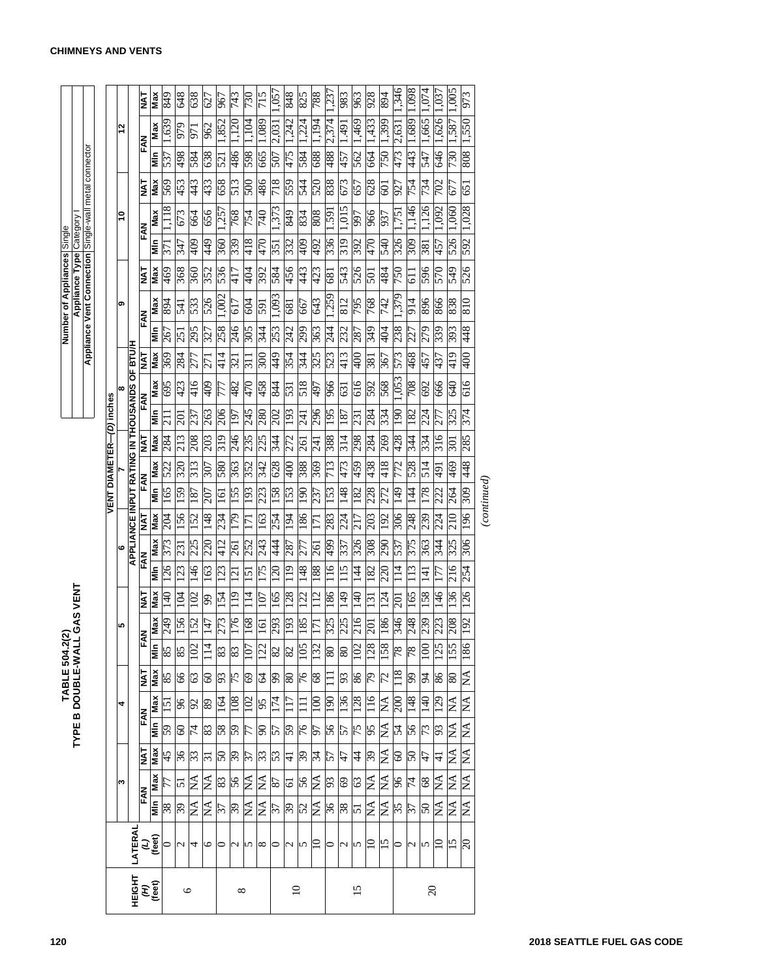# **T A BLE 504.2(2) TYPE B DOUBLE-W ALL G ASVEN T**

|  |                     | metal connector<br>ニ |
|--|---------------------|----------------------|
|  | J.<br>- In Mar<br>í | စ္ပ<br>i             |

|                 |                |                                    |                            |                           |                           |                          |                            |                                |                                       |                          |     |                  |                 | VENT DIAMETER— <i>(D)</i> inches            |     |        |      |                 |        |                |     |        |             |     |        |           |                          |
|-----------------|----------------|------------------------------------|----------------------------|---------------------------|---------------------------|--------------------------|----------------------------|--------------------------------|---------------------------------------|--------------------------|-----|------------------|-----------------|---------------------------------------------|-----|--------|------|-----------------|--------|----------------|-----|--------|-------------|-----|--------|-----------|--------------------------|
|                 |                |                                    | S                          |                           |                           | 4                        |                            | ln,                            |                                       |                          | ဖ   |                  |                 |                                             |     |        | ထ    |                 |        | თ              |     |        | ę,          |     |        | Z         |                          |
| <b>HighT</b>    | LATERAL        |                                    |                            |                           |                           |                          |                            |                                |                                       |                          |     |                  |                 | APPLIANCE INPUT RATING IN THOUSANDS OF BTUH |     |        |      |                 |        |                |     |        |             |     |        |           |                          |
| E               | <b>Ager</b>    | FAN                                |                            | Ę                         | <b>NVE</b>                |                          | ENN                        | FAN                            | ℥                                     |                          | FAN | ℥                | ₹<br>⊾          |                                             | ℥   | FAN    |      | ₹<br>≨          | FAN    |                | ⋚   | FAN    |             | ≨   | FAN    |           | ΣNΝ                      |
|                 |                | a∥n<br>M                           | Max                        | xeM                       | a⊪<br>M                   | Max                      | xeM                        | i<br>≌                         | Max<br>ă                              | ⊆<br>₹                   | Max | Max              | Ξ<br>⋚          | Max                                         | Max | a<br>≌ | Max  | Max             | c<br>Ξ | Max            | Max | ≘<br>Ξ | Max         | Max | s<br>Ξ | Max       | Max                      |
|                 | 0              | 89                                 |                            | 45                        | 59                        | 5                        | 85                         | 249<br>85                      | ੜ                                     | 26                       | 373 | 204              | 165             | 522                                         | 284 | ä      | 695  | 369             | 267    | 894            | 469 | 37.    | ∞           | 569 | 537    | .639      | 849                      |
| $\circ$         | 2              | 63                                 | 51                         | 96                        | $_{\odot}$                | 96                       | 8                          | 58                             | $\bar{\mathbf{z}}$<br>$\overline{56}$ | 123                      | 231 | 156              | 159             | 320                                         |     | 201    | 423  | 284             | 25     | 54             | 368 | 347    | 673         | 453 | 498    | 979       | 848                      |
|                 | 4              | ≸                                  | Ź                          | 33                        | 74                        | 92                       | 63                         | $\Xi$                          | $\Xi$<br>52                           | $\frac{4}{6}$            | 225 | 152              | $\frac{187}{2}$ | 313                                         | 208 | 237    | 416  | 277             | 295    | 533            | 360 | 409    | 664         | 43  | 584    | 57        | 638                      |
|                 | 6              | $\breve{\mathbf{z}}$               | Ź                          | ಸ                         | 83                        | 89                       | 8                          | 47<br>$\frac{4}{1}$            | 99                                    | 63                       | 220 | 148              | 207             | 307                                         | 203 | 263    | 409  | 271             | 327    | 526            | 352 | 449    | 656         | 433 | 638    | 962       | 627                      |
|                 | 0              | 22                                 | 83                         | SO                        | 58                        | द्र                      | 66                         | $\overline{\mathcal{C}}$<br>83 | 154<br>73                             | 123                      | 412 | 234              | $\Xi$           | 580                                         | 319 | 206    | 777  | $\frac{4}{4}$   | 258    | 1,002          | 536 | 360    | .55         | 658 | 521    | 1,852     | 967                      |
| ∞               | $\overline{c}$ | 95                                 | 95                         | $\mathcal{E}$             | 65                        | $\frac{8}{3}$            | 75                         | $^{88}$                        | $\overline{9}$<br>76                  | $\overline{\mathcal{C}}$ | 261 | 179              | 55              | 363                                         | 246 | 56     | 482  | 32.             | 246    | 5              | 417 | 339    | 768         | 513 | 486    | 120       | 743                      |
|                 | S              | $\mathop{\rm \mathbb{Z}}\nolimits$ | Ź                          | 57                        | 77                        | $\Xi$                    | 69                         | Ξ                              | $\overline{4}$<br>$\frac{8}{3}$       | $\overline{5}$           | 252 | Ξ                | 193             | 352                                         | 235 | 245    | 94   | .<br>51         | 305    | 604            | 404 | 418    | 754         | ຣິ  | 598    | $\vec{A}$ | 730                      |
|                 | 8              | $\mathbb{A}$                       | Ź                          | 33                        | $\infty$                  | 56                       | $\mathcal{Q}$              | ত<br>122                       | Ξ                                     | 175                      | 243 | 63               | 23              | 342                                         | 225 | 280    | 458  | ສິ              | 344    | 591            | 392 | 470    | 24          | 486 | 665    | .089      | 715                      |
|                 | っ              | 57                                 | 78                         | 53                        | 57                        | 174                      | 66                         | 293<br>28                      | 65<br>1                               | $\frac{20}{2}$           | 44  | 254              | 158             | 628                                         | 344 | 202    | 84   | 449             | 253    | .93            | 584 | 351    | 573         | 718 | 507    | 2.03.     | Š                        |
| $\supseteq$     | N              | 39                                 | <u>ଟ</u>                   | ₹                         | 59                        | Ξ                        | 80                         | 82                             | $^{28}$<br>£6                         | $\frac{9}{2}$            | 287 | $^{194}$         | 53              | $\frac{8}{4}$                               | 272 | 193    | 531  | 354             | 242    | 581            | 456 | 332    | 849         | 559 | 475    | 242       | 848                      |
|                 | S              | 25                                 | 99                         | $\mathcal{E}$             | 76                        |                          | 76                         | $^{20}$                        | 22<br>85                              | 148                      | 27. | 981              | $\Im$           | 388                                         | 261 | न्न    | 518  | 344             | 299    | 667            | 43  | 409    | 834         | 544 | 584    | 1,224     | 825                      |
|                 |                | $\mathbb{\AA}$                     | ÁN                         | 75                        | 56                        | $\Xi$                    | $\frac{8}{3}$              | r<br>I32                       | $\Xi$                                 | 881                      | 261 | Ξ                | 237             | 369                                         | 21  | 296    | 497  | 325             | 363    | 643            | 423 | 492    | 808         | 520 | 688    | 1,194     | 788                      |
|                 | 0              | 36                                 | $\mathfrak{S}$             | 57                        | 95                        | $\widetilde{\mathrm{g}}$ | Ξ                          | 325<br>$80\,$                  | 186                                   | $\frac{6}{1}$            | 499 | 283              | 153             | 713                                         | 388 | 195    | 966  | 523             | 24     | 259            | 68] | 336    | $\ddot{59}$ | 838 | 488    | 2.374     | Š                        |
|                 | N              | 38                                 | $\mathcal{S}^3$            | 47                        | 57                        | <b>36</b>                | 93                         | 225<br>$^{80}$                 | $\frac{49}{5}$                        | $\overline{5}$           | 337 | 24               | $\frac{8}{14}$  | 473                                         | 314 | 181    | 53   | 413             | 232    | 812            | 543 | 319    | $-510$      | 673 | 457    | (49)      | 983                      |
| $\overline{15}$ | S              | 51                                 | 63                         | 4                         | 75                        | 128                      | 86                         | N<br>102                       | $\frac{1}{4}$<br>$\overline{6}$       | $\frac{4}{4}$            | 326 | ΣÎ               | 182             | 459                                         | 298 | 231    | 616  | $\frac{1}{2}$   | 287    | 795            | 526 | 392    | 66          | 657 | 562    | 1,469     | 963                      |
|                 |                | ≸                                  | $\mathbb{A}^{\mathcal{A}}$ | 65                        | 95                        | $\overline{5}$           | 64                         | $\overline{5}$<br>128          | ಸ                                     | 182                      | 308 | 203              | 228             | 438                                         | 284 | 284    | 592  | $\overline{38}$ | 349    | 768            | 501 | 470    | 966         | 628 | 664    | 1,433     | 928                      |
|                 | 15             | $\mathbb{X}$                       | $\mathbb{E}^{\mathsf{A}}$  | Ź                         | $\mathbb{\hat{Z}}$        | ≸                        | 72                         | 158                            | $\bar{z}$<br>98                       | 220                      | 290 | $\overline{561}$ | 272             | 418                                         | 269 | 334    | 568  | 367             | 404    | 742            | 484 | 540    | 937         | 3   | 750    | 399       | 894                      |
|                 | 0              | 35                                 | 96                         | 3                         | 75                        | 00Z                      | $^{18}$                    | 946<br>$\frac{8}{2}$           | ឱ                                     | $\vec{A}$                | 537 | 306              | $\frac{4}{9}$   | 72                                          | 428 | $\Xi$  | .053 | 573             | 238    | .379           | 750 | 326    | 751         | 927 | 473    | 2.631     | 1.346                    |
|                 | N              | 37                                 | 74                         | 50                        | 99                        | 148                      | 99                         | 248<br>78                      | 891                                   | $\mathbf{1}$             | 375 | 248              | 44              | 528                                         | 344 | 182    | 708  | 468             | 227    | 514            | 61  | 309    | 146         | 754 | 43     | 1.689     | $860$ .                  |
| $\Omega$        | $\sim$         | $\mathcal{S}$                      | 89                         | 47                        | 51                        | 9<br>ম                   | त्र                        | 239<br>$_{\odot}$              | 158                                   | $\overline{4}$           | 363 | 239              | 178             | 514                                         | 334 | 24     | 692  | 457             | 279    | 896            | 596 | 381    | .126        | 734 | 547    | .665      | .074                     |
|                 |                | Ź                                  | ÁN                         | $\vec{r}$                 | 93                        | $\overline{29}$          | 98                         | 223<br><b>125</b>              | $\frac{4}{5}$                         |                          | 344 | 24               | 22              | 5                                           | 316 | 27.    | 666  | 437             | 339    | 866            | 570 | 457    | .092        | 702 | 646    | .626      | $\widetilde{\mathbb{S}}$ |
|                 | 15             | $\mathbb{\tilde{A}}$               | $\mathbb{X}^{\mathsf{A}}$  | $\mathbb{X}^{\mathsf{A}}$ | $\mathbb{X}^{\mathsf{A}}$ | Ź                        | $\infty$                   | Ñ<br>155                       | 136<br>$\frac{8}{2}$                  | 216                      | 325 | $\frac{10}{21}$  | 264             | 469                                         | 501 | 325    | J    | 419             | 393    | 838            | 549 | 526    | 1,060       | 677 | 730    | 1,587     | 1,005                    |
|                 | 07             | Ź                                  | $\mathbb{X}^{\mathsf{A}}$  | Ź                         | $\mathbb{\hat{A}}$        | Ź                        | $\mathbb{A}^{\mathcal{A}}$ | 981                            | $\frac{26}{5}$<br>92                  | 254                      | 306 | $\frac{96}{5}$   | 309             | 448                                         | 285 | 374    | 616  | $\frac{2}{3}$   | 448    | $\frac{8}{10}$ | 526 | 592    | 1.028       | 55  | 808    | 1.550     | 973                      |

*(continued)*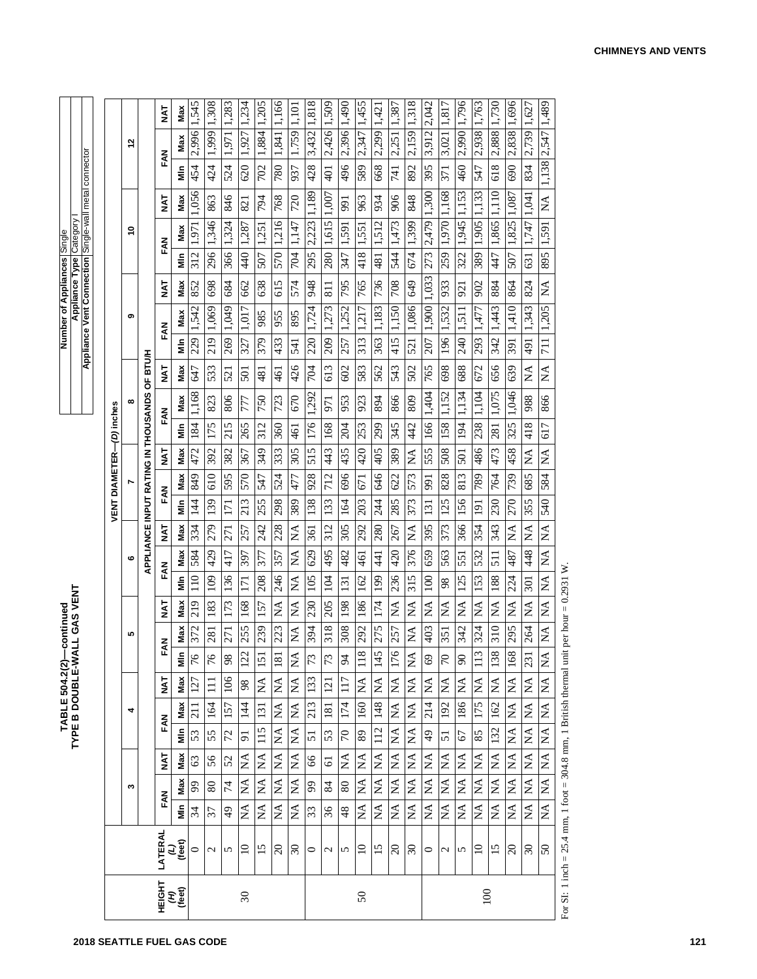| ė      | É<br>ū<br>ۼ |
|--------|-------------|
| 504.   | ׃           |
| ፱<br>ĩ | Ř           |

| Number of Appliances Single | Appliance Type Categor | we have lotted in the second of the form of the second second second second second second second second second |
|-----------------------------|------------------------|----------------------------------------------------------------------------------------------------------------|

|                                                                                     |                             |   |   | م:                                  |                   | š<br>FAN                                      | Max<br>Max<br>aliM     | 1,545<br>2,996<br>454          | ,308<br>1,999<br>424                                | 283<br>1,971<br>524                                     | 234<br>1.927<br>620                                         | 1.205<br>1,884<br>702                                       | 1,166<br>1,841<br>780                     | 1,101<br>1.759<br>937     | 1,818<br>3,432<br>428                 | 1,509<br>2,426<br>$\overline{5}$           | 1,490<br>2,396<br>496                                                | 1,455<br>2,347<br>689                                                             | 1,421<br>2,299<br>668                                              | 1,387<br>2,251<br>741                                        | 1,318<br>2,159<br>892                               | 2,042<br>3,912<br>395                                             | 1,81<br>3,021<br>371                                                   | 1.796<br>2,990<br>460                                     | 1,763<br>2,938<br>547                                                 | 1,730<br>2,888<br>618                                       | 1,696<br>2,838<br>690                      | 1,627<br>2,739<br>834                    |
|-------------------------------------------------------------------------------------|-----------------------------|---|---|-------------------------------------|-------------------|-----------------------------------------------|------------------------|--------------------------------|-----------------------------------------------------|---------------------------------------------------------|-------------------------------------------------------------|-------------------------------------------------------------|-------------------------------------------|---------------------------|---------------------------------------|--------------------------------------------|----------------------------------------------------------------------|-----------------------------------------------------------------------------------|--------------------------------------------------------------------|--------------------------------------------------------------|-----------------------------------------------------|-------------------------------------------------------------------|------------------------------------------------------------------------|-----------------------------------------------------------|-----------------------------------------------------------------------|-------------------------------------------------------------|--------------------------------------------|------------------------------------------|
| Category                                                                            | Single-wall metal connector |   | S |                                     | š<br>FAN          |                                               | Max<br>Max             | 1,056<br>1.971                 | 863<br>1,346                                        | 846<br>1,324                                            | 821<br>,287                                                 | 794<br>1.251                                                | 768<br>1,216                              | 720<br>1,147              | 1,189<br>2,223                        | 1,007<br>1,615                             | 991<br>1,591                                                         | 963<br>1,551                                                                      | 934<br>1,512                                                       | 906<br>1,473                                                 | 848<br>1,399                                        | 1,300<br>2,479                                                    | 1,168<br>1,970                                                         | 1,153<br>1,945                                            | 1,133<br>1.905                                                        | 1,110<br>1,865                                              | 1,087<br>1,825                             | 1,041<br>1,747                           |
| <b>Appliance Type</b>                                                               |                             |   |   |                                     | š                 | aliM<br>Max                                   | 312<br>852             |                                | 296                                                 | 366<br>684                                              | $\overline{40}$<br>662                                      | 507<br>638                                                  | 570<br>615                                | 704<br>574                | 295<br>948                            | 280<br>811                                 | 347<br>795                                                           | 418<br>765                                                                        | 481<br>736                                                         | 544<br>708                                                   | 674<br>649                                          | 273<br>1,033                                                      | 259<br>933                                                             | 322<br>921                                                | 389<br>902                                                            | 447<br>884                                                  | 507<br>864                                 | 631<br>824                               |
| Number of Appliances Single                                                         | Appliance Vent Connection   |   | ග |                                     | NA<br>F           | Max<br>Ξ                                      | 1,542<br>229           | 698<br>1,069<br>219            |                                                     | 1,049<br>269                                            | 1,017<br>327                                                | 985<br>379                                                  | 955<br>433                                | 895<br>541                | 1,724<br>220                          | 1,273<br>209                               | 1,252<br>257                                                         | 1,217<br>313                                                                      | 1,183<br>363                                                       | 1,150<br>415                                                 | 1,086<br>521                                        | 1,900<br>207                                                      | ,532<br>196                                                            | 511<br>240                                                | 1,477<br>293                                                          | 1,443<br>342                                                | 1,410<br>391                               | 1,343<br>491                             |
|                                                                                     |                             |   |   | 야명대                                 | 7<br>N<br>FAN     | Max<br>Max<br>Ξ                               | 647<br>1,168<br>184    | 533<br>823<br>175              | 521<br>806<br>215                                   | 501<br>777<br>265                                       |                                                             | 481<br>750<br>312                                           | 461<br>723<br>360                         | 426<br>670<br>461         | 704<br>1,292<br>176                   | 613<br>971<br>168                          | 602<br>953<br>204                                                    | 583<br>923<br>253                                                                 | 562<br>894<br>299                                                  | 543<br>866<br>345                                            | 502<br>809<br>442                                   | 765<br>1,404<br>166                                               | 698<br>1,152<br>158                                                    | 688<br>1,134<br>194                                       | 672<br>1.104<br>238                                                   | 656<br>1,075<br>281                                         | 639<br>1,046<br>325                        | $\lesssim$<br>988<br>418                 |
|                                                                                     |                             |   |   | APPLIANCE INPUT RATING IN THOUSANDS | TXL<br>FAN        | Max<br>Max<br>έ                               | 472<br>678<br>144      | 392<br>610<br>139              | 382<br>595<br>171                                   | 367<br>570<br>213                                       | 349<br>547<br>255                                           |                                                             | 333<br>524<br>867                         | 305<br>477<br>389         | 515<br>928<br>138                     | 443<br>712<br>133                          | 435<br>696<br>164                                                    | 420<br>671<br>203                                                                 | 405<br>646<br>244                                                  | 389<br>622<br>285                                            | Ź<br>573<br>373                                     | 555<br>991<br>131                                                 | 508<br>828<br>125                                                      | 501<br>813<br>156                                         | 486<br>789<br>191                                                     | 473<br>764<br>230                                           | 458<br>739<br>270                          | $\sum_{i=1}^{n}$<br>685<br>355           |
| VENT DIAMETER-(D) inches<br>TABLE 504.2(2)—continued<br>TYPE B DOUBLE-WALL GAS VENT |                             | ဖ |   | <b>TAN</b><br>FAN                   | Max<br>Max        | 334<br>584                                    | 279<br>429             | 271<br>417                     | 257<br>397                                          | 242<br>377                                              |                                                             | 228<br>357                                                  | <b>NA</b><br>$\mathbb N\mathbb A$         | 361<br>629                | 312<br>495                            | 305<br>482                                 | 292<br>461                                                           | 280<br>441                                                                        | 267<br>420                                                         | Ź<br>376                                                     | 395<br>659                                          | 373<br>563                                                        | 366<br>551                                                             | 354<br>532                                                | 343<br>511                                                            | $\lesssim$<br>487                                           | $\lesssim$<br>448                          |                                          |
|                                                                                     | ю                           |   | ξ | aliM<br>Max<br>Max                  | 110<br>219<br>372 | 109<br>183<br>281                             | 136<br>173<br>271      | $\overline{171}$<br>168<br>255 | 208<br>157<br>239                                   | 246<br>$\stackrel{\Delta}{\geq}$<br>223                 |                                                             | $\overline{\mathsf{M}}$<br>$\mathop{\rm NA}\nolimits$<br>ΑN | 105<br>230<br>394                         | 104<br>205<br>318         | 131<br>198<br>308                     | 162<br>186<br>292                          | 199<br>174<br>275                                                    | 236<br>$\stackrel{\Delta}{\simeq}$<br>257                                         | 315<br>$\stackrel{\triangle}{\scriptstyle\sim}$<br>$\mathbb{A}$    | 100<br>$\mathop{\rm NA}\nolimits$<br>403                     | 98<br>$\mathop{\mathsf{X}}\nolimits$<br>351         | 125<br>$\mathbb{X}^{\mathsf{A}}$<br>342                           | 153<br>$\mathop{\mathrm{NA}}$<br>324                                   | 188<br>$\mathbb N\mathbb A$<br>310                        | 224<br>$\stackrel{\displaystyle\triangle}{\scriptstyle\times}$<br>295 | 301<br>$\stackrel{\blacktriangle}{\scriptstyle\sim}$<br>264 |                                            |                                          |
|                                                                                     |                             |   |   |                                     | FAN<br>7<br>N     | πlμ<br>Max                                    | 76<br>$\overline{127}$ | 76<br>Ξ                        | 98<br>106                                           | 122<br>98                                               | 151<br>$\mathbb{N}^{\mathbb{A}}$                            | 181<br>$\sum_{i=1}^{n}$                                     |                                           | <b>AN</b><br>AN           | 73<br>133                             | 73<br>$\overline{21}$                      | $\frac{4}{5}$<br>117                                                 | 118<br>$\mathbb{X}^{\mathsf{A}}$                                                  | 145<br>$\mathop{\mathsf{NA}}$                                      | 176<br>$\stackrel{\Delta}{\simeq}$                           | ΧÁ<br>$\mathop{\mathsf{NA}}$                        | $\mathcal{S}$<br>ÁX                                               | $\sqrt{2}$<br>$\mathbb{A}^{\mathsf{A}}$                                | $\boldsymbol{\mathcal{S}}$<br>ΝA                          | 113<br>$\sum_{i=1}^{n}$                                               | 138<br><b>NA</b>                                            | 168<br>$\overline{\mathsf{NA}}$            | 231<br>$\stackrel{\Delta}{\geq}$         |
|                                                                                     |                             |   | 4 |                                     | FAN               | Max<br>πlμ                                    | $\overline{z}$<br>53   | 164<br>55                      | 157<br>72                                           | $\overline{4}$<br>$\overline{5}$                        | 131<br>115                                                  | $\sum_{i=1}^{n}$<br>$\sum_{i=1}^{n}$                        |                                           | <b>NA</b><br><b>AN</b>    | 213<br>$\overline{5}1$                | 181<br>53                                  | 174<br>$\sqrt{2}$                                                    | 160<br>89                                                                         | 148<br>112                                                         | $\stackrel{\Delta}{\geq}$<br>$\stackrel{\triangle}{\approx}$ | $\sum_{i=1}^{n}$<br>$\mathbb{A}$                    | 214<br>$\frac{4}{9}$                                              | 192<br>$\overline{5}$                                                  | 186<br>67                                                 | 175<br>85                                                             | 162<br>132                                                  | $\sum_{i=1}^{n}$<br>$\lesssim$             | $\mathop{\rm NA}\nolimits$<br>$\lesssim$ |
|                                                                                     |                             | c |   | š<br>FAN                            | Max<br>Max<br>ι   | 63<br>$\mathcal{S}^{\circ}$<br>$\mathfrak{L}$ | 56<br>$80\,$<br>57     | 52<br>4<br>$\frac{1}{2}$       | ÁN<br>$\sum_{i=1}^{n}$<br>$\mathbb{X}^{\mathsf{A}}$ | $\lesssim$<br>$\mathbb{X}$<br>$\mathbb{X}^{\mathsf{A}}$ | $\stackrel{\blacktriangle}{\geq}$<br><b>AN</b><br><b>AN</b> |                                                             | <b>AN</b><br><b>AN</b><br>$\overline{N}A$ | 66<br>$\mathcal{S}$<br>33 | $\overline{6}$<br>$\frac{8}{3}$<br>36 | $\mathop{\rm NA}\nolimits$<br>$80\,$<br>48 | $\mathbb{X}$<br>$\lessapprox$<br>$\stackrel{\blacktriangle}{\simeq}$ | $\lesssim$<br>$\stackrel{\blacktriangle}{\approx}$<br>$\stackrel{\Delta}{\simeq}$ | $\lesssim$<br>$\mathop{\rm NA}\nolimits$<br>$\mathbb{N}\mathbb{A}$ | É<br>$\mathop{\rm NA}\nolimits$<br>$\mathbb{N}\mathsf{A}$    | ΧÁ<br>$\sum_{i=1}^{n}$<br>$\mathbb{A}^{\mathsf{A}}$ | $\stackrel{\Delta}{\geq}$<br>$\lesssim$<br>$\mathbb{N}\mathbb{A}$ | Á<br>$\sum_{i=1}^{n}$<br>$\stackrel{\blacktriangle}{\scriptstyle\sim}$ | $\mathbb{A}$<br>$\mathbb{A}$<br>$\mathbb{X}^{\mathsf{A}}$ | $\mathop{\rm NA}\nolimits$<br><b>NA</b><br><b>AN</b>                  | <b>NA</b><br>$\mathop{\rm NA}\nolimits$<br><b>NA</b>        | $\lesssim$<br>ΙÃ<br>$\mathop{\mathsf{NA}}$ |                                          |
|                                                                                     |                             |   |   |                                     | LATERAL           | <b>E</b>                                      | $\circ$                | $\mathbf{c}$                   | 5                                                   | $\overline{10}$                                         | 15                                                          | $\infty$                                                    |                                           | $\infty$                  | $\circ$                               | $\mathcal{L}$                              | $\sim$                                                               | $\supseteq$                                                                       | $\overline{15}$                                                    | $\infty$                                                     | $\infty$                                            | $\circ$                                                           | $\sim$                                                                 | $\sim$                                                    | $\Omega$                                                              | $\overline{15}$                                             | $\infty$                                   | $\infty$                                 |
|                                                                                     |                             |   |   |                                     | HEIGHT            | E                                             |                        |                                |                                                     | $\overline{\mathcal{E}}$                                |                                                             |                                                             |                                           |                           |                                       |                                            |                                                                      | $50\,$                                                                            |                                                                    |                                                              |                                                     |                                                                   |                                                                        |                                                           |                                                                       | 100                                                         |                                            |                                          |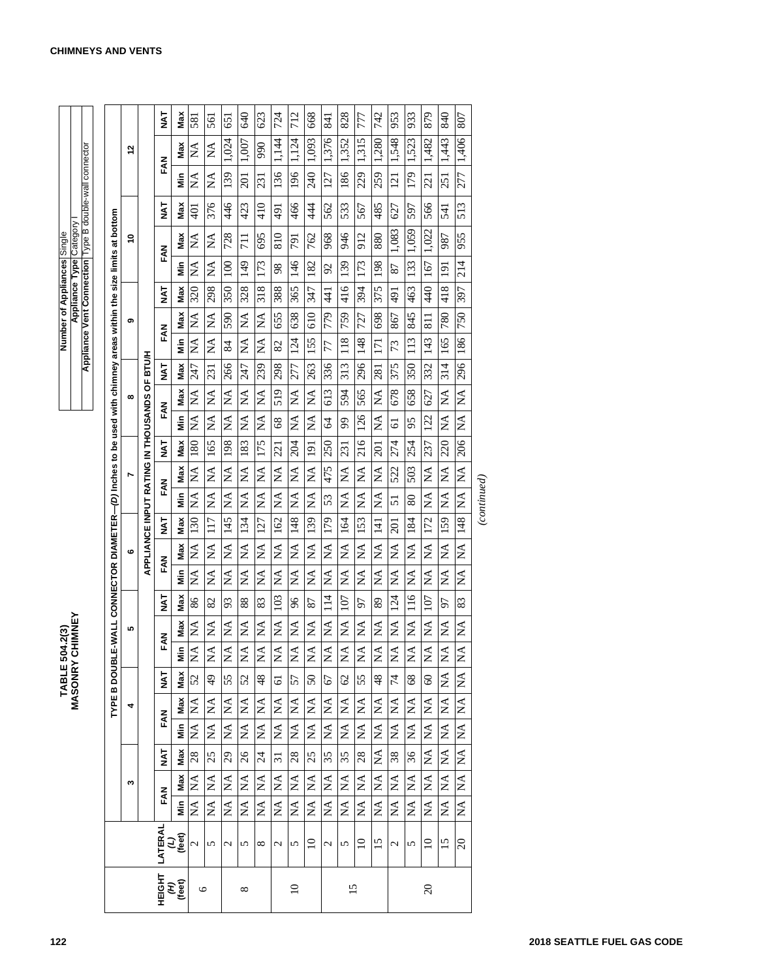|                         |                 |                                               |                                     |                  |                             | TABLE 504<br>MASONRY CH          |                         | 04.2(3)<br>CHIMNEY                   |                             |                           |                                   |                             |             |                                                                     |            |                            |                           |     |                             |     | <b>Appliance Type</b> |              |                                                               |                                                        |                  |                           |     |
|-------------------------|-----------------|-----------------------------------------------|-------------------------------------|------------------|-----------------------------|----------------------------------|-------------------------|--------------------------------------|-----------------------------|---------------------------|-----------------------------------|-----------------------------|-------------|---------------------------------------------------------------------|------------|----------------------------|---------------------------|-----|-----------------------------|-----|-----------------------|--------------|---------------------------------------------------------------|--------------------------------------------------------|------------------|---------------------------|-----|
|                         |                 |                                               |                                     |                  |                             |                                  |                         |                                      |                             |                           |                                   |                             |             |                                                                     |            |                            |                           |     |                             |     |                       |              | Category                                                      | Appliance Vent Connection Type B double-wall connector |                  |                           |     |
|                         |                 |                                               |                                     |                  |                             | TYPE B DOUBL                     |                         |                                      | E-WALL                      | <b>CONNECTOR DIAMETER</b> |                                   |                             |             |                                                                     |            |                            |                           |     |                             |     |                       |              |                                                               |                                                        |                  |                           |     |
|                         |                 |                                               | S                                   |                  |                             | 4                                |                         |                                      | ю                           |                           |                                   | ဖ                           |             | $-D$ ) inches to be                                                 |            |                            | ထ                         |     |                             | ၜ   |                       |              | used with chimney areas within the size limits at bottom<br>ş |                                                        |                  | N                         |     |
|                         |                 |                                               |                                     |                  |                             |                                  |                         |                                      |                             |                           |                                   |                             |             | APPLIANCE INPUT RATING IN THOUSANDS OF BTU/H                        |            |                            |                           |     |                             |     |                       |              |                                                               |                                                        |                  |                           |     |
|                         | LATERAL         |                                               | FAN                                 | <b>TYN</b>       | FAN                         |                                  | $\overline{\mathbf{x}}$ | <b>FAN</b>                           |                             | š                         | <b>EAN</b>                        |                             | <b>TAN</b>  | FAN                                                                 | <b>TXL</b> |                            | FAN                       | 7XL |                             | FAN | ₹                     |              | FAN                                                           | š                                                      | 즟<br>            |                           | š   |
| HEIGHT<br>(H)<br>(feet) | <b>A</b>        | iin                                           | Max                                 | Max              | Min                         | Max                              | Max                     | c<br>Ξ                               | Max                         | Max                       | Nin                               | Max                         | Max         | Max<br>Μiρ                                                          | Max        | Μiη                        | Max                       | Max | iin                         | Max | Max                   | İn           | Max                                                           | Max                                                    | İn               | Max                       | Max |
|                         | $\mathcal{L}$   | AN                                            | $\stackrel{\blacktriangle}{\simeq}$ | $28\,$           | $\lesssim$                  | $\mathbb{A}^{\mathbf{A}}$        | 52                      | $\lessapprox$                        | $\mathbb{E}$                | $86\,$                    | $\stackrel{\Delta}{\geq}$         | $\sum_{i=1}^{n}$            | 130         | $\stackrel{\Delta}{\geq}$<br>$\lesssim$                             | 180        | $\mathsf{N}\mathsf{A}$     | $\mathbb{E}$              | 747 | $\overline{\mathsf{M}}$     | Ź   | 320                   | ΙÃ           | $\mathbb{A}^{\mathbf{A}}$                                     | 401                                                    | $\sum_{i=1}^{n}$ | $\mathop{\mathsf{NA}}$    | 581 |
| $\mathbf \circ$         | $\sigma$        | $\stackrel{\blacktriangle}{\approx}$          | $\stackrel{\Delta}{\textrm{NA}}$    | 25               | $\stackrel{\Delta}{\simeq}$ | $\stackrel{\Delta}{\geq}$        | $\frac{1}{2}$           | $\mathop{\mathsf{NA}}$               | $\mathbb{A}$                | $82\,$                    | $\stackrel{\blacktriangle}{\geq}$ | $\mathbb{A}^{\mathsf{A}}$   | 117         | $\mathop{\mathsf{X}}\nolimits$<br>$\stackrel{\blacktriangle}{\geq}$ | 165        | $\mathbb{A}^{\mathbf{A}}$  | $\mathbb{A}$              | 231 | $\lesssim$                  | Ź   | 298                   | $\mathbb{E}$ | $\stackrel{\Delta}{\simeq}$                                   | 376                                                    | $\mathbb{A}$     | $\stackrel{\Delta}{\geq}$ | 561 |
|                         | $\mathbf{C}$    | $\mathop{\rm NA}\nolimits$                    | $\stackrel{\Delta}{\geq}$           | $\overline{0}$   | $\lesssim$                  | $\sum_{i=1}^{n}$                 | 55                      | $\mathbb{X}$                         | $\mathbb{A}$                | 93                        | $\mathbb{X}$                      | $\sum_{i=1}^{n}$            | 145         | $\mathbb{A}$<br>$\sum_{i=1}^{n}$                                    | 198        | ΧÁ                         | $\mathbb{A}$              | 266 | 84                          | 590 | 350                   | 100          | 728                                                           | 446                                                    | 139              | 1,024                     | 651 |
| ${}^{\circ}$            | 5               | $\lesssim$                                    | $\stackrel{\Delta}{\simeq}$         | 26               | $\stackrel{\Delta}{\simeq}$ | $\mathbb{A}^{\mathbf{A}}$        | 52                      | $\stackrel{\blacktriangle}{\approx}$ | $\stackrel{\Delta}{\simeq}$ | $88\,$                    | $\mathbb{E}$                      | $\mathbb{A}^{\mathbf{A}}$   | 134         | $\mathop{\mathsf{X}}\nolimits$<br>$\stackrel{\blacktriangle}{\ge}$  | 183        | $\mathbb{A}^{\mathcal{A}}$ | $\mathbb{A}$              | 247 | $\stackrel{\Delta}{\simeq}$ | Ź   | 328                   | 149          | <b>TI</b>                                                     | 423                                                    | 201              | 1,007                     | 940 |
|                         | $\infty$        | $\mathbb N$                                   | $\overline{\text{NA}}$              | $\overline{24}$  | $\mathbb{E}$                | $\mathbb{A}$                     | 48                      | <b>AN</b>                            | $\mathbb{A}$                | 83                        | $\mathbb{X}$                      | $\sum_{i=1}^{n}$            | 127         | $\mathbb{A}^{\mathbf{A}}$<br>$\sum_{i=1}^{n}$                       | 175        | $\mathbb{A}^{\mathsf{A}}$  | Ź                         | 239 | ₹                           | Ź   | 318                   | 173          | 695                                                           | 410                                                    | $\overline{23}$  | 990                       | 623 |
|                         | $\sim$          | $\lesssim$                                    | $\stackrel{\Delta}{\simeq}$         | $\overline{31}$  | $\mathbb{E}$                | ₹                                | $\overline{6}$          | $\mathop{\mathsf{NA}}$               | $\mathbb{A}$                | 103                       | $\mathbb{A}$                      | ÁN                          | 162         | Á<br>$\mathbb{A}$                                                   | 221        | $68\,$                     | 519                       | 298 | 82                          | 655 | 388                   | 98           | 810                                                           | 491                                                    | 136              | 1,144                     | 724 |
| $\Xi$                   | $\sigma$        | <b>AN</b>                                     | $\mathbb{A}^{\mathbf{A}}$           | $28\,$           | $\stackrel{\Delta}{\geq}$   | $\mathbb{A}$                     | 57                      | $\mathbb N\mathbb A$                 | $\sum_{i=1}^{n}$            | 96                        | $\mathbb{E}$                      | $\mathbb{A}$                | 148         | $\mathbb{E}$<br>₹                                                   | 204        | $\mathbb{A}$               | $\mathbb{A}^{\mathbf{A}}$ | 277 | 124                         | 638 | 365                   | 146          | 791                                                           | 466                                                    | 196              | 1,124                     | 712 |
|                         | $\overline{10}$ | $\sum_{i=1}^{n}$                              | $\mathop{\mathsf{X}}\nolimits$      | 25               | $\stackrel{\Delta}{\geq}$   | $\mathbb{E}$                     | ${\rm S0}$              | $\mathbb N$                          | $\sum_{i=1}^{n}$            | 87                        | $\mathbb{E}$                      | $\mathbb{A}^{\mathsf{A}}$   | 139         | $\mathbb{A}^{\mathbf{A}}$<br>Ş                                      | 191        | $\mathbb{A}^{\mathcal{A}}$ | $\mathbb{A}$              | 263 | 155                         | 610 | 347                   | 182          | 762                                                           | 44                                                     | 240              | 1,093                     | 668 |
|                         | $\overline{C}$  | $\mathop{\mathsf{NA}}$                        | $\mathbb{X}^{\mathsf{A}}$           | 55               | <b>NA</b>                   | $\sum_{i=1}^{n}$                 | 67                      | $\mathbb{N}\mathbb{A}$               | $\mathbb N\mathbb A$        | $\frac{14}{1}$            | Á                                 | $\sum_{i=1}^{n}$            | 179         | 475<br>53                                                           | 250        | 2                          | 613                       | 336 | 77                          | 779 | $\frac{41}{3}$        | 92           | 968                                                           | 562                                                    | 127              | 1,376                     | 841 |
|                         | $\sim$          | $\lesssim$                                    | $\mathop{\mathsf{X}}\nolimits$      | 35               | $\stackrel{\Delta}{\simeq}$ | $\stackrel{\blacktriangle}{\ge}$ | $\mathcal{O}$           | $\mathbb{N}\mathbb{A}$               | <b>AN</b>                   | 107                       | $\stackrel{\blacktriangle}{\ge}$  | $\mathbb{A}^{\mathsf{A}}$   | 164         | $\mathbb{A}^{\mathbf{A}}$<br>$\stackrel{\blacktriangle}{\geq}$      | 231        | 66                         | 594                       | 313 | 118                         | 759 | 416                   | 139          | 946                                                           | 533                                                    | 186              | 1,352                     | 828 |
| 15                      | $\overline{10}$ | $\mathop{\mathsf{NA}}$                        | $\sum_{i=1}^{n}$                    | 87               | $\mathbb{N}\mathsf{A}$      | $\lesssim$                       | 55                      | $\mathbb{N}\mathbb{A}$               | <b>NA</b>                   | 50                        | $\stackrel{\Delta}{\geq}$         | ΧÁ                          | 153         | $\mathbb{A}^{\mathsf{A}}$<br>₹                                      | 216        | 126                        | 565                       | 296 | 148                         | 727 | 394                   | 173          | 912                                                           | 567                                                    | 229              | 1,315                     | 777 |
|                         | 15              | $\rm \stackrel{A}{\sim}$                      | $\mathbb{X}^{\mathsf{A}}$           | É                | $\stackrel{\Delta}{\simeq}$ | ÁX                               | $48$                    | $\mathbb{N}\mathbb{A}$               | <b>AN</b>                   | $\bf 89$                  | $\stackrel{\triangle}{\simeq}$    | ΧÁ                          | 141         | $\mathbb{A}^{\mathsf{A}}$<br>Ş                                      | 201        | Á                          | $\mathbb{N}\mathbb{A}$    | 281 | 171                         | 698 | 375                   | 198          | 880                                                           | 485                                                    | 259              | 1,280                     | 742 |
|                         | $\mathcal{L}$   | <b>AN</b>                                     | $\mathop{\rm NA}\nolimits$          | 88               | <b>NA</b>                   | $\mathbb{A}$                     | $74$                    | $\mathop{\rm NA}\nolimits$           | <b>AN</b>                   | 124                       | <b>AN</b>                         | <b>NA</b>                   | 201         | 522<br>$\overline{5}$                                               | 274        | $\overline{6}$             | 678                       | 375 | $73$                        | 867 | 491                   | 87           | 1,083                                                         | 627                                                    | 121              | 1,548                     | 953 |
|                         | 5               | $\stackrel{\blacktriangle}{\scriptstyle\geq}$ | $\mathop{\rm NA}\nolimits$          | 36               | $\stackrel{\Delta}{\geq}$   | $\mathbb{A}$                     | $68\,$                  | $\sum_{i=1}^{n}$                     | <b>AN</b>                   | 116                       | $\stackrel{\blacktriangle}{\geq}$ | $\mathbb{X}^{\mathsf{A}}$   | 184         | 503<br>80                                                           | 254        | 95                         | 658                       | 350 | 113                         | 845 | 463                   | 133          | 1,059                                                         | 597                                                    | 179              | 1,523                     | 933 |
| $\overline{c}$          | $\overline{10}$ | $\mathbb N$                                   | $\mathbb{X}^{\mathsf{A}}$           | <b>NA</b>        | $\mathbb{N}\mathsf{A}$      | ÁX                               | $\pmb{\mathcal{S}}$     | $\mathbb{X}^{\mathsf{A}}$            | <b>AN</b>                   | 107                       | <b>AN</b>                         | <b>NA</b>                   | 172         | $\mathop{\rm NA}$<br>ΑN                                             | 237        | 122                        | 627                       | 332 | 143                         | 811 | 440                   | 167          | 1,022                                                         | 566                                                    | 221              | 1,482                     | 879 |
|                         | 15              | <b>AN</b>                                     | $\mathop{\rm NA}\nolimits$          | $\sum_{i=1}^{n}$ | $\mathbb{N}\mathbb{A}$      | $\mathop{\rm NA}\nolimits$       | <b>NA</b>               | <b>A</b>                             | $\mathbb{N}\mathsf{A}$      | 57                        | $\sum_{i=1}^{n}$                  | $\mathbb{X}^{\mathsf{A}}$   | 159         | $\stackrel{\Delta}{\simeq}$<br>$\sum_{i=1}^{n}$                     | 220        | $\tilde{A}$                | $\lessapprox$             | 314 | 165                         | 780 | 418                   | 191          | 987                                                           | 541                                                    | 251              | 1,443                     | 840 |
|                         | $\overline{c}$  | $\mathbb{A}$                                  | $\mathbb{X}^{\mathsf{A}}$           | $\sum_{i=1}^{n}$ | $\lesssim$                  | É                                | <b>NA</b>               | $\mathop{\rm NA}\nolimits$           | $\stackrel{\Delta}{\geq}$   | 83                        | $\sum_{i=1}^{n}$                  | $\stackrel{\Delta}{\simeq}$ | 148         | $\stackrel{\Delta}{\geq}$<br>$\sum_{i=1}^{n}$                       | 206        | $\mathsf{N}\mathsf{A}$     | $\stackrel{\Delta}{\geq}$ | 296 | 186                         | 750 | 397                   | 214          | 955                                                           | 513                                                    | 277              | 1,406                     | 807 |
|                         |                 |                                               |                                     |                  |                             |                                  |                         |                                      |                             |                           |                                   |                             | (continued) |                                                                     |            |                            |                           |     |                             |     |                       |              |                                                               |                                                        |                  |                           |     |
|                         |                 |                                               |                                     |                  |                             |                                  |                         |                                      |                             |                           |                                   |                             |             |                                                                     |            |                            |                           |     |                             |     |                       |              |                                                               |                                                        |                  |                           |     |
|                         |                 |                                               |                                     |                  |                             |                                  |                         |                                      |                             |                           |                                   |                             |             |                                                                     |            |                            |                           |     |                             |     |                       |              |                                                               |                                                        |                  |                           |     |
|                         |                 |                                               |                                     |                  |                             |                                  |                         |                                      |                             |                           |                                   |                             |             |                                                                     |            |                            |                           |     |                             |     |                       |              |                                                               |                                                        |                  |                           |     |
|                         |                 |                                               |                                     |                  |                             |                                  |                         |                                      |                             |                           |                                   |                             |             |                                                                     |            |                            |                           |     |                             |     |                       |              |                                                               |                                                        |                  |                           |     |
|                         |                 |                                               |                                     |                  |                             |                                  |                         |                                      |                             |                           |                                   |                             |             |                                                                     |            |                            |                           |     |                             |     |                       |              |                                                               |                                                        |                  |                           |     |
|                         |                 |                                               |                                     |                  |                             |                                  |                         |                                      |                             |                           |                                   |                             |             |                                                                     |            |                            |                           |     |                             |     |                       |              |                                                               |                                                        |                  |                           |     |
|                         |                 |                                               |                                     |                  |                             |                                  |                         |                                      |                             |                           |                                   |                             |             |                                                                     |            |                            |                           |     |                             |     |                       |              |                                                               |                                                        |                  |                           |     |
|                         |                 |                                               |                                     |                  |                             |                                  |                         |                                      |                             |                           |                                   |                             |             |                                                                     |            |                            |                           |     |                             |     |                       |              |                                                               |                                                        |                  |                           |     |
|                         |                 |                                               |                                     |                  |                             |                                  |                         |                                      |                             |                           |                                   |                             |             |                                                                     |            |                            |                           |     |                             |     |                       |              |                                                               |                                                        |                  |                           |     |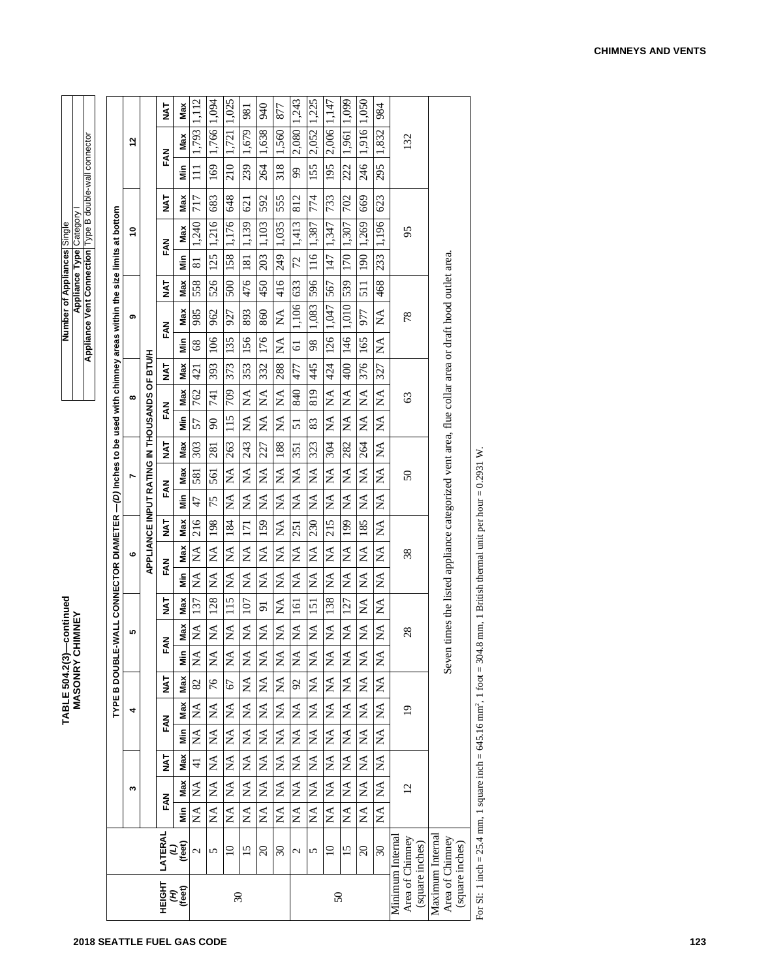| Ξ<br>Ē<br>ŗ | ٢.<br>٦<br>▘<br>Ľ |
|-------------|-------------------|
| $-504.$     | <b>IASO</b>       |
| ģ<br>7      |                   |

|                      |                      | vpe B double-wall connector |  |
|----------------------|----------------------|-----------------------------|--|
| lumber of Appliances | ype∣∖<br>Appliance 1 | Appliance Vent Connection   |  |

|                                     |                   |                                                                  |                                     |                           |                                     |                           |                           |                         |                            |                           |                          |                        |               |                        |                      |                                                                                               |            |                |               |               | Appliance Vent Connection Type B double-wall connector |       |    |     |                  |                |               |
|-------------------------------------|-------------------|------------------------------------------------------------------|-------------------------------------|---------------------------|-------------------------------------|---------------------------|---------------------------|-------------------------|----------------------------|---------------------------|--------------------------|------------------------|---------------|------------------------|----------------------|-----------------------------------------------------------------------------------------------|------------|----------------|---------------|---------------|--------------------------------------------------------|-------|----|-----|------------------|----------------|---------------|
|                                     |                   |                                                                  |                                     |                           |                                     | TYPE B DOUBLE-            |                           | <b>WALL</b>             |                            | <b>CONNECTOR DIAMETER</b> |                          |                        |               |                        |                      | $-(D)$ Inches to be used with chimney areas within the size limits at bottom                  |            |                |               |               |                                                        |       |    |     |                  |                |               |
|                                     |                   | S                                                                |                                     |                           | 4                                   |                           |                           | ю                       |                            |                           | ဖ                        |                        |               |                        |                      | $\infty$                                                                                      |            |                | o             |               |                                                        |       | \$ |     | 2,               |                |               |
|                                     |                   |                                                                  |                                     |                           |                                     |                           |                           |                         |                            |                           |                          | APPLIANCE INPUT RATING |               |                        |                      | IN THOUSANDS                                                                                  | щ<br>۰     | <b>HULB</b>    |               |               |                                                        |       |    |     |                  |                |               |
| <b>HEIGHT</b>                       | LATERAL           | <b>MA</b>                                                        | <b>TAN</b>                          |                           | FAN                                 | TAN                       |                           | FAN                     | <b>TAN</b>                 | FAN                       |                          | TAN                    | FAN           |                        | TAN                  | FAN                                                                                           | <b>TAN</b> |                | FAN           | $\frac{1}{2}$ |                                                        | FAN   |    | š   | FAN              |                | $\frac{1}{2}$ |
| Eg                                  | <b>Ages</b>       | Max<br>iin                                                       | Max                                 | Nin                       | Max                                 | Max                       | Min                       | Max                     | Max                        | ΜİΛ                       | Max                      | Max                    | Nin           | Max                    | Max                  | Max<br>Min                                                                                    | Max        | Min            | Max           | Max           | χiη                                                    | Max   |    | Max | Max<br>iin       |                | Max           |
|                                     | $\mathbf{C}$      | <b>AN</b><br>ÅМ                                                  | $\pm$                               | <b>AN</b>                 | <b>AN</b>                           | $82\,$                    | <b>AN</b>                 | $\lesssim$              | 137                        | <b>AN</b>                 | <b>AN</b>                | 216                    | $\downarrow$  | <b>18S</b>             | 303                  | 762<br>57                                                                                     | 421        | $\sqrt{8}$     | 586           | 558           | 18                                                     | 1,240 |    | 717 | 1,793<br>$\Xi$   |                | 1,112         |
|                                     | 5                 | $\mathop{\mathsf{X}}\nolimits$<br>$\mathbb{A}$                   | $\stackrel{\Delta}{\simeq}$         | $\mathbb{A}$              | $\mathop{\mathsf{NA}}$              | 76                        | $\lesssim$                | <b>AN</b>               | 128                        | $\lesssim$                | $\widetilde{\mathbf{R}}$ | 861                    | 75            | 561                    | <b>187</b>           | 741<br>06                                                                                     | 393        | 106            | 962           | 526           | 125                                                    | 1,216 |    | 683 | 1,766<br>169     |                | 1,094         |
| $\mathfrak{S}0$                     | $\overline{10}$   | $\mathbb{X}^{\mathsf{A}}$<br>ÁN                                  | $\mathbb{A}$                        | $\tilde{z}$               | $\mathbb{A}^{\mathbf{A}}$           | 67                        | $\lesssim$                | <b>AN</b>               | 115                        | $\lesssim$                | $\mathbb{A}$             | 184                    | $\lesssim$    | $\lesssim$             | 263                  | 709<br>115                                                                                    | 373        | 135            | 927           | 500           | 158                                                    | 1,176 |    | 648 | 1,721<br>210     |                | 1,025         |
|                                     | 15                | $\mathbb{X}^{\mathsf{A}}$<br>$\mathop{\rm NA}\nolimits$          | $\lessapprox$                       | $\mathbb{X}^{\mathsf{A}}$ | $\mathbb{X}^{\mathsf{A}}$           | $\mathbb{A}$              | $\mathbb{A}$              | $\mathbb{N}\mathsf{A}$  | 107                        | $\mathbb{A}$              | $\lessapprox$            | 171                    | $\lesssim$    | <b>NA</b>              | 243                  | <b>AN</b><br><b>AN</b>                                                                        | 353        | 156            | 893           | 476           | 181                                                    | 1,139 |    | 621 | 1,679<br>239     | 981            |               |
|                                     | $\overline{c}$    | <b>AN</b><br>$\overline{\mathsf{M}}$                             | <b>AN</b>                           | <b>AN</b>                 | $\overline{\mathsf{M}}$             | <b>AN</b>                 | ÁN                        | $\overline{\mathsf{M}}$ | $\overline{5}$             | Ř                         | Ř                        | 159                    | <b>AN</b>     | <b>AN</b>              | 227                  | <b>AN</b><br><b>AN</b>                                                                        | 332        | 176            | 860           | 450           | 203                                                    | 1,103 |    | 592 | 1,638<br>264     | 940            |               |
|                                     | 0 <sup>5</sup>    | $\mathop{\mathrm{NA}}$<br>$\mathbb{A}^{\mathsf{A}}$              | $\lesssim$                          | $\lesssim$                | $\mathop{\rm NA}\nolimits$          | $\mathbb{A}$              | $\mathbb{A}$              | <b>AN</b>               | $\mathop{\rm NA}\nolimits$ | $\mathbb{X}$              | $\sum_{i=1}^{n}$         | $\mathbb{A}$           | $\lesssim$    | $\lesssim$             | 188                  | $\mathbb{A}$<br>$\mathbb{A}$                                                                  | 288        | $\mathbb{A}$   | $\mathbb{A}$  | 416           | 249                                                    | 1,035 |    | 555 | 1,560<br>318     | 877            |               |
|                                     | Z                 | $\mathbb{X}^{\mathsf{A}}$<br>$\mathbb{X}^{\mathsf{A}}$           | $\stackrel{\blacktriangle}{\simeq}$ | $\mathbb{A}$              | $\mathbb{X}^{\mathsf{A}}$           | 92                        | $\sum_{i=1}^{n}$          | $\mathbb{A}^\mathsf{A}$ | 161                        | <b>AN</b>                 | <b>NA</b>                | 251                    | $\mathbb N$   | <b>AN</b>              | 351                  | 078<br>$\overline{5}$                                                                         | 477        | $\overline{6}$ | 1,106         | 633           | 72                                                     | 1,413 |    | 812 | 2,080<br>66      |                | 1,243         |
|                                     | $\mathbf{\Omega}$ | $\mathbb{X}^{\mathbb{A}}$<br>$\mathbb{X}$                        | $\lessapprox$                       | $\lesssim$                | $\stackrel{\blacktriangle}{\simeq}$ | $\lessapprox$             | $\lesssim$                | <b>AN</b>               | 151                        | $\lesssim$                | $\mathbb{A}$             | 230                    | <b>NA</b>     | <b>AN</b>              | 323                  | 819<br>88                                                                                     | 445        | 98             | 1,083         | 596           | 116                                                    | 1,387 |    | 774 | 2,052<br>155     |                | 1,225         |
| $50\,$                              | $\overline{0}$    | $\mathbb{N}\mathbb{A}$<br><b>AN</b>                              | $\mathop{\rm NA}\nolimits$          | $\sum_{i=1}^{n}$          | $\stackrel{\Delta}{\simeq}$         | $\mathbb{A}$              | <b>AN</b>                 | <b>AN</b>               | 138                        | $\mathbb{A}$              | <b>NA</b>                | 215                    | <b>NA</b>     | <b>NA</b>              | 304                  | <b>NA</b><br><b>AN</b>                                                                        | 424        | 126            | 1,047         | 567           | 147                                                    | 1,347 |    | 733 | $\overline{195}$ | 1,147<br>2,006 |               |
|                                     | 15                | $\stackrel{\Delta}{\simeq}$<br>$\mathop{\mathsf{NA}}$            | $\mathbb{A}$                        | $\mathbb{A}$              | $\mathbb{A}^{\mathsf{A}}$           | $\mathbb{X}^{\mathsf{A}}$ | $\mathbb{A}$              | $\mathbb{A}\mathbb{N}$  | 127                        | $\mathbb{X}^{\mathsf{A}}$ | $\mathbb{A}$             | 199                    | $\lessapprox$ | $\lesssim$             | 282                  | $\stackrel{\triangle}{\simeq}$<br>$\stackrel{\Delta}{\approx}$                                | 400        | 146            | 1,010         | 539           | 170                                                    | 1,307 |    | 702 | 1,961<br>222     |                | 1,099         |
|                                     | $\Omega$          | $\mathbb{X}^{\mathsf{A}}$<br>$\stackrel{\blacktriangle}{\simeq}$ | $\mathbb{A}$                        | $\mathbb{A}$              | $\mathbb{A}$                        | $\mathbb{A}$              | $\mathbb{A}$              | <b>AN</b>               | $\mathbb{A}$               | $\mathbb{A}$              | $\mathbb{A}$             | 185                    | $\lessapprox$ | $\lessapprox$          | 264                  | $\lesssim$<br>$\mathbb{N}\mathbb{A}$                                                          | 376        | 165            | 977           | 511           | 190                                                    | 1,269 |    | 669 | 246              | 1,916 1,050    |               |
|                                     | 30                | $\mathbb{X}$<br>$\mathbf{A}$                                     | $\mathbb{A}$                        | $\overline{M}$            | $\mathop{\mathsf{Z}}\nolimits$      | $\mathbb{X}^{\mathsf{A}}$ | $\mathbb{X}^{\mathsf{A}}$ | $\mathbb{\tilde{A}}$    | $\mathbb{X}^{\mathbb{A}}$  | $\lessapprox$             | $\mathbb{E}$             | $\lesssim$             | $\lesssim$    | $\mathbb{N}\mathbb{A}$ | $\mathbb{\tilde{A}}$ | $\mathbb{N}\mathbb{A}$<br>$\mathbb N$                                                         | 327        | $\lesssim$     | $\lessapprox$ | 468           | 233                                                    | 1,196 |    | 623 | 1,832<br>295     | 984            |               |
| Minimum Internal<br>Area of Chimney |                   | $\overline{c}$                                                   |                                     |                           | $\overline{0}$                      |                           |                           | 28                      |                            |                           | 38                       |                        |               | $50\,$                 |                      | $\mathcal{C}$                                                                                 |            |                | 78            |               |                                                        |       | 95 |     | 132              |                |               |
| (square inches)                     |                   |                                                                  |                                     |                           |                                     |                           |                           |                         |                            |                           |                          |                        |               |                        |                      |                                                                                               |            |                |               |               |                                                        |       |    |     |                  |                |               |
| Maximum Internal                    |                   |                                                                  |                                     |                           |                                     |                           |                           |                         |                            |                           |                          |                        |               |                        |                      |                                                                                               |            |                |               |               |                                                        |       |    |     |                  |                |               |
| Area of Chimney<br>(square inches)  |                   |                                                                  |                                     |                           |                                     |                           | Seven <sub>1</sub>        |                         |                            |                           |                          |                        |               |                        |                      | times the listed appliance categorized vent area, flue collar area or draft hood outlet area. |            |                |               |               |                                                        |       |    |     |                  |                |               |
|                                     |                   |                                                                  |                                     |                           |                                     |                           |                           |                         |                            |                           |                          |                        |               |                        |                      |                                                                                               |            |                |               |               |                                                        |       |    |     |                  |                |               |
|                                     |                   |                                                                  |                                     |                           |                                     |                           |                           |                         |                            |                           |                          |                        |               |                        |                      |                                                                                               |            |                |               |               |                                                        |       |    |     |                  |                |               |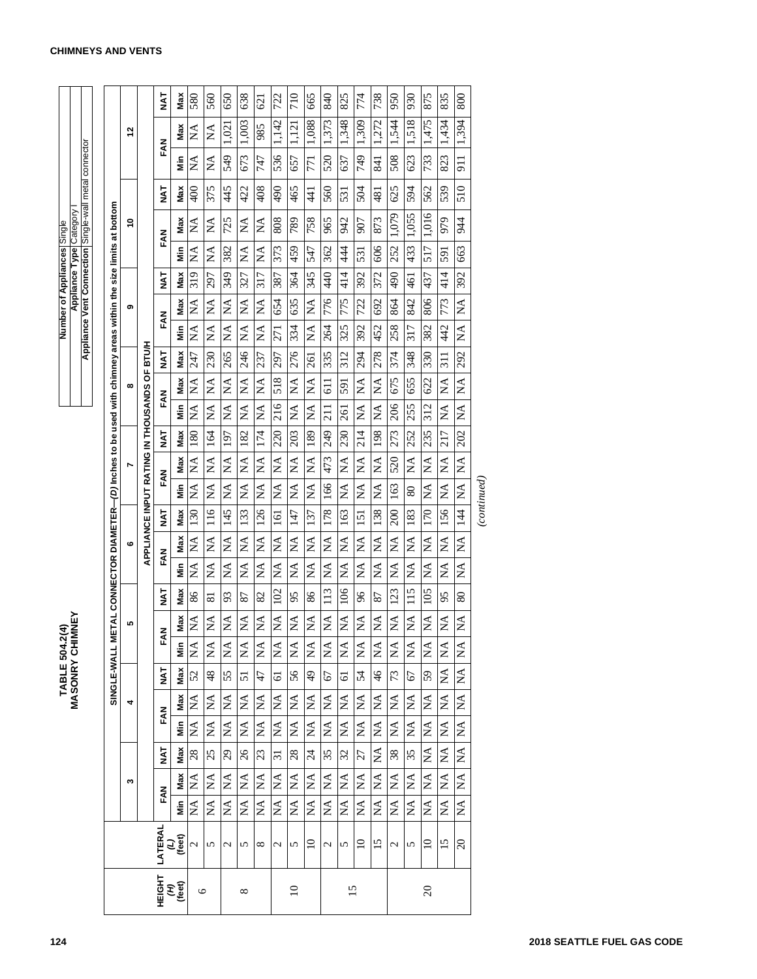|                       |                         | Appliance Vent Connection Single-wall metal connector |
|-----------------------|-------------------------|-------------------------------------------------------|
| Number of Appliances! | Appliance Type Category |                                                       |

| 124                        |                              |                 |                             |                                   |                            |                                          |                        |                      | TABLE 504.2(<br>MASONRY CHIM        | ५)<br>अार                   |                         |                                     |                             |                                              |                                   |                            |                         |                             |                            |     |                                     | Number of Appliances Single<br>Appliance Type               |     |                                | Category     |                                                       |     |                  |                |
|----------------------------|------------------------------|-----------------|-----------------------------|-----------------------------------|----------------------------|------------------------------------------|------------------------|----------------------|-------------------------------------|-----------------------------|-------------------------|-------------------------------------|-----------------------------|----------------------------------------------|-----------------------------------|----------------------------|-------------------------|-----------------------------|----------------------------|-----|-------------------------------------|-------------------------------------------------------------|-----|--------------------------------|--------------|-------------------------------------------------------|-----|------------------|----------------|
|                            |                              |                 |                             |                                   |                            |                                          |                        |                      |                                     |                             |                         |                                     |                             |                                              |                                   |                            |                         |                             |                            |     |                                     |                                                             |     |                                |              | Appliance Vent Connection Single-wall metal connector |     |                  |                |
|                            |                              |                 |                             |                                   |                            |                                          |                        |                      | SINGLE-WALL MI                      | ETAL                        |                         |                                     |                             | CONNECTOR DIAMETER-(D) Inches to             |                                   |                            |                         |                             |                            |     |                                     | be used with chimney areas within the size limits at bottom |     |                                |              |                                                       |     |                  |                |
|                            |                              |                 |                             | S                                 |                            |                                          | 4                      |                      |                                     | ю                           |                         |                                     | ဖ                           |                                              |                                   |                            |                         |                             | $\infty$                   |     |                                     | თ                                                           |     |                                | Ş            |                                                       |     | <u>يہ</u>        |                |
|                            |                              |                 |                             |                                   |                            |                                          |                        |                      |                                     |                             |                         |                                     |                             | APPLIANCE INPUT RATING IN THOUSANDS OF BTU/H |                                   |                            |                         |                             |                            |     |                                     |                                                             |     |                                |              |                                                       |     |                  |                |
|                            | <b>HEIGHT</b>                | LATERAL         |                             | FAN                               | š                          |                                          | FAN                    | š                    |                                     | z<br>준                      | 7<br>N                  |                                     | FAN                         | TAN                                          | FAN                               |                            | $\overline{\mathbf{z}}$ | FAN                         |                            | š   | FAN                                 |                                                             | š   | <b>EAN</b>                     |              | TAN                                                   | FAN |                  | <b>TYN</b>     |
|                            | $(E_{\text{ee}}^{\text{H}})$ | ربی<br>(feet)   | iin                         | Max                               | Max                        | iin                                      | Max                    | Max                  | iin                                 | Max                         | Max                     | iin                                 | Max                         | Max                                          | Μiρ                               | Max                        | Max                     | Nin                         | Max                        | Max | iin                                 | Max                                                         | Max | Nin                            | Max          | Max                                                   | Μiη | Max              | Max            |
|                            | $\circ$                      | $\mathcal{L}$   | ΧÁ                          | Ź                                 | $28\,$                     | Ž                                        | É                      | 52                   | $\mathbb{A}^{\mathsf{A}}$           | $\stackrel{\Delta}{\simeq}$ | $86\,$                  | $\stackrel{\blacktriangle}{\simeq}$ | $\mathbb{A}^{\mathsf{A}}$   | 130                                          | $\mathbb{A}$                      | ÁN                         | 180                     | $\sum_{i=1}^{n}$            | $\mathbb{X}^{\mathsf{A}}$  | 247 | $\stackrel{\blacktriangle}{\simeq}$ | $\sum_{i=1}^{n}$                                            | 319 | Ž                              | $\mathbb{A}$ | 400                                                   | ΧÁ  | $\mathbb{A}$     | 580            |
|                            |                              | 5               | $\stackrel{\Delta}{\simeq}$ | Ź                                 | 25                         | $\mathop{\mathsf{Z}}\nolimits$           | $\mathbb{E}$           | 48                   | $\mathbb{A}^{\mathsf{A}}$           | $\mathop{\mathsf{NA}}$      | $\overline{\textbf{8}}$ | $\mathbb{A}^{\mathsf{A}}$           | $\mathbb{A}^{\mathbf{A}}$   | 116                                          | $\mathbb{E}$                      | $\stackrel{\Delta}{\geq}$  | 164                     | $\stackrel{\Delta}{\simeq}$ | $\stackrel{\Delta}{\geq}$  | 230 | $\stackrel{\Delta}{\simeq}$         | $\mathbb{E}$                                                | 297 | ₹                              | $\mathbb{A}$ | 375                                                   | ₹   | $\sum_{i=1}^{n}$ | 560            |
|                            |                              | $\mathbf{C}$    | $\mathbb{A}$                | Ź                                 | 29                         | $\sum_{i=1}^{n}$                         | $\mathbb{A}$           | 55                   | $\mathbb{A}$                        | $\stackrel{\Delta}{\simeq}$ | 93                      | $\mathbb{A}$                        | $\mathbb{A}^{\mathcal{A}}$  | 145                                          | ₹                                 | $\mathbb{A}$               | 197                     | $\sum_{i=1}^{n}$            | $\mathop{\rm NA}\nolimits$ | 265 | $\mathbb{A}$                        | $\mathbb{A}$                                                | 349 | 382                            | 725          | 445                                                   | 549 | 1,02             | 650            |
|                            | ${}^{\circ}$                 | 5               | $\mathbb{A}^{\mathsf{A}}$   | Ź                                 | $\delta$                   | $\stackrel{\Delta}{\geq}$                | Ş                      | 51                   | ÁN                                  | $\stackrel{\Delta}{\simeq}$ | 87                      | $\stackrel{\Delta}{\simeq}$         | ÁN                          | 133                                          | Ş                                 | Ş                          | 182                     | ÁN                          | $\mathbb{A}^{\mathsf{A}}$  | 246 | ÁN                                  | $\mathbb{A}^{\mathcal{A}}$                                  | 327 | $\mathop{\mathsf{Z}}\nolimits$ | $\mathbb{A}$ | 422                                                   | 673 | 1,003            | 638            |
|                            |                              | ${}^{\circ}$    | $\mathbb{A}$                | $\mathbb{E}$                      | 23                         | $\mathop{\rm NA}\nolimits$               | ₹                      | 47                   | $\stackrel{\Delta}{\geq}$           | $\mathbf{N}\mathbf{A}$      | $82\,$                  | $\stackrel{\Delta}{\geq}$           | $\mathbb{E}$                | 126                                          | $\mathbb{X}$                      | $\mathbb{X}$               | 174                     | $\mathop{\rm NA}\nolimits$  | $\sum_{i=1}^{n}$           | 237 | $\stackrel{\Delta}{\geq}$           | $\mathbb{E}$                                                | 317 | $\sum_{i=1}^{n}$               | $\mathbb{A}$ | 408                                                   | 747 | 985              | $\overline{c}$ |
|                            |                              | $\mathcal{L}$   | $\mathbb{A}^{\mathsf{A}}$   | Ş                                 | $\overline{31}$            | $\sum_{i=1}^{n}$                         | Ş                      | 61                   | $\sum_{i=1}^{n}$                    | $\mathbb{\vec{A}}$          | 102                     | $\mathbb{A}^{\mathsf{A}}$           | $\mathbb{A}^{\mathsf{A}}$   | 161                                          | Ş                                 | $\mathbb{A}$               | 220                     | 216                         | 518                        | 297 | 271                                 | 654                                                         | 387 | 373                            | 808          | 490                                                   | 536 | 1,142            | 722            |
|                            | $\Omega$                     | 5               | $\mathbb{A}^{\mathsf{A}}$   | $\stackrel{\Delta}{\geq}$         | 28                         | $\mathbb{A}$                             | $\mathbb{A}$           | 56                   | $\mathop{\mathsf{NA}}$              | $\mathop{\rm NA}\nolimits$  | 95                      | $\stackrel{\Delta}{\simeq}$         | $\mathbb{A}^{\mathsf{A}}$   | 147                                          | $\stackrel{\Delta}{\geq}$         | $\stackrel{\Delta}{\geq}$  | 203                     | $\stackrel{\Delta}{\geq}$   | $\stackrel{\Delta}{\geq}$  | 276 | 334                                 | 635                                                         | 364 | 459                            | 789          | 465                                                   | 657 | 1,121            | 710            |
|                            |                              | $\overline{10}$ | $\mathbb{A}^{\mathsf{A}}$   | $\mathbb{A}$                      | $\overline{24}$            | $\mathbb{E}$                             | Ş                      | $\frac{4}{9}$        | $\mathbb{A}^{\mathsf{A}}$           | $\mathop{\rm NA}\nolimits$  | 86                      | $\mathbb{A}^{\mathsf{A}}$           | $\mathbb{A}^{\mathsf{A}}$   | 137                                          | $\stackrel{\blacktriangle}{\ge}$  | $\mathbb{A}$               | 681                     | $\mathbb{A}^{\mathsf{A}}$   | $\mathbb{A}^{\mathsf{A}}$  | 261 | $\mathbb{A}^{\mathsf{A}}$           | $\mathbb{A}^{\mathbf{A}}$                                   | 345 | 547                            | 758          | 44                                                    | 771 | 1,088            | 665            |
|                            |                              | N               | $\mathbb{A}^{\mathsf{A}}$   | $\sum_{i=1}^{n}$                  | 35                         | $\mathbb{E}$                             | Ž                      | 67                   | ΧÁ                                  | $\overline{\text{NA}}$      | 113                     | $\mathbb{X}^{\mathsf{A}}$           | $\mathbb{X}^{\mathsf{A}}$   | 178                                          | 166                               | 473                        | 249                     | 211                         | 611                        | 335 | 264                                 | 776                                                         | 440 | 362                            | 965          | 560                                                   | 520 | 1,373            | 840            |
|                            | 15                           | 5               | $\mathbb{R}^4$              | $\stackrel{\blacktriangle}{\geq}$ | 32                         | $\lessapprox$                            | $\sum_{i=1}^{n}$       | $\overline{6}$       | $\stackrel{\blacktriangle}{\simeq}$ | $\mathop{\mathsf{NA}}$      | 106                     | <b>AN</b>                           | $\mathbb{A}^{\mathsf{A}}$   | 163                                          | $\stackrel{\blacktriangle}{\geq}$ | $\stackrel{\Delta}{\geq}$  | 230                     | 261                         | 591                        | 312 | 325                                 | 775                                                         | 414 | 444                            | 942          | 531                                                   | 637 | 1,348            | 825            |
|                            |                              | $\overline{10}$ | $\mathsf{N}\mathsf{A}$      | <b>NA</b>                         | 77                         | $\rm \stackrel{A}{\sim}$                 | $\sum_{i=1}^{n}$       | 54                   | <b>NA</b>                           | $\mathbb{\bar{A}}$          | 96                      | $\mathop{\rm NA}\nolimits$          | $\stackrel{\Delta}{\geq}$   | 151                                          | $\sum_{i=1}^{n}$                  | $\mathbf{N}\mathbf{A}$     | 214                     | $\mathop{\rm NA}\nolimits$  | <b>NA</b>                  | 294 | 392                                 | 722                                                         | 392 | 531                            | 506          | 504                                                   | 949 | 1,309            | 774            |
|                            |                              | $\overline{15}$ | $\mathbb{X}^{\mathsf{A}}$   | $\sum_{i=1}^{n}$                  | $\mathop{\rm NA}\nolimits$ | $\sum_{i=1}^{n}$                         | $\mathbb{A}$           | 46                   | $\stackrel{\blacktriangle}{\simeq}$ | $\mathop{\rm NA}\nolimits$  | 87                      | $\stackrel{\blacktriangle}{\simeq}$ | $\mathbb{A}^{\mathsf{A}}$   | 138                                          | $\stackrel{\blacktriangle}{\geq}$ | $\mathbb{N}\mathbb{A}$     | 198                     | $\mathbb{N}\mathbb{A}$      | $\mathop{\rm NA}\nolimits$ | 278 | 452                                 | 692                                                         | 372 | 606                            | 873          | 481                                                   | 841 | ,272             | 738            |
|                            |                              | $\mathcal{L}$   | ΧÁ                          | $\stackrel{\Delta}{\geq}$         | $38\,$                     | $\stackrel{\triangle}{\scriptstyle\sim}$ | $\sum_{i=1}^{n}$       | 73                   | $\stackrel{\Delta}{\simeq}$         | $\mathbb{\tilde{A}}$        | 123                     | $\stackrel{\Delta}{\geq}$           | $\stackrel{\Delta}{\simeq}$ | 200                                          | 163                               | 520                        | 273                     | 206                         | 675                        | 374 | 258                                 | 864                                                         | 490 | 252                            | 1,079        | 625                                                   | 508 | 1,544            | 950            |
|                            |                              | 5               | $\sum_{i=1}^{n}$            | $\mathbb{N}\mathbb{A}$            | 35                         | $\rm \stackrel{A}{\sim}$                 | <b>AN</b>              | 67                   | $\stackrel{\blacktriangle}{\simeq}$ | $\stackrel{\Delta}{\geq}$   | 115                     | $\sum_{i=1}^{n}$                    | $\stackrel{\Delta}{\geq}$   | 183                                          | 80                                | <b>AN</b>                  | 252                     | 255                         | 655                        | 348 | <b>S17</b>                          | 842                                                         | 461 | 433                            | 1,055        | 594                                                   | 623 | 518              | 930            |
|                            | $\Omega$                     | $\Omega$        | $\mathsf{N}\mathsf{A}$      | <b>NA</b>                         | <b>AN</b>                  | $\rm \stackrel{A}{\sim}$                 | ΝA                     | 65                   | <b>NA</b>                           | <b>AN</b>                   | 105                     | <b>NA</b>                           | $\sum_{i=1}^{n}$            | 170                                          | ΑN                                | $\mathbb N\mathbb A$       | 235                     | 312                         | 622                        | 330 | 382                                 | 806                                                         | 437 | 517                            | 1,016        | 562                                                   | 733 | 1,475            | 875            |
|                            |                              | 5               | $\sum_{i=1}^{n}$            | <b>AN</b>                         | $\mathbb{N}\mathbb{A}$     | $\mathop{\mathsf{NA}}$                   | $\mathbb{N}\mathbb{A}$ | <b>AN</b>            | $\overline{\mathsf{M}}$             | <b>AN</b>                   | 95                      | $\mathbb{N}\mathbb{A}$              | $\mathbb{N}\mathbb{A}$      | 156                                          | <b>NA</b>                         | $\mathop{\rm NA}\nolimits$ | 217                     | $\mathop{\rm NA}\nolimits$  | $\mathbb{X}^\mathsf{A}$    | 311 | 442                                 | 773                                                         | 414 | 591                            | 979          | 539                                                   | 823 | 1,434            | 835            |
|                            |                              | $\Omega$        | $\stackrel{\Delta}{\simeq}$ | $\mathbb N\mathbb A$              | $\lesssim$                 | NA                                       | <b>NA</b>              | $\mathbb N\mathbb A$ | <b>NA</b>                           | <b>AN</b>                   | $80\,$                  | $\mathop{\rm NA}\nolimits$          | $\mathop{\rm NA}\nolimits$  | 144                                          | $\mathop{\rm NA}\nolimits$        | <b>AN</b>                  | 202                     | $\mathop{\rm NA}\nolimits$  | $\mathop{\rm NA}\nolimits$ | 292 | $\mathop{\rm NA}\nolimits$          | $\mathbb{X}^{\mathsf{A}}$                                   | 392 | 663                            | 944          | 510                                                   | 911 | 1,394            | 800            |
|                            |                              |                 |                             |                                   |                            |                                          |                        |                      |                                     |                             |                         |                                     |                             |                                              | (continued)                       |                            |                         |                             |                            |     |                                     |                                                             |     |                                |              |                                                       |     |                  |                |
|                            |                              |                 |                             |                                   |                            |                                          |                        |                      |                                     |                             |                         |                                     |                             |                                              |                                   |                            |                         |                             |                            |     |                                     |                                                             |     |                                |              |                                                       |     |                  |                |
|                            |                              |                 |                             |                                   |                            |                                          |                        |                      |                                     |                             |                         |                                     |                             |                                              |                                   |                            |                         |                             |                            |     |                                     |                                                             |     |                                |              |                                                       |     |                  |                |
|                            |                              |                 |                             |                                   |                            |                                          |                        |                      |                                     |                             |                         |                                     |                             |                                              |                                   |                            |                         |                             |                            |     |                                     |                                                             |     |                                |              |                                                       |     |                  |                |
|                            |                              |                 |                             |                                   |                            |                                          |                        |                      |                                     |                             |                         |                                     |                             |                                              |                                   |                            |                         |                             |                            |     |                                     |                                                             |     |                                |              |                                                       |     |                  |                |
|                            |                              |                 |                             |                                   |                            |                                          |                        |                      |                                     |                             |                         |                                     |                             |                                              |                                   |                            |                         |                             |                            |     |                                     |                                                             |     |                                |              |                                                       |     |                  |                |
|                            |                              |                 |                             |                                   |                            |                                          |                        |                      |                                     |                             |                         |                                     |                             |                                              |                                   |                            |                         |                             |                            |     |                                     |                                                             |     |                                |              |                                                       |     |                  |                |
|                            |                              |                 |                             |                                   |                            |                                          |                        |                      |                                     |                             |                         |                                     |                             |                                              |                                   |                            |                         |                             |                            |     |                                     |                                                             |     |                                |              |                                                       |     |                  |                |
|                            |                              |                 |                             |                                   |                            |                                          |                        |                      |                                     |                             |                         |                                     |                             |                                              |                                   |                            |                         |                             |                            |     |                                     |                                                             |     |                                |              |                                                       |     |                  |                |
|                            |                              |                 |                             |                                   |                            |                                          |                        |                      |                                     |                             |                         |                                     |                             |                                              |                                   |                            |                         |                             |                            |     |                                     |                                                             |     |                                |              |                                                       |     |                  |                |
|                            |                              |                 |                             |                                   |                            |                                          |                        |                      |                                     |                             |                         |                                     |                             |                                              |                                   |                            |                         |                             |                            |     |                                     |                                                             |     |                                |              |                                                       |     |                  |                |
|                            |                              |                 |                             |                                   |                            |                                          |                        |                      |                                     |                             |                         |                                     |                             |                                              |                                   |                            |                         |                             |                            |     |                                     |                                                             |     |                                |              |                                                       |     |                  |                |
| 2018 SEATTLE FUEL GAS CODE |                              |                 |                             |                                   |                            |                                          |                        |                      |                                     |                             |                         |                                     |                             |                                              |                                   |                            |                         |                             |                            |     |                                     |                                                             |     |                                |              |                                                       |     |                  |                |
|                            |                              |                 |                             |                                   |                            |                                          |                        |                      |                                     |                             |                         |                                     |                             |                                              |                                   |                            |                         |                             |                            |     |                                     |                                                             |     |                                |              |                                                       |     |                  |                |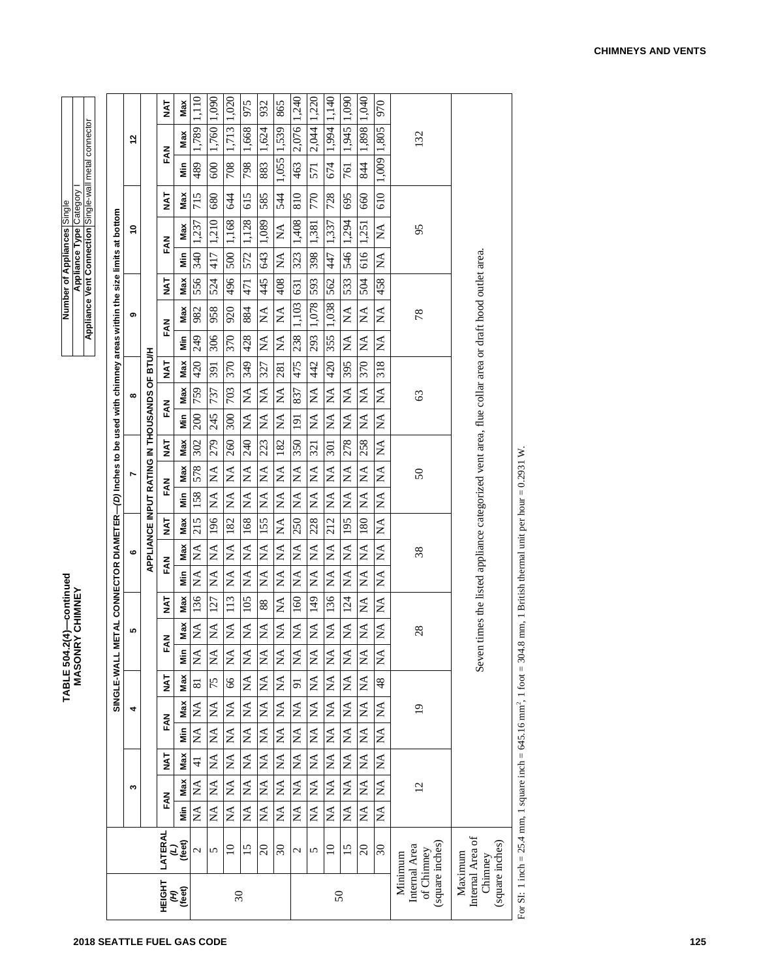| 1,055<br>1,009<br>883<br>798<br>844<br>600<br>708<br>674<br>iin<br>687<br>463<br>761<br>571<br>610<br>615<br>585<br>810<br>$\overline{770}$<br>695<br>715<br>544<br>728<br>660<br>Max<br>089<br>644<br>$\overline{M}$<br><code>CONNECTOR</code> DIAMETER $-($ D) Inches to be used with chimney areas within the size limits at bottom<br>1,210<br>1,168<br>1,128<br>1,089<br>1,408<br>1,294<br>1,337<br>1,251<br>1,237<br>1,381<br>Max<br>95<br>Ş<br>$\mathbb{A}$<br>$\mathbb{A}$<br>FAN<br>616<br>times the listed appliance categorized vent area, flue collar area or draft hood outlet area<br>572<br>643<br>865<br>546<br>340<br>500<br>323<br>iin<br>417<br>$\mathbb{A}$<br>$\mathbb{A}$<br>447<br>496<br>445<br>533<br>408<br>562<br>504<br>458<br>556<br>524<br>593<br>Max<br>471<br>631<br>š<br>1,078<br>1,038<br>1,103<br>958<br>920<br>Max<br>982<br>884<br>$\mathbb{A}$<br>$\mathbb{A}$<br>$\mathbb{X}$<br>ÁN<br>É<br>78<br>၈<br>$F^{\mathbf{A}}$<br>355<br>428<br>293<br>306<br>238<br>370<br>249<br>$\stackrel{\Delta}{\simeq}$<br>$\mathbb{A}$<br>$\lessapprox$<br>$\lesssim$<br>$\mathbb{A}$<br>Ś<br>OF BTUH<br>420<br>370<br>318<br>395<br>420<br>370<br>349<br>475<br><b>TAN</b><br>Max<br>442<br>327<br>281<br>391<br>Max<br>759<br>703<br>$\sum_{i=1}^{n}$<br>$\lesssim$<br>$\sum_{i=1}^{n}$<br>$\lessapprox$<br><b>NA</b><br>737<br>$\lesssim$<br>$\mathbb{A}$<br>837<br>$\mathbb{A}$<br>APPLIANCE INPUT RATING IN THOUSANDS<br>63<br>œ<br>FAN<br>245<br>300<br>200<br>$\mathbb{X}^{\mathsf{A}}$<br>ΜİΛ<br>$\mathop{\rm NA}\nolimits$<br>$\stackrel{\Delta}{\simeq}$<br>$\mathop{\rm NA}$<br>$\mathbb{A}^{\mathbf{A}}$<br>$\mathbb{X}^{\mathsf{A}}$<br>$\mathop{\rm NA}$<br>$\mathbb{X}^{\mathsf{A}}$<br>191<br>278<br>258<br>279<br>260<br>240<br>223<br>TAN<br>Max<br>302<br>350<br>$\mathbb{R}^2$<br>182<br>301<br>321<br>Max<br><b>S78</b><br>$\mathbb{X}^{\mathsf{A}}$<br>$\mathbb{N}\mathbb{A}$<br><b>AN</b><br><b>NA</b><br><b>AN</b><br>$\sum_{i=1}^{n}$<br>$\mathbb{A}^{\mathsf{A}}$<br><b>AN</b><br>$\mathop{\rm NA}$<br>$\mathop{\rm NA}$<br>ΚÃ<br>$50\,$<br>FAN<br>158<br>$\mathbb N$<br>$\mathbb{N}\mathbb{N}$<br><b>NA</b><br>$\sum_{i=1}^{n}$<br>$\mathbb{\tilde{A}}$<br><b>AN</b><br><b>NA</b><br>Nin<br>$\lesssim$<br><b>AN</b><br><b>NA</b><br><b>NA</b><br>$\overline{196}$<br>228<br><b>081</b><br>$\overline{M}$<br>Max<br>215<br>168<br>155<br>250<br>212<br>195<br>$\mathop{\mathsf{NA}}$<br>182<br>$\mathbb{A}$<br>Max<br><b>AN</b><br><b>AN</b><br>$\mathbf{N}\mathbf{A}$<br>$\mathbb{X}^{\mathsf{A}}$<br>$\sum_{i=1}^{n}$<br>$\mathop{\rm NA}$<br>$\stackrel{\displaystyle\triangle}{\scriptstyle\times}$<br>$\mathop{\rm NA}$<br>$\mathbb{X}^{\mathsf{A}}$<br><b>AN</b><br>$\mathbb{X}^{\mathsf{A}}$<br>$\mathbf{N}\mathbf{A}$<br>38<br>ဖ<br>FAN<br>Min<br>$\mathbb{A}$<br><b>AN</b><br><b>AN</b><br><b>NA</b><br>ÁX<br><b>NA</b><br>$\sum_{i=1}^{n}$<br><b>AN</b><br><b>AN</b><br><b>AN</b><br><b>NA</b><br><b>AN</b><br>136<br>136<br>124<br>113<br>105<br>149<br>Max<br>160<br>$\stackrel{\triangle}{\simeq}$<br>$\mathbb{R}^{\mathsf{A}}$<br>$\overline{5}$<br>127<br>$\stackrel{\displaystyle\triangle}{\scriptstyle\times}$<br>$88\,$<br><b>IETAL</b><br>Max<br><b>AN</b><br>ΧÁ<br><b>AN</b><br>Ř<br><b>AN</b><br>Ř<br><b>AN</b><br><b>AN</b><br>AN<br>$\mathbb{A}$<br>$\mathbb{A}$<br><b>NA</b><br>28<br>စ<br>$\tilde{\epsilon}$<br>SINGLE-WALL M<br>Seven<br>正<br>Ñin<br><b>AN</b><br><b>AN</b><br>$\mathbb{A}$<br>$\mathbb{X}^{\mathsf{A}}$<br>$\lessapprox$<br><b>AN</b><br>ÁX<br>$\mathbb{A}$<br><b>AN</b><br>$\lesssim$<br>$\lesssim$<br>$\mathbb{A}$<br>Max<br>$\mathbb A$<br>$\mathbb{X}^{\mathsf{A}}$<br>$\mathbb{X}^{\mathsf{A}}$<br>š<br><b>AN</b><br>ÁN<br>$\sum_{i=1}^{n}$<br>$\mathbb{A}^{\mathsf{A}}$<br>66<br>48<br>75<br>18<br>$\overline{5}$<br>$\tilde{P}$<br>$\mathbb{A}$<br>$\mathbb{A}$<br>Max<br>$\mathbb N\mathbb A$<br>$\sum_{i=1}^{n}$<br><b>AN</b><br>ÁX<br>$\mathbb{X}$<br>$\widetilde{\mathbf{X}}$<br>$\mathop{\rm NA}\nolimits$<br>ΙÃ<br>ΑN<br>$\overline{0}$<br>4<br>FAN<br>iin<br>$\mathbb{A}$<br>$\mathbb{A}$<br>$\mathbb{A}$<br>$\mathbb{A}$<br>$\mathop{\rm NA}\nolimits$<br>$\mathbb{A}$<br>$\mathbb{X}^{\mathsf{A}}$<br>$\sum_{i=1}^{n}$<br>$\mathbb{X}^{\mathsf{A}}$<br>АN<br><b>AN</b><br><b>AN</b><br>NA <sub>l</sub><br>$\sum_{i=1}^{n}$<br>$\lessapprox$<br>Max<br>$\mathop{\rm NA}\nolimits$<br>$\overline{M}$<br>$\mathbb{A}$<br>$\mathop{\rm NA}\nolimits$<br><b>NA</b><br>$\mathbb{X}^{\mathsf{A}}$<br>$\stackrel{\blacktriangle}{\approx}$<br>$\lesssim$<br><b>AN</b><br>$\overline{1}$<br>$\mathbb{X}$<br>Max<br>$\mathbb{A}$<br>$\lesssim$<br>$\mathbb{A}$<br>$\mathbb{A}$<br>$\mathbb{A}$<br><b>AN</b><br>$\sum_{i=1}^{n}$<br>$\mathbb{X}^{\mathsf{A}}$<br><b>AN</b><br>$\stackrel{\blacktriangle}{\approx}$<br>$\lesssim$<br>$\overline{c}$<br>S<br><b>M</b><br>$\mathop{\mathsf{X}}\nolimits$<br>im<br>$\mathbb{X}^{\mathsf{A}}$<br>$\stackrel{\blacktriangle}{\simeq}$<br>$\sum_{i=1}^{n}$<br>$\overline{\mathsf{M}}$<br>$\mathbb{X}^{\mathsf{A}}$<br><b>AN</b><br><b>AN</b><br><b>AN</b><br>$\mathbb{X}^{\mathsf{A}}$<br>$\mathbb{A}^{\mathsf{A}}$<br>$\mathbb{A}$<br>LATERAL<br>Internal Area of<br>Ee<br>(square inches)<br>Internal Area<br>$\infty$<br>$\Omega$<br>$\tilde{5}$<br>$\infty$<br>$\Omega$<br>15<br>$0\overline{c}$<br>$\Omega$<br>$\sim$<br>5<br>$\sim$<br>$\mathcal{L}$<br>of Chinney<br>Maximum<br>Minimum<br>Chimney<br>HEIGHT<br>Eg<br>$\mathfrak{S}0$<br>$50\,$ |                 |  |  |  |  |  |  |  |  |  | Appliance Vent Connection Single-wall metal connector |  |               |                |
|----------------------------------------------------------------------------------------------------------------------------------------------------------------------------------------------------------------------------------------------------------------------------------------------------------------------------------------------------------------------------------------------------------------------------------------------------------------------------------------------------------------------------------------------------------------------------------------------------------------------------------------------------------------------------------------------------------------------------------------------------------------------------------------------------------------------------------------------------------------------------------------------------------------------------------------------------------------------------------------------------------------------------------------------------------------------------------------------------------------------------------------------------------------------------------------------------------------------------------------------------------------------------------------------------------------------------------------------------------------------------------------------------------------------------------------------------------------------------------------------------------------------------------------------------------------------------------------------------------------------------------------------------------------------------------------------------------------------------------------------------------------------------------------------------------------------------------------------------------------------------------------------------------------------------------------------------------------------------------------------------------------------------------------------------------------------------------------------------------------------------------------------------------------------------------------------------------------------------------------------------------------------------------------------------------------------------------------------------------------------------------------------------------------------------------------------------------------------------------------------------------------------------------------------------------------------------------------------------------------------------------------------------------------------------------------------------------------------------------------------------------------------------------------------------------------------------------------------------------------------------------------------------------------------------------------------------------------------------------------------------------------------------------------------------------------------------------------------------------------------------------------------------------------------------------------------------------------------------------------------------------------------------------------------------------------------------------------------------------------------------------------------------------------------------------------------------------------------------------------------------------------------------------------------------------------------------------------------------------------------------------------------------------------------------------------------------------------------------------------------------------------------------------------------------------------------------------------------------------------------------------------------------------------------------------------------------------------------------------------------------------------------------------------------------------------------------------------------------------------------------------------------------------------------------------------------------------------------------------------------------------------------------------------------------------------------------------------------------------------------------------------------------------------------------------------------------------------------------------------------------------------------------------------------------------------------------------------------------------------------------------------------------------------------------------------------------------------------------------------------------------------------------------------------------------------------------------------------------------------------------------------------------------------------------------------------------------------------------------------------------------------------------------------------------------------------------------------------------------------------------------------------------------------------------------------------------------------------------------------------------------------------------------------------------------------------------------------------------------------------------------------------------------------------------------------------------------------------------------------------------|-----------------|--|--|--|--|--|--|--|--|--|-------------------------------------------------------|--|---------------|----------------|
|                                                                                                                                                                                                                                                                                                                                                                                                                                                                                                                                                                                                                                                                                                                                                                                                                                                                                                                                                                                                                                                                                                                                                                                                                                                                                                                                                                                                                                                                                                                                                                                                                                                                                                                                                                                                                                                                                                                                                                                                                                                                                                                                                                                                                                                                                                                                                                                                                                                                                                                                                                                                                                                                                                                                                                                                                                                                                                                                                                                                                                                                                                                                                                                                                                                                                                                                                                                                                                                                                                                                                                                                                                                                                                                                                                                                                                                                                                                                                                                                                                                                                                                                                                                                                                                                                                                                                                                                                                                                                                                                                                                                                                                                                                                                                                                                                                                                                                                                                                                                                                                                                                                                                                                                                                                                                                                                                                                                                                                                                                    |                 |  |  |  |  |  |  |  |  |  |                                                       |  |               |                |
|                                                                                                                                                                                                                                                                                                                                                                                                                                                                                                                                                                                                                                                                                                                                                                                                                                                                                                                                                                                                                                                                                                                                                                                                                                                                                                                                                                                                                                                                                                                                                                                                                                                                                                                                                                                                                                                                                                                                                                                                                                                                                                                                                                                                                                                                                                                                                                                                                                                                                                                                                                                                                                                                                                                                                                                                                                                                                                                                                                                                                                                                                                                                                                                                                                                                                                                                                                                                                                                                                                                                                                                                                                                                                                                                                                                                                                                                                                                                                                                                                                                                                                                                                                                                                                                                                                                                                                                                                                                                                                                                                                                                                                                                                                                                                                                                                                                                                                                                                                                                                                                                                                                                                                                                                                                                                                                                                                                                                                                                                                    |                 |  |  |  |  |  |  |  |  |  |                                                       |  | $\frac{2}{3}$ |                |
|                                                                                                                                                                                                                                                                                                                                                                                                                                                                                                                                                                                                                                                                                                                                                                                                                                                                                                                                                                                                                                                                                                                                                                                                                                                                                                                                                                                                                                                                                                                                                                                                                                                                                                                                                                                                                                                                                                                                                                                                                                                                                                                                                                                                                                                                                                                                                                                                                                                                                                                                                                                                                                                                                                                                                                                                                                                                                                                                                                                                                                                                                                                                                                                                                                                                                                                                                                                                                                                                                                                                                                                                                                                                                                                                                                                                                                                                                                                                                                                                                                                                                                                                                                                                                                                                                                                                                                                                                                                                                                                                                                                                                                                                                                                                                                                                                                                                                                                                                                                                                                                                                                                                                                                                                                                                                                                                                                                                                                                                                                    |                 |  |  |  |  |  |  |  |  |  |                                                       |  |               |                |
|                                                                                                                                                                                                                                                                                                                                                                                                                                                                                                                                                                                                                                                                                                                                                                                                                                                                                                                                                                                                                                                                                                                                                                                                                                                                                                                                                                                                                                                                                                                                                                                                                                                                                                                                                                                                                                                                                                                                                                                                                                                                                                                                                                                                                                                                                                                                                                                                                                                                                                                                                                                                                                                                                                                                                                                                                                                                                                                                                                                                                                                                                                                                                                                                                                                                                                                                                                                                                                                                                                                                                                                                                                                                                                                                                                                                                                                                                                                                                                                                                                                                                                                                                                                                                                                                                                                                                                                                                                                                                                                                                                                                                                                                                                                                                                                                                                                                                                                                                                                                                                                                                                                                                                                                                                                                                                                                                                                                                                                                                                    |                 |  |  |  |  |  |  |  |  |  |                                                       |  |               |                |
|                                                                                                                                                                                                                                                                                                                                                                                                                                                                                                                                                                                                                                                                                                                                                                                                                                                                                                                                                                                                                                                                                                                                                                                                                                                                                                                                                                                                                                                                                                                                                                                                                                                                                                                                                                                                                                                                                                                                                                                                                                                                                                                                                                                                                                                                                                                                                                                                                                                                                                                                                                                                                                                                                                                                                                                                                                                                                                                                                                                                                                                                                                                                                                                                                                                                                                                                                                                                                                                                                                                                                                                                                                                                                                                                                                                                                                                                                                                                                                                                                                                                                                                                                                                                                                                                                                                                                                                                                                                                                                                                                                                                                                                                                                                                                                                                                                                                                                                                                                                                                                                                                                                                                                                                                                                                                                                                                                                                                                                                                                    |                 |  |  |  |  |  |  |  |  |  |                                                       |  | <b>EAN</b>    | $\overline{M}$ |
|                                                                                                                                                                                                                                                                                                                                                                                                                                                                                                                                                                                                                                                                                                                                                                                                                                                                                                                                                                                                                                                                                                                                                                                                                                                                                                                                                                                                                                                                                                                                                                                                                                                                                                                                                                                                                                                                                                                                                                                                                                                                                                                                                                                                                                                                                                                                                                                                                                                                                                                                                                                                                                                                                                                                                                                                                                                                                                                                                                                                                                                                                                                                                                                                                                                                                                                                                                                                                                                                                                                                                                                                                                                                                                                                                                                                                                                                                                                                                                                                                                                                                                                                                                                                                                                                                                                                                                                                                                                                                                                                                                                                                                                                                                                                                                                                                                                                                                                                                                                                                                                                                                                                                                                                                                                                                                                                                                                                                                                                                                    |                 |  |  |  |  |  |  |  |  |  |                                                       |  | Max           | Max            |
|                                                                                                                                                                                                                                                                                                                                                                                                                                                                                                                                                                                                                                                                                                                                                                                                                                                                                                                                                                                                                                                                                                                                                                                                                                                                                                                                                                                                                                                                                                                                                                                                                                                                                                                                                                                                                                                                                                                                                                                                                                                                                                                                                                                                                                                                                                                                                                                                                                                                                                                                                                                                                                                                                                                                                                                                                                                                                                                                                                                                                                                                                                                                                                                                                                                                                                                                                                                                                                                                                                                                                                                                                                                                                                                                                                                                                                                                                                                                                                                                                                                                                                                                                                                                                                                                                                                                                                                                                                                                                                                                                                                                                                                                                                                                                                                                                                                                                                                                                                                                                                                                                                                                                                                                                                                                                                                                                                                                                                                                                                    |                 |  |  |  |  |  |  |  |  |  |                                                       |  | 1,789         | 011,           |
|                                                                                                                                                                                                                                                                                                                                                                                                                                                                                                                                                                                                                                                                                                                                                                                                                                                                                                                                                                                                                                                                                                                                                                                                                                                                                                                                                                                                                                                                                                                                                                                                                                                                                                                                                                                                                                                                                                                                                                                                                                                                                                                                                                                                                                                                                                                                                                                                                                                                                                                                                                                                                                                                                                                                                                                                                                                                                                                                                                                                                                                                                                                                                                                                                                                                                                                                                                                                                                                                                                                                                                                                                                                                                                                                                                                                                                                                                                                                                                                                                                                                                                                                                                                                                                                                                                                                                                                                                                                                                                                                                                                                                                                                                                                                                                                                                                                                                                                                                                                                                                                                                                                                                                                                                                                                                                                                                                                                                                                                                                    |                 |  |  |  |  |  |  |  |  |  |                                                       |  | 1,760         | 1,090          |
|                                                                                                                                                                                                                                                                                                                                                                                                                                                                                                                                                                                                                                                                                                                                                                                                                                                                                                                                                                                                                                                                                                                                                                                                                                                                                                                                                                                                                                                                                                                                                                                                                                                                                                                                                                                                                                                                                                                                                                                                                                                                                                                                                                                                                                                                                                                                                                                                                                                                                                                                                                                                                                                                                                                                                                                                                                                                                                                                                                                                                                                                                                                                                                                                                                                                                                                                                                                                                                                                                                                                                                                                                                                                                                                                                                                                                                                                                                                                                                                                                                                                                                                                                                                                                                                                                                                                                                                                                                                                                                                                                                                                                                                                                                                                                                                                                                                                                                                                                                                                                                                                                                                                                                                                                                                                                                                                                                                                                                                                                                    |                 |  |  |  |  |  |  |  |  |  |                                                       |  | 1,713         | 1,020          |
|                                                                                                                                                                                                                                                                                                                                                                                                                                                                                                                                                                                                                                                                                                                                                                                                                                                                                                                                                                                                                                                                                                                                                                                                                                                                                                                                                                                                                                                                                                                                                                                                                                                                                                                                                                                                                                                                                                                                                                                                                                                                                                                                                                                                                                                                                                                                                                                                                                                                                                                                                                                                                                                                                                                                                                                                                                                                                                                                                                                                                                                                                                                                                                                                                                                                                                                                                                                                                                                                                                                                                                                                                                                                                                                                                                                                                                                                                                                                                                                                                                                                                                                                                                                                                                                                                                                                                                                                                                                                                                                                                                                                                                                                                                                                                                                                                                                                                                                                                                                                                                                                                                                                                                                                                                                                                                                                                                                                                                                                                                    |                 |  |  |  |  |  |  |  |  |  |                                                       |  | 1,668         | 975            |
|                                                                                                                                                                                                                                                                                                                                                                                                                                                                                                                                                                                                                                                                                                                                                                                                                                                                                                                                                                                                                                                                                                                                                                                                                                                                                                                                                                                                                                                                                                                                                                                                                                                                                                                                                                                                                                                                                                                                                                                                                                                                                                                                                                                                                                                                                                                                                                                                                                                                                                                                                                                                                                                                                                                                                                                                                                                                                                                                                                                                                                                                                                                                                                                                                                                                                                                                                                                                                                                                                                                                                                                                                                                                                                                                                                                                                                                                                                                                                                                                                                                                                                                                                                                                                                                                                                                                                                                                                                                                                                                                                                                                                                                                                                                                                                                                                                                                                                                                                                                                                                                                                                                                                                                                                                                                                                                                                                                                                                                                                                    |                 |  |  |  |  |  |  |  |  |  |                                                       |  | 1,624         | 932            |
|                                                                                                                                                                                                                                                                                                                                                                                                                                                                                                                                                                                                                                                                                                                                                                                                                                                                                                                                                                                                                                                                                                                                                                                                                                                                                                                                                                                                                                                                                                                                                                                                                                                                                                                                                                                                                                                                                                                                                                                                                                                                                                                                                                                                                                                                                                                                                                                                                                                                                                                                                                                                                                                                                                                                                                                                                                                                                                                                                                                                                                                                                                                                                                                                                                                                                                                                                                                                                                                                                                                                                                                                                                                                                                                                                                                                                                                                                                                                                                                                                                                                                                                                                                                                                                                                                                                                                                                                                                                                                                                                                                                                                                                                                                                                                                                                                                                                                                                                                                                                                                                                                                                                                                                                                                                                                                                                                                                                                                                                                                    |                 |  |  |  |  |  |  |  |  |  |                                                       |  | 1,539         | 865            |
|                                                                                                                                                                                                                                                                                                                                                                                                                                                                                                                                                                                                                                                                                                                                                                                                                                                                                                                                                                                                                                                                                                                                                                                                                                                                                                                                                                                                                                                                                                                                                                                                                                                                                                                                                                                                                                                                                                                                                                                                                                                                                                                                                                                                                                                                                                                                                                                                                                                                                                                                                                                                                                                                                                                                                                                                                                                                                                                                                                                                                                                                                                                                                                                                                                                                                                                                                                                                                                                                                                                                                                                                                                                                                                                                                                                                                                                                                                                                                                                                                                                                                                                                                                                                                                                                                                                                                                                                                                                                                                                                                                                                                                                                                                                                                                                                                                                                                                                                                                                                                                                                                                                                                                                                                                                                                                                                                                                                                                                                                                    |                 |  |  |  |  |  |  |  |  |  |                                                       |  | 2,076         | 1,240          |
|                                                                                                                                                                                                                                                                                                                                                                                                                                                                                                                                                                                                                                                                                                                                                                                                                                                                                                                                                                                                                                                                                                                                                                                                                                                                                                                                                                                                                                                                                                                                                                                                                                                                                                                                                                                                                                                                                                                                                                                                                                                                                                                                                                                                                                                                                                                                                                                                                                                                                                                                                                                                                                                                                                                                                                                                                                                                                                                                                                                                                                                                                                                                                                                                                                                                                                                                                                                                                                                                                                                                                                                                                                                                                                                                                                                                                                                                                                                                                                                                                                                                                                                                                                                                                                                                                                                                                                                                                                                                                                                                                                                                                                                                                                                                                                                                                                                                                                                                                                                                                                                                                                                                                                                                                                                                                                                                                                                                                                                                                                    |                 |  |  |  |  |  |  |  |  |  |                                                       |  | 2,044         | 1,220          |
|                                                                                                                                                                                                                                                                                                                                                                                                                                                                                                                                                                                                                                                                                                                                                                                                                                                                                                                                                                                                                                                                                                                                                                                                                                                                                                                                                                                                                                                                                                                                                                                                                                                                                                                                                                                                                                                                                                                                                                                                                                                                                                                                                                                                                                                                                                                                                                                                                                                                                                                                                                                                                                                                                                                                                                                                                                                                                                                                                                                                                                                                                                                                                                                                                                                                                                                                                                                                                                                                                                                                                                                                                                                                                                                                                                                                                                                                                                                                                                                                                                                                                                                                                                                                                                                                                                                                                                                                                                                                                                                                                                                                                                                                                                                                                                                                                                                                                                                                                                                                                                                                                                                                                                                                                                                                                                                                                                                                                                                                                                    |                 |  |  |  |  |  |  |  |  |  |                                                       |  | 1,994         | 1,140          |
|                                                                                                                                                                                                                                                                                                                                                                                                                                                                                                                                                                                                                                                                                                                                                                                                                                                                                                                                                                                                                                                                                                                                                                                                                                                                                                                                                                                                                                                                                                                                                                                                                                                                                                                                                                                                                                                                                                                                                                                                                                                                                                                                                                                                                                                                                                                                                                                                                                                                                                                                                                                                                                                                                                                                                                                                                                                                                                                                                                                                                                                                                                                                                                                                                                                                                                                                                                                                                                                                                                                                                                                                                                                                                                                                                                                                                                                                                                                                                                                                                                                                                                                                                                                                                                                                                                                                                                                                                                                                                                                                                                                                                                                                                                                                                                                                                                                                                                                                                                                                                                                                                                                                                                                                                                                                                                                                                                                                                                                                                                    |                 |  |  |  |  |  |  |  |  |  |                                                       |  | 1,945         | 1,090          |
|                                                                                                                                                                                                                                                                                                                                                                                                                                                                                                                                                                                                                                                                                                                                                                                                                                                                                                                                                                                                                                                                                                                                                                                                                                                                                                                                                                                                                                                                                                                                                                                                                                                                                                                                                                                                                                                                                                                                                                                                                                                                                                                                                                                                                                                                                                                                                                                                                                                                                                                                                                                                                                                                                                                                                                                                                                                                                                                                                                                                                                                                                                                                                                                                                                                                                                                                                                                                                                                                                                                                                                                                                                                                                                                                                                                                                                                                                                                                                                                                                                                                                                                                                                                                                                                                                                                                                                                                                                                                                                                                                                                                                                                                                                                                                                                                                                                                                                                                                                                                                                                                                                                                                                                                                                                                                                                                                                                                                                                                                                    |                 |  |  |  |  |  |  |  |  |  |                                                       |  | 1,898         | 1,040          |
|                                                                                                                                                                                                                                                                                                                                                                                                                                                                                                                                                                                                                                                                                                                                                                                                                                                                                                                                                                                                                                                                                                                                                                                                                                                                                                                                                                                                                                                                                                                                                                                                                                                                                                                                                                                                                                                                                                                                                                                                                                                                                                                                                                                                                                                                                                                                                                                                                                                                                                                                                                                                                                                                                                                                                                                                                                                                                                                                                                                                                                                                                                                                                                                                                                                                                                                                                                                                                                                                                                                                                                                                                                                                                                                                                                                                                                                                                                                                                                                                                                                                                                                                                                                                                                                                                                                                                                                                                                                                                                                                                                                                                                                                                                                                                                                                                                                                                                                                                                                                                                                                                                                                                                                                                                                                                                                                                                                                                                                                                                    |                 |  |  |  |  |  |  |  |  |  |                                                       |  | 1,805         | 970            |
|                                                                                                                                                                                                                                                                                                                                                                                                                                                                                                                                                                                                                                                                                                                                                                                                                                                                                                                                                                                                                                                                                                                                                                                                                                                                                                                                                                                                                                                                                                                                                                                                                                                                                                                                                                                                                                                                                                                                                                                                                                                                                                                                                                                                                                                                                                                                                                                                                                                                                                                                                                                                                                                                                                                                                                                                                                                                                                                                                                                                                                                                                                                                                                                                                                                                                                                                                                                                                                                                                                                                                                                                                                                                                                                                                                                                                                                                                                                                                                                                                                                                                                                                                                                                                                                                                                                                                                                                                                                                                                                                                                                                                                                                                                                                                                                                                                                                                                                                                                                                                                                                                                                                                                                                                                                                                                                                                                                                                                                                                                    |                 |  |  |  |  |  |  |  |  |  |                                                       |  | 132           |                |
|                                                                                                                                                                                                                                                                                                                                                                                                                                                                                                                                                                                                                                                                                                                                                                                                                                                                                                                                                                                                                                                                                                                                                                                                                                                                                                                                                                                                                                                                                                                                                                                                                                                                                                                                                                                                                                                                                                                                                                                                                                                                                                                                                                                                                                                                                                                                                                                                                                                                                                                                                                                                                                                                                                                                                                                                                                                                                                                                                                                                                                                                                                                                                                                                                                                                                                                                                                                                                                                                                                                                                                                                                                                                                                                                                                                                                                                                                                                                                                                                                                                                                                                                                                                                                                                                                                                                                                                                                                                                                                                                                                                                                                                                                                                                                                                                                                                                                                                                                                                                                                                                                                                                                                                                                                                                                                                                                                                                                                                                                                    | (square inches) |  |  |  |  |  |  |  |  |  |                                                       |  |               |                |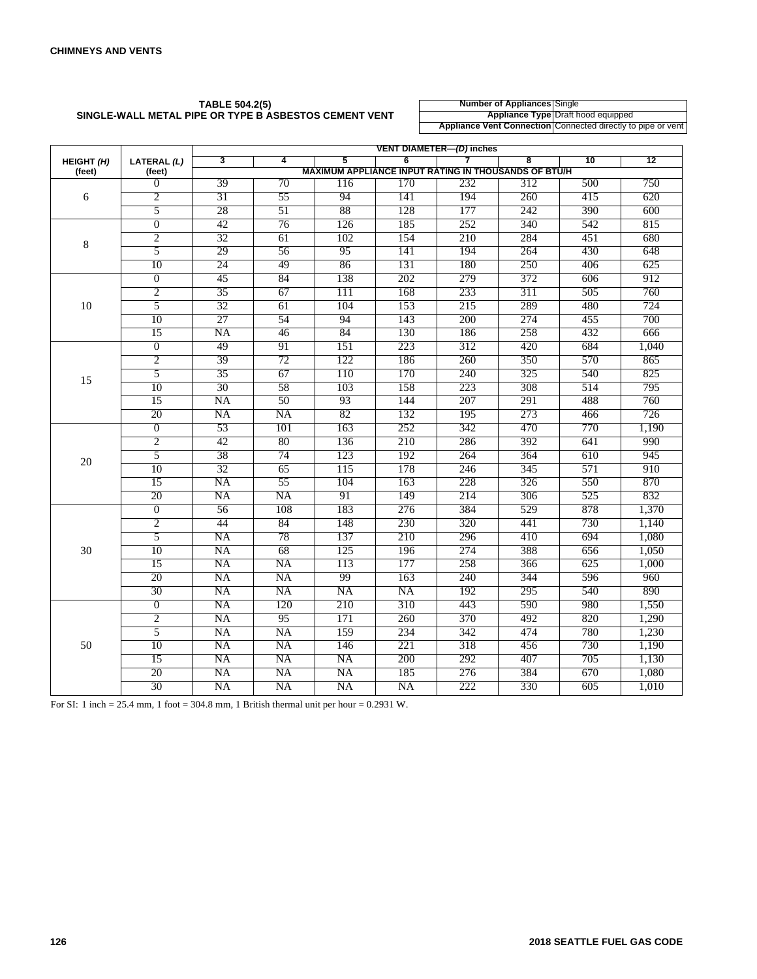#### **TABLE 504.2(5) SINGLE-WALL METAL PIPE OR TYPE B ASBESTOS CEMENT VENT**

| <b>Number of Appliances Single</b> |                                                              |
|------------------------------------|--------------------------------------------------------------|
|                                    | <b>Appliance Type Draft hood equipped</b>                    |
|                                    | Appliance Vent Connection Connected directly to pipe or vent |

|            |                |           |           |           |           | <b>VENT DIAMETER-(D) inches</b>                             |                         |     |       |
|------------|----------------|-----------|-----------|-----------|-----------|-------------------------------------------------------------|-------------------------|-----|-------|
| HEIGHT (H) | LATERAL (L)    | 3         | 4         | 5         | 6         |                                                             | $\overline{\mathbf{8}}$ | 10  | 12    |
| (feet)     | (feet)         |           |           |           |           | <b>MAXIMUM APPLIANCE INPUT RATING IN THOUSANDS OF BTU/H</b> |                         |     |       |
|            | $\Omega$       | 39        | 70        | 116       | 170       | 232                                                         | 312                     | 500 | 750   |
| 6          | $\overline{2}$ | 31        | 55        | 94        | 141       | 194                                                         | 260                     | 415 | 620   |
|            | 5              | 28        | 51        | 88        | 128       | 177                                                         | 242                     | 390 | 600   |
|            | $\overline{0}$ | 42        | 76        | 126       | 185       | 252                                                         | 340                     | 542 | 815   |
| 8          | 2              | 32        | 61        | 102       | 154       | 210                                                         | 284                     | 451 | 680   |
|            | 5              | 29        | 56        | 95        | 141       | 194                                                         | 264                     | 430 | 648   |
|            | 10             | 24        | 49        | 86        | 131       | 180                                                         | 250                     | 406 | 625   |
|            | $\overline{0}$ | 45        | 84        | 138       | 202       | 279                                                         | 372                     | 606 | 912   |
|            | 2              | 35        | 67        | 111       | 168       | 233                                                         | 311                     | 505 | 760   |
| 10         | 5              | 32        | 61        | 104       | 153       | 215                                                         | 289                     | 480 | 724   |
|            | 10             | 27        | 54        | 94        | 143       | 200                                                         | 274                     | 455 | 700   |
|            | 15             | NA        | 46        | 84        | 130       | 186                                                         | 258                     | 432 | 666   |
|            | $\overline{0}$ | 49        | 91        | 151       | 223       | 312                                                         | 420                     | 684 | 1.040 |
|            | $\overline{2}$ | 39        | 72        | 122       | 186       | 260                                                         | 350                     | 570 | 865   |
| 15         | 5              | 35        | 67        | 110       | 170       | 240                                                         | 325                     | 540 | 825   |
|            | 10             | 30        | 58        | 103       | 158       | 223                                                         | 308                     | 514 | 795   |
|            | 15             | <b>NA</b> | 50        | 93        | 144       | 207                                                         | 291                     | 488 | 760   |
|            | 20             | NA        | NA        | 82        | 132       | 195                                                         | 273                     | 466 | 726   |
|            | $\overline{0}$ | 53        | 101       | 163       | 252       | 342                                                         | 470                     | 770 | 1,190 |
|            | $\overline{2}$ | 42        | 80        | 136       | 210       | 286                                                         | 392                     | 641 | 990   |
| 20         | 5              | 38        | 74        | 123       | 192       | 264                                                         | 364                     | 610 | 945   |
|            | 10             | 32        | 65        | 115       | 178       | 246                                                         | 345                     | 571 | 910   |
|            | 15             | <b>NA</b> | 55        | 104       | 163       | 228                                                         | 326                     | 550 | 870   |
|            | 20             | NA        | NA        | 91        | 149       | 214                                                         | 306                     | 525 | 832   |
|            | $\overline{0}$ | 56        | 108       | 183       | 276       | 384                                                         | 529                     | 878 | 1,370 |
|            | $\overline{2}$ | 44        | 84        | 148       | 230       | 320                                                         | 441                     | 730 | 1,140 |
|            | 5              | NA        | 78        | 137       | 210       | 296                                                         | 410                     | 694 | 1,080 |
| 30         | 10             | NA        | 68        | 125       | 196       | 274                                                         | 388                     | 656 | 1,050 |
|            | 15             | <b>NA</b> | NA        | 113       | 177       | 258                                                         | 366                     | 625 | 1,000 |
|            | 20             | NA        | NA        | 99        | 163       | 240                                                         | 344                     | 596 | 960   |
|            | 30             | <b>NA</b> | NA        | <b>NA</b> | <b>NA</b> | 192                                                         | 295                     | 540 | 890   |
|            | $\overline{0}$ | <b>NA</b> | 120       | 210       | 310       | 443                                                         | 590                     | 980 | 1,550 |
|            | 2              | <b>NA</b> | 95        | 171       | 260       | 370                                                         | 492                     | 820 | 1,290 |
|            | 5              | <b>NA</b> | NA        | 159       | 234       | 342                                                         | 474                     | 780 | 1,230 |
| 50         | 10             | <b>NA</b> | <b>NA</b> | 146       | 221       | 318                                                         | 456                     | 730 | 1,190 |
|            | 15             | NA        | NA        | NA        | 200       | 292                                                         | 407                     | 705 | 1,130 |
|            | 20             | <b>NA</b> | <b>NA</b> | <b>NA</b> | 185       | 276                                                         | 384                     | 670 | 1,080 |
|            | 30             | <b>NA</b> | NA        | <b>NA</b> | <b>NA</b> | 222                                                         | 330                     | 605 | 1,010 |

For SI: 1 inch = 25.4 mm, 1 foot = 304.8 mm, 1 British thermal unit per hour = 0.2931 W.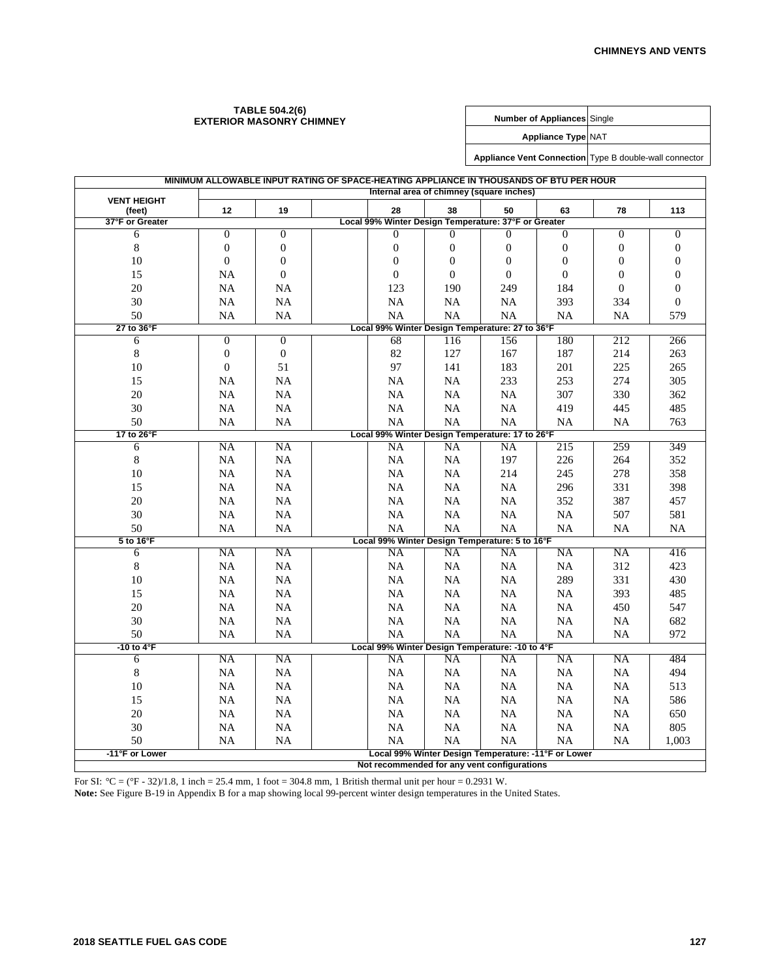# **TABLE 504.2(6) EXTERIOR MASONRY CHIMNEY Number of Appliances** Single

| Number of Appliances Single                            |  |
|--------------------------------------------------------|--|
| Appliance Type NAT                                     |  |
| Appliance Vent Connection Type B double-wall connector |  |

|                        |                  |                | MINIMUM ALLOWABLE INPUT RATING OF SPACE-HEATING APPLIANCE IN THOUSANDS OF BTU PER HOUR |                |                                                     |                  |                  |                |
|------------------------|------------------|----------------|----------------------------------------------------------------------------------------|----------------|-----------------------------------------------------|------------------|------------------|----------------|
| <b>VENT HEIGHT</b>     |                  |                |                                                                                        |                | Internal area of chimney (square inches)            |                  |                  |                |
| (feet)                 | 12               | 19             | 28                                                                                     | 38             | 50                                                  | 63               | 78               | 113            |
| 37°F or Greater        |                  |                | Local 99% Winter Design Temperature: 37°F or Greater                                   |                |                                                     |                  |                  |                |
| 6                      | $\overline{0}$   | $\overline{0}$ | $\boldsymbol{0}$                                                                       | $\mathbf{0}$   | $\overline{0}$                                      | $\boldsymbol{0}$ | $\overline{0}$   | $\overline{0}$ |
| 8                      | $\boldsymbol{0}$ | $\mathbf{0}$   | $\boldsymbol{0}$                                                                       | $\overline{0}$ | $\boldsymbol{0}$                                    | $\boldsymbol{0}$ | $\overline{0}$   | $\overline{0}$ |
| 10                     | $\overline{0}$   | $\mathbf{0}$   | $\boldsymbol{0}$                                                                       | $\overline{0}$ | $\overline{0}$                                      | $\overline{0}$   | $\boldsymbol{0}$ | $\overline{0}$ |
| 15                     | <b>NA</b>        | $\mathbf{0}$   | $\mathbf{0}$                                                                           | $\mathbf{0}$   | $\mathbf{0}$                                        | $\overline{0}$   | $\overline{0}$   | $\overline{0}$ |
| 20                     | <b>NA</b>        | NA             | 123                                                                                    | 190            | 249                                                 | 184              | $\Omega$         | $\theta$       |
| 30                     | <b>NA</b>        | NA             | NA                                                                                     | NA             | NA                                                  | 393              | 334              | $\mathbf{0}$   |
| 50                     | <b>NA</b>        | NA             | <b>NA</b>                                                                              | <b>NA</b>      | NA                                                  | <b>NA</b>        | NA               | 579            |
| 27 to 36°F             |                  |                |                                                                                        |                | Local 99% Winter Design Temperature: 27 to 36°F     |                  |                  |                |
| 6                      | 0                | $\overline{0}$ | 68                                                                                     | 116            | 156                                                 | 180              | 212              | 266            |
| $\,8$                  | $\boldsymbol{0}$ | $\mathbf{0}$   | 82                                                                                     | 127            | 167                                                 | 187              | 214              | 263            |
| 10                     | $\overline{0}$   | 51             | 97                                                                                     | 141            | 183                                                 | 201              | 225              | 265            |
| 15                     | <b>NA</b>        | NA             | NA                                                                                     | NA             | 233                                                 | 253              | 274              | 305            |
| 20                     | <b>NA</b>        | <b>NA</b>      | <b>NA</b>                                                                              | <b>NA</b>      | <b>NA</b>                                           | 307              | 330              | 362            |
| 30                     | NA               | NA             | NA                                                                                     | NA             | NA                                                  | 419              | 445              | 485            |
| 50                     | <b>NA</b>        | NA             | <b>NA</b>                                                                              | <b>NA</b>      | <b>NA</b>                                           | <b>NA</b>        | NA               | 763            |
| 17 to 26°F             |                  |                |                                                                                        |                | Local 99% Winter Design Temperature: 17 to 26°F     |                  |                  |                |
| 6                      | NA               | <b>NA</b>      | NA                                                                                     | NA             | NA                                                  | 215              | 259              | 349            |
| $\,8$                  | NA               | NA             | NA                                                                                     | NA             | 197                                                 | 226              | 264              | 352            |
| 10                     | NA               | <b>NA</b>      | NA                                                                                     | <b>NA</b>      | 214                                                 | 245              | 278              | 358            |
| 15                     | NA               | <b>NA</b>      | NA                                                                                     | <b>NA</b>      | $_{\rm NA}$                                         | 296              | 331              | 398            |
| 20                     | <b>NA</b>        | <b>NA</b>      | <b>NA</b>                                                                              | <b>NA</b>      | $_{\rm NA}$                                         | 352              | 387              | 457            |
| 30                     | <b>NA</b>        | <b>NA</b>      | <b>NA</b>                                                                              | <b>NA</b>      | NA                                                  | <b>NA</b>        | 507              | 581            |
| 50                     | NA               | NA             | NA                                                                                     | NA             | <b>NA</b>                                           | NA               | NA               | <b>NA</b>      |
| $5$ to 16°F            |                  |                |                                                                                        |                | Local 99% Winter Design Temperature: 5 to 16°F      |                  |                  |                |
| 6                      | NA               | NΑ             | NA                                                                                     | NA             | NA                                                  | NA               | NA               | 416            |
| 8                      | <b>NA</b>        | <b>NA</b>      | <b>NA</b>                                                                              | $\rm NA$       | $_{\rm NA}$                                         | <b>NA</b>        | 312              | 423            |
| 10                     | NA               | NA             | NA                                                                                     | NA             | NA                                                  | 289              | 331              | 430            |
| 15                     | <b>NA</b>        | NA             | NA                                                                                     | NA             | NA                                                  | NA               | 393              | 485            |
| 20                     | NA               | NA             | NA                                                                                     | NA             | <b>NA</b>                                           | NA               | 450              | 547            |
| 30                     | <b>NA</b>        | NA             | NA                                                                                     | NA             | NA                                                  | NA               | NA               | 682            |
| 50                     | <b>NA</b>        | NA             | <b>NA</b>                                                                              | <b>NA</b>      | <b>NA</b>                                           | NA               | NA               | 972            |
| $-10$ to $4^{\circ}$ F |                  |                |                                                                                        |                | Local 99% Winter Design Temperature: - 10 to 4°F    |                  |                  |                |
| 6                      | <b>NA</b>        | <b>NA</b>      | <b>NA</b>                                                                              | NA             | NA                                                  | <b>NA</b>        | NA               | 484            |
| 8                      | NA               | <b>NA</b>      | NA                                                                                     | NA             | NA                                                  | NA               | NA               | 494            |
| 10                     | NA               | NA             | NA                                                                                     | NA             | <b>NA</b>                                           | NA               | NA               | 513            |
| 15                     | NA               | NA             | NA                                                                                     | NA             | NA                                                  | NA               | NA               | 586            |
| 20                     | NA               | <b>NA</b>      | NA                                                                                     | NA             | NA                                                  | NA               | NA               | 650            |
| 30                     | NA               | NA             | $\rm NA$                                                                               | NA             | NA                                                  | NA               | NA               | 805            |
| 50                     | <b>NA</b>        | <b>NA</b>      | <b>NA</b>                                                                              | <b>NA</b>      | <b>NA</b>                                           | <b>NA</b>        | NA               | 1,003          |
| -11°F or Lower         |                  |                |                                                                                        |                | Local 99% Winter Design Temperature: -11°F or Lower |                  |                  |                |
|                        |                  |                |                                                                                        |                | Not recommended for any vent configurations         |                  |                  |                |

For SI: °C = (°F - 32)/1.8, 1 inch = 25.4 mm, 1 foot = 304.8 mm, 1 British thermal unit per hour = 0.2931 W.

**Note:** See Figure B-19 in Appendix B for a map showing local 99-percent winter design temperatures in the United States.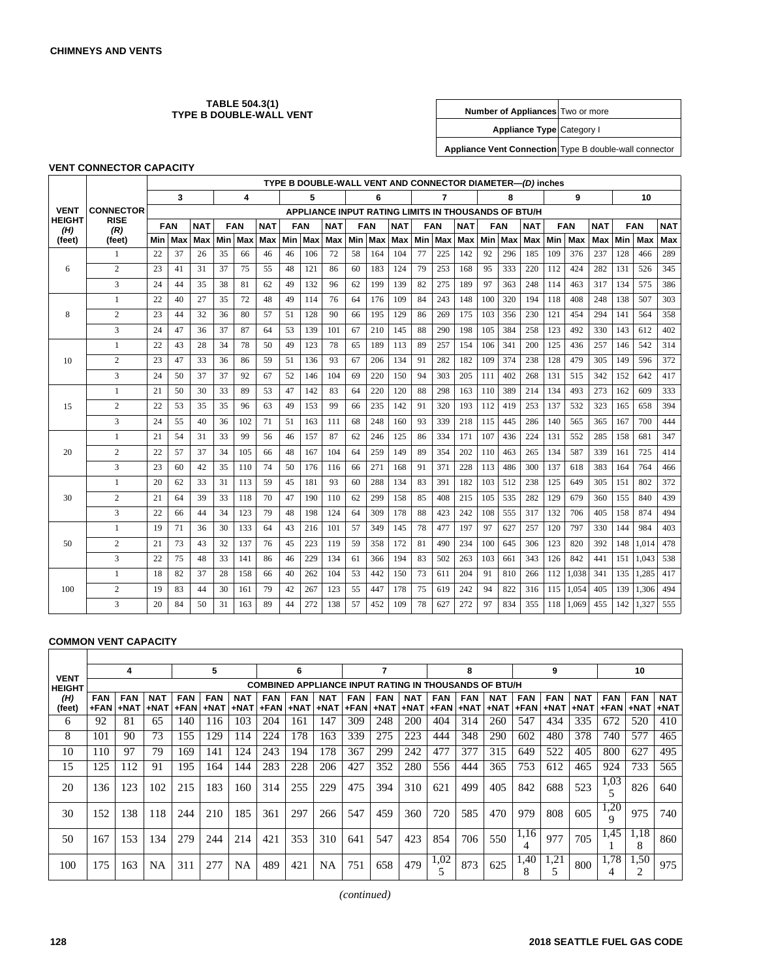| <b>TABLE 504.3(1)</b><br>TYPE B DOUBLE-WALL VENT | <b>Number of Appliances</b> Two or more |  |
|--------------------------------------------------|-----------------------------------------|--|
|                                                  | Appliance Type Category I               |  |
|                                                  |                                         |  |

**Appliance Vent Connection** Type B double-wall connector

#### **VENT CONNECTOR CAPACITY**

|                      |                    |     |            |            |    |            |            |     |            | TYPE B DOUBLE-WALL VENT AND CONNECTOR DIAMETER-(D) inches |    |            |            |     |            |            |         |     |            |     |            |            |     |            |            |
|----------------------|--------------------|-----|------------|------------|----|------------|------------|-----|------------|-----------------------------------------------------------|----|------------|------------|-----|------------|------------|---------|-----|------------|-----|------------|------------|-----|------------|------------|
|                      |                    |     | 3          |            |    | 4          |            |     | 5          |                                                           |    | 6          |            |     | 7          |            |         | 8   |            |     | 9          |            |     | 10         |            |
| <b>VENT</b>          | <b>CONNECTOR</b>   |     |            |            |    |            |            |     |            | APPLIANCE INPUT RATING LIMITS IN THOUSANDS OF BTU/H       |    |            |            |     |            |            |         |     |            |     |            |            |     |            |            |
| <b>HEIGHT</b><br>(H) | <b>RISE</b><br>(R) |     | <b>FAN</b> | <b>NAT</b> |    | <b>FAN</b> | <b>NAT</b> |     | <b>FAN</b> | <b>NAT</b>                                                |    | <b>FAN</b> | <b>NAT</b> |     | <b>FAN</b> | <b>NAT</b> |         | FAN | <b>NAT</b> |     | <b>FAN</b> | <b>NAT</b> |     | <b>FAN</b> | <b>NAT</b> |
| (feet)               | (feet)             | Min | Max        | Max        |    | Min Max    | Max        | Min | Max        | <b>Max</b>                                                |    | Min Max    | Max        | Min | Max        | Max        | Min Max |     | Max        | Min | Max        | Max        | Min | Max        | Max        |
|                      | 1                  | 22  | 37         | 26         | 35 | 66         | 46         | 46  | 106        | 72                                                        | 58 | 164        | 104        | 77  | 225        | 142        | 92      | 296 | 185        | 109 | 376        | 237        | 128 | 466        | 289        |
| 6                    | 2                  | 23  | 41         | 31         | 37 | 75         | 55         | 48  | 121        | 86                                                        | 60 | 183        | 124        | 79  | 253        | 168        | 95      | 333 | 220        | 112 | 424        | 282        | 131 | 526        | 345        |
|                      | 3                  | 24  | 44         | 35         | 38 | 81         | 62         | 49  | 132        | 96                                                        | 62 | 199        | 139        | 82  | 275        | 189        | 97      | 363 | 248        | 114 | 463        | 317        | 134 | 575        | 386        |
|                      | 1                  | 22  | 40         | 27         | 35 | 72         | 48         | 49  | 114        | 76                                                        | 64 | 176        | 109        | 84  | 243        | 148        | 100     | 320 | 194        | 118 | 408        | 248        | 138 | 507        | 303        |
| 8                    | 2                  | 23  | 44         | 32         | 36 | 80         | 57         | 51  | 128        | 90                                                        | 66 | 195        | 129        | 86  | 269        | 175        | 103     | 356 | 230        | 121 | 454        | 294        | 141 | 564        | 358        |
|                      | 3                  | 24  | 47         | 36         | 37 | 87         | 64         | 53  | 139        | 101                                                       | 67 | 210        | 145        | 88  | 290        | 198        | 105     | 384 | 258        | 123 | 492        | 330        | 143 | 612        | 402        |
|                      | $\mathbf{1}$       | 22  | 43         | 28         | 34 | 78         | 50         | 49  | 123        | 78                                                        | 65 | 189        | 113        | 89  | 257        | 154        | 106     | 341 | 200        | 125 | 436        | 257        | 146 | 542        | 314        |
| 10                   | $\overline{c}$     | 23  | 47         | 33         | 36 | 86         | 59         | 51  | 136        | 93                                                        | 67 | 206        | 134        | 91  | 282        | 182        | 109     | 374 | 238        | 128 | 479        | 305        | 149 | 596        | 372        |
|                      | 3                  | 24  | 50         | 37         | 37 | 92         | 67         | 52  | 146        | 104                                                       | 69 | 220        | 150        | 94  | 303        | 205        | 111     | 402 | 268        | 131 | 515        | 342        | 152 | 642        | 417        |
|                      | $\mathbf{1}$       | 21  | 50         | 30         | 33 | 89         | 53         | 47  | 142        | 83                                                        | 64 | 220        | 120        | 88  | 298        | 163        | 110     | 389 | 214        | 134 | 493        | 273        | 162 | 609        | 333        |
| 15                   | 2                  | 22  | 53         | 35         | 35 | 96         | 63         | 49  | 153        | 99                                                        | 66 | 235        | 142        | 91  | 320        | 193        | 112     | 419 | 253        | 137 | 532        | 323        | 165 | 658        | 394        |
|                      | 3                  | 24  | 55         | 40         | 36 | 102        | 71         | 51  | 163        | 111                                                       | 68 | 248        | 160        | 93  | 339        | 218        | 115     | 445 | 286        | 140 | 565        | 365        | 167 | 700        | 444        |
|                      | 1                  | 21  | 54         | 31         | 33 | 99         | 56         | 46  | 157        | 87                                                        | 62 | 246        | 125        | 86  | 334        | 171        | 107     | 436 | 224        | 131 | 552        | 285        | 158 | 681        | 347        |
| 20                   | $\mathfrak{2}$     | 22  | 57         | 37         | 34 | 105        | 66         | 48  | 167        | 104                                                       | 64 | 259        | 149        | 89  | 354        | 202        | 110     | 463 | 265        | 134 | 587        | 339        | 161 | 725        | 414        |
|                      | 3                  | 23  | 60         | 42         | 35 | 110        | 74         | 50  | 176        | 116                                                       | 66 | 271        | 168        | 91  | 371        | 228        | 113     | 486 | 300        | 137 | 618        | 383        | 164 | 764        | 466        |
|                      | $\mathbf{1}$       | 20  | 62         | 33         | 31 | 113        | 59         | 45  | 181        | 93                                                        | 60 | 288        | 134        | 83  | 391        | 182        | 103     | 512 | 238        | 125 | 649        | 305        | 151 | 802        | 372        |
| 30                   | $\overline{c}$     | 21  | 64         | 39         | 33 | 118        | 70         | 47  | 190        | 110                                                       | 62 | 299        | 158        | 85  | 408        | 215        | 105     | 535 | 282        | 129 | 679        | 360        | 155 | 840        | 439        |
|                      | 3                  | 22  | 66         | 44         | 34 | 123        | 79         | 48  | 198        | 124                                                       | 64 | 309        | 178        | 88  | 423        | 242        | 108     | 555 | 317        | 132 | 706        | 405        | 158 | 874        | 494        |
|                      | 1                  | 19  | 71         | 36         | 30 | 133        | 64         | 43  | 216        | 101                                                       | 57 | 349        | 145        | 78  | 477        | 197        | 97      | 627 | 257        | 120 | 797        | 330        | 144 | 984        | 403        |
| 50                   | $\overline{c}$     | 21  | 73         | 43         | 32 | 137        | 76         | 45  | 223        | 119                                                       | 59 | 358        | 172        | 81  | 490        | 234        | 100     | 645 | 306        | 123 | 820        | 392        | 148 | 1,014      | 478        |
|                      | 3                  | 22  | 75         | 48         | 33 | 141        | 86         | 46  | 229        | 134                                                       | 61 | 366        | 194        | 83  | 502        | 263        | 103     | 661 | 343        | 126 | 842        | 441        | 151 | 1,043      | 538        |
|                      | $\mathbf{1}$       | 18  | 82         | 37         | 28 | 158        | 66         | 40  | 262        | 104                                                       | 53 | 442        | 150        | 73  | 611        | 204        | 91      | 810 | 266        | 112 | 1.038      | 341        | 135 | 1,285      | 417        |
| 100                  | $\overline{c}$     | 19  | 83         | 44         | 30 | 161        | 79         | 42  | 267        | 123                                                       | 55 | 447        | 178        | 75  | 619        | 242        | 94      | 822 | 316        | 115 | 1,054      | 405        | 139 | 1,306      | 494        |
|                      | 3                  | 20  | 84         | 50         | 31 | 163        | 89         | 44  | 272        | 138                                                       | 57 | 452        | 109        | 78  | 627        | 272        | 97      | 834 | 355        | 118 | 1.069      | 455        | 142 | 1,327      | 555        |

#### **COMMON VENT CAPACITY**

| <b>VENT</b>   |                    | 4                  |                    |                    | 5                  |             |                    | 6                    |                     |            | 7                           |                                                              |                      | 8                  |                    |                         | 9          |                    |                    | 10                   |                    |
|---------------|--------------------|--------------------|--------------------|--------------------|--------------------|-------------|--------------------|----------------------|---------------------|------------|-----------------------------|--------------------------------------------------------------|----------------------|--------------------|--------------------|-------------------------|------------|--------------------|--------------------|----------------------|--------------------|
| <b>HEIGHT</b> |                    |                    |                    |                    |                    |             |                    |                      |                     |            |                             | <b>COMBINED APPLIANCE INPUT RATING IN THOUSANDS OF BTU/H</b> |                      |                    |                    |                         |            |                    |                    |                      |                    |
| (H)<br>(feet) | <b>FAN</b><br>+FAN | <b>FAN</b><br>+NAT | <b>NAT</b><br>+NAT | <b>FAN</b><br>+FAN | <b>FAN</b><br>+NAT | NAT<br>+NAT | <b>FAN</b><br>+FAN | <b>FAN</b><br>+NAT l | <b>NAT</b><br>l+NAT | <b>FAN</b> | <b>FAN</b><br>+FAN I +NAT I | <b>NAT</b><br>+NAT                                           | <b>FAN</b><br>+FAN I | <b>FAN</b><br>+NAT | <b>NAT</b><br>+NAT | <b>FAN</b><br>+FAN +NAT | <b>FAN</b> | <b>NAT</b><br>+NAT | <b>FAN</b><br>+FAN | <b>FAN</b><br>l +NAT | <b>NAT</b><br>+NAT |
| <sub>0</sub>  | 92                 | 81                 | 65                 | 140                | -16                | 103         | 204                | 161                  | 147                 | 309        | 248                         | 200                                                          | 404                  | 314                | 260                | 547                     | 434        | 335                | 672                | 520                  | 410                |
| 8             | 101                | 90                 | 73                 | 155                | 129                | 114         | 224                | 178                  | 163                 | 339        | 275                         | 223                                                          | 444                  | 348                | 290                | 602                     | 480        | 378                | 740                | 577                  | 465                |
| 10            | 110                | 97                 | 79                 | 169                | 141                | 124         | 243                | 194                  | 178                 | 367        | 299                         | 242                                                          | 477                  | 377                | 315                | 649                     | 522        | 405                | 800                | 627                  | 495                |
| 15            | .25                | 12                 | 91                 | 195                | 164                | 144         | 283                | 228                  | 206                 | 427        | 352                         | 280                                                          | 556                  | 444                | 365                | 753                     | 612        | 465                | 924                | 733                  | 565                |
| 20            | 136                | 123                | 102                | 215                | 183                | 160         | 314                | 255                  | 229                 | 475        | 394                         | 310                                                          | 621                  | 499                | 405                | 842                     | 688        | 523                | 1,03               | 826                  | 640                |
| 30            | 152                | 138                | 118                | 244                | 210                | 185         | 361                | 297                  | 266                 | 547        | 459                         | 360                                                          | 720                  | 585                | 470                | 979                     | 808        | 605                | 1,20<br>Q          | 975                  | 740                |
| 50            | 167                | 153                | 134                | 279                | 244                | 214         | 421                | 353                  | 310                 | 641        | 547                         | 423                                                          | 854                  | 706                | 550                | 1,16                    | 977        | 705                | 1.45               | 1,18<br>Ω<br>Δ       | 860                |
| 100           | 75                 | 163                | NA                 | 311                | 277                | NA          | 489                | 421                  | NA                  | 751        | 658                         | 479                                                          | 1,02                 | 873                | 625                | 1.40                    | $^{21}$    | 800                | 1.78               | 1,50<br>◠            | 975                |

*(continued)*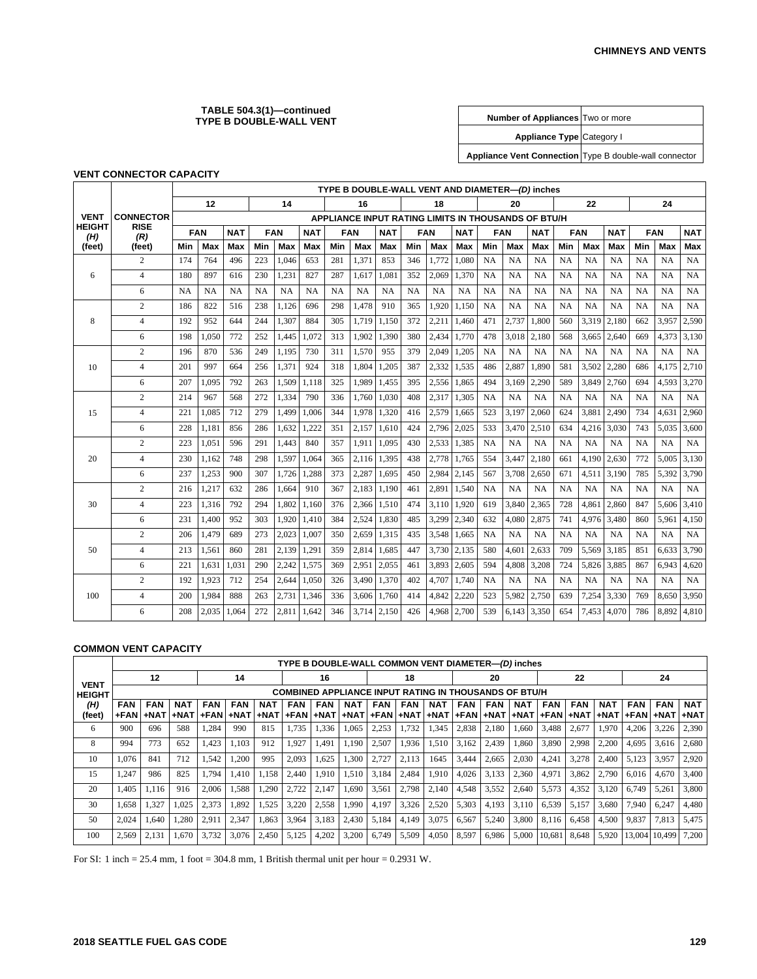## **TABLE 504.3(1)—continued TYPE B DOUBLE-WALL VENT Number of Appliances** Two or more

| Number of Appliances Two or more |                                                        |
|----------------------------------|--------------------------------------------------------|
| Appliance Type Category I        |                                                        |
|                                  | Appliance Vent Connection Type B double-wall connector |

#### **VENT CONNECTOR CAPACITY**

|                      |                    |     |            |            |     |             |            |     |            |            |           |             |            |           |            | TYPE B DOUBLE-WALL VENT AND DIAMETER-(D) inches     |            |           |            |           |            |            |
|----------------------|--------------------|-----|------------|------------|-----|-------------|------------|-----|------------|------------|-----------|-------------|------------|-----------|------------|-----------------------------------------------------|------------|-----------|------------|-----------|------------|------------|
|                      |                    |     | 12         |            |     | 14          |            |     | 16         |            |           | 18          |            |           | 20         |                                                     |            | 22        |            |           | 24         |            |
| <b>VENT</b>          | <b>CONNECTOR</b>   |     |            |            |     |             |            |     |            |            |           |             |            |           |            | APPLIANCE INPUT RATING LIMITS IN THOUSANDS OF BTU/H |            |           |            |           |            |            |
| <b>HEIGHT</b><br>(H) | <b>RISE</b><br>(R) |     | <b>FAN</b> | <b>NAT</b> |     | <b>FAN</b>  | <b>NAT</b> |     | <b>FAN</b> | <b>NAT</b> |           | <b>FAN</b>  | <b>NAT</b> |           | <b>FAN</b> | <b>NAT</b>                                          | <b>FAN</b> |           | <b>NAT</b> |           | <b>FAN</b> | <b>NAT</b> |
| (feet)               | (feet)             | Min | Max        | Max        | Min | Max         | Max        | Min | Max        | Max        | Min       | Max         | Max        | Min       | Max        | Max                                                 | Min        | Max       | Max        | Min       | Max        | <b>Max</b> |
|                      | $\overline{c}$     | 174 | 764        | 496        | 223 | 1.046       | 653        | 281 | 1,371      | 853        | 346       | 1,772       | 1.080      | <b>NA</b> | <b>NA</b>  | <b>NA</b>                                           | <b>NA</b>  | <b>NA</b> | <b>NA</b>  | <b>NA</b> | <b>NA</b>  | NA         |
| 6                    | 4                  | 180 | 897        | 616        | 230 | 1,231       | 827        | 287 | 1.617      | 1.081      | 352       | 2,069       | 1.370      | <b>NA</b> | <b>NA</b>  | <b>NA</b>                                           | <b>NA</b>  | <b>NA</b> | <b>NA</b>  | <b>NA</b> | <b>NA</b>  | <b>NA</b>  |
|                      | 6                  | NA  | NA         | NA         | NA  | <b>NA</b>   | <b>NA</b>  | NA  | NA         | <b>NA</b>  | <b>NA</b> | NA          | NA         | NA        | <b>NA</b>  | NA                                                  | <b>NA</b>  | NA        | <b>NA</b>  | <b>NA</b> | <b>NA</b>  | NA         |
|                      | $\overline{c}$     | 186 | 822        | 516        | 238 | 1.126       | 696        | 298 | 1.478      | 910        | 365       | 1.920       | 1.150      | NA        | <b>NA</b>  | <b>NA</b>                                           | <b>NA</b>  | NA        | <b>NA</b>  | <b>NA</b> | <b>NA</b>  | NA         |
| 8                    | $\overline{4}$     | 192 | 952        | 644        | 244 | 1.307       | 884        | 305 | 1.719      | 1.150      | 372       | 2.211       | 1.460      | 471       | 2,737      | 1.800                                               | 560        | 3.319     | 2.180      | 662       | 3,957      | 2.590      |
|                      | 6                  | 198 | 1,050      | 772        | 252 | 1,445       | 1.072      | 313 | 1,902      | 1,390      | 380       | 2,434       | 1,770      | 478       | 3,018      | 2,180                                               | 568        | 3,665     | 2,640      | 669       | 4,373      | 3,130      |
|                      | $\overline{c}$     | 196 | 870        | 536        | 249 | 1.195       | 730        | 311 | 1,570      | 955        | 379       | 2,049       | 1,205      | <b>NA</b> | <b>NA</b>  | <b>NA</b>                                           | <b>NA</b>  | <b>NA</b> | <b>NA</b>  | <b>NA</b> | <b>NA</b>  | NA         |
| 10                   | 4                  | 201 | 997        | 664        | 256 | 1,371       | 924        | 318 | 1,804      | 1,205      | 387       | 2,332       | 1,535      | 486       | 2,887      | 1.890                                               | 581        | 3,502     | 2,280      | 686       | 4,175      | 2,710      |
|                      | 6                  | 207 | 1.095      | 792        | 263 | 1.509       | 1.118      | 325 | 1.989      | 1.455      | 395       | 2.556 1.865 |            | 494       | 3.169      | 2,290                                               | 589        | 3.849     | 2.760      | 694       | 4.593      | 3.270      |
|                      | 2                  | 214 | 967        | 568        | 272 | 1,334       | 790        | 336 | 1,760      | 1.030      | 408       | 2,317       | 1,305      | NA        | NA         | <b>NA</b>                                           | <b>NA</b>  | NA        | NA         | <b>NA</b> | NA         | NA         |
| 15                   | 4                  | 221 | 1.085      | 712        | 279 | 1.499       | 1.006      | 344 | 1,978      | 1.320      | 416       | 2,579       | 1,665      | 523       | 3,197      | 2,060                                               | 624        | 3,881     | 2,490      | 734       | 4,631      | 2,960      |
|                      | 6                  | 228 | 1.181      | 856        | 286 | 1.632       | 1,222      | 351 | 2,157      | 1.610      | 424       | 2,796 2,025 |            | 533       | 3,470      | 2,510                                               | 634        | 4,216     | 3,030      | 743       | 5,035      | 3,600      |
|                      | $\overline{c}$     | 223 | 1.051      | 596        | 291 | 1.443       | 840        | 357 | 1,911      | 1.095      | 430       | 2,533       | 1,385      | NA        | <b>NA</b>  | NA                                                  | <b>NA</b>  | NA        | <b>NA</b>  | <b>NA</b> | <b>NA</b>  | NA         |
| 20                   | $\overline{4}$     | 230 | 1.162      | 748        | 298 | 1.597       | 1.064      | 365 | 2.116      | 1.395      | 438       | 2.778       | 1.765      | 554       | 3.447      | 2.180                                               | 661        | 4.190     | 2.630      | 772       | 5.005      | 3.130      |
|                      | 6                  | 237 | 1,253      | 900        | 307 | 1.726       | 1,288      | 373 | 2,287      | 1.695      | 450       | 2,984       | 2.145      | 567       | 3,708      | 2,650                                               | 671        | 4,511     | 3,190      | 785       | 5,392      | 3,790      |
|                      | 2                  | 216 | 1,217      | 632        | 286 | 1.664       | 910        | 367 | 2,183      | 1.190      | 461       | 2,891       | 1,540      | <b>NA</b> | <b>NA</b>  | <b>NA</b>                                           | <b>NA</b>  | <b>NA</b> | NA         | <b>NA</b> | <b>NA</b>  | NA.        |
| 30                   | $\overline{4}$     | 223 | 1.316      | 792        | 294 | 1.802       | 1.160      | 376 | 2,366      | 1.510      | 474       | 3,110       | 1.920      | 619       | 3,840      | 2,365                                               | 728        | 4,861     | 2,860      | 847       | 5.606      | 3.410      |
|                      | 6                  | 231 | 1.400      | 952        | 303 | 1.920       | 1.410      | 384 | 2,524      | 1.830      | 485       | 3.299       | 2,340      | 632       | 4,080      | 2,875                                               | 741        | 4.976     | 3,480      | 860       | 5,961      | 4,150      |
|                      | 2                  | 206 | 1,479      | 689        | 273 | 2,023 1,007 |            | 350 | 2,659      | 1,315      | 435       | 3,548 1,665 |            | NA        | NA         | NA                                                  | <b>NA</b>  | NA        | NA         | <b>NA</b> | <b>NA</b>  | NA         |
| 50                   | 4                  | 213 | 1,561      | 860        | 281 | 2,139       | 1,291      | 359 | 2,814      | 1,685      | 447       | 3,730       | 2,135      | 580       | 4,601      | 2,633                                               | 709        | 5,569     | 3,185      | 851       | 6,633      | 3,790      |
|                      | 6                  | 221 | 1.631      | 1.031      | 290 | 2.242       | 1.575      | 369 | 2,951      | 2,055      | 461       | 3.893       | 2,605      | 594       | 4,808      | 3,208                                               | 724        | 5.826     | 3,885      | 867       | 6.943      | 4,620      |
|                      | $\overline{c}$     | 192 | 1.923      | 712        | 254 | 2.644       | 1.050      | 326 | 3,490      | 1,370      | 402       | 4,707       | 1.740      | <b>NA</b> | <b>NA</b>  | <b>NA</b>                                           | <b>NA</b>  | <b>NA</b> | <b>NA</b>  | <b>NA</b> | NA         | NA         |
| 100                  | $\overline{4}$     | 200 | 1.984      | 888        | 263 | 2.731       | 1.346      | 336 | 3,606      | 1.760      | 414       | 4.842       | 2.220      | 523       | 5,982      | 2,750                                               | 639        | 7,254     | 3.330      | 769       | 8,650      | 3.950      |
|                      | 6                  | 208 | 2.035      | 1.064      | 272 | 2.811       | 1.642      | 346 | 3,714      | 2.150      | 426       | 4,968 2,700 |            | 539       | 6,143      | 3,350                                               | 654        | 7.453     | 4,070      | 786       | 8,892      | 4,810      |

#### **COMMON VENT CAPACITY**

|                              |            |             |            |            |                |            |            |            |            |            |            | TYPE B DOUBLE-WALL COMMON VENT DIAMETER—(D) inches                                  |            |            |            |              |            |            |            |               |            |
|------------------------------|------------|-------------|------------|------------|----------------|------------|------------|------------|------------|------------|------------|-------------------------------------------------------------------------------------|------------|------------|------------|--------------|------------|------------|------------|---------------|------------|
|                              |            | 12          |            |            | 14             |            |            | 16         |            |            | 18         |                                                                                     |            | 20         |            |              | 22         |            |            | 24            |            |
| <b>VENT</b><br><b>HEIGHT</b> |            |             |            |            |                |            |            |            |            |            |            | <b>COMBINED APPLIANCE INPUT RATING IN THOUSANDS OF BTU/H</b>                        |            |            |            |              |            |            |            |               |            |
| (H)                          | <b>FAN</b> | <b>FAN</b>  | <b>NAT</b> | <b>FAN</b> | <b>FAN</b>     | <b>NAT</b> | <b>FAN</b> | <b>FAN</b> | <b>NAT</b> | <b>FAN</b> | <b>FAN</b> | <b>NAT</b>                                                                          | <b>FAN</b> | <b>FAN</b> | <b>NAT</b> | <b>FAN</b>   | <b>FAN</b> | <b>NAT</b> | <b>FAN</b> | <b>FAN</b>    | <b>NAT</b> |
| (feet)                       |            | +FAN I +NAT |            |            | +NAT +FAN +NAT | +NAT       |            |            |            |            |            | l+FAN  +NAT  +NAT  +FAN  +NAT  +NAT  +FAN  +NAT  +NAT  +FAN  +NAT  +NAT  +FAN  +NAT |            |            |            |              |            |            |            |               | +NAT       |
| 6                            | 900        | 696         | 588        | 1,284      | 990            | 815        | 1,735      | 1,336      | 1,065      | 2,253      | 1,732      | 1,345                                                                               | 2,838      | 2,180      | 1,660      | 3,488        | 2,677      | .970       | 4,206      | 3,226         | 2,390      |
| 8                            | 994        | 773         | 652        | 1,423      | 1,103          | 912        | 1,927      | 1,491      | 1.190      | 2,507      | 1,936      | 1,510                                                                               | 3,162      | 2,439      | 1,860      | 3,890        | 2,998      | 2,200      | 4.695      | 3,616         | 2,680      |
| 10                           | 1,076      | 841         | 712        | 1,542      | 1,200          | 995        | 2,093      | 1,625      | 1.300      | 2,727      | 2,113      | 1645                                                                                | 3,444      | 2,665      | 2,030      | 4,241        | 3,278      | 2.400      | 5.123      | 3.957         | 2,920      |
| 15                           | 1,247      | 986         | 825        | 1,794      | 1,410          | 1,158      | 2,440      | 1,910      | 1,510      | 3,184      | 2,484      | 1,910                                                                               | 4,026      | 3,133      | 2,360      | 4,971        | 3,862      | 2,790      | 6.016      | 4.670         | 3,400      |
| 20                           | 1,405      | 1.116       | 916        | 2,006      | 1,588          | 1,290      | 2,722      | 2,147      | 1,690      | 3,561      | 2,798      | 2,140                                                                               | 4,548      | 3,552      | 2,640      | 5,573        | 4,352      | 3,120      | 6.749      | 5,261         | 3,800      |
| 30                           | 1,658      | 1,327       | 1.025      | 2,373      | 1.892          | 1,525      | 3,220      | 2,558      | 1.990      | 4,197      | 3,326      | 2,520                                                                               | 5,303      | 4,193      | 3,110      | 6,539        | 5.157      | 3,680      | 7.940      | 6.247         | 4,480      |
| 50                           | 2,024      | 1.640       | 1.280      | 2.911      | 2,347          | 1.863      | 3.964      | 3,183      | 2,430      | 5,184      | 4.149      | 3,075                                                                               | 6,567      | 5,240      | 3,800      | 8.116        | 6.458      | 4.500      | 9.837      | 7.813         | 5,475      |
| 100                          | 2,569      | 2,131       | 1.670      | 3,732      | 3,076          | 2,450      | 5,125      | 4,202      | 3,200      | 6,749      | 5,509      | 4,050                                                                               | 8,597      | 6,986      | 5,000      | 10,681 8,648 |            | 5.920      |            | 13,004 10,499 | 7.200      |

For SI: 1 inch = 25.4 mm, 1 foot = 304.8 mm, 1 British thermal unit per hour = 0.2931 W.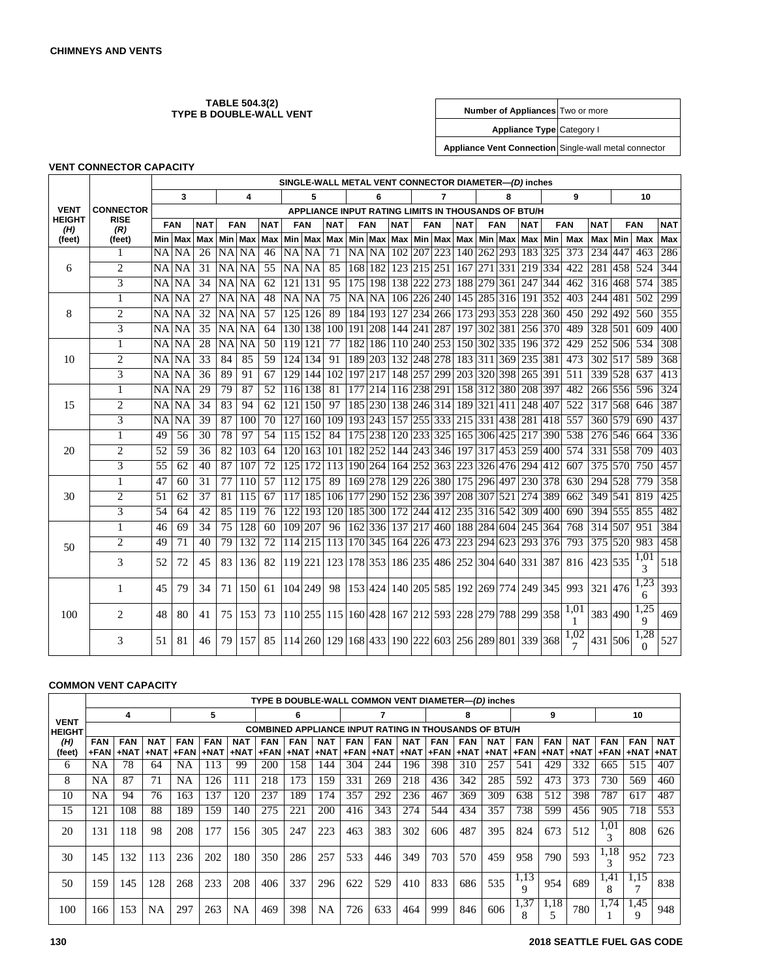| <b>TABLE 504.3(2)</b><br>TYPE B DOUBLE-WALL VENT | <b>Number of Appliances</b> Two or more               |  |
|--------------------------------------------------|-------------------------------------------------------|--|
|                                                  | Appliance Type Category I                             |  |
|                                                  | Appliance Vent Connection Single-wall metal connector |  |

#### **VENT CONNECTOR CAPACITY**

|               |                    |           |              |            |                 |                |            |         |                |            |     |                                   |             |         |            | SINGLE-WALL METAL VENT CONNECTOR DIAMETER—(D) inches                                  |                 |                     |     |                                                                                   |            |         |                  |            |
|---------------|--------------------|-----------|--------------|------------|-----------------|----------------|------------|---------|----------------|------------|-----|-----------------------------------|-------------|---------|------------|---------------------------------------------------------------------------------------|-----------------|---------------------|-----|-----------------------------------------------------------------------------------|------------|---------|------------------|------------|
|               |                    |           | 3            |            |                 | 4              |            |         | 5              |            |     | 6                                 |             |         |            |                                                                                       | 8               |                     |     | 9                                                                                 |            |         | 10               |            |
| <b>VENT</b>   | <b>CONNECTOR</b>   |           |              |            |                 |                |            |         |                |            |     |                                   |             |         |            | APPLIANCE INPUT RATING LIMITS IN THOUSANDS OF BTU/H                                   |                 |                     |     |                                                                                   |            |         |                  |            |
| HEIGHT<br>(H) | <b>RISE</b><br>(R) |           | <b>FAN</b>   | <b>NAT</b> |                 | <b>FAN</b>     | <b>NAT</b> |         | <b>FAN</b>     | <b>NAT</b> |     | <b>FAN</b>                        | <b>NAT</b>  |         | <b>FAN</b> | NAT                                                                                   | <b>FAN</b>      | <b>NAT</b>          |     | <b>FAN</b>                                                                        | <b>NAT</b> |         | <b>FAN</b>       | <b>NAT</b> |
| (feet)        | (feet)             |           | Min Max      | Max        |                 | <b>Min Max</b> | Max        |         | Min Max        |            |     | Max Min Max                       | Max Min Max |         |            | Max   Min   Max   Max   Min                                                           |                 |                     |     | Max                                                                               | Max Min    |         | Max              | Max        |
|               | 1                  | NA        | NA           | 26         | NA NA           |                | 46         |         | NA NA          | 71         |     | NA NA 102 207                     |             |         | 223        |                                                                                       |                 | 140 262 293 183 325 |     | 373                                                                               | 234 447    |         | 463              | 286        |
| 6             | 2                  | NA.       | <b>NA</b>    | 31         | NA NA           |                | 55         | NA      | <b>NA</b>      | 85         | 168 | 182                               | 123         | 215 251 |            |                                                                                       | 167 271 331 219 |                     | 334 | 422                                                                               |            | 281 458 | 524              | 344        |
|               | 3                  | <b>NA</b> | <b>NA</b>    | 34         | <b>NA</b>       | NA             | 62         | 121     | 131            | 95         | 175 | 198                               | 138         | 222     | 273        |                                                                                       | 188 279 361 247 |                     | 344 | 462                                                                               |            | 316 468 | 574              | 385        |
|               | 1                  | <b>NA</b> | <b>NA</b>    | 27         | NA NA           |                | 48         |         | <b>NA NA</b>   | 75         |     | NA NA                             |             |         |            | 106 226 240 145 285 316 191 352                                                       |                 |                     |     | 403                                                                               |            | 244 481 | 502              | 299        |
| 8             | 2                  |           | <b>NA NA</b> | 32         | <b>NA NA</b>    |                | 57         | 125     | 126            | 89         |     | 184 193                           | 127         |         | 234 266    | 173 293 353 228                                                                       |                 |                     | 360 | 450                                                                               |            | 292 492 | 560              | 355        |
|               | 3                  | <b>NA</b> | <b>NA</b>    | 35         | <b>NA NA</b>    |                | 64         |         | 130 138        |            |     | 100 191 208 144 241 287           |             |         |            |                                                                                       |                 | 197 302 381 256 370 |     | 489                                                                               |            | 328 501 | 609              | 400        |
|               | 1                  | NA.       | <b>NA</b>    | 28         | NA              | <b>NA</b>      | 50         | 119     | <sup>121</sup> | 77         |     | 182 186 110 240 253               |             |         |            |                                                                                       |                 | 150 302 335 196 372 |     | 429                                                                               |            | 252 506 | 534              | 308        |
| 10            | 2                  | NA        | <b>NA</b>    | 33         | 84              | 85             | 59         |         | 124 134        | 91         |     |                                   |             |         |            | 189  203  132  248  278  183  311  369  235  381                                      |                 |                     |     | 473                                                                               |            | 302 517 | 589              | 368        |
|               | 3                  |           | <b>NA NA</b> | 36         | 89              | -91            | 67         |         | 129 144        |            |     |                                   |             |         |            | 102   197   217   148   257   299   203   320   398   265   391                       |                 |                     |     | 511                                                                               |            | 339 528 | 637              | 413        |
|               | 1                  |           | <b>NAINA</b> | 29         | 79              | 87             | 52         |         | 116 138        | 81         |     | 177 214 116 238 291               |             |         |            |                                                                                       |                 | 158 312 380 208 397 |     | 482                                                                               |            | 266 556 | 596              | 324        |
| 15            | 2                  | <b>NA</b> | <b>NA</b>    | 34         | 83              | 94             | 62         | 121     | 150            | 97         |     |                                   |             |         |            | 185  230 138 246 314 189 321 411 248 407                                              |                 |                     |     | 522                                                                               |            | 317 568 | 646              | 387        |
|               | 3                  | NΑ        | <b>NA</b>    | 39         | 87              | 100            | 70         | 127     | 160            | 109        |     |                                   |             |         |            | 193  243  157  255  333  215  331  438  281                                           |                 |                     | 418 | 557                                                                               |            | 360 579 | 690              | 437        |
|               | 1                  | 49        | 56           | 30         | 78              | 97             | 54         |         | 115 152        | 84         |     | 175 238                           | 120         |         | 233 325    | 165 306 425 217                                                                       |                 |                     | 390 | 538                                                                               |            | 276 546 | 664              | 336        |
| 20            | $\overline{c}$     | 52        | 59           | 36         | 82              | 103            | 64         |         |                |            |     |                                   |             |         |            | 120   163   101   182   252   144   243   346   197   317   453   259   400           |                 |                     |     | 574 331 558                                                                       |            |         | 709              | 403        |
|               | 3                  | 55        | 62           | 40         | 87              | 107            | 72         |         | 125 172        |            |     | 113 190 264                       |             |         |            | 164 252 363 223 326 476 294 412                                                       |                 |                     |     | 607                                                                               |            | 375 570 | 750              | 457        |
|               | 1                  | 47        | 60           | 31         | 77 <sup>1</sup> | 110            | 57         |         | 112 175        | 89         |     | 169 278 129 226 380               |             |         |            | 175   296   497   230   378                                                           |                 |                     |     | 630                                                                               |            | 294 528 | 779              | 358        |
| 30            | 2                  | 51        | 62           | 37         | 81 I            | 115            | 67         | 117     | 185            |            |     | 106 177 290 152 236 397           |             |         |            |                                                                                       |                 | 208 307 521 274 389 |     | 662                                                                               |            | 349 541 | 819              | 425        |
|               | 3                  | 54        | 64           | 42         | 85              | 119            | 76         | 122     | 193            |            |     | 120   185   300   172   244   412 |             |         |            | 235 316 542 309                                                                       |                 |                     | 400 | 690                                                                               | 394 555    |         | 855              | 482        |
|               | 1                  | 46        | 69           | 34         | 75              | 128            | 60         | 109 207 |                | 96         |     |                                   |             |         |            | 162  336   137   217   460   188   284   604   245   364                              |                 |                     |     | 768 314 507                                                                       |            |         | 951              | 384        |
| 50            | $\overline{c}$     | 49        | 71           | 40         | 79              | 132            | 72         |         |                |            |     |                                   |             |         |            | 114 215 113 170 345 164 226 473 223 294 623 293                                       |                 |                     | 376 | 793 375 520                                                                       |            |         | 983              | 458        |
|               | 3                  | 52        | 72           | 45         | 83              | 136            | -82        |         | 119 221        |            |     |                                   |             |         |            |                                                                                       |                 |                     |     | 123   178   353   186   235   486   252   304   640   331   387   816   423   535 |            |         | 1,01             | 518        |
|               | 1                  | 45        | 79           | 34         | 71 I            | 150            |            |         | 61 104 249     |            |     |                                   |             |         |            |                                                                                       |                 |                     |     | 98   153   424   140   205   585   192   269   774   249   345   993   321   476  |            |         | 1,23<br>6        | 393        |
| 100           | 2                  | 48        | 80           | 41         | 75              | 153            | 73         |         |                |            |     |                                   |             |         |            | 110  255    115    160    428    167    212    593    228    279    788    299    358 |                 |                     |     | 1,01                                                                              |            | 383 490 | 1,25<br>Q        | 469        |
|               | 3                  | 51        | 81           | 46         | 79              | 157            | 85         |         |                |            |     |                                   |             |         |            | 114 260 129 168 433 190 222 603 256 289 801 339 368                                   |                 |                     |     | 1,02                                                                              |            | 431 506 | 1,28<br>$\theta$ | 527        |

#### **COMMON VENT CAPACITY**

|               |                    |                     |                    |                    |                      |                           |                    |                    | TYPE B DOUBLE-WALL COMMON VENT DIAMETER—(D) inches           |                      |                      |               |                         |            |             |                         |            |                     |                         |            |                      |
|---------------|--------------------|---------------------|--------------------|--------------------|----------------------|---------------------------|--------------------|--------------------|--------------------------------------------------------------|----------------------|----------------------|---------------|-------------------------|------------|-------------|-------------------------|------------|---------------------|-------------------------|------------|----------------------|
| <b>VENT</b>   |                    | 4                   |                    |                    | 5                    |                           |                    | 6                  |                                                              |                      |                      |               |                         | 8          |             |                         | 9          |                     |                         | 10         |                      |
| <b>HEIGHT</b> |                    |                     |                    |                    |                      |                           |                    |                    | <b>COMBINED APPLIANCE INPUT RATING IN THOUSANDS OF BTU/H</b> |                      |                      |               |                         |            |             |                         |            |                     |                         |            |                      |
| (H)<br>(feet) | <b>FAN</b><br>+FAN | <b>FAN</b><br>+NATI | <b>NAT</b><br>+NAT | <b>FAN</b><br>+FAN | <b>FAN</b><br>+NAT I | <b>NAT</b><br><b>+NAT</b> | <b>FAN</b><br>+FAN | <b>FAN</b><br>+NAT | <b>NAT</b><br>+NAT                                           | <b>FAN</b><br>+FAN I | <b>FAN</b><br>+NAT I | NAT<br>$+NAT$ | <b>FAN</b><br>+FAN +NAT | <b>FAN</b> | NAT<br>+NAT | <b>FAN</b><br>+FAN +NAT | <b>FAN</b> | <b>NAT</b><br>+NATI | <b>FAN</b><br>+FAN +NAT | <b>FAN</b> | <b>NAT</b><br>$+NAT$ |
| <sub>0</sub>  | NA                 | 78                  | 64                 | NA                 | 113                  | 99                        | 200                | 158                | 144                                                          | 304                  | 244                  | 196           | 398                     | 310        | 257         | 541                     | 429        | 332                 | 665                     | 515        | 407                  |
| 8             | NA                 | 87                  | 71                 | NA                 | 126                  | 111                       | 218                | 173                | 159                                                          | 331                  | 269                  | 218           | 436                     | 342        | 285         | 592                     | 473        | 373                 | 730                     | 569        | 460                  |
| 10            | NA                 | 94                  | 76                 | 163                | 137                  | 120                       | 237                | 189                | 174                                                          | 357                  | 292                  | 236           | 467                     | 369        | 309         | 638                     | 512        | 398                 | 787                     | 617        | 487                  |
| 15            | 121                | 108                 | 88                 | 189                | 159                  | 140                       | 275                | 221                | 200                                                          | 416                  | 343                  | 274           | 544                     | 434        | 357         | 738                     | 599        | 456                 | 905                     | 718        | 553                  |
| 20            | 131                | 118                 | 98                 | 208                | 177                  | 156                       | 305                | 247                | 223                                                          | 463                  | 383                  | 302           | 606                     | 487        | 395         | 824                     | 673        | 512                 | 1,01                    | 808        | 626                  |
| 30            | 145                | 132                 | 113                | 236                | 202                  | 180                       | 350                | 286                | 257                                                          | 533                  | 446                  | 349           | 703                     | 570        | 459         | 958                     | 790        | 593                 | 1,18                    | 952        | 723                  |
| 50            | 159                | 145                 | 128                | 268                | 233                  | 208                       | 406                | 337                | 296                                                          | 622                  | 529                  | 410           | 833                     | 686        | 535         | 1,13                    | 954        | 689                 | 1,41                    | 1,15       | 838                  |
| 100           | 166                | 153                 | NA                 | 297                | 263                  | NA                        | 469                | 398                | NA                                                           | 726                  | 633                  | 464           | 999                     | 846        | 606         | 1,37                    | 1,18       | 780                 | 1,74                    | 1,45<br>Q  | 948                  |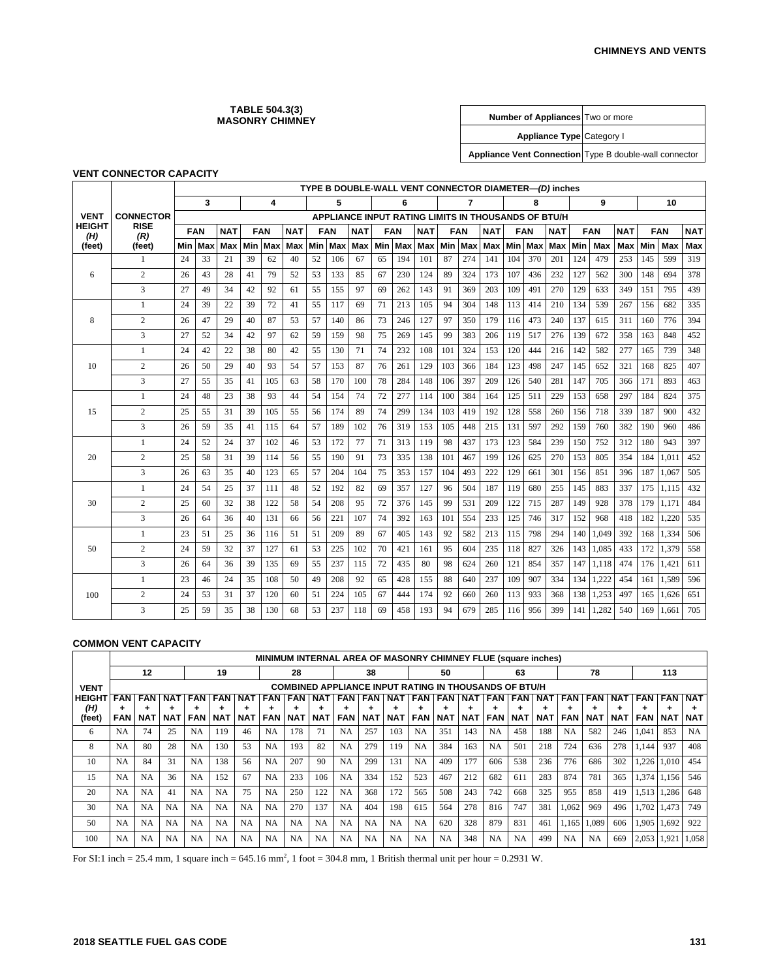# **TABLE 504.3(3)**

**Number of Appliances** Two or more

**Appliance Type** Category I

**Appliance Vent Connection** Type B double-wall connector

#### **VENT CONNECTOR CAPACITY**

|                      |                    |     |            |            |     |     |            |     |            |            |     |            |     |     |            | TYPE B DOUBLE-WALL VENT CONNECTOR DIAMETER-(D) inches |     |            |            |     |            |            |     |            |            |
|----------------------|--------------------|-----|------------|------------|-----|-----|------------|-----|------------|------------|-----|------------|-----|-----|------------|-------------------------------------------------------|-----|------------|------------|-----|------------|------------|-----|------------|------------|
|                      |                    |     | 3          |            |     | 4   |            |     | 5          |            |     | 6          |     |     | 7          |                                                       |     | 8          |            |     | 9          |            |     | 10         |            |
| <b>VENT</b>          | <b>CONNECTOR</b>   |     |            |            |     |     |            |     |            |            |     |            |     |     |            | APPLIANCE INPUT RATING LIMITS IN THOUSANDS OF BTU/H   |     |            |            |     |            |            |     |            |            |
| <b>HEIGHT</b><br>(H) | <b>RISE</b><br>(R) |     | <b>FAN</b> | <b>NAT</b> |     | FAN | <b>NAT</b> |     | <b>FAN</b> | <b>NAT</b> |     | <b>FAN</b> | NAT |     | <b>FAN</b> | <b>NAT</b>                                            |     | <b>FAN</b> | <b>NAT</b> |     | <b>FAN</b> | <b>NAT</b> |     | <b>FAN</b> | <b>NAT</b> |
| (feet)               | (feet)             | Min | Max        | Max        | Min | Max | Max        | Min | Max        | Max        | Min | <b>Max</b> | Max | Min | Max        | Max                                                   |     | Min Max    | Max        | Min | Max        | Max        | Min | Max        | Max        |
|                      | 1                  | 24  | 33         | 21         | 39  | 62  | 40         | 52  | 106        | 67         | 65  | 194        | 101 | 87  | 274        | 141                                                   | 104 | 370        | 201        | 124 | 479        | 253        | 145 | 599        | 319        |
| 6                    | $\overline{c}$     | 26  | 43         | 28         | 41  | 79  | 52         | 53  | 133        | 85         | 67  | 230        | 124 | 89  | 324        | 173                                                   | 107 | 436        | 232        | 127 | 562        | 300        | 148 | 694        | 378        |
|                      | 3                  | 27  | 49         | 34         | 42  | 92  | 61         | 55  | 155        | 97         | 69  | 262        | 143 | 91  | 369        | 203                                                   | 109 | 491        | 270        | 129 | 633        | 349        | 151 | 795        | 439        |
|                      | 1                  | 24  | 39         | 22         | 39  | 72  | 41         | 55  | 117        | 69         | 71  | 213        | 105 | 94  | 304        | 148                                                   | 113 | 414        | 210        | 134 | 539        | 267        | 156 | 682        | 335        |
| 8                    | 2                  | 26  | 47         | 29         | 40  | 87  | 53         | 57  | 140        | 86         | 73  | 246        | 127 | 97  | 350        | 179                                                   | 116 | 473        | 240        | 137 | 615        | 311        | 160 | 776        | 394        |
|                      | 3                  | 27  | 52         | 34         | 42  | 97  | 62         | 59  | 159        | 98         | 75  | 269        | 145 | 99  | 383        | 206                                                   | 119 | 517        | 276        | 139 | 672        | 358        | 163 | 848        | 452        |
|                      | 1                  | 24  | 42         | 22         | 38  | 80  | 42         | 55  | 130        | 71         | 74  | 232        | 108 | 101 | 324        | 153                                                   | 120 | 444        | 216        | 142 | 582        | 277        | 165 | 739        | 348        |
| 10                   | $\overline{c}$     | 26  | 50         | 29         | 40  | 93  | 54         | 57  | 153        | 87         | 76  | 261        | 129 | 103 | 366        | 184                                                   | 123 | 498        | 247        | 145 | 652        | 321        | 168 | 825        | 407        |
|                      | 3                  | 27  | 55         | 35         | 41  | 105 | 63         | 58  | 170        | 100        | 78  | 284        | 148 | 106 | 397        | 209                                                   | 126 | 540        | 281        | 147 | 705        | 366        | 171 | 893        | 463        |
|                      | 1                  | 24  | 48         | 23         | 38  | 93  | 44         | 54  | 154        | 74         | 72  | 277        | 114 | 100 | 384        | 164                                                   | 125 | 511        | 229        | 153 | 658        | 297        | 184 | 824        | 375        |
| 15                   | $\overline{c}$     | 25  | 55         | 31         | 39  | 105 | 55         | 56  | 174        | 89         | 74  | 299        | 134 | 103 | 419        | 192                                                   | 128 | 558        | 260        | 156 | 718        | 339        | 187 | 900        | 432        |
|                      | 3                  | 26  | 59         | 35         | 41  | 115 | 64         | 57  | 189        | 102        | 76  | 319        | 153 | 105 | 448        | 215                                                   | 131 | 597        | 292        | 159 | 760        | 382        | 190 | 960        | 486        |
|                      | 1                  | 24  | 52         | 24         | 37  | 102 | 46         | 53  | 172        | 77         | 71  | 313        | 119 | 98  | 437        | 173                                                   | 123 | 584        | 239        | 150 | 752        | 312        | 180 | 943        | 397        |
| 20                   | $\overline{c}$     | 25  | 58         | 31         | 39  | 114 | 56         | 55  | 190        | 91         | 73  | 335        | 138 | 101 | 467        | 199                                                   | 126 | 625        | 270        | 153 | 805        | 354        | 184 | 1.011      | 452        |
|                      | 3                  | 26  | 63         | 35         | 40  | 123 | 65         | 57  | 204        | 104        | 75  | 353        | 157 | 104 | 493        | 222                                                   | 129 | 661        | 301        | 156 | 851        | 396        | 187 | 1,067      | 505        |
|                      | 1                  | 24  | 54         | 25         | 37  | 111 | 48         | 52  | 192        | 82         | 69  | 357        | 127 | 96  | 504        | 187                                                   | 119 | 680        | 255        | 145 | 883        | 337        | 175 | 1.115      | 432        |
| 30                   | $\overline{c}$     | 25  | 60         | 32         | 38  | 122 | 58         | 54  | 208        | 95         | 72  | 376        | 145 | 99  | 531        | 209                                                   | 122 | 715        | 287        | 149 | 928        | 378        | 179 | 1,171      | 484        |
|                      | 3                  | 26  | 64         | 36         | 40  | 131 | 66         | 56  | 221        | 107        | 74  | 392        | 163 | 101 | 554        | 233                                                   | 125 | 746        | 317        | 152 | 968        | 418        | 182 | 1,220      | 535        |
|                      | 1                  | 23  | 51         | 25         | 36  | 116 | 51         | 51  | 209        | 89         | 67  | 405        | 143 | 92  | 582        | 213                                                   | 115 | 798        | 294        | 140 | 1.049      | 392        | 168 | 1,334      | 506        |
| 50                   | $\overline{c}$     | 24  | 59         | 32         | 37  | 127 | 61         | 53  | 225        | 102        | 70  | 421        | 161 | 95  | 604        | 235                                                   | 118 | 827        | 326        | 143 | 1,085      | 433        | 172 | 1,379      | 558        |
|                      | 3                  | 26  | 64         | 36         | 39  | 135 | 69         | 55  | 237        | 115        | 72  | 435        | 80  | 98  | 624        | 260                                                   | 121 | 854        | 357        | 147 | 1,118      | 474        | 176 | 1,421      | 611        |
|                      | 1                  | 23  | 46         | 24         | 35  | 108 | 50         | 49  | 208        | 92         | 65  | 428        | 155 | 88  | 640        | 237                                                   | 109 | 907        | 334        | 134 | 1,222      | 454        | 161 | 1.589      | 596        |
| 100                  | $\overline{c}$     | 24  | 53         | 31         | 37  | 120 | 60         | 51  | 224        | 105        | 67  | 444        | 174 | 92  | 660        | 260                                                   | 113 | 933        | 368        | 138 | 1,253      | 497        | 165 | 1.626      | 651        |
|                      | 3                  | 25  | 59         | 35         | 38  | 130 | 68         | 53  | 237        | 118        | 69  | 458        | 193 | 94  | 679        | 285                                                   | 116 | 956        | 399        | 141 | 1.282      | 540        | 169 | 1.661      | 705        |

#### **COMMON VENT CAPACITY**

|               |            |            |           |            |            |             | MINIMUM INTERNAL AREA OF MASONRY CHIMNEY FLUE (square inches) |                     |            |            |           |                    |           |            |             |           |                                                              |     |                  |           |            |            |                 |           |
|---------------|------------|------------|-----------|------------|------------|-------------|---------------------------------------------------------------|---------------------|------------|------------|-----------|--------------------|-----------|------------|-------------|-----------|--------------------------------------------------------------|-----|------------------|-----------|------------|------------|-----------------|-----------|
|               |            | 12         |           |            | 19         |             |                                                               | 28                  |            |            | 38        |                    |           | 50         |             |           | 63                                                           |     |                  | 78        |            |            | 113             |           |
| <b>VENT</b>   |            |            |           |            |            |             |                                                               |                     |            |            |           |                    |           |            |             |           | <b>COMBINED APPLIANCE INPUT RATING IN THOUSANDS OF BTU/H</b> |     |                  |           |            |            |                 |           |
| <b>HEIGHT</b> | <b>FAN</b> | <b>FAN</b> | NAT       | FAN        | <b>FAN</b> | <b>NAT</b>  | FAN                                                           | I FAN I NAT I FAN I |            |            |           | <b>FAN I NAT I</b> | I FAN I   | <b>FAN</b> |             |           | INAT I FAN I FAN I NAT                                       |     | <b>FAN I</b>     | FAN       | I NAT      | <b>FAN</b> | <b>FAN INAT</b> |           |
| (H)<br>(feet) | <b>FAN</b> | <b>NAT</b> | NAT       | <b>FAN</b> | <b>NAT</b> | <b>NATI</b> | <b>FAN</b>                                                    | ' I NAT             | <b>NAT</b> | <b>FAN</b> | NAT I NAT |                    | l FAN     | <b>NAT</b> | <b>NATI</b> |           | I FAN I NAT I NAT                                            |     | <b>FAN I NAT</b> |           | <b>NAT</b> | <b>FAN</b> | NAT I           | I NAT     |
|               |            |            |           |            |            |             |                                                               |                     |            |            |           |                    |           |            |             |           |                                                              |     |                  |           |            |            |                 |           |
| 6             | <b>NA</b>  | 74         | 25        | <b>NA</b>  | 119        | 46          | NA                                                            | 178                 | 71         | NA         | 257       | 103                | <b>NA</b> | 351        | 143         | <b>NA</b> | 458                                                          | 188 | NA               | 582       | 246        | 1.041      | 853             | <b>NA</b> |
| 8             | <b>NA</b>  | 80         | 28        | NA         | 130        | 53          | NA                                                            | 193                 | 82         | <b>NA</b>  | 279       | 119                | <b>NA</b> | 384        | 163         | <b>NA</b> | 501                                                          | 218 | 724              | 636       | 278        | 1.144      | 937             | 408       |
| 10            | <b>NA</b>  | 84         | 31        | <b>NA</b>  | 138        | 56          | NA                                                            | 207                 | 90         | NA         | 299       | 131                | <b>NA</b> | 409        | 177         | 606       | 538                                                          | 236 | 776              | 686       | 302        | 1,226      | 0.010           | 454       |
| 15            | NA         | <b>NA</b>  | 36        | <b>NA</b>  | 152        | 67          | <b>NA</b>                                                     | 233                 | 106        | <b>NA</b>  | 334       | 152                | 523       | 467        | 212         | 682       | 611                                                          | 283 | 874              | 781       | 365        | 1.374      | 1.156           | 546       |
| 20            | <b>NA</b>  | <b>NA</b>  | 41        | NA         | <b>NA</b>  | 75          | NA                                                            | 250                 | 122        | NA         | 368       | 172                | 565       | 508        | 243         | 742       | 668                                                          | 325 | 955              | 858       | 419        | 1.513      | 1.286           | 648       |
| 30            | <b>NA</b>  | NA         | <b>NA</b> | NA         | <b>NA</b>  | NA          | NA                                                            | 270                 | 137        | NA         | 404       | 198                | 615       | 564        | 278         | 816       | 747                                                          | 381 | 1,062            | 969       | 496        | 1.702      | .473            | 749       |
| 50            | <b>NA</b>  | <b>NA</b>  | <b>NA</b> | NA         | <b>NA</b>  | <b>NA</b>   | <b>NA</b>                                                     | NA                  | <b>NA</b>  | NA         | <b>NA</b> | <b>NA</b>          | <b>NA</b> | 620        | 328         | 879       | 831                                                          | 461 | 1.165            | 1.089     | 606        | 1.905      | .692            | 922       |
| 100           | <b>NA</b>  | <b>NA</b>  | <b>NA</b> | <b>NA</b>  | <b>NA</b>  | NA          | NA                                                            | <b>NA</b>           | <b>NA</b>  | <b>NA</b>  | <b>NA</b> | NA                 | <b>NA</b> | <b>NA</b>  | 348         | <b>NA</b> | <b>NA</b>                                                    | 499 | NA               | <b>NA</b> | 669        | 2,053      | 1,921 1,058     |           |

For SI:1 inch  $= 25.4$  mm, 1 square inch  $= 645.16$  mm<sup>2</sup>, 1 foot  $= 304.8$  mm, 1 British thermal unit per hour  $= 0.2931$  W.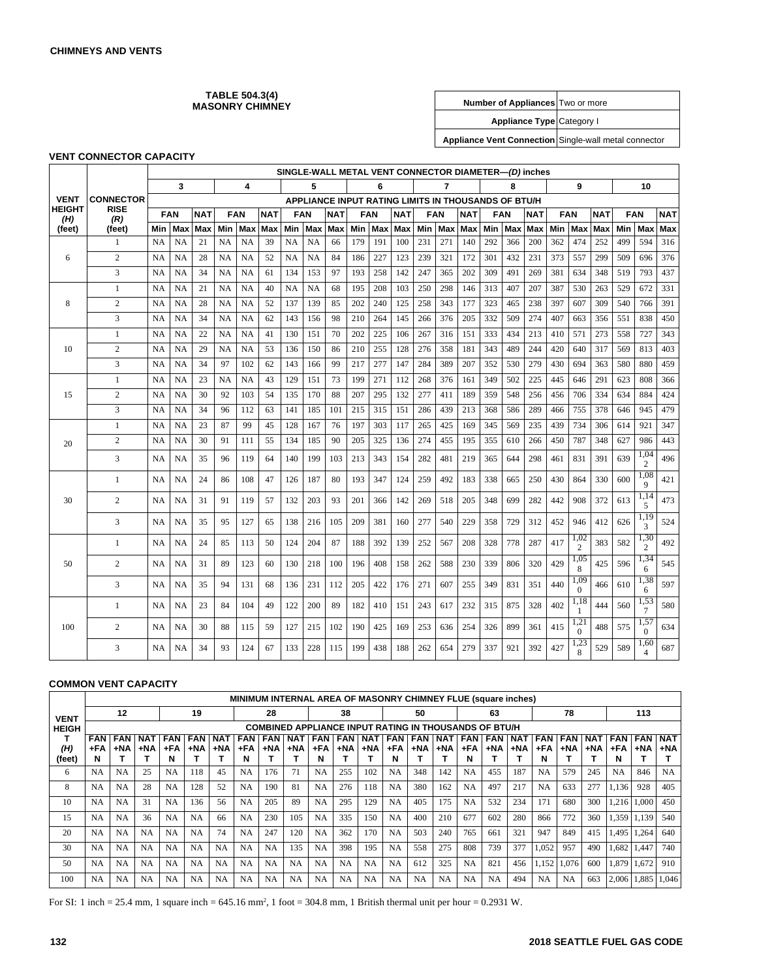| <b>TABLE 504.3(4)</b><br><b>MASONRY CHIMNEY</b> | <b>Number of Appliances</b> Two or more               |  |
|-------------------------------------------------|-------------------------------------------------------|--|
|                                                 | <b>Appliance Type Category I</b>                      |  |
|                                                 | Appliance Vent Connection Single-wall metal connector |  |

#### **VENT CONNECTOR CAPACITY**

|                      |                    | SINGLE-WALL METAL VENT CONNECTOR DIAMETER-(D) inches |            |            |           |            |            |           |            |                                                     |     |            |            |            |     |            |     |            |            |     |                        |            |     |                     |            |
|----------------------|--------------------|------------------------------------------------------|------------|------------|-----------|------------|------------|-----------|------------|-----------------------------------------------------|-----|------------|------------|------------|-----|------------|-----|------------|------------|-----|------------------------|------------|-----|---------------------|------------|
|                      |                    |                                                      | 3          |            |           | 4          |            |           | 5          |                                                     |     | 6          |            |            | 7   |            |     | 8          |            |     | 9                      |            |     | 10                  |            |
| <b>VENT</b>          | <b>CONNECTOR</b>   |                                                      |            |            |           |            |            |           |            | APPLIANCE INPUT RATING LIMITS IN THOUSANDS OF BTU/H |     |            |            |            |     |            |     |            |            |     |                        |            |     |                     |            |
| <b>HEIGHT</b><br>(H) | <b>RISE</b><br>(R) |                                                      | <b>FAN</b> | <b>NAT</b> |           | <b>FAN</b> | <b>NAT</b> |           | <b>FAN</b> | <b>NAT</b>                                          |     | <b>FAN</b> | <b>NAT</b> | <b>FAN</b> |     | <b>NAT</b> |     | <b>FAN</b> | <b>NAT</b> |     | <b>FAN</b>             | <b>NAT</b> |     | <b>FAN</b>          | <b>NAT</b> |
| (feet)               | (feet)             | Min                                                  | Max        | Max        | Min       | Max        | Max        |           | Min   Max  | Max                                                 | Min | Max        | Max        | Min        | Max | Max        | Min | <b>Max</b> | <b>Max</b> | Min | Max                    | Max        | Min | Max                 | Max        |
|                      | 1                  | <b>NA</b>                                            | NA         | 21         | NA        | NA         | 39         | <b>NA</b> | NA         | 66                                                  | 179 | 191        | 100        | 231        | 271 | 140        | 292 | 366        | 200        | 362 | 474                    | 252        | 499 | 594                 | 316        |
| 6                    | $\overline{c}$     | <b>NA</b>                                            | NA         | 28         | <b>NA</b> | NA         | 52         | NA        | NA         | 84                                                  | 186 | 227        | 123        | 239        | 321 | 172        | 301 | 432        | 231        | 373 | 557                    | 299        | 509 | 696                 | 376        |
|                      | 3                  | NA                                                   | <b>NA</b>  | 34         | NA        | NA         | 61         | 134       | 153        | 97                                                  | 193 | 258        | 142        | 247        | 365 | 202        | 309 | 491        | 269        | 381 | 634                    | 348        | 519 | 793                 | 437        |
|                      | 1                  | <b>NA</b>                                            | NA         | 21         | NA        | NA         | 40         | <b>NA</b> | <b>NA</b>  | 68                                                  | 195 | 208        | 103        | 250        | 298 | 146        | 313 | 407        | 207        | 387 | 530                    | 263        | 529 | 672                 | 331        |
| 8                    | $\overline{c}$     | NA                                                   | NA         | 28         | NA        | <b>NA</b>  | 52         | 137       | 139        | 85                                                  | 202 | 240        | 125        | 258        | 343 | 177        | 323 | 465        | 238        | 397 | 607                    | 309        | 540 | 766                 | 391        |
|                      | 3                  | NA                                                   | NA         | 34         | NA        | NA         | 62         | 143       | 156        | 98                                                  | 210 | 264        | 145        | 266        | 376 | 205        | 332 | 509        | 274        | 407 | 663                    | 356        | 551 | 838                 | 450        |
|                      | 1                  | <b>NA</b>                                            | <b>NA</b>  | 22         | NA        | <b>NA</b>  | 41         | 130       | 151        | 70                                                  | 202 | 225        | 106        | 267        | 316 | 151        | 333 | 434        | 213        | 410 | 571                    | 273        | 558 | 727                 | 343        |
| 10                   | $\overline{2}$     | <b>NA</b>                                            | <b>NA</b>  | 29         | NA        | NA         | 53         | 136       | 150        | 86                                                  | 210 | 255        | 128        | 276        | 358 | 181        | 343 | 489        | 244        | 420 | 640                    | 317        | 569 | 813                 | 403        |
|                      | 3                  | <b>NA</b>                                            | <b>NA</b>  | 34         | 97        | 102        | 62         | 143       | 166        | 99                                                  | 217 | 277        | 147        | 284        | 389 | 207        | 352 | 530        | 279        | 430 | 694                    | 363        | 580 | 880                 | 459        |
|                      | 1                  | <b>NA</b>                                            | <b>NA</b>  | 23         | NA        | NA         | 43         | 129       | 151        | 73                                                  | 199 | 271        | 112        | 268        | 376 | 161        | 349 | 502        | 225        | 445 | 646                    | 291        | 623 | 808                 | 366        |
| 15                   | $\overline{c}$     | <b>NA</b>                                            | NA         | 30         | 92        | 103        | 54         | 135       | 170        | 88                                                  | 207 | 295        | 132        | 277        | 411 | 189        | 359 | 548        | 256        | 456 | 706                    | 334        | 634 | 884                 | 424        |
|                      | 3                  | <b>NA</b>                                            | NA         | 34         | 96        | 112        | 63         | 141       | 185        | 101                                                 | 215 | 315        | 151        | 286        | 439 | 213        | 368 | 586        | 289        | 466 | 755                    | 378        | 646 | 945                 | 479        |
|                      | $\mathbf{1}$       | NA                                                   | NA         | 23         | 87        | 99         | 45         | 128       | 167        | 76                                                  | 197 | 303        | 117        | 265        | 425 | 169        | 345 | 569        | 235        | 439 | 734                    | 306        | 614 | 921                 | 347        |
| 20                   | 2                  | NA                                                   | <b>NA</b>  | 30         | 91        | 111        | 55         | 134       | 185        | 90                                                  | 205 | 325        | 136        | 274        | 455 | 195        | 355 | 610        | 266        | 450 | 787                    | 348        | 627 | 986                 | 443        |
|                      | 3                  | NA                                                   | <b>NA</b>  | 35         | 96        | 119        | 64         | 140       | 199        | 103                                                 | 213 | 343        | 154        | 282        | 481 | 219        | 365 | 644        | 298        | 461 | 831                    | 391        | 639 | 1,04<br>2           | 496        |
|                      | $\mathbf{1}$       | NA                                                   | NA         | 24         | 86        | 108        | 47         | 126       | 187        | 80                                                  | 193 | 347        | 124        | 259        | 492 | 183        | 338 | 665        | 250        | 430 | 864                    | 330        | 600 | 1,08<br>$\mathbf Q$ | 421        |
| 30                   | $\overline{c}$     | NA                                                   | NA         | 31         | 91        | 119        | 57         | 132       | 203        | 93                                                  | 201 | 366        | 142        | 269        | 518 | 205        | 348 | 699        | 282        | 442 | 908                    | 372        | 613 | 1,14<br>5           | 473        |
|                      | 3                  | NA                                                   | NA         | 35         | 95        | 127        | 65         | 138       | 216        | 105                                                 | 209 | 381        | 160        | 277        | 540 | 229        | 358 | 729        | 312        | 452 | 946                    | 412        | 626 | 1,19<br>3           | 524        |
|                      | 1                  | NA                                                   | NA         | 24         | 85        | 113        | 50         | 124       | 204        | 87                                                  | 188 | 392        | 139        | 252        | 567 | 208        | 328 | 778        | 287        | 417 | 1,02<br>$\overline{c}$ | 383        | 582 | 1,30<br>2           | 492        |
| 50                   | $\overline{c}$     | NA                                                   | NA         | 31         | 89        | 123        | 60         | 130       | 218        | 100                                                 | 196 | 408        | 158        | 262        | 588 | 230        | 339 | 806        | 320        | 429 | 1,05<br>8              | 425        | 596 | 1,34<br>6           | 545        |
|                      | 3                  | NA                                                   | <b>NA</b>  | 35         | 94        | 131        | 68         | 136       | 231        | 112                                                 | 205 | 422        | 176        | 271        | 607 | 255        | 349 | 831        | 351        | 440 | 1,09<br>$\Omega$       | 466        | 610 | 1,38<br>6           | 597        |
|                      | $\mathbf{1}$       | NA                                                   | NA         | 23         | 84        | 104        | 49         | 122       | 200        | 89                                                  | 182 | 410        | 151        | 243        | 617 | 232        | 315 | 875        | 328        | 402 | 1,18                   | 444        | 560 | 1,53<br>7           | 580        |
| 100                  | 2                  | NA                                                   | <b>NA</b>  | 30         | 88        | 115        | 59         | 127       | 215        | 102                                                 | 190 | 425        | 169        | 253        | 636 | 254        | 326 | 899        | 361        | 415 | 1,21<br>$\Omega$       | 488        | 575 | 1,57<br>$\Omega$    | 634        |
|                      | 3                  | NA                                                   | NA         | 34         | 93        | 124        | 67         | 133       | 228        | 115                                                 | 199 | 438        | 188        | 262        | 654 | 279        | 337 | 921        | 392        | 427 | 1,23<br>8              | 529        | 589 | 1,60<br>4           | 687        |

#### **COMMON VENT CAPACITY**

|              |                   |            |            |            |                   |            |            |            |              |            |                     |            |            |            |            | MINIMUM INTERNAL AREA OF MASONRY CHIMNEY FLUE (square inches) |            |                   |            |       |           |       |            |                   |
|--------------|-------------------|------------|------------|------------|-------------------|------------|------------|------------|--------------|------------|---------------------|------------|------------|------------|------------|---------------------------------------------------------------|------------|-------------------|------------|-------|-----------|-------|------------|-------------------|
| <b>VENT</b>  |                   | 12         |            |            | 19                |            |            | 28         |              |            | 38                  |            |            | 50         |            |                                                               | 63         |                   |            | 78    |           |       | 113        |                   |
| <b>HEIGH</b> |                   |            |            |            |                   |            |            |            |              |            |                     |            |            |            |            | <b>COMBINED APPLIANCE INPUT RATING IN THOUSANDS OF BTU/H</b>  |            |                   |            |       |           |       |            |                   |
| т<br>(H)     | <b>FAN</b><br>+FA | FAN<br>+NA | NAT<br>+NA | FAN<br>+FA | <b>FAN</b><br>+NA | NAT<br>+NA | FAN<br>+FA | FAN<br>+NA | I NAT<br>+NA | FAN<br>+FA | <b>FAN I</b><br>+NA | NAT<br>+NA | FAN<br>+FA | FAN<br>+NA | NAT<br>+NA | <b>FAN</b><br>+FA                                             | FAN<br>+NA | <b>NAT</b><br>+NA | FAN<br>+FA | +NA   | NА<br>+NA | +FA   | FAN<br>+NA | <b>NAT</b><br>+NA |
| (feet)       | N                 |            |            | N          |                   |            | N          |            |              | N          |                     |            | N          |            |            | N                                                             |            |                   | N          |       |           | N     |            |                   |
| 6            | <b>NA</b>         | <b>NA</b>  | 25         | <b>NA</b>  | 118               | 45         | NA         | 176        | 71           | NA         | 255                 | 102        | NA         | 348        | 142        | NA                                                            | 455        | 187               | NA         | 579   | 245       | NA    | 846        | NA                |
| 8            | NA                | <b>NA</b>  | 28         | NA         | 128               | 52         | NA         | 190        | 81           | NA         | 276                 | 118        | NA         | 380        | 162        | NA                                                            | 497        | 217               | NA         | 633   | 277       | 1.136 | 928        | 405               |
| 10           | NA                | <b>NA</b>  | 31         | <b>NA</b>  | 136               | 56         | NA         | 205        | 89           | NA         | 295                 | 129        | NA         | 405        | 175        | <b>NA</b>                                                     | 532        | 234               | 171        | 680   | 300       | 1.216 | 1.000      | 450               |
| 15           | NA                | <b>NA</b>  | 36         | <b>NA</b>  | <b>NA</b>         | 66         | NA         | 230        | 105          | NA         | 335                 | 150        | NA         | 400        | 210        | 677                                                           | 602        | 280               | 866        | 772   | 360       | .359  | 1.139      | 540               |
| 20           | NA                | <b>NA</b>  | <b>NA</b>  | <b>NA</b>  | <b>NA</b>         | 74         | NA         | 247        | 120          | NA         | 362                 | 170        | NA         | 503        | 240        | 765                                                           | 661        | 321               | 947        | 849   | 415       | 1.495 | 1.264      | 640               |
| 30           | NA                | <b>NA</b>  | NA         | NA         | <b>NA</b>         | NA         | NA         | NA         | 135          | NA         | 398                 | 195        | NA         | 558        | 275        | 808                                                           | 739        | 377               | 1,052      | 957   | 490       | 1,682 | 1,447      | 740               |
| 50           | <b>NA</b>         | NA.        | <b>NA</b>  | <b>NA</b>  | <b>NA</b>         | NA         | <b>NA</b>  | NA         | <b>NA</b>    | <b>NA</b>  | NA                  | NA         | <b>NA</b>  | 612        | 325        | NA                                                            | 821        | 456               | 1,152      | 1.076 | 600       | 1,879 | 1.672      | 910               |
| 100          | <b>NA</b>         | <b>NA</b>  | <b>NA</b>  | NA         | NA                | NA         | NA         | NA         | <b>NA</b>    | NA         | NA                  | NA         | NA         | <b>NA</b>  | <b>NA</b>  | NA                                                            | <b>NA</b>  | 494               | NA         | NA    | 663       | 2,006 | 1,885      | .046              |

For SI: 1 inch =  $25.4$  mm, 1 square inch =  $645.16$  mm<sup>2</sup>, 1 foot =  $304.8$  mm, 1 British thermal unit per hour =  $0.2931$  W.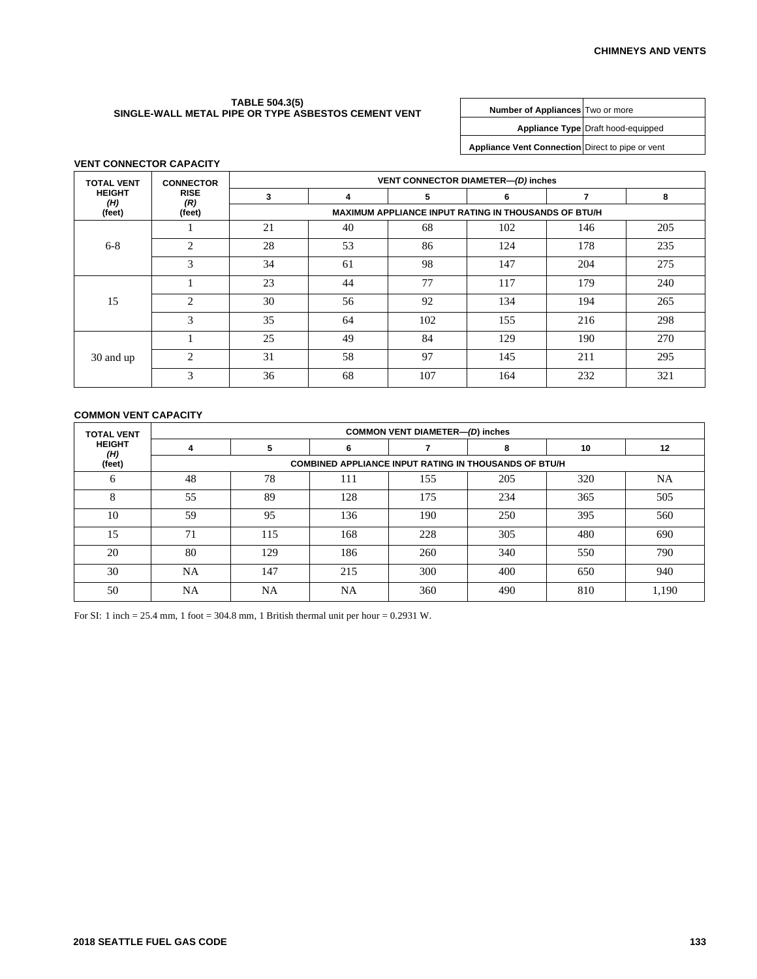## **TABLE 504.3(5)**<br>SINGLE-WALL METAL PIPE OR TYPE ASBESTOS CEMENT VENT Mumber of Appliances Two or more

**Appliance Type** Draft hood-equipped

**Appliance Vent Connection** Direct to pipe or vent

| <b>TOTAL VENT</b>    | <b>CONNECTOR</b>            |                                                             |    |     | VENT CONNECTOR DIAMETER-(D) inches |     |     |  |  |  |  |
|----------------------|-----------------------------|-------------------------------------------------------------|----|-----|------------------------------------|-----|-----|--|--|--|--|
| <b>HEIGHT</b><br>(H) | <b>RISE</b><br>(R)          | 3                                                           | 4  | 5   | 6                                  | 7   | 8   |  |  |  |  |
| (feet)               | (feet)                      | <b>MAXIMUM APPLIANCE INPUT RATING IN THOUSANDS OF BTU/H</b> |    |     |                                    |     |     |  |  |  |  |
|                      |                             | 21                                                          | 40 | 68  | 102                                | 146 | 205 |  |  |  |  |
| $6 - 8$              | 2                           | 28                                                          | 53 | 86  | 124                                | 178 | 235 |  |  |  |  |
|                      | 3                           | 34                                                          | 61 | 98  | 147                                | 204 | 275 |  |  |  |  |
|                      |                             | 23                                                          | 44 | 77  | 117                                | 179 | 240 |  |  |  |  |
| 15                   | $\mathcal{D}_{\mathcal{L}}$ | 30                                                          | 56 | 92  | 134                                | 194 | 265 |  |  |  |  |
|                      | 3                           | 35                                                          | 64 | 102 | 155                                | 216 | 298 |  |  |  |  |
|                      |                             | 25                                                          | 49 | 84  | 129                                | 190 | 270 |  |  |  |  |
| 30 and up            | 2                           | 31                                                          | 58 | 97  | 145                                | 211 | 295 |  |  |  |  |
|                      | 3                           | 36                                                          | 68 | 107 | 164                                | 232 | 321 |  |  |  |  |

### **VENT CONNECTOR CAPACITY**

#### **COMMON VENT CAPACITY**

| <b>TOTAL VENT</b>    |    | <b>COMMON VENT DIAMETER-(D) inches</b> |     |     |                                                              |     |           |  |  |  |  |  |  |
|----------------------|----|----------------------------------------|-----|-----|--------------------------------------------------------------|-----|-----------|--|--|--|--|--|--|
| <b>HEIGHT</b><br>(H) | 4  | 5                                      | 6   |     | 8                                                            | 10  | $12 \,$   |  |  |  |  |  |  |
| (feet)               |    |                                        |     |     | <b>COMBINED APPLIANCE INPUT RATING IN THOUSANDS OF BTU/H</b> |     |           |  |  |  |  |  |  |
| 6                    | 48 | 78                                     | 111 | 155 | 205                                                          | 320 | <b>NA</b> |  |  |  |  |  |  |
| 8                    | 55 | 89                                     | 128 | 175 | 234                                                          | 365 | 505       |  |  |  |  |  |  |
| 10                   | 59 | 95                                     | 136 | 190 | 250                                                          | 395 | 560       |  |  |  |  |  |  |
| 15                   | 71 | 115                                    | 168 | 228 | 305                                                          | 480 | 690       |  |  |  |  |  |  |
| 20                   | 80 | 129                                    | 186 | 260 | 340                                                          | 550 | 790       |  |  |  |  |  |  |
| 30                   | NA | 147                                    | 215 | 300 | 400                                                          | 650 | 940       |  |  |  |  |  |  |
| 50                   | NA | NA                                     | NA  | 360 | 490                                                          | 810 | 1,190     |  |  |  |  |  |  |

For SI: 1 inch =  $25.4$  mm, 1 foot =  $304.8$  mm, 1 British thermal unit per hour =  $0.2931$  W.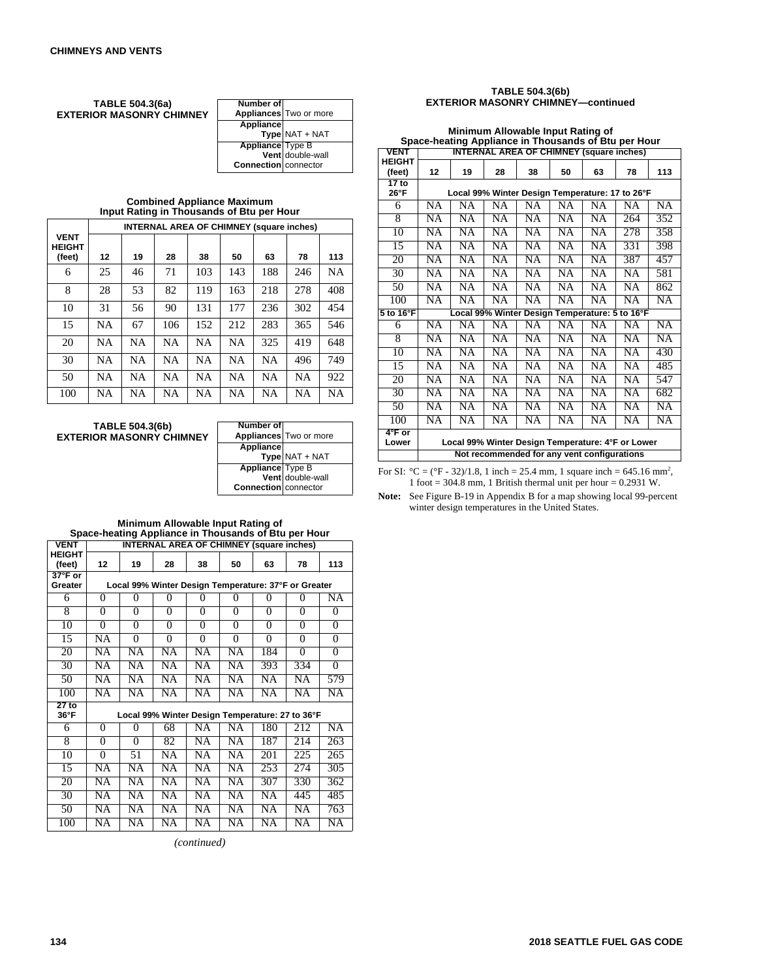**TABLE 504.3(6a) EXTERIOR MASONRY CHIMNEY**

| Number of                   |                        |
|-----------------------------|------------------------|
|                             | Appliances Two or more |
| <b>Appliance</b>            |                        |
|                             | Type NAT + NAT         |
| Appliance Type B            |                        |
|                             | Vent double-wall       |
| <b>Connection</b> connector |                        |

# **Combined Appliance Maximum Input Rating in Thousands of Btu per Hour**

|                                        |    |           |           | <b>INTERNAL AREA OF CHIMNEY (square inches)</b> |     |           |           |           |
|----------------------------------------|----|-----------|-----------|-------------------------------------------------|-----|-----------|-----------|-----------|
| <b>VENT</b><br><b>HEIGHT</b><br>(feet) | 12 | 19        | 28        | 38                                              | 50  | 63        | 78        | 113       |
| 6                                      | 25 | 46        | 71        | 103                                             | 143 | 188       | 246       | <b>NA</b> |
| 8                                      | 28 | 53        | 82        | 119                                             | 163 | 218       | 278       | 408       |
| 10                                     | 31 | 56        | 90        | 131                                             | 177 | 236       | 302       | 454       |
| 15                                     | NA | 67        | 106       | 152                                             | 212 | 283       | 365       | 546       |
| 20                                     | NA | NA        | NA        | NA                                              | NA  | 325       | 419       | 648       |
| 30                                     | NA | <b>NA</b> | NA        | <b>NA</b>                                       | NA  | <b>NA</b> | 496       | 749       |
| 50                                     | NA | NA        | <b>NA</b> | <b>NA</b>                                       | NA  | NA        | <b>NA</b> | 922       |
| 100                                    | NA | NΑ        | NΑ        | NA                                              | NΑ  | NΑ        | NA        | NA        |

**TABLE 504.3(6b) EXTERIOR MASONRY CHIMNEY**

| Number of                   |                        |
|-----------------------------|------------------------|
|                             | Appliances Two or more |
| <b>Appliance</b>            |                        |
|                             | Type NAT + NAT         |
| Appliance Type B            |                        |
|                             | Vent double-wall       |
| <b>Connection</b> connector |                        |

#### **TABLE 504.3(6b) EXTERIOR MASONRY CHIMNEY—continued**

# **Minimum Allowable Input Rating of Space-heating Appliance in Thousands of Btu per Hour**

| VENT                    |                        | <b>INTERNAL AREA OF CHIMNEY (square inches)</b> |                        |                        |           |                     |                                                   |     |  |  |  |  |
|-------------------------|------------------------|-------------------------------------------------|------------------------|------------------------|-----------|---------------------|---------------------------------------------------|-----|--|--|--|--|
| <b>HEIGHT</b><br>(feet) | 12                     | 19                                              | 28                     | 38                     | 50        | 63                  | 78                                                | 113 |  |  |  |  |
| 17 to<br>26°F           |                        | Local 99% Winter Design Temperature: 17 to 26°F |                        |                        |           |                     |                                                   |     |  |  |  |  |
| 6                       | NA                     | <b>NA</b>                                       | <b>NA</b>              | NA.                    | NA.       | NA                  | NA                                                | NA  |  |  |  |  |
| 8                       | NA                     | NA                                              | NA                     | NA                     | NA        | NA                  | 264                                               | 352 |  |  |  |  |
| 10                      | NA                     | NA                                              | NA                     | NA                     | NA        | NA                  | 278                                               | 358 |  |  |  |  |
| 15                      | NA                     | <b>NA</b>                                       | NA                     | NA                     | NA        | NA                  | 331                                               | 398 |  |  |  |  |
| 20                      | NA                     | NA.                                             | NA                     | NA                     | NA.       | <b>NA</b>           | 387                                               | 457 |  |  |  |  |
| 30                      | NA                     | NA                                              | NA                     | NA                     | NA        | NA                  | NA                                                | 581 |  |  |  |  |
| $\overline{50}$         | $\overline{\text{NA}}$ | NA                                              | NA                     | NA                     | NA        | NA                  | NΑ                                                | 862 |  |  |  |  |
| 100                     | $\overline{\text{NA}}$ | NA                                              | NΑ                     | NΑ                     | NA        | $\overline{\rm NA}$ | NA                                                | NA  |  |  |  |  |
| $5$ to 16°F             |                        |                                                 |                        |                        |           |                     | Local 99% Winter Design Temperature: 5 to 16°F    |     |  |  |  |  |
| 6                       | NA                     | NĀ                                              | NĀ                     | NĀ                     | NĀ        | ÑΑ                  | NĀ                                                | NA  |  |  |  |  |
| 8                       | NA                     | <b>NA</b>                                       | NA                     | NA                     | NA        | NA                  | NA                                                | NA  |  |  |  |  |
| 10                      | NA                     | <b>NA</b>                                       | NA.                    | <b>NA</b>              | <b>NA</b> | <b>NA</b>           | <b>NA</b>                                         | 430 |  |  |  |  |
| 15                      | NA                     | NA                                              | NĀ                     | NA                     | NA        | NA                  | NA                                                | 485 |  |  |  |  |
| 20                      | NA                     | NA                                              | $\overline{\text{NA}}$ | $\overline{\text{NA}}$ | NA        | NA                  | $\overline{\text{NA}}$                            | 547 |  |  |  |  |
| 30                      | NA                     | <b>NA</b>                                       | NA                     | NA                     | <b>NA</b> | NA                  | NA                                                | 682 |  |  |  |  |
| 50                      | NA                     | NA                                              | NA                     | NA                     | NA        | NA                  | NA                                                | NA  |  |  |  |  |
| $\overline{100}$        | NA                     | NA                                              | NA                     | NA                     | NA        | NA                  | NA                                                | NA  |  |  |  |  |
| 4°F or<br>Lower         |                        |                                                 |                        |                        |           |                     | Local 99% Winter Design Temperature: 4°F or Lower |     |  |  |  |  |
|                         |                        | Not recommended for any vent configurations     |                        |                        |           |                     |                                                   |     |  |  |  |  |

For SI:  $^{\circ}$ C = ( $^{\circ}$ F - 32)/1.8, 1 inch = 25.4 mm, 1 square inch = 645.16 mm<sup>2</sup>, 1 foot = 304.8 mm, 1 British thermal unit per hour =  $0.2931$  W.

**Note:** See Figure B-19 in Appendix B for a map showing local 99-percent winter design temperatures in the United States.

| <b>VENT</b>              |                | <b>INTERNAL AREA OF CHIMNEY (square inches)</b>      |           |                |                |                |                |                |  |  |  |  |
|--------------------------|----------------|------------------------------------------------------|-----------|----------------|----------------|----------------|----------------|----------------|--|--|--|--|
| <b>HEIGHT</b><br>(feet)  | 12             | 19                                                   | 28        | 38             | 50             | 63             | 78             | 113            |  |  |  |  |
| 37°F or<br>Greater       |                | Local 99% Winter Design Temperature: 37°F or Greater |           |                |                |                |                |                |  |  |  |  |
| 6                        | 0              | $\Omega$                                             | 0         | 0              | 0              | 0              | 0              | NA             |  |  |  |  |
| 8                        | $\theta$       | $\theta$                                             | 0         | 0              | 0              | 0              | 0              | 0              |  |  |  |  |
| 10                       | $\overline{0}$ | $\overline{0}$                                       | 0         | $\overline{0}$ | 0              | 0              | $\overline{0}$ | $\overline{0}$ |  |  |  |  |
| 15                       | NA             | $\Omega$                                             | 0         | 0              | $\overline{0}$ | $\overline{0}$ | 0              | 0              |  |  |  |  |
| 20                       | NA             | NA                                                   | NA        | NA             | NA             | 184            | $\theta$       | $\overline{0}$ |  |  |  |  |
| 30                       | NĀ             | NĀ                                                   | NĀ        | NA             | NĀ             | 393            | 334            | $\overline{0}$ |  |  |  |  |
| 50                       | NA             | NA                                                   | NA        | NA             | NA             | NA             | NA             | 579            |  |  |  |  |
| 100                      | NA             | NA                                                   | NA        | NA             | NA             | NA             | ÑΑ             | NA             |  |  |  |  |
| 27 <sub>to</sub><br>36°F |                | Local 99% Winter Design Temperature: 27 to 36°F      |           |                |                |                |                |                |  |  |  |  |
| 6                        | 0              | 0                                                    | 68        | NA             | NA             | 180            | 212            | NA             |  |  |  |  |
| 8                        | $\Omega$       | $\Omega$                                             | 82        | <b>NA</b>      | NA             | 187            | 214            | 263            |  |  |  |  |
| 10                       | $\overline{0}$ | 51                                                   | <b>NA</b> | NA             | NΑ             | 201            | 225            | 265            |  |  |  |  |
| 15                       | NA             | NA                                                   | NA        | NA             | NA             | 253            | 274            | 305            |  |  |  |  |
| 20                       | <b>NA</b>      | <b>NA</b>                                            | NA        | NA             | NA             | 307            | 330            | 362            |  |  |  |  |
| 30                       | NA             | NA                                                   | NĀ        | NA             | NĀ             | NA             | 445            | 485            |  |  |  |  |
| 50                       | NA             | NA                                                   | NA        | NA             | NA             | NA             | NA             | 763            |  |  |  |  |
| 100                      | NA             | NA                                                   | NA        | NA             | NA             | NA             | NA             | NA             |  |  |  |  |

**Minimum Allowable Input Rating of Space-heating Appliance in Thousands of Btu per Hour**

*(continued)*